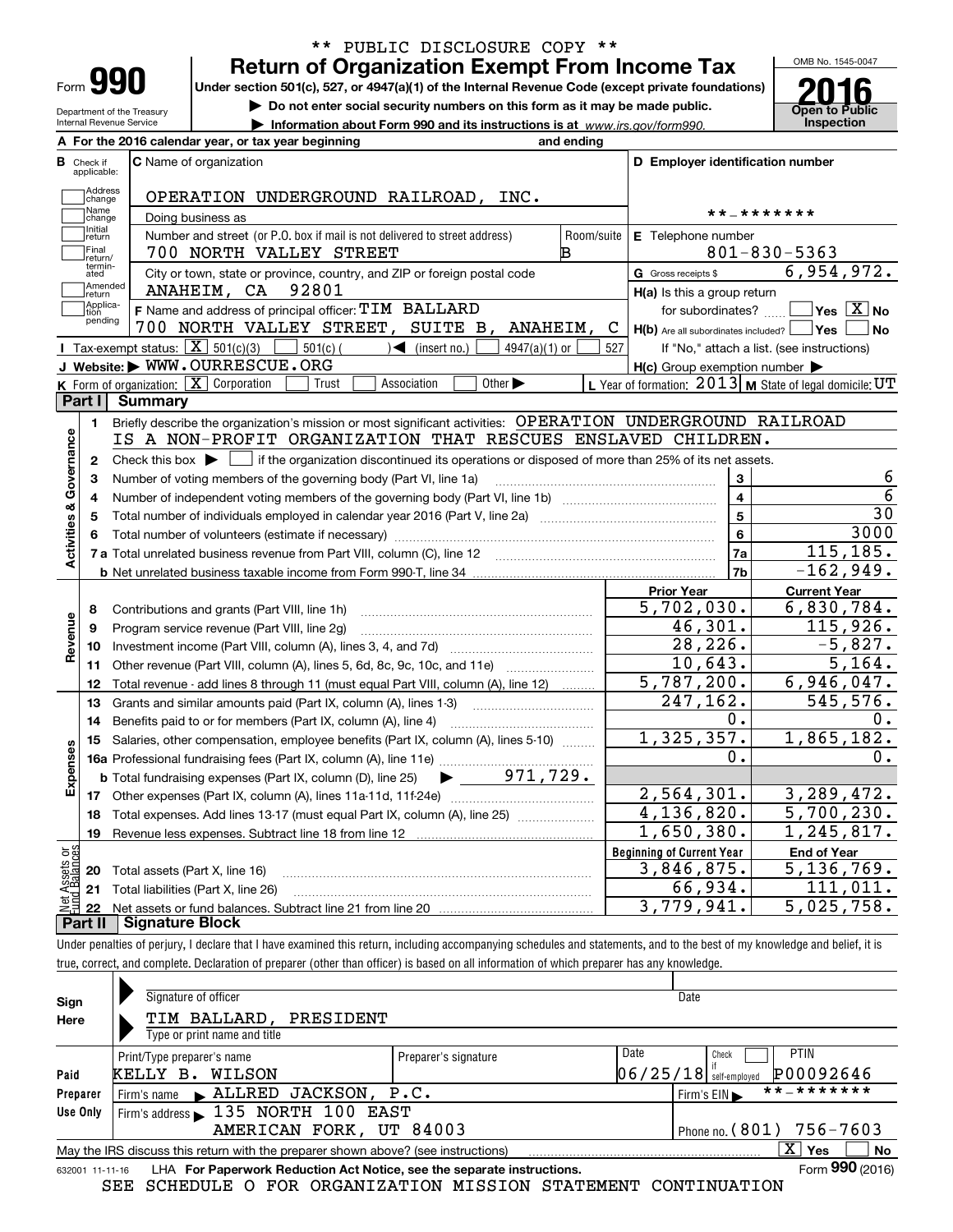| Form |  |
|------|--|
|      |  |

### **Return of Organization Exempt From Income Tax** \*\* PUBLIC DISCLOSURE COPY \*\*

**Under section 501(c), 527, or 4947(a)(1) of the Internal Revenue Code (except private foundations)**

**| Do not enter social security numbers on this form as it may be made public.**

**| Information about Form 990 and its instructions is at www.irs.gov/form990.** | Inspection



Department of the Treasury Internal Revenue Service **A**

|                                  | A For the 2016 calendar year, or tax year beginning                                                                                       | and ending           |                                                                       |                                                           |
|----------------------------------|-------------------------------------------------------------------------------------------------------------------------------------------|----------------------|-----------------------------------------------------------------------|-----------------------------------------------------------|
| <b>B</b> Check if<br>applicable: | <b>C</b> Name of organization                                                                                                             |                      | D Employer identification number                                      |                                                           |
|                                  | Address<br>Change<br>OPERATION UNDERGROUND RAILROAD, INC.                                                                                 |                      |                                                                       |                                                           |
|                                  | Name<br>Doing business as<br>change                                                                                                       |                      |                                                                       | **_*******                                                |
| Initial                          | Number and street (or P.O. box if mail is not delivered to street address)<br>return                                                      | Room/suite           | E Telephone number                                                    |                                                           |
| Final                            | 700 NORTH VALLEY STREET<br>return/                                                                                                        | в                    |                                                                       | $801 - 830 - 5363$                                        |
|                                  | termin-<br>ated<br>City or town, state or province, country, and ZIP or foreign postal code                                               |                      | G Gross receipts \$                                                   | 6,954,972.                                                |
|                                  | Amended<br>92801<br>ANAHEIM, CA<br>return                                                                                                 |                      | $H(a)$ is this a group return                                         |                                                           |
| tion                             | Applica-<br>F Name and address of principal officer: TIM BALLARD<br>pending<br>700 NORTH VALLEY STREET, SUITE B,                          | <b>ANAHEIM,</b><br>C | for subordinates?<br>$H(b)$ Are all subordinates included? $\Box$ Yes | $]$ Yes $[\overline{\mathrm{X}}]$ No<br>No                |
|                                  | Tax-exempt status: $\boxed{\mathbf{X}}$ 501(c)(3) $\boxed{\phantom{1}}$<br>$501(c)$ (<br>$\mathcal{A}$ (insert no.)<br>$4947(a)(1)$ or    | 527                  |                                                                       | If "No," attach a list. (see instructions)                |
|                                  | J Website: WWW.OURRESCUE.ORG                                                                                                              |                      | $H(c)$ Group exemption number $\blacktriangleright$                   |                                                           |
|                                  | K Form of organization: $X$ Corporation<br>Other $\blacktriangleright$<br>Trust<br>Association                                            |                      |                                                                       | L Year of formation: $2013$ M State of legal domicile: UT |
| Part I                           | <b>Summary</b>                                                                                                                            |                      |                                                                       |                                                           |
| 1.                               | Briefly describe the organization's mission or most significant activities: OPERATION UNDERGROUND RAILROAD                                |                      |                                                                       |                                                           |
|                                  | IS A NON-PROFIT ORGANIZATION THAT RESCUES ENSLAVED CHILDREN.                                                                              |                      |                                                                       |                                                           |
| 2                                | Check this box $\blacktriangleright \Box$ if the organization discontinued its operations or disposed of more than 25% of its net assets. |                      |                                                                       |                                                           |
| Activities & Governance<br>3     | Number of voting members of the governing body (Part VI, line 1a)                                                                         |                      | 3                                                                     | 6                                                         |
| 4                                |                                                                                                                                           |                      | 4                                                                     | $\overline{6}$                                            |
| 5                                |                                                                                                                                           |                      | 5                                                                     | 30                                                        |
| 6                                |                                                                                                                                           | 6                    | 3000                                                                  |                                                           |
|                                  |                                                                                                                                           |                      | 7a                                                                    | 115, 185.                                                 |
|                                  |                                                                                                                                           |                      | 7b                                                                    | $-162,949.$                                               |
|                                  |                                                                                                                                           |                      | <b>Prior Year</b>                                                     | <b>Current Year</b>                                       |
| 8                                | Contributions and grants (Part VIII, line 1h)                                                                                             |                      | 5,702,030.                                                            | 6,830,784.                                                |
| 9                                | Program service revenue (Part VIII, line 2g)                                                                                              |                      | 46,301.                                                               | 115,926.                                                  |
| Revenue<br>10                    |                                                                                                                                           |                      | 28,226.                                                               | $-5,827.$                                                 |
| 11                               | Other revenue (Part VIII, column (A), lines 5, 6d, 8c, 9c, 10c, and 11e)                                                                  |                      | 10,643.                                                               | 5,164.                                                    |
| 12                               | Total revenue - add lines 8 through 11 (must equal Part VIII, column (A), line 12)                                                        |                      | 5,787,200.                                                            | 6,946,047.                                                |
| 13                               | Grants and similar amounts paid (Part IX, column (A), lines 1-3)                                                                          |                      | 247,162.                                                              | 545,576.                                                  |
| 14                               | Benefits paid to or for members (Part IX, column (A), line 4)                                                                             |                      | 0.                                                                    | ο.                                                        |
| 15                               | Salaries, other compensation, employee benefits (Part IX, column (A), lines 5-10)                                                         |                      | 1,325,357.                                                            | 1,865,182.                                                |
|                                  |                                                                                                                                           |                      | 0.                                                                    | 0.                                                        |
| Expenses                         | <b>b</b> Total fundraising expenses (Part IX, column (D), line 25)                                                                        |                      |                                                                       |                                                           |
|                                  |                                                                                                                                           |                      | 2,564,301.                                                            | 3,289,472.                                                |
| 18                               | Total expenses. Add lines 13-17 (must equal Part IX, column (A), line 25)                                                                 |                      | 4, 136, 820.                                                          | 5,700,230.                                                |
| 19                               |                                                                                                                                           |                      | 1,650,380.                                                            | 1,245,817.                                                |
| äğ                               |                                                                                                                                           |                      | <b>Beginning of Current Year</b>                                      | <b>End of Year</b>                                        |
| <b>Nssets</b><br>20              | Total assets (Part X, line 16)                                                                                                            |                      | 3,846,875.                                                            | 5, 136, 769.                                              |
|                                  | 21 Total liabilities (Part X, line 26)                                                                                                    |                      | 66,934.                                                               | 111,011.                                                  |
| 22                               |                                                                                                                                           |                      | 3,779,941.                                                            | 5,025,758.                                                |
|                                  | Part II   Signature Block                                                                                                                 |                      |                                                                       |                                                           |

Under penalties of perjury, I declare that I have examined this return, including accompanying schedules and statements, and to the best of my knowledge and belief, it is true, correct, and complete. Declaration of preparer (other than officer) is based on all information of which preparer has any knowledge.

| Sign            | Signature of officer                                                              |                      | Date                                           |
|-----------------|-----------------------------------------------------------------------------------|----------------------|------------------------------------------------|
| Here            | TIM BALLARD, PRESIDENT                                                            |                      |                                                |
|                 | Type or print name and title                                                      |                      |                                                |
|                 | Print/Type preparer's name                                                        | Preparer's signature | Date<br><b>PTIN</b><br>Check                   |
| Paid            | KELLY B.<br>WILSON                                                                |                      | P00092646<br>$06/25/18$ self-employed          |
| Preparer        | Firm's name ALLRED JACKSON, P.C.                                                  |                      | **_*******<br>Firm's $EIN \blacktriangleright$ |
| Use Only        | Firm's address 135 NORTH 100 EAST                                                 |                      |                                                |
|                 | AMERICAN FORK, UT 84003                                                           |                      | Phone no. $(801)$ 756-7603                     |
|                 | May the IRS discuss this return with the preparer shown above? (see instructions) |                      | $X \vert Y$ es<br>No                           |
| 632001 11-11-16 | LHA For Paperwork Reduction Act Notice, see the separate instructions.            |                      | Form 990 (2016)                                |

SEE SCHEDULE O FOR ORGANIZATION MISSION STATEMENT CONTINUATION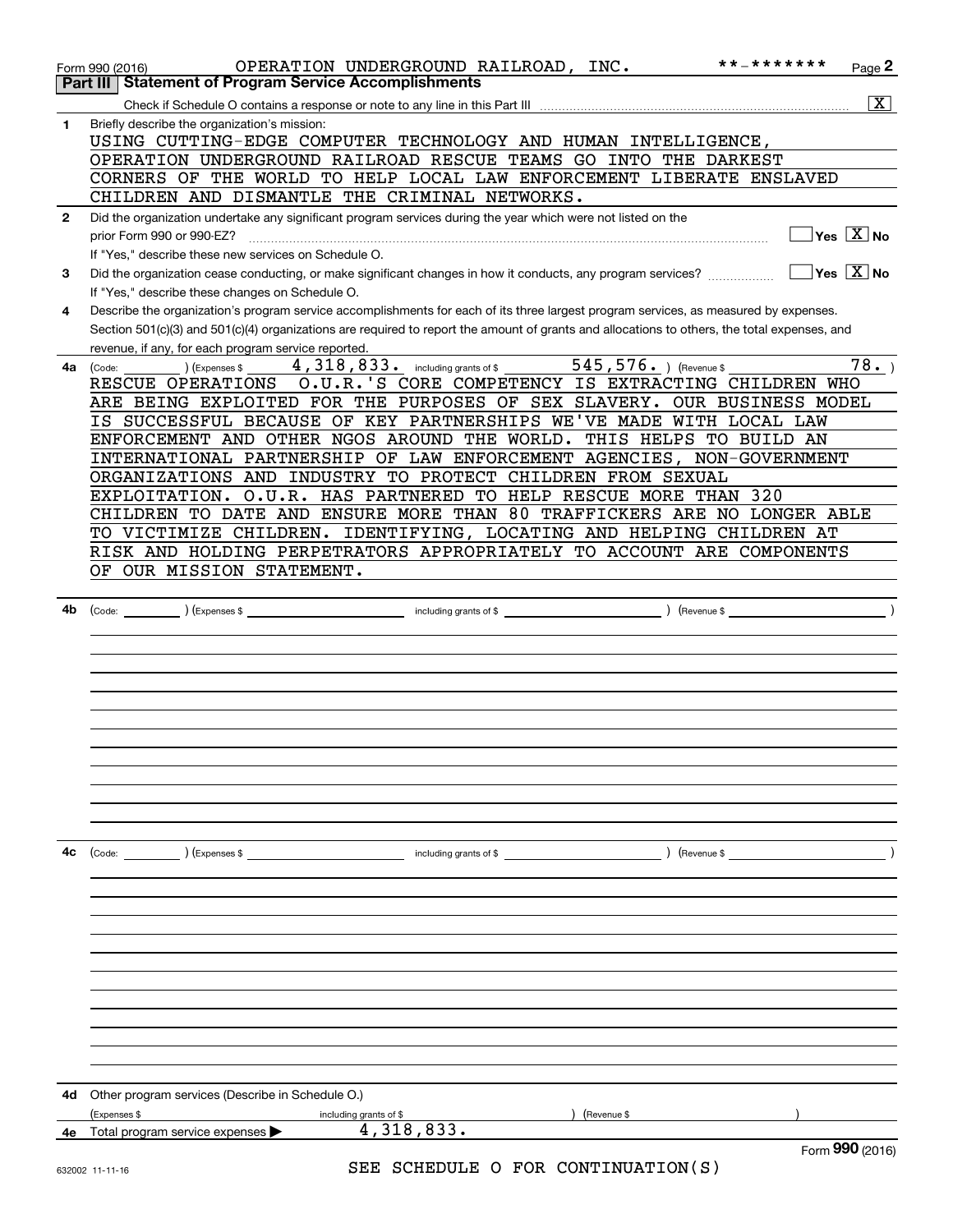|              | * * _ * * * * * * *<br>OPERATION UNDERGROUND RAILROAD, INC.<br>$Page$ <sup>2</sup><br>Form 990 (2016)                                                  |
|--------------|--------------------------------------------------------------------------------------------------------------------------------------------------------|
|              | <b>Statement of Program Service Accomplishments</b><br>Part III                                                                                        |
|              | $\overline{\mathtt{x}}$                                                                                                                                |
| 1            | Briefly describe the organization's mission:                                                                                                           |
|              | USING CUTTING-EDGE COMPUTER TECHNOLOGY AND HUMAN INTELLIGENCE,                                                                                         |
|              | OPERATION UNDERGROUND RAILROAD RESCUE TEAMS GO INTO THE DARKEST                                                                                        |
|              | CORNERS OF THE WORLD TO HELP LOCAL LAW ENFORCEMENT LIBERATE ENSLAVED                                                                                   |
|              | CHILDREN AND DISMANTLE THE CRIMINAL NETWORKS.                                                                                                          |
| $\mathbf{2}$ | Did the organization undertake any significant program services during the year which were not listed on the                                           |
|              | $\sqrt{}$ Yes $\sqrt{}$ $\overline{\rm X}$ $\sqrt{}$ No<br>prior Form 990 or 990-EZ?                                                                   |
|              | If "Yes," describe these new services on Schedule O.                                                                                                   |
| 3            | $\sqrt{}$ Yes $\sqrt{}$ X $\sqrt{}$ No<br>Did the organization cease conducting, or make significant changes in how it conducts, any program services? |
|              | If "Yes," describe these changes on Schedule O.                                                                                                        |
| 4            | Describe the organization's program service accomplishments for each of its three largest program services, as measured by expenses.                   |
|              | Section 501(c)(3) and 501(c)(4) organizations are required to report the amount of grants and allocations to others, the total expenses, and           |
|              | revenue, if any, for each program service reported.                                                                                                    |
| 4a           | 4, 318, 833. including grants of \$ 545, 576. Thevenue \$<br>78.<br>(Expenses \$<br>(Code:                                                             |
|              | O.U.R.'S CORE COMPETENCY IS EXTRACTING CHILDREN WHO<br>RESCUE OPERATIONS                                                                               |
|              | ARE BEING EXPLOITED FOR THE PURPOSES OF SEX SLAVERY. OUR BUSINESS MODEL                                                                                |
|              | IS SUCCESSFUL BECAUSE OF KEY PARTNERSHIPS WE'VE MADE WITH LOCAL LAW                                                                                    |
|              | ENFORCEMENT AND OTHER NGOS AROUND THE WORLD. THIS HELPS TO BUILD AN                                                                                    |
|              | INTERNATIONAL PARTNERSHIP OF LAW ENFORCEMENT AGENCIES, NON-GOVERNMENT                                                                                  |
|              | ORGANIZATIONS AND INDUSTRY TO PROTECT CHILDREN FROM SEXUAL                                                                                             |
|              | EXPLOITATION. O.U.R. HAS PARTNERED TO HELP RESCUE MORE THAN 320                                                                                        |
|              | CHILDREN TO DATE AND ENSURE MORE THAN 80 TRAFFICKERS ARE NO LONGER ABLE                                                                                |
|              | TO VICTIMIZE CHILDREN. IDENTIFYING, LOCATING AND HELPING CHILDREN AT                                                                                   |
|              | RISK AND HOLDING PERPETRATORS APPROPRIATELY TO ACCOUNT ARE COMPONENTS                                                                                  |
|              | OF OUR MISSION STATEMENT.                                                                                                                              |
|              |                                                                                                                                                        |
|              |                                                                                                                                                        |
|              |                                                                                                                                                        |
|              |                                                                                                                                                        |
|              |                                                                                                                                                        |
|              |                                                                                                                                                        |
|              |                                                                                                                                                        |
|              |                                                                                                                                                        |
|              |                                                                                                                                                        |
|              |                                                                                                                                                        |
|              |                                                                                                                                                        |
|              |                                                                                                                                                        |
|              |                                                                                                                                                        |
| 4с           | (Code: ) (Expenses \$<br>) (Revenue \$<br>including grants of \$                                                                                       |
|              |                                                                                                                                                        |
|              |                                                                                                                                                        |
|              |                                                                                                                                                        |
|              |                                                                                                                                                        |
|              |                                                                                                                                                        |
|              |                                                                                                                                                        |
|              |                                                                                                                                                        |
|              |                                                                                                                                                        |
|              |                                                                                                                                                        |
|              |                                                                                                                                                        |
|              |                                                                                                                                                        |
|              |                                                                                                                                                        |
| 4d           | Other program services (Describe in Schedule O.)                                                                                                       |
|              | (Expenses \$<br>(Revenue \$<br>including grants of \$                                                                                                  |
| 4е           | 4,318,833.<br>Total program service expenses                                                                                                           |
|              | Form 990 (2016)                                                                                                                                        |
|              | SEE SCHEDULE O FOR CONTINUATION(S)<br>632002 11-11-16                                                                                                  |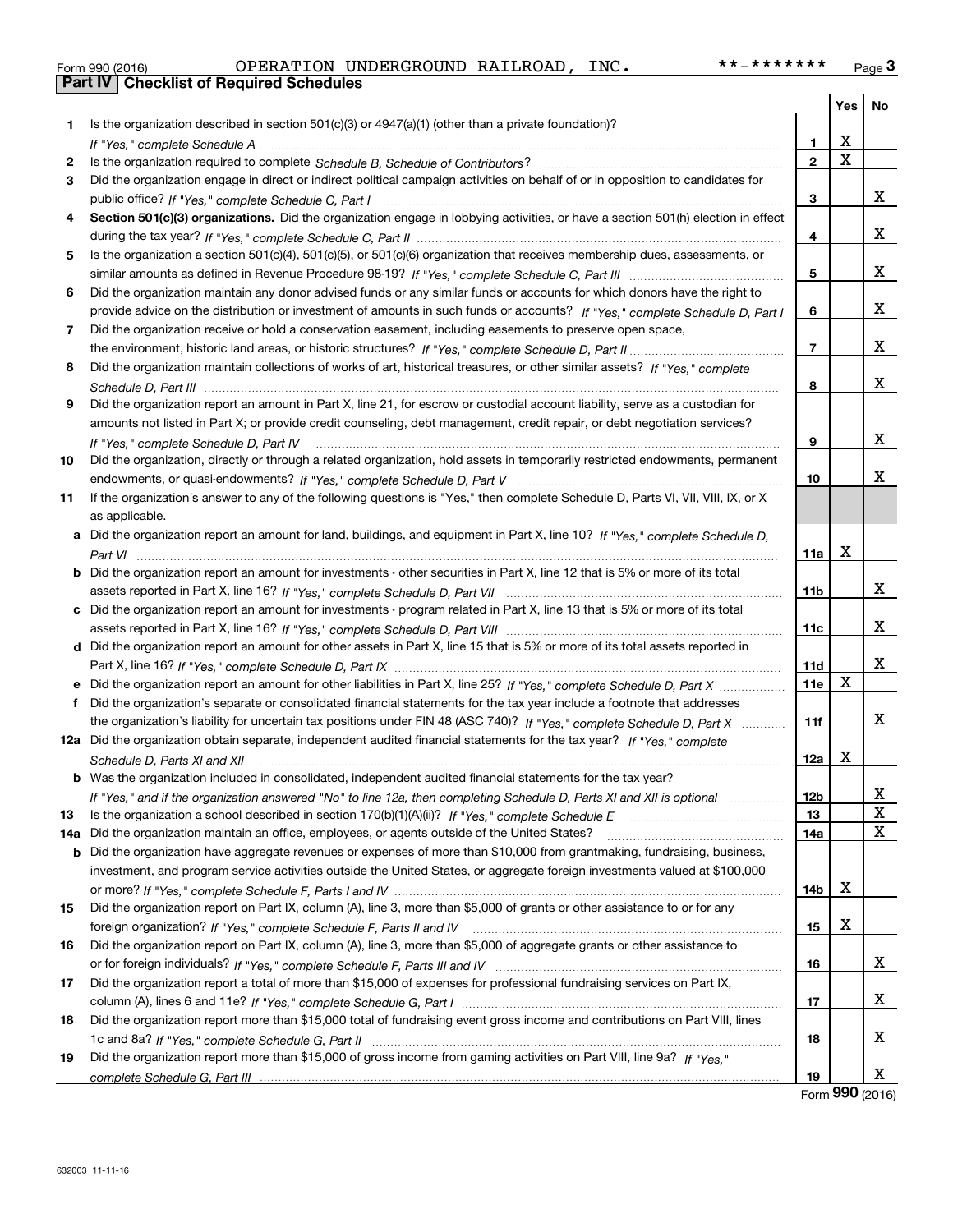| Form 990 (2016 |  |
|----------------|--|
|                |  |

|     |                                                                                                                                      |                 | Yes                          | No          |
|-----|--------------------------------------------------------------------------------------------------------------------------------------|-----------------|------------------------------|-------------|
| 1   | Is the organization described in section $501(c)(3)$ or $4947(a)(1)$ (other than a private foundation)?                              |                 |                              |             |
|     |                                                                                                                                      | 1               | х<br>$\overline{\mathbf{x}}$ |             |
| 2   |                                                                                                                                      | $\overline{2}$  |                              |             |
| 3   | Did the organization engage in direct or indirect political campaign activities on behalf of or in opposition to candidates for      |                 |                              |             |
|     |                                                                                                                                      | 3               |                              | x           |
| 4   | Section 501(c)(3) organizations. Did the organization engage in lobbying activities, or have a section 501(h) election in effect     |                 |                              |             |
|     |                                                                                                                                      | 4               |                              | x           |
| 5   | Is the organization a section 501(c)(4), 501(c)(5), or 501(c)(6) organization that receives membership dues, assessments, or         |                 |                              |             |
|     |                                                                                                                                      | 5               |                              | x           |
| 6   | Did the organization maintain any donor advised funds or any similar funds or accounts for which donors have the right to            |                 |                              |             |
|     | provide advice on the distribution or investment of amounts in such funds or accounts? If "Yes," complete Schedule D, Part I         | 6               |                              | x           |
| 7   | Did the organization receive or hold a conservation easement, including easements to preserve open space,                            |                 |                              |             |
|     |                                                                                                                                      | $\overline{7}$  |                              | x           |
| 8   | Did the organization maintain collections of works of art, historical treasures, or other similar assets? If "Yes," complete         |                 |                              |             |
|     |                                                                                                                                      | 8               |                              | x           |
| 9   | Did the organization report an amount in Part X, line 21, for escrow or custodial account liability, serve as a custodian for        |                 |                              |             |
|     | amounts not listed in Part X; or provide credit counseling, debt management, credit repair, or debt negotiation services?            |                 |                              |             |
|     | If "Yes," complete Schedule D, Part IV                                                                                               | 9               |                              | x           |
| 10  | Did the organization, directly or through a related organization, hold assets in temporarily restricted endowments, permanent        |                 |                              |             |
|     |                                                                                                                                      | 10              |                              | х           |
| 11  | If the organization's answer to any of the following questions is "Yes," then complete Schedule D, Parts VI, VII, VIII, IX, or X     |                 |                              |             |
|     | as applicable.                                                                                                                       |                 |                              |             |
|     | a Did the organization report an amount for land, buildings, and equipment in Part X, line 10? If "Yes," complete Schedule D,        |                 |                              |             |
|     |                                                                                                                                      | 11a             | X                            |             |
|     | <b>b</b> Did the organization report an amount for investments - other securities in Part X, line 12 that is 5% or more of its total |                 |                              |             |
|     |                                                                                                                                      | 11 <sub>b</sub> |                              | x           |
|     | c Did the organization report an amount for investments - program related in Part X, line 13 that is 5% or more of its total         |                 |                              |             |
|     |                                                                                                                                      | 11c             |                              | X           |
|     | d Did the organization report an amount for other assets in Part X, line 15 that is 5% or more of its total assets reported in       |                 |                              |             |
|     |                                                                                                                                      | 11d             |                              | x           |
|     | e Did the organization report an amount for other liabilities in Part X, line 25? If "Yes," complete Schedule D, Part X              | 11e             | $\mathbf X$                  |             |
| f   | Did the organization's separate or consolidated financial statements for the tax year include a footnote that addresses              |                 |                              |             |
|     | the organization's liability for uncertain tax positions under FIN 48 (ASC 740)? If "Yes," complete Schedule D, Part X               | 11f             |                              | x           |
|     | 12a Did the organization obtain separate, independent audited financial statements for the tax year? If "Yes," complete              |                 |                              |             |
|     | Schedule D, Parts XI and XII                                                                                                         | 12a             | х                            |             |
|     | <b>b</b> Was the organization included in consolidated, independent audited financial statements for the tax year?                   |                 |                              |             |
|     | If "Yes," and if the organization answered "No" to line 12a, then completing Schedule D, Parts XI and XII is optional                | 12b             |                              | х           |
| 13  | Is the organization a school described in section 170(b)(1)(A)(ii)? If "Yes," complete Schedule E                                    | 13              |                              | X           |
| 14a | Did the organization maintain an office, employees, or agents outside of the United States?                                          | 14a             |                              | $\mathbf x$ |
|     | <b>b</b> Did the organization have aggregate revenues or expenses of more than \$10,000 from grantmaking, fundraising, business,     |                 |                              |             |
|     | investment, and program service activities outside the United States, or aggregate foreign investments valued at \$100,000           |                 |                              |             |
|     |                                                                                                                                      | 14b             | х                            |             |
| 15  | Did the organization report on Part IX, column (A), line 3, more than \$5,000 of grants or other assistance to or for any            |                 |                              |             |
|     | foreign organization? If "Yes," complete Schedule F, Parts II and IV                                                                 | 15              | х                            |             |
| 16  | Did the organization report on Part IX, column (A), line 3, more than \$5,000 of aggregate grants or other assistance to             |                 |                              |             |
|     |                                                                                                                                      | 16              |                              | X           |
| 17  | Did the organization report a total of more than \$15,000 of expenses for professional fundraising services on Part IX,              |                 |                              |             |
|     |                                                                                                                                      | 17              |                              | X           |
| 18  | Did the organization report more than \$15,000 total of fundraising event gross income and contributions on Part VIII, lines         |                 |                              |             |
|     |                                                                                                                                      | 18              |                              | x           |
| 19  | Did the organization report more than \$15,000 of gross income from gaming activities on Part VIII, line 9a? If "Yes."               |                 |                              |             |
|     |                                                                                                                                      | 19              |                              | X           |

Form (2016) **990**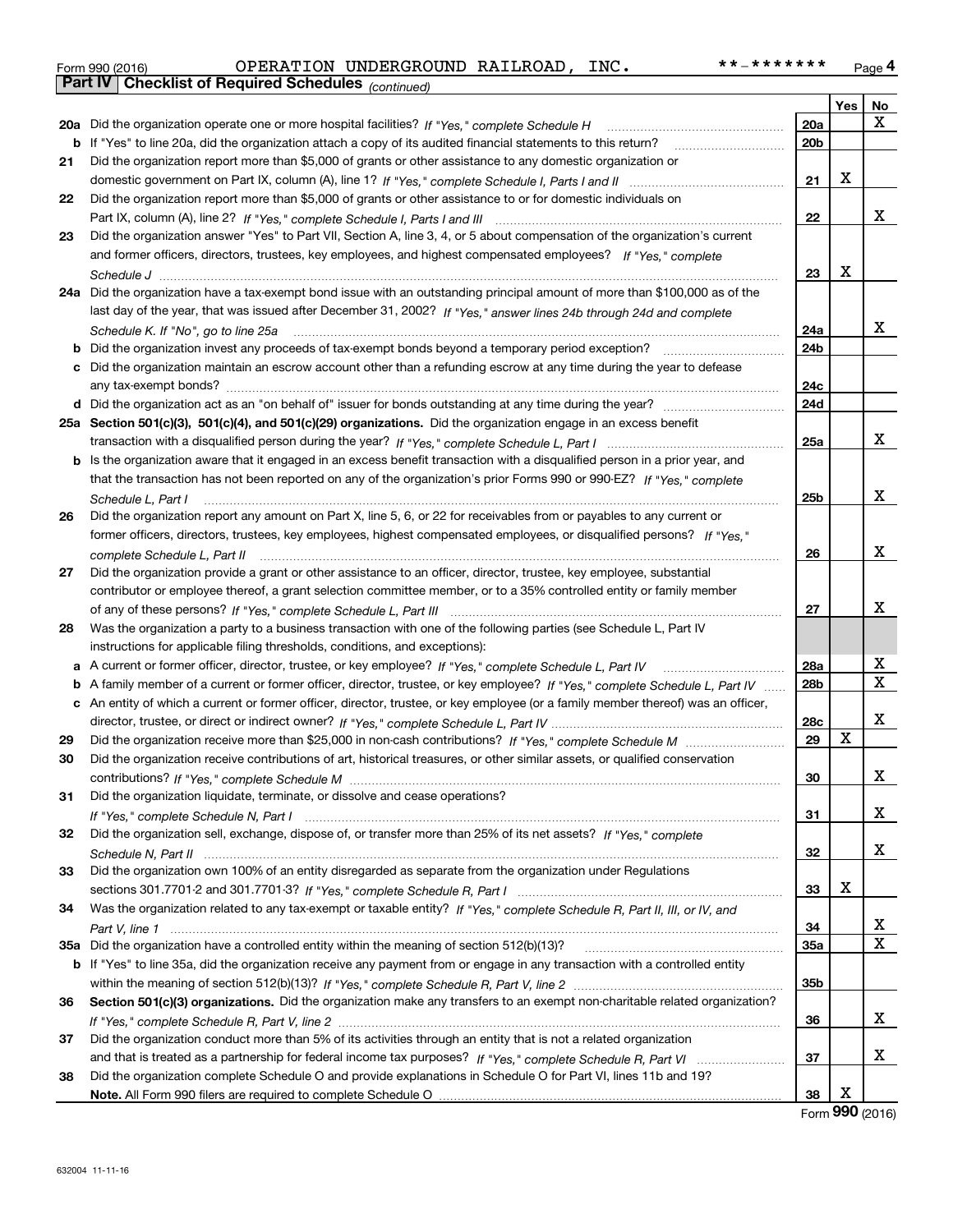| Form 990 (2016) |                                                              | OPERATION UNDERGROUND RAILROAD, | INC. | **_******* | Page 4 |
|-----------------|--------------------------------------------------------------|---------------------------------|------|------------|--------|
|                 | <b>Part IV   Checklist of Required Schedules</b> (continued) |                                 |      |            |        |

|    | Pall IV  <br>Criecklist of Required Scriedules (continued)                                                                                           |                 |     |    |
|----|------------------------------------------------------------------------------------------------------------------------------------------------------|-----------------|-----|----|
|    |                                                                                                                                                      |                 | Yes | No |
|    | 20a Did the organization operate one or more hospital facilities? If "Yes," complete Schedule H                                                      | 20a             |     | x  |
|    | <b>b</b> If "Yes" to line 20a, did the organization attach a copy of its audited financial statements to this return?                                | 20 <sub>b</sub> |     |    |
| 21 | Did the organization report more than \$5,000 of grants or other assistance to any domestic organization or                                          |                 |     |    |
|    |                                                                                                                                                      | 21              | X   |    |
| 22 | Did the organization report more than \$5,000 of grants or other assistance to or for domestic individuals on                                        |                 |     |    |
|    |                                                                                                                                                      | 22              |     | x  |
| 23 | Did the organization answer "Yes" to Part VII, Section A, line 3, 4, or 5 about compensation of the organization's current                           |                 |     |    |
|    | and former officers, directors, trustees, key employees, and highest compensated employees? If "Yes," complete                                       |                 |     |    |
|    |                                                                                                                                                      | 23              | x   |    |
|    | 24a Did the organization have a tax-exempt bond issue with an outstanding principal amount of more than \$100,000 as of the                          |                 |     |    |
|    | last day of the year, that was issued after December 31, 2002? If "Yes," answer lines 24b through 24d and complete                                   |                 |     |    |
|    | Schedule K. If "No", go to line 25a                                                                                                                  | 24a             |     | x  |
|    | <b>b</b> Did the organization invest any proceeds of tax-exempt bonds beyond a temporary period exception?                                           | 24b             |     |    |
|    | c Did the organization maintain an escrow account other than a refunding escrow at any time during the year to defease                               |                 |     |    |
|    |                                                                                                                                                      | 24c             |     |    |
|    | d Did the organization act as an "on behalf of" issuer for bonds outstanding at any time during the year?                                            | 24d             |     |    |
|    | 25a Section 501(c)(3), 501(c)(4), and 501(c)(29) organizations. Did the organization engage in an excess benefit                                     |                 |     |    |
|    |                                                                                                                                                      | 25a             |     | x  |
|    | b Is the organization aware that it engaged in an excess benefit transaction with a disqualified person in a prior year, and                         |                 |     |    |
|    | that the transaction has not been reported on any of the organization's prior Forms 990 or 990-EZ? If "Yes," complete                                |                 |     |    |
|    | Schedule L. Part I                                                                                                                                   | 25b             |     | х  |
| 26 | Did the organization report any amount on Part X, line 5, 6, or 22 for receivables from or payables to any current or                                |                 |     |    |
|    | former officers, directors, trustees, key employees, highest compensated employees, or disqualified persons? If "Yes."                               |                 |     |    |
|    |                                                                                                                                                      | 26              |     | х  |
| 27 | complete Schedule L, Part II<br>Did the organization provide a grant or other assistance to an officer, director, trustee, key employee, substantial |                 |     |    |
|    | contributor or employee thereof, a grant selection committee member, or to a 35% controlled entity or family member                                  |                 |     |    |
|    |                                                                                                                                                      | 27              |     | x  |
| 28 |                                                                                                                                                      |                 |     |    |
|    | Was the organization a party to a business transaction with one of the following parties (see Schedule L, Part IV                                    |                 |     |    |
|    | instructions for applicable filing thresholds, conditions, and exceptions):                                                                          |                 |     | х  |
|    | a A current or former officer, director, trustee, or key employee? If "Yes," complete Schedule L, Part IV                                            | 28a             |     | х  |
|    | b A family member of a current or former officer, director, trustee, or key employee? If "Yes," complete Schedule L, Part IV                         | 28 <sub>b</sub> |     |    |
|    | c An entity of which a current or former officer, director, trustee, or key employee (or a family member thereof) was an officer,                    |                 |     | х  |
|    |                                                                                                                                                      | 28c             | х   |    |
| 29 |                                                                                                                                                      | 29              |     |    |
| 30 | Did the organization receive contributions of art, historical treasures, or other similar assets, or qualified conservation                          |                 |     |    |
|    |                                                                                                                                                      | 30              |     | х  |
| 31 | Did the organization liquidate, terminate, or dissolve and cease operations?                                                                         |                 |     |    |
|    |                                                                                                                                                      | 31              |     | x  |
| 32 | Did the organization sell, exchange, dispose of, or transfer more than 25% of its net assets? If "Yes," complete                                     |                 |     |    |
|    |                                                                                                                                                      | 32              |     | x  |
| 33 | Did the organization own 100% of an entity disregarded as separate from the organization under Regulations                                           |                 |     |    |
|    |                                                                                                                                                      | 33              | X   |    |
| 34 | Was the organization related to any tax-exempt or taxable entity? If "Yes," complete Schedule R, Part II, III, or IV, and                            |                 |     |    |
|    |                                                                                                                                                      | 34              |     | х  |
|    |                                                                                                                                                      | 35a             |     | х  |
|    | b If "Yes" to line 35a, did the organization receive any payment from or engage in any transaction with a controlled entity                          |                 |     |    |
|    |                                                                                                                                                      | 35b             |     |    |
| 36 | Section 501(c)(3) organizations. Did the organization make any transfers to an exempt non-charitable related organization?                           |                 |     |    |
|    |                                                                                                                                                      | 36              |     | х  |
| 37 | Did the organization conduct more than 5% of its activities through an entity that is not a related organization                                     |                 |     |    |
|    |                                                                                                                                                      | 37              |     | x  |
| 38 | Did the organization complete Schedule O and provide explanations in Schedule O for Part VI, lines 11b and 19?                                       |                 |     |    |
|    |                                                                                                                                                      | 38              | х   |    |

Form (2016) **990**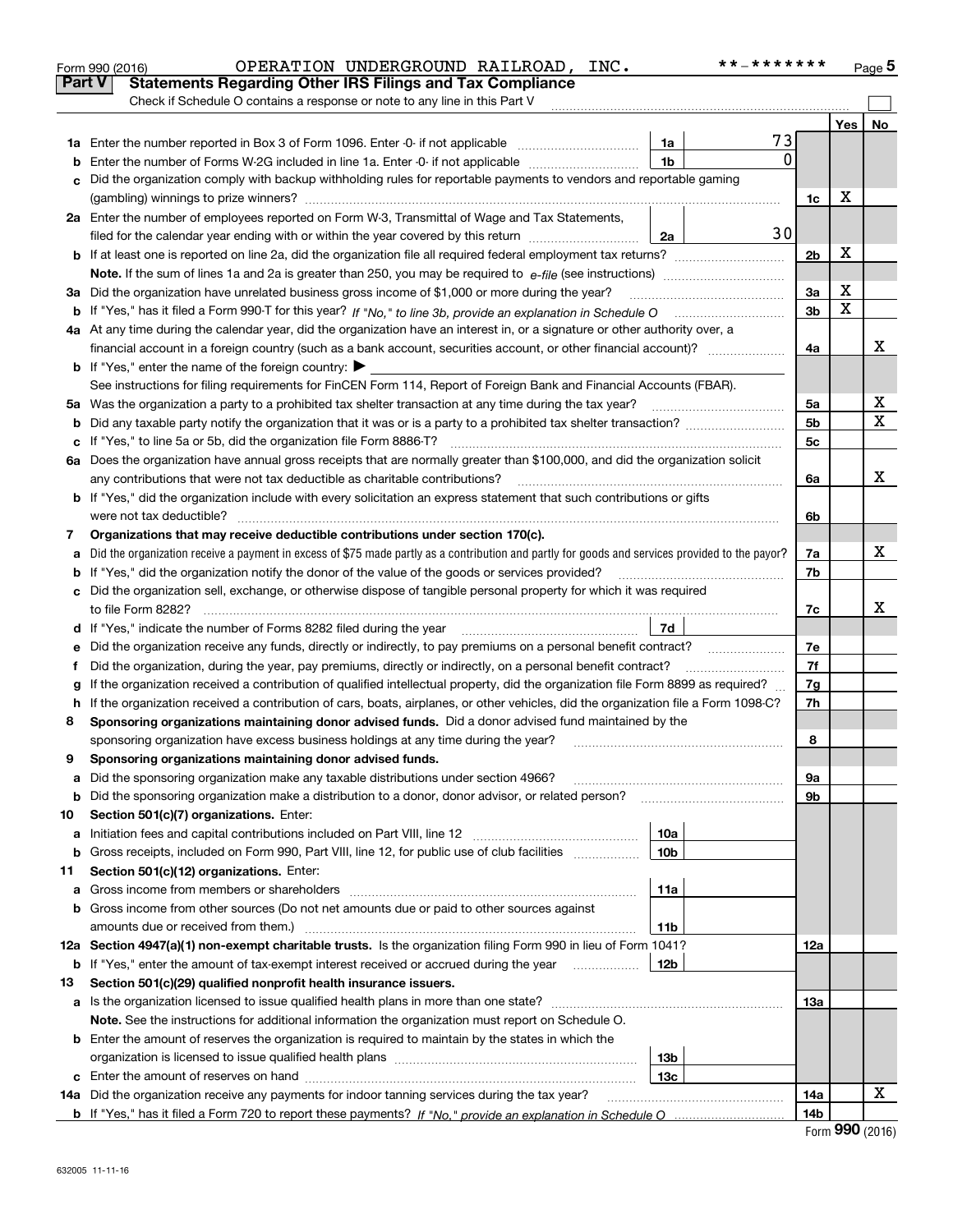|    | OPERATION UNDERGROUND RAILROAD, INC.<br>Form 990 (2016)                                                                                         |                 | * * _ * * * * * * * |                |     | Page 5 |
|----|-------------------------------------------------------------------------------------------------------------------------------------------------|-----------------|---------------------|----------------|-----|--------|
|    | <b>Part V</b><br><b>Statements Regarding Other IRS Filings and Tax Compliance</b>                                                               |                 |                     |                |     |        |
|    | Check if Schedule O contains a response or note to any line in this Part V                                                                      |                 |                     |                |     |        |
|    |                                                                                                                                                 |                 |                     |                | Yes | No     |
|    |                                                                                                                                                 | 1a              | 73                  |                |     |        |
| b  | Enter the number of Forms W-2G included in line 1a. Enter -0- if not applicable                                                                 | 1 <sub>b</sub>  | 0                   |                |     |        |
| c  | Did the organization comply with backup withholding rules for reportable payments to vendors and reportable gaming                              |                 |                     |                |     |        |
|    |                                                                                                                                                 |                 |                     | 1c             | X   |        |
|    | 2a Enter the number of employees reported on Form W-3, Transmittal of Wage and Tax Statements,                                                  |                 |                     |                |     |        |
|    | filed for the calendar year ending with or within the year covered by this return                                                               | 2a              | 30                  |                |     |        |
| b  |                                                                                                                                                 |                 |                     | 2 <sub>b</sub> | х   |        |
|    |                                                                                                                                                 |                 |                     |                |     |        |
|    | 3a Did the organization have unrelated business gross income of \$1,000 or more during the year?                                                |                 |                     | 3a             | х   |        |
|    |                                                                                                                                                 |                 |                     | 3 <sub>b</sub> | X   |        |
|    | 4a At any time during the calendar year, did the organization have an interest in, or a signature or other authority over, a                    |                 |                     |                |     |        |
|    | financial account in a foreign country (such as a bank account, securities account, or other financial account)?                                |                 |                     | 4a             |     | х      |
|    | <b>b</b> If "Yes," enter the name of the foreign country: $\blacktriangleright$                                                                 |                 |                     |                |     |        |
|    | See instructions for filing requirements for FinCEN Form 114, Report of Foreign Bank and Financial Accounts (FBAR).                             |                 |                     |                |     |        |
|    | 5a Was the organization a party to a prohibited tax shelter transaction at any time during the tax year?                                        |                 |                     | 5a             |     | x      |
| b  |                                                                                                                                                 |                 |                     | 5 <sub>b</sub> |     | Χ      |
| c  | If "Yes," to line 5a or 5b, did the organization file Form 8886-T?                                                                              |                 |                     | 5c             |     |        |
|    | 6a Does the organization have annual gross receipts that are normally greater than \$100,000, and did the organization solicit                  |                 |                     |                |     |        |
|    | any contributions that were not tax deductible as charitable contributions?                                                                     |                 |                     | 6a             |     | х      |
|    | <b>b</b> If "Yes," did the organization include with every solicitation an express statement that such contributions or gifts                   |                 |                     |                |     |        |
|    | were not tax deductible?                                                                                                                        |                 |                     | 6b             |     |        |
| 7  | Organizations that may receive deductible contributions under section 170(c).                                                                   |                 |                     |                |     |        |
| а  | Did the organization receive a payment in excess of \$75 made partly as a contribution and partly for goods and services provided to the payor? |                 |                     | 7a             |     | х      |
| b  | If "Yes," did the organization notify the donor of the value of the goods or services provided?                                                 |                 |                     | 7b             |     |        |
|    | c Did the organization sell, exchange, or otherwise dispose of tangible personal property for which it was required                             |                 |                     |                |     |        |
|    |                                                                                                                                                 |                 |                     | 7c             |     | х      |
|    |                                                                                                                                                 | 7d              |                     |                |     |        |
| е  | Did the organization receive any funds, directly or indirectly, to pay premiums on a personal benefit contract?                                 |                 |                     | 7e             |     |        |
| f  | Did the organization, during the year, pay premiums, directly or indirectly, on a personal benefit contract?                                    |                 |                     | 7f             |     |        |
| g  | If the organization received a contribution of qualified intellectual property, did the organization file Form 8899 as required?                |                 |                     | 7g             |     |        |
| h. | If the organization received a contribution of cars, boats, airplanes, or other vehicles, did the organization file a Form 1098-C?              |                 |                     | 7h             |     |        |
| 8  | Sponsoring organizations maintaining donor advised funds. Did a donor advised fund maintained by the                                            |                 |                     |                |     |        |
|    | sponsoring organization have excess business holdings at any time during the year?                                                              |                 |                     | 8              |     |        |
|    | Sponsoring organizations maintaining donor advised funds.                                                                                       |                 |                     |                |     |        |
| a  | Did the sponsoring organization make any taxable distributions under section 4966?                                                              |                 |                     | 9а             |     |        |
| b  | Did the sponsoring organization make a distribution to a donor, donor advisor, or related person?                                               |                 |                     | 9b             |     |        |
| 10 | Section 501(c)(7) organizations. Enter:                                                                                                         |                 |                     |                |     |        |
| а  |                                                                                                                                                 | 10a             |                     |                |     |        |
| b  | Gross receipts, included on Form 990, Part VIII, line 12, for public use of club facilities                                                     | 10 <sub>b</sub> |                     |                |     |        |
| 11 | Section 501(c)(12) organizations. Enter:                                                                                                        |                 |                     |                |     |        |
| а  | Gross income from members or shareholders                                                                                                       | 11a             |                     |                |     |        |
| b  | Gross income from other sources (Do not net amounts due or paid to other sources against                                                        |                 |                     |                |     |        |
|    |                                                                                                                                                 | 11b             |                     |                |     |        |
|    | 12a Section 4947(a)(1) non-exempt charitable trusts. Is the organization filing Form 990 in lieu of Form 1041?                                  |                 |                     | 12a            |     |        |
|    | <b>b</b> If "Yes," enter the amount of tax-exempt interest received or accrued during the year <i>manument</i> of                               | 12b             |                     |                |     |        |
| 13 | Section 501(c)(29) qualified nonprofit health insurance issuers.                                                                                |                 |                     |                |     |        |
| а  | Is the organization licensed to issue qualified health plans in more than one state?                                                            |                 |                     | 13a            |     |        |
|    | Note. See the instructions for additional information the organization must report on Schedule O.                                               |                 |                     |                |     |        |
| b  | Enter the amount of reserves the organization is required to maintain by the states in which the                                                |                 |                     |                |     |        |
|    |                                                                                                                                                 | 13 <sub>b</sub> |                     |                |     |        |
| c  |                                                                                                                                                 | 13 <sub>c</sub> |                     |                |     |        |
|    | 14a Did the organization receive any payments for indoor tanning services during the tax year?                                                  |                 |                     | 14a            |     | x      |
|    |                                                                                                                                                 |                 |                     | 14b            |     |        |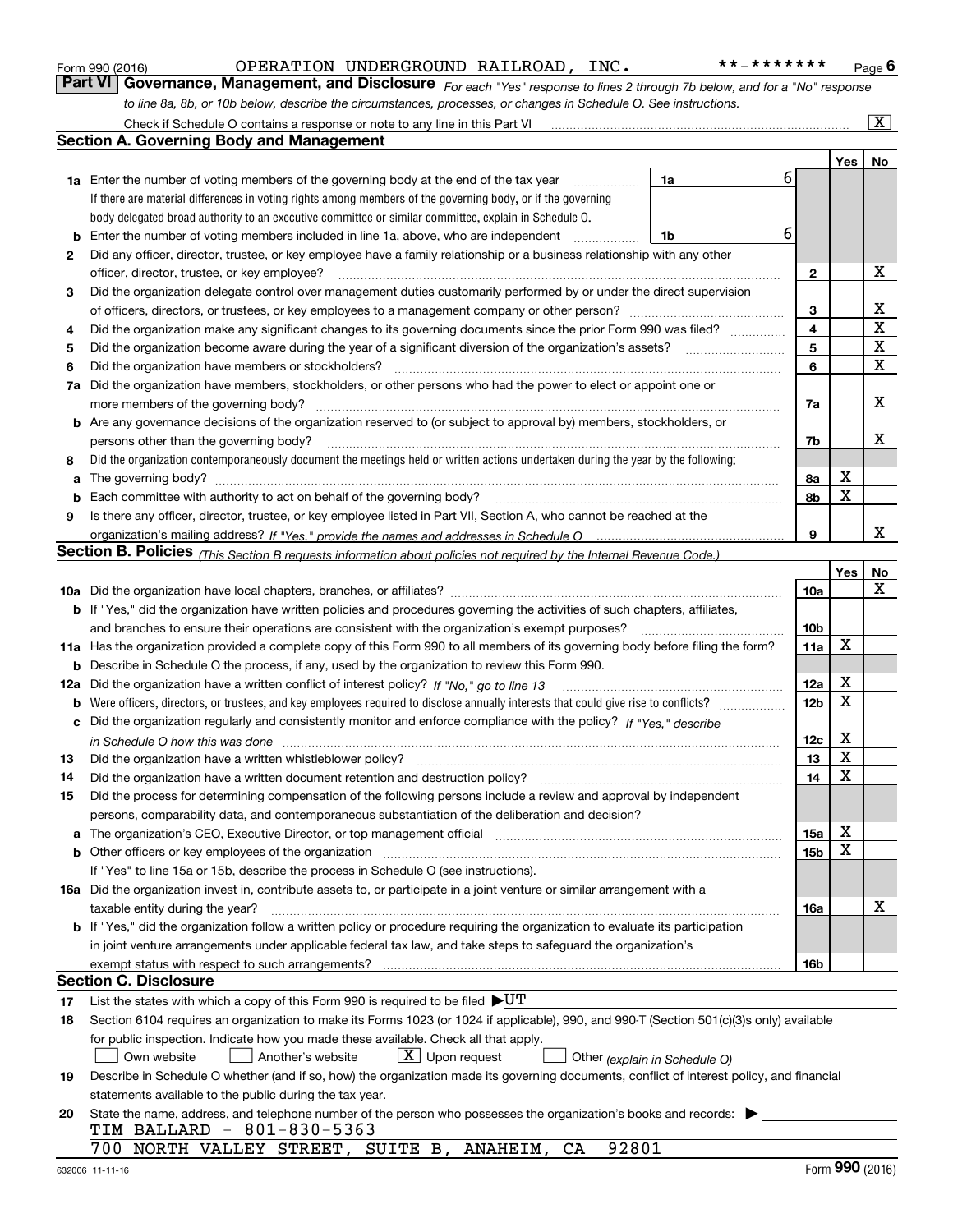|     | OPERATION UNDERGROUND RAILROAD, INC.<br>* * _ * * * * * * *<br>Form 990 (2016)                                                                                        |                 |             | Page 6                  |
|-----|-----------------------------------------------------------------------------------------------------------------------------------------------------------------------|-----------------|-------------|-------------------------|
|     | Part VI   Governance, Management, and Disclosure For each "Yes" response to lines 2 through 7b below, and for a "No" response                                         |                 |             |                         |
|     | to line 8a, 8b, or 10b below, describe the circumstances, processes, or changes in Schedule O. See instructions.                                                      |                 |             |                         |
|     | Check if Schedule O contains a response or note to any line in this Part VI                                                                                           |                 |             | $\overline{\mathbf{X}}$ |
|     | <b>Section A. Governing Body and Management</b>                                                                                                                       |                 |             |                         |
|     |                                                                                                                                                                       |                 | Yes         | No                      |
|     | 1a Enter the number of voting members of the governing body at the end of the tax year<br>1a<br>.                                                                     | 6               |             |                         |
|     | If there are material differences in voting rights among members of the governing body, or if the governing                                                           |                 |             |                         |
|     | body delegated broad authority to an executive committee or similar committee, explain in Schedule O.                                                                 |                 |             |                         |
| b   | Enter the number of voting members included in line 1a, above, who are independent<br>1b<br>.                                                                         | 6               |             |                         |
| 2   | Did any officer, director, trustee, or key employee have a family relationship or a business relationship with any other                                              |                 |             |                         |
|     | officer, director, trustee, or key employee?                                                                                                                          | 2               |             | x                       |
| З   | Did the organization delegate control over management duties customarily performed by or under the direct supervision                                                 |                 |             |                         |
|     |                                                                                                                                                                       | 3               |             | х                       |
| 4   | Did the organization make any significant changes to its governing documents since the prior Form 990 was filed?                                                      | 4               |             | $\mathbf X$             |
| 5   |                                                                                                                                                                       | 5               |             | X                       |
| 6   | Did the organization have members or stockholders?                                                                                                                    | 6               |             | $\mathbf X$             |
| 7a  | Did the organization have members, stockholders, or other persons who had the power to elect or appoint one or                                                        |                 |             |                         |
|     | more members of the governing body?                                                                                                                                   | 7a              |             | x                       |
|     | <b>b</b> Are any governance decisions of the organization reserved to (or subject to approval by) members, stockholders, or                                           |                 |             |                         |
|     | persons other than the governing body?                                                                                                                                | 7b              |             | х                       |
| 8   | Did the organization contemporaneously document the meetings held or written actions undertaken during the year by the following:                                     |                 |             |                         |
| a   | The governing body?                                                                                                                                                   | 8а              | x<br>X      |                         |
| b   |                                                                                                                                                                       | 8b              |             |                         |
| 9   | Is there any officer, director, trustee, or key employee listed in Part VII, Section A, who cannot be reached at the                                                  | 9               |             | х                       |
|     |                                                                                                                                                                       |                 |             |                         |
|     | Section B. Policies (This Section B requests information about policies not required by the Internal Revenue Code.)                                                   |                 |             |                         |
|     |                                                                                                                                                                       | 10a             | Yes         | No<br>x                 |
|     | b If "Yes," did the organization have written policies and procedures governing the activities of such chapters, affiliates,                                          |                 |             |                         |
|     | and branches to ensure their operations are consistent with the organization's exempt purposes?                                                                       | 10 <sub>b</sub> |             |                         |
|     | 11a Has the organization provided a complete copy of this Form 990 to all members of its governing body before filing the form?                                       | 11a             | х           |                         |
|     | <b>b</b> Describe in Schedule O the process, if any, used by the organization to review this Form 990.                                                                |                 |             |                         |
| 12a | Did the organization have a written conflict of interest policy? If "No," go to line 13                                                                               | 12a             | х           |                         |
|     |                                                                                                                                                                       | 12 <sub>b</sub> | X           |                         |
|     | c Did the organization regularly and consistently monitor and enforce compliance with the policy? If "Yes," describe                                                  |                 |             |                         |
|     | in Schedule O how this was done manufactured and contain an according to the state of the state of the state o                                                        | <u>12c</u>      | х           |                         |
|     |                                                                                                                                                                       | 13              | $\mathbf X$ |                         |
| 14  | Did the organization have a written document retention and destruction policy?                                                                                        | 14              | X           |                         |
| 15  | Did the process for determining compensation of the following persons include a review and approval by independent                                                    |                 |             |                         |
|     | persons, comparability data, and contemporaneous substantiation of the deliberation and decision?                                                                     |                 |             |                         |
| a   | The organization's CEO, Executive Director, or top management official manufactured content of the organization's CEO, Executive Director, or top management official | 15a             | х           |                         |
|     |                                                                                                                                                                       | 15b             | х           |                         |
|     | If "Yes" to line 15a or 15b, describe the process in Schedule O (see instructions).                                                                                   |                 |             |                         |
|     | 16a Did the organization invest in, contribute assets to, or participate in a joint venture or similar arrangement with a                                             |                 |             |                         |
|     | taxable entity during the year?                                                                                                                                       | 16a             |             | х                       |
|     | b If "Yes," did the organization follow a written policy or procedure requiring the organization to evaluate its participation                                        |                 |             |                         |
|     | in joint venture arrangements under applicable federal tax law, and take steps to safeguard the organization's                                                        |                 |             |                         |
|     |                                                                                                                                                                       | 16b             |             |                         |
|     | <b>Section C. Disclosure</b>                                                                                                                                          |                 |             |                         |
| 17  | List the states with which a copy of this Form 990 is required to be filed $\blacktriangleright U T$                                                                  |                 |             |                         |
| 18  | Section 6104 requires an organization to make its Forms 1023 (or 1024 if applicable), 990, and 990-T (Section 501(c)(3)s only) available                              |                 |             |                         |
|     | for public inspection. Indicate how you made these available. Check all that apply.                                                                                   |                 |             |                         |
|     | $X$ Upon request<br>Own website<br>Another's website<br>Other (explain in Schedule O)                                                                                 |                 |             |                         |
| 19  | Describe in Schedule O whether (and if so, how) the organization made its governing documents, conflict of interest policy, and financial                             |                 |             |                         |
|     | statements available to the public during the tax year.                                                                                                               |                 |             |                         |
| 20  | State the name, address, and telephone number of the person who possesses the organization's books and records:                                                       |                 |             |                         |
|     | TIM BALLARD - 801-830-5363                                                                                                                                            |                 |             |                         |
|     | 700 NORTH VALLEY STREET, SUITE B, ANAHEIM, CA 92801                                                                                                                   |                 |             |                         |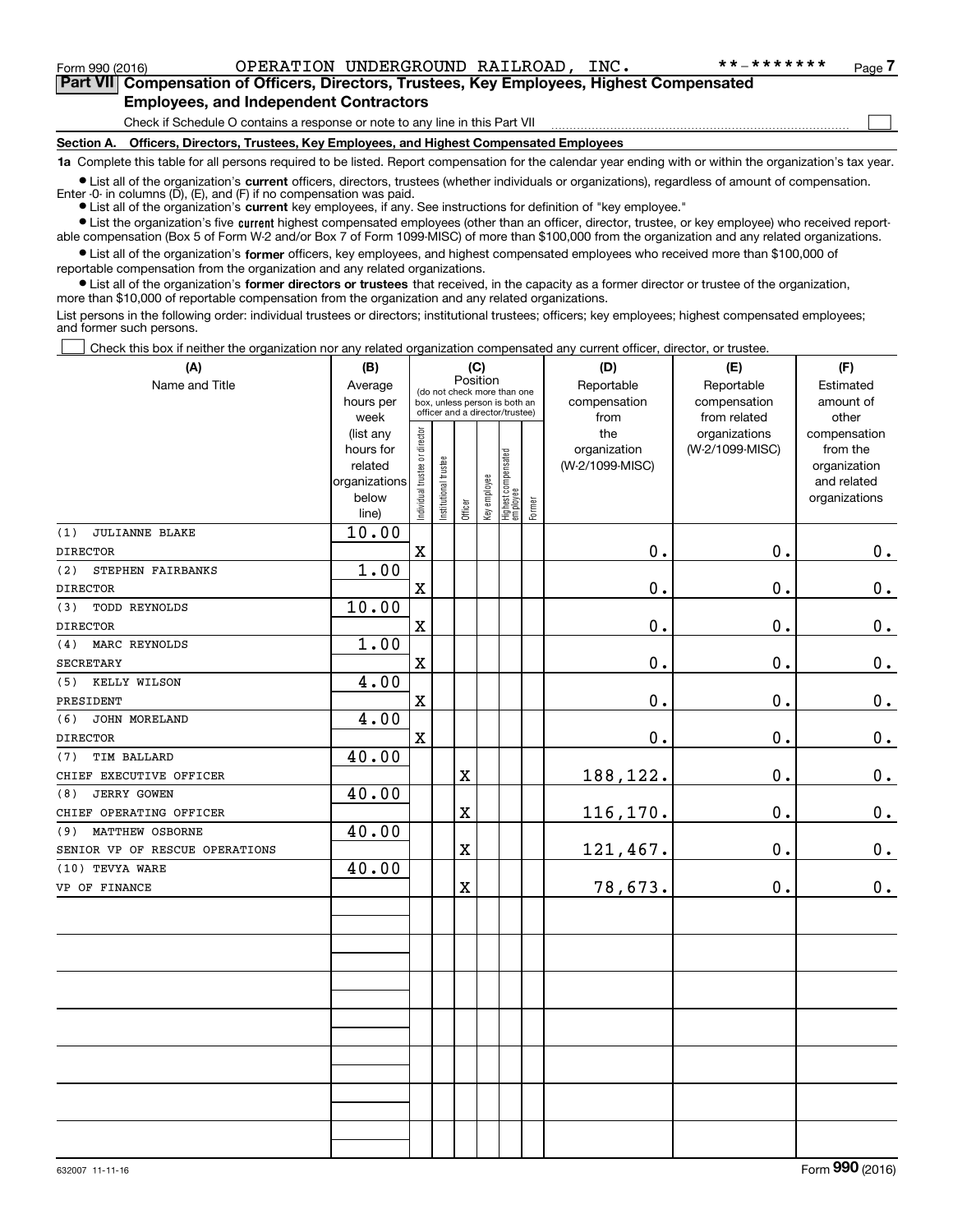Form 990 (2016) Page OPERATION UNDERGROUND RAILROAD, INC. \*\*-\*\*\*\*\*\*\*

 $\mathcal{L}^{\text{max}}$ 

**7Part VII Compensation of Officers, Directors, Trustees, Key Employees, Highest Compensated Employees, and Independent Contractors**

Check if Schedule O contains a response or note to any line in this Part VII

**Section A. Officers, Directors, Trustees, Key Employees, and Highest Compensated Employees**

**1a**  Complete this table for all persons required to be listed. Report compensation for the calendar year ending with or within the organization's tax year.

**•** List all of the organization's current officers, directors, trustees (whether individuals or organizations), regardless of amount of compensation. Enter -0- in columns  $(D)$ ,  $(E)$ , and  $(F)$  if no compensation was paid.

● List all of the organization's **current** key employees, if any. See instructions for definition of "key employee."

**•** List the organization's five current highest compensated employees (other than an officer, director, trustee, or key employee) who received reportable compensation (Box 5 of Form W-2 and/or Box 7 of Form 1099-MISC) of more than \$100,000 from the organization and any related organizations.

 $\bullet$  List all of the organization's **former** officers, key employees, and highest compensated employees who received more than \$100,000 of reportable compensation from the organization and any related organizations.

**•** List all of the organization's former directors or trustees that received, in the capacity as a former director or trustee of the organization, more than \$10,000 of reportable compensation from the organization and any related organizations.

List persons in the following order: individual trustees or directors; institutional trustees; officers; key employees; highest compensated employees; and former such persons.

Check this box if neither the organization nor any related organization compensated any current officer, director, or trustee.  $\mathcal{L}^{\text{max}}$ 

| (A)                            | (B)                  | (C)                            |                                                                  |                         |                                         |                                   |        | (D)                             | (E)             | (F)                      |
|--------------------------------|----------------------|--------------------------------|------------------------------------------------------------------|-------------------------|-----------------------------------------|-----------------------------------|--------|---------------------------------|-----------------|--------------------------|
| Name and Title                 | Average              |                                |                                                                  |                         | Position<br>(do not check more than one |                                   |        | Reportable                      | Reportable      | Estimated                |
|                                | hours per            |                                | box, unless person is both an<br>officer and a director/trustee) |                         |                                         |                                   |        | compensation                    | compensation    | amount of                |
|                                | week                 |                                |                                                                  |                         |                                         |                                   |        | from                            | from related    | other                    |
|                                | (list any            |                                |                                                                  |                         |                                         |                                   |        | the                             | organizations   | compensation             |
|                                | hours for<br>related |                                |                                                                  |                         |                                         |                                   |        | organization<br>(W-2/1099-MISC) | (W-2/1099-MISC) | from the<br>organization |
|                                | organizations        |                                |                                                                  |                         |                                         |                                   |        |                                 |                 | and related              |
|                                | below                | Individual trustee or director | Institutional trustee                                            |                         | Key employee                            |                                   |        |                                 |                 | organizations            |
|                                | line)                |                                |                                                                  | Officer                 |                                         | Highest compensated<br>  employee | Former |                                 |                 |                          |
| (1)<br><b>JULIANNE BLAKE</b>   | 10.00                |                                |                                                                  |                         |                                         |                                   |        |                                 |                 |                          |
| <b>DIRECTOR</b>                |                      | $\mathbf x$                    |                                                                  |                         |                                         |                                   |        | $0$ .                           | 0.              | $0_{\cdot}$              |
| (2)<br>STEPHEN FAIRBANKS       | 1.00                 |                                |                                                                  |                         |                                         |                                   |        |                                 |                 |                          |
| <b>DIRECTOR</b>                |                      | $\mathbf x$                    |                                                                  |                         |                                         |                                   |        | $\mathbf 0$ .                   | 0.              | $0_{.}$                  |
| <b>TODD REYNOLDS</b><br>(3)    | 10.00                |                                |                                                                  |                         |                                         |                                   |        |                                 |                 |                          |
| <b>DIRECTOR</b>                |                      | $\mathbf x$                    |                                                                  |                         |                                         |                                   |        | 0.                              | $\mathbf 0$ .   | $0_{.}$                  |
| MARC REYNOLDS<br>(4)           | 1.00                 |                                |                                                                  |                         |                                         |                                   |        |                                 |                 |                          |
| <b>SECRETARY</b>               |                      | $\mathbf X$                    |                                                                  |                         |                                         |                                   |        | 0.                              | $\mathbf 0$ .   | $\mathbf 0$ .            |
| (5)<br>KELLY WILSON            | 4.00                 |                                |                                                                  |                         |                                         |                                   |        |                                 |                 |                          |
| PRESIDENT                      |                      | $\mathbf x$                    |                                                                  |                         |                                         |                                   |        | 0.                              | $\mathbf 0$ .   | $\mathbf 0$ .            |
| JOHN MORELAND<br>(6)           | 4.00                 |                                |                                                                  |                         |                                         |                                   |        |                                 |                 |                          |
| <b>DIRECTOR</b>                |                      | $\mathbf X$                    |                                                                  |                         |                                         |                                   |        | 0.                              | $\mathbf 0$ .   | $0_{.}$                  |
| <b>TIM BALLARD</b><br>(7)      | 40.00                |                                |                                                                  |                         |                                         |                                   |        |                                 |                 |                          |
| CHIEF EXECUTIVE OFFICER        |                      |                                |                                                                  | $\mathbf X$             |                                         |                                   |        | 188,122.                        | $\mathbf 0$ .   | $\mathbf 0$ .            |
| <b>JERRY GOWEN</b><br>(8)      | 40.00                |                                |                                                                  |                         |                                         |                                   |        |                                 |                 |                          |
| CHIEF OPERATING OFFICER        |                      |                                |                                                                  | $\mathbf X$             |                                         |                                   |        | 116,170.                        | 0.              | $\mathbf 0$ .            |
| (9)<br>MATTHEW OSBORNE         | 40.00                |                                |                                                                  |                         |                                         |                                   |        |                                 |                 |                          |
| SENIOR VP OF RESCUE OPERATIONS |                      |                                |                                                                  | $\mathbf X$             |                                         |                                   |        | 121,467.                        | $\mathbf 0$ .   | $0_{\cdot}$              |
| (10) TEVYA WARE                | 40.00                |                                |                                                                  |                         |                                         |                                   |        |                                 |                 |                          |
| VP OF FINANCE                  |                      |                                |                                                                  | $\overline{\textbf{X}}$ |                                         |                                   |        | 78,673.                         | 0.              | 0.                       |
|                                |                      |                                |                                                                  |                         |                                         |                                   |        |                                 |                 |                          |
|                                |                      |                                |                                                                  |                         |                                         |                                   |        |                                 |                 |                          |
|                                |                      |                                |                                                                  |                         |                                         |                                   |        |                                 |                 |                          |
|                                |                      |                                |                                                                  |                         |                                         |                                   |        |                                 |                 |                          |
|                                |                      |                                |                                                                  |                         |                                         |                                   |        |                                 |                 |                          |
|                                |                      |                                |                                                                  |                         |                                         |                                   |        |                                 |                 |                          |
|                                |                      |                                |                                                                  |                         |                                         |                                   |        |                                 |                 |                          |
|                                |                      |                                |                                                                  |                         |                                         |                                   |        |                                 |                 |                          |
|                                |                      |                                |                                                                  |                         |                                         |                                   |        |                                 |                 |                          |
|                                |                      |                                |                                                                  |                         |                                         |                                   |        |                                 |                 |                          |
|                                |                      |                                |                                                                  |                         |                                         |                                   |        |                                 |                 |                          |
|                                |                      |                                |                                                                  |                         |                                         |                                   |        |                                 |                 |                          |
|                                |                      |                                |                                                                  |                         |                                         |                                   |        |                                 |                 |                          |
|                                |                      |                                |                                                                  |                         |                                         |                                   |        |                                 |                 |                          |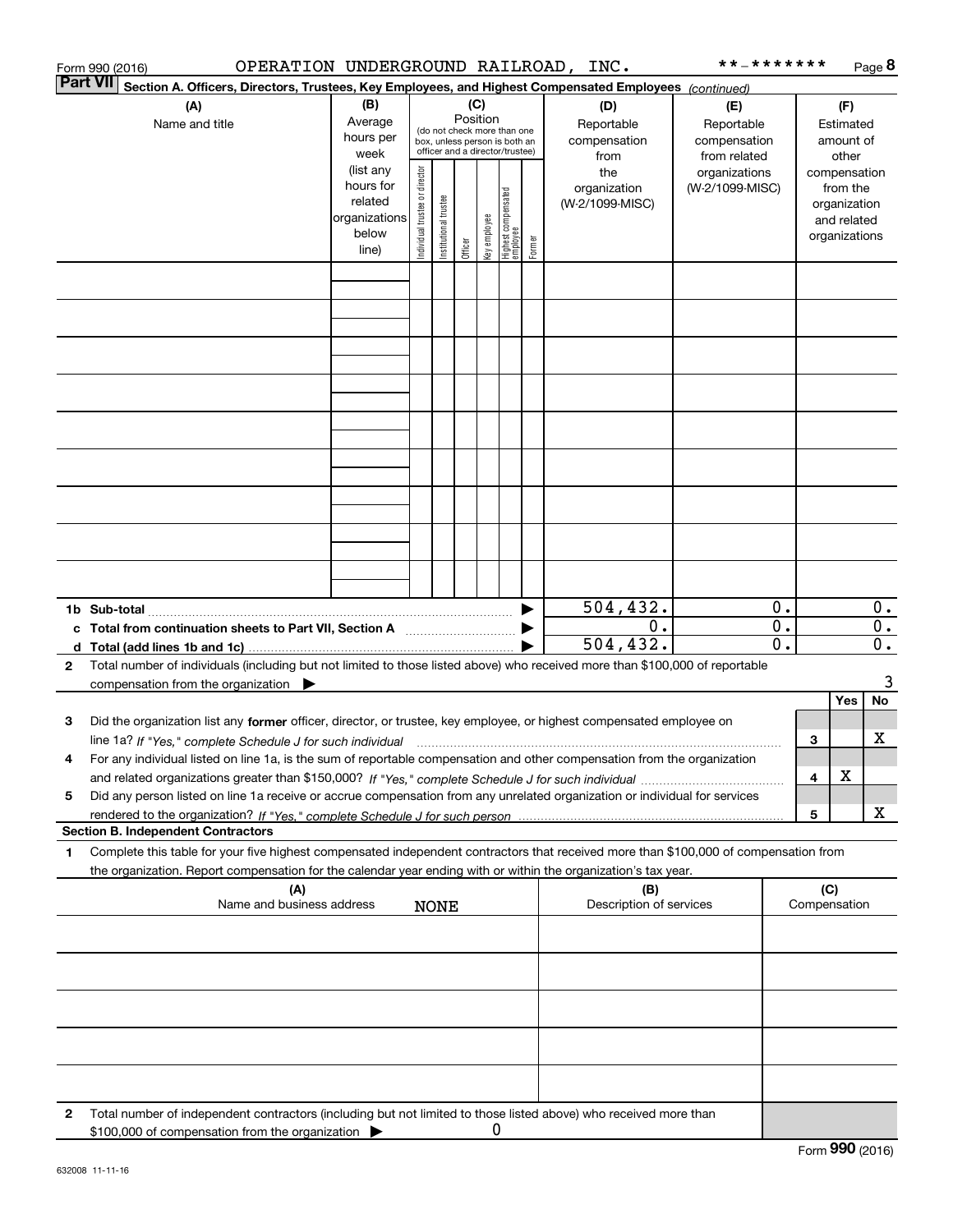|                 | OPERATION UNDERGROUND RAILROAD, INC.<br>Form 990 (2016)                                                                                                                                                                                                                      |                                                                      |                                                                                                                    |                       |         |              |                                   |        |                                           | * * _ * * * * * * *                               |          |                                        |                                                                          | Page 8      |
|-----------------|------------------------------------------------------------------------------------------------------------------------------------------------------------------------------------------------------------------------------------------------------------------------------|----------------------------------------------------------------------|--------------------------------------------------------------------------------------------------------------------|-----------------------|---------|--------------|-----------------------------------|--------|-------------------------------------------|---------------------------------------------------|----------|----------------------------------------|--------------------------------------------------------------------------|-------------|
| <b>Part VII</b> | Section A. Officers, Directors, Trustees, Key Employees, and Highest Compensated Employees (continued)                                                                                                                                                                       |                                                                      |                                                                                                                    |                       |         |              |                                   |        |                                           |                                                   |          |                                        |                                                                          |             |
|                 | (A)<br>Name and title                                                                                                                                                                                                                                                        | (B)<br>Average<br>hours per<br>week                                  | (C)<br>Position<br>(do not check more than one<br>box, unless person is both an<br>officer and a director/trustee) |                       |         |              |                                   |        | (D)<br>Reportable<br>compensation<br>from | (E)<br>Reportable<br>compensation<br>from related |          | (F)<br>Estimated<br>amount of<br>other |                                                                          |             |
|                 |                                                                                                                                                                                                                                                                              | (list any<br>hours for<br>related<br>organizations<br>below<br>line) | Individual trustee or director                                                                                     | Institutional trustee | Officer | key employee | Highest compensated<br>  employee | Former | the<br>organization<br>(W-2/1099-MISC)    | organizations<br>(W-2/1099-MISC)                  |          |                                        | compensation<br>from the<br>organization<br>and related<br>organizations |             |
|                 |                                                                                                                                                                                                                                                                              |                                                                      |                                                                                                                    |                       |         |              |                                   |        |                                           |                                                   |          |                                        |                                                                          |             |
|                 |                                                                                                                                                                                                                                                                              |                                                                      |                                                                                                                    |                       |         |              |                                   |        |                                           |                                                   |          |                                        |                                                                          |             |
|                 |                                                                                                                                                                                                                                                                              |                                                                      |                                                                                                                    |                       |         |              |                                   |        |                                           |                                                   |          |                                        |                                                                          |             |
|                 |                                                                                                                                                                                                                                                                              |                                                                      |                                                                                                                    |                       |         |              |                                   |        |                                           |                                                   |          |                                        |                                                                          |             |
|                 |                                                                                                                                                                                                                                                                              |                                                                      |                                                                                                                    |                       |         |              |                                   |        |                                           |                                                   |          |                                        |                                                                          |             |
|                 |                                                                                                                                                                                                                                                                              |                                                                      |                                                                                                                    |                       |         |              |                                   |        |                                           |                                                   |          |                                        |                                                                          |             |
|                 |                                                                                                                                                                                                                                                                              |                                                                      |                                                                                                                    |                       |         |              |                                   |        |                                           |                                                   |          |                                        |                                                                          |             |
|                 |                                                                                                                                                                                                                                                                              |                                                                      |                                                                                                                    |                       |         |              |                                   |        |                                           |                                                   |          |                                        |                                                                          |             |
|                 |                                                                                                                                                                                                                                                                              |                                                                      |                                                                                                                    |                       |         |              |                                   |        | $\overline{504, 432}$ .                   |                                                   | 0.       |                                        |                                                                          | 0.          |
|                 | c Total from continuation sheets to Part VII, Section A                                                                                                                                                                                                                      |                                                                      |                                                                                                                    |                       |         |              |                                   |        | 0.<br>504, 432.                           |                                                   | 0.<br>0. |                                        |                                                                          | 0.<br>$0$ . |
| 2               | Total number of individuals (including but not limited to those listed above) who received more than \$100,000 of reportable<br>compensation from the organization $\blacktriangleright$                                                                                     |                                                                      |                                                                                                                    |                       |         |              |                                   |        |                                           |                                                   |          |                                        |                                                                          | 3           |
|                 |                                                                                                                                                                                                                                                                              |                                                                      |                                                                                                                    |                       |         |              |                                   |        |                                           |                                                   |          |                                        | Yes                                                                      | No          |
| 3               | Did the organization list any former officer, director, or trustee, key employee, or highest compensated employee on<br>line 1a? If "Yes," complete Schedule J for such individual manufactured contained and the line 1a? If "Yes," complete Schedule J for such individual |                                                                      |                                                                                                                    |                       |         |              |                                   |        |                                           |                                                   |          | 3                                      |                                                                          | x           |
|                 | For any individual listed on line 1a, is the sum of reportable compensation and other compensation from the organization                                                                                                                                                     |                                                                      |                                                                                                                    |                       |         |              |                                   |        |                                           |                                                   |          | 4                                      | X                                                                        |             |
| 5               | Did any person listed on line 1a receive or accrue compensation from any unrelated organization or individual for services                                                                                                                                                   |                                                                      |                                                                                                                    |                       |         |              |                                   |        |                                           |                                                   |          |                                        |                                                                          |             |
|                 | <b>Section B. Independent Contractors</b>                                                                                                                                                                                                                                    |                                                                      |                                                                                                                    |                       |         |              |                                   |        |                                           |                                                   |          | 5                                      |                                                                          | х           |
| 1               | Complete this table for your five highest compensated independent contractors that received more than \$100,000 of compensation from<br>the organization. Report compensation for the calendar year ending with or within the organization's tax year.                       |                                                                      |                                                                                                                    |                       |         |              |                                   |        |                                           |                                                   |          |                                        |                                                                          |             |
|                 | (A)<br>Name and business address                                                                                                                                                                                                                                             |                                                                      |                                                                                                                    | <b>NONE</b>           |         |              |                                   |        | (B)<br>Description of services            |                                                   |          | (C)                                    | Compensation                                                             |             |
|                 |                                                                                                                                                                                                                                                                              |                                                                      |                                                                                                                    |                       |         |              |                                   |        |                                           |                                                   |          |                                        |                                                                          |             |
|                 |                                                                                                                                                                                                                                                                              |                                                                      |                                                                                                                    |                       |         |              |                                   |        |                                           |                                                   |          |                                        |                                                                          |             |
|                 |                                                                                                                                                                                                                                                                              |                                                                      |                                                                                                                    |                       |         |              |                                   |        |                                           |                                                   |          |                                        |                                                                          |             |
|                 |                                                                                                                                                                                                                                                                              |                                                                      |                                                                                                                    |                       |         |              |                                   |        |                                           |                                                   |          |                                        |                                                                          |             |
| 2               | Total number of independent contractors (including but not limited to those listed above) who received more than                                                                                                                                                             |                                                                      |                                                                                                                    |                       |         |              |                                   |        |                                           |                                                   |          |                                        |                                                                          |             |
|                 | \$100,000 of compensation from the organization                                                                                                                                                                                                                              |                                                                      |                                                                                                                    |                       |         | 0            |                                   |        |                                           |                                                   |          |                                        |                                                                          |             |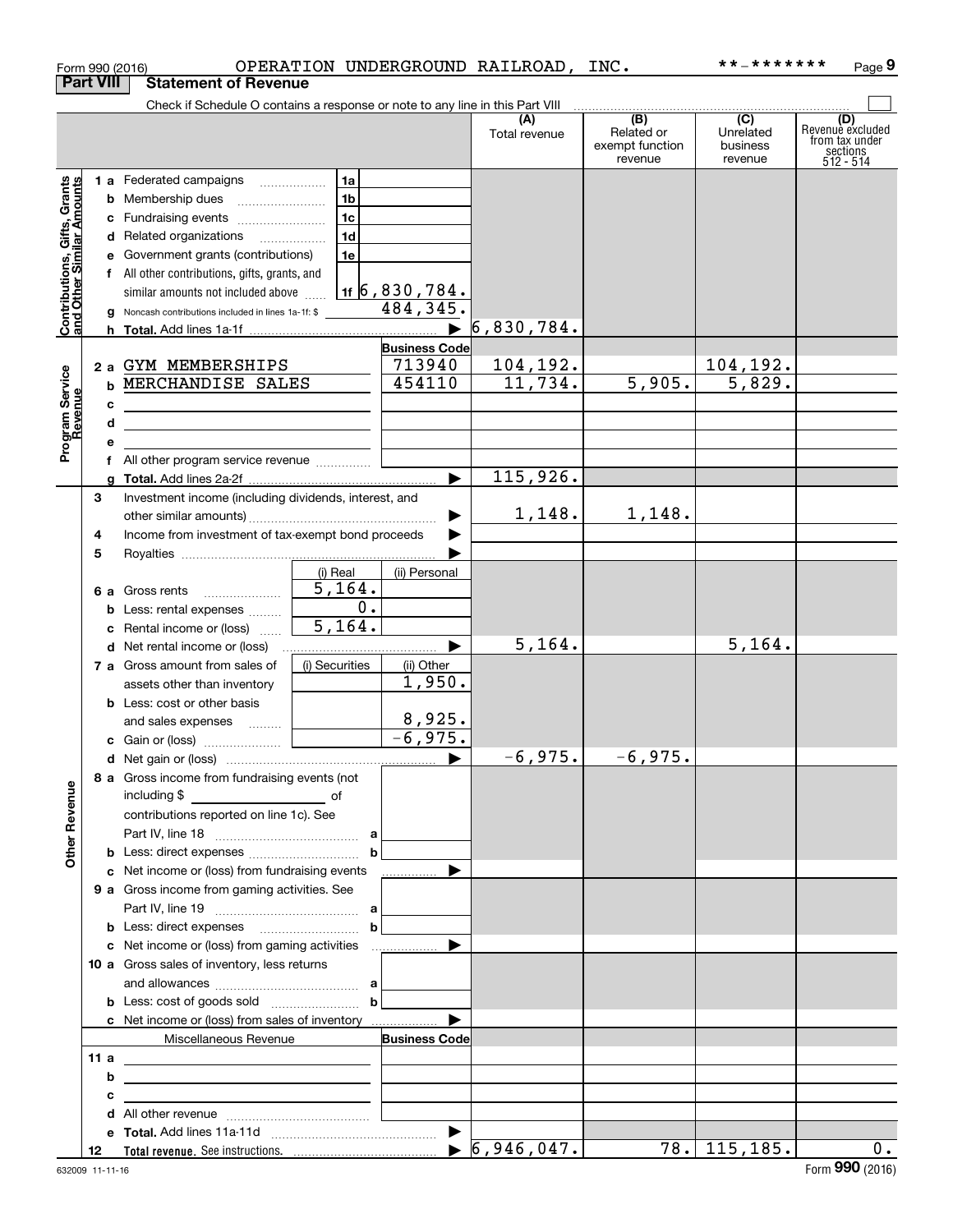|                                                           |                  |    | Form 990 (2016)                                                                                                       |                      |                                | OPERATION UNDERGROUND RAILROAD, INC. |                                                              | **_*******                                           | Page 9                                                             |
|-----------------------------------------------------------|------------------|----|-----------------------------------------------------------------------------------------------------------------------|----------------------|--------------------------------|--------------------------------------|--------------------------------------------------------------|------------------------------------------------------|--------------------------------------------------------------------|
|                                                           | <b>Part VIII</b> |    | <b>Statement of Revenue</b>                                                                                           |                      |                                |                                      |                                                              |                                                      |                                                                    |
|                                                           |                  |    | Check if Schedule O contains a response or note to any line in this Part VIII                                         |                      |                                |                                      |                                                              |                                                      |                                                                    |
|                                                           |                  |    |                                                                                                                       |                      |                                | (A)<br>Total revenue                 | $\overline{(B)}$<br>Related or<br>exempt function<br>revenue | $\overline{(C)}$<br>Unrelated<br>business<br>revenue | (D)<br>Revenue excluded<br>from tax under<br>sections<br>512 - 514 |
|                                                           |                  |    | 1 a Federated campaigns                                                                                               | 1a                   |                                |                                      |                                                              |                                                      |                                                                    |
| Contributions, Gifts, Grants<br>and Other Similar Amounts |                  |    | <b>b</b> Membership dues                                                                                              | 1 <sub>b</sub>       |                                |                                      |                                                              |                                                      |                                                                    |
|                                                           |                  |    | c Fundraising events                                                                                                  | 1 <sub>c</sub>       |                                |                                      |                                                              |                                                      |                                                                    |
|                                                           |                  |    | d Related organizations                                                                                               | 1 <sub>d</sub>       |                                |                                      |                                                              |                                                      |                                                                    |
|                                                           |                  |    | e Government grants (contributions)                                                                                   | 1e                   |                                |                                      |                                                              |                                                      |                                                                    |
|                                                           |                  |    | f All other contributions, gifts, grants, and                                                                         |                      |                                |                                      |                                                              |                                                      |                                                                    |
|                                                           |                  |    | similar amounts not included above                                                                                    |                      | <u>1f  б , 830 , 784 .</u>     |                                      |                                                              |                                                      |                                                                    |
|                                                           |                  |    | g Noncash contributions included in lines 1a-1f: \$                                                                   |                      | 484, 345.                      |                                      |                                                              |                                                      |                                                                    |
|                                                           |                  |    |                                                                                                                       |                      |                                | 6,830,784.                           |                                                              |                                                      |                                                                    |
|                                                           |                  |    |                                                                                                                       |                      | <b>Business Code</b><br>713940 |                                      |                                                              |                                                      |                                                                    |
|                                                           |                  |    | 2 a GYM MEMBERSHIPS<br>MERCHANDISE SALES                                                                              |                      | 454110                         | 104,192.<br>11,734.                  | $\overline{5,905}$ .                                         | 104,192.<br>5,829.                                   |                                                                    |
|                                                           |                  | b. |                                                                                                                       |                      |                                |                                      |                                                              |                                                      |                                                                    |
| Program Service<br>Revenue                                |                  | с  |                                                                                                                       |                      |                                |                                      |                                                              |                                                      |                                                                    |
|                                                           |                  | d  | the control of the control of the control of the control of the control of the control of                             |                      |                                |                                      |                                                              |                                                      |                                                                    |
|                                                           |                  |    |                                                                                                                       |                      |                                |                                      |                                                              |                                                      |                                                                    |
|                                                           |                  |    |                                                                                                                       |                      |                                | 115,926.                             |                                                              |                                                      |                                                                    |
|                                                           | 3                |    | Investment income (including dividends, interest, and                                                                 |                      |                                |                                      |                                                              |                                                      |                                                                    |
|                                                           |                  |    |                                                                                                                       |                      |                                | 1,148.                               | 1,148.                                                       |                                                      |                                                                    |
|                                                           | 4                |    | Income from investment of tax-exempt bond proceeds                                                                    |                      |                                |                                      |                                                              |                                                      |                                                                    |
|                                                           | 5                |    |                                                                                                                       |                      |                                |                                      |                                                              |                                                      |                                                                    |
|                                                           |                  |    |                                                                                                                       | (i) Real             | (ii) Personal                  |                                      |                                                              |                                                      |                                                                    |
|                                                           |                  |    | 6 a Gross rents                                                                                                       | $\overline{5,164}$ . |                                |                                      |                                                              |                                                      |                                                                    |
|                                                           |                  |    | <b>b</b> Less: rental expenses $\ldots$ $\ldots$                                                                      | 0.                   |                                |                                      |                                                              |                                                      |                                                                    |
|                                                           |                  |    | c Rental income or (loss)                                                                                             | 5,164.               |                                |                                      |                                                              |                                                      |                                                                    |
|                                                           |                  |    | d Net rental income or (loss)                                                                                         |                      |                                | 5, 164.                              |                                                              | 5, 164.                                              |                                                                    |
|                                                           |                  |    | 7 a Gross amount from sales of                                                                                        | (i) Securities       | (ii) Other                     |                                      |                                                              |                                                      |                                                                    |
|                                                           |                  |    | assets other than inventory                                                                                           |                      | 1,950.                         |                                      |                                                              |                                                      |                                                                    |
|                                                           |                  |    | <b>b</b> Less: cost or other basis                                                                                    |                      |                                |                                      |                                                              |                                                      |                                                                    |
|                                                           |                  |    | and sales expenses  [                                                                                                 |                      | 8,925.                         |                                      |                                                              |                                                      |                                                                    |
|                                                           |                  |    |                                                                                                                       |                      | $-6,975.$                      |                                      |                                                              |                                                      |                                                                    |
|                                                           |                  |    |                                                                                                                       |                      |                                | $-6,975.$                            | $-6,975.$                                                    |                                                      |                                                                    |
|                                                           |                  |    | 8 a Gross income from fundraising events (not                                                                         |                      |                                |                                      |                                                              |                                                      |                                                                    |
|                                                           |                  |    |                                                                                                                       |                      |                                |                                      |                                                              |                                                      |                                                                    |
|                                                           |                  |    | contributions reported on line 1c). See                                                                               |                      |                                |                                      |                                                              |                                                      |                                                                    |
| <b>Other Revenue</b>                                      |                  |    |                                                                                                                       |                      |                                |                                      |                                                              |                                                      |                                                                    |
|                                                           |                  |    | <b>b</b> Less: direct expenses <i>manually contained</i>                                                              | $\mathbf b$          |                                |                                      |                                                              |                                                      |                                                                    |
|                                                           |                  |    | c Net income or (loss) from fundraising events<br>9 a Gross income from gaming activities. See                        |                      | .                              |                                      |                                                              |                                                      |                                                                    |
|                                                           |                  |    |                                                                                                                       |                      |                                |                                      |                                                              |                                                      |                                                                    |
|                                                           |                  |    |                                                                                                                       |                      |                                |                                      |                                                              |                                                      |                                                                    |
|                                                           |                  |    |                                                                                                                       |                      |                                |                                      |                                                              |                                                      |                                                                    |
|                                                           |                  |    | 10 a Gross sales of inventory, less returns                                                                           |                      |                                |                                      |                                                              |                                                      |                                                                    |
|                                                           |                  |    |                                                                                                                       |                      |                                |                                      |                                                              |                                                      |                                                                    |
|                                                           |                  |    |                                                                                                                       | $\mathbf{b}$         |                                |                                      |                                                              |                                                      |                                                                    |
|                                                           |                  |    | c Net income or (loss) from sales of inventory                                                                        |                      |                                |                                      |                                                              |                                                      |                                                                    |
|                                                           |                  |    | Miscellaneous Revenue                                                                                                 |                      | <b>Business Code</b>           |                                      |                                                              |                                                      |                                                                    |
|                                                           | 11a              |    | <u> La Carlo de la Carlo de la Carlo de la Carlo de la Carlo de la Carlo de la Carlo de la Carlo de la Carlo de l</u> |                      |                                |                                      |                                                              |                                                      |                                                                    |
|                                                           |                  | b  | <u> 1989 - Andrea Station, amerikansk politik (</u>                                                                   |                      |                                |                                      |                                                              |                                                      |                                                                    |
|                                                           |                  | с  | <u> 1989 - Johann Barbara, martxa alemaniar a</u>                                                                     |                      |                                |                                      |                                                              |                                                      |                                                                    |
|                                                           |                  | d  |                                                                                                                       |                      |                                |                                      |                                                              |                                                      |                                                                    |
|                                                           |                  |    |                                                                                                                       |                      |                                |                                      |                                                              |                                                      |                                                                    |
|                                                           | 12               |    |                                                                                                                       |                      |                                | $\triangleright$ 6,946,047.          |                                                              | $\overline{78.}$ 115, 185.                           | 0.                                                                 |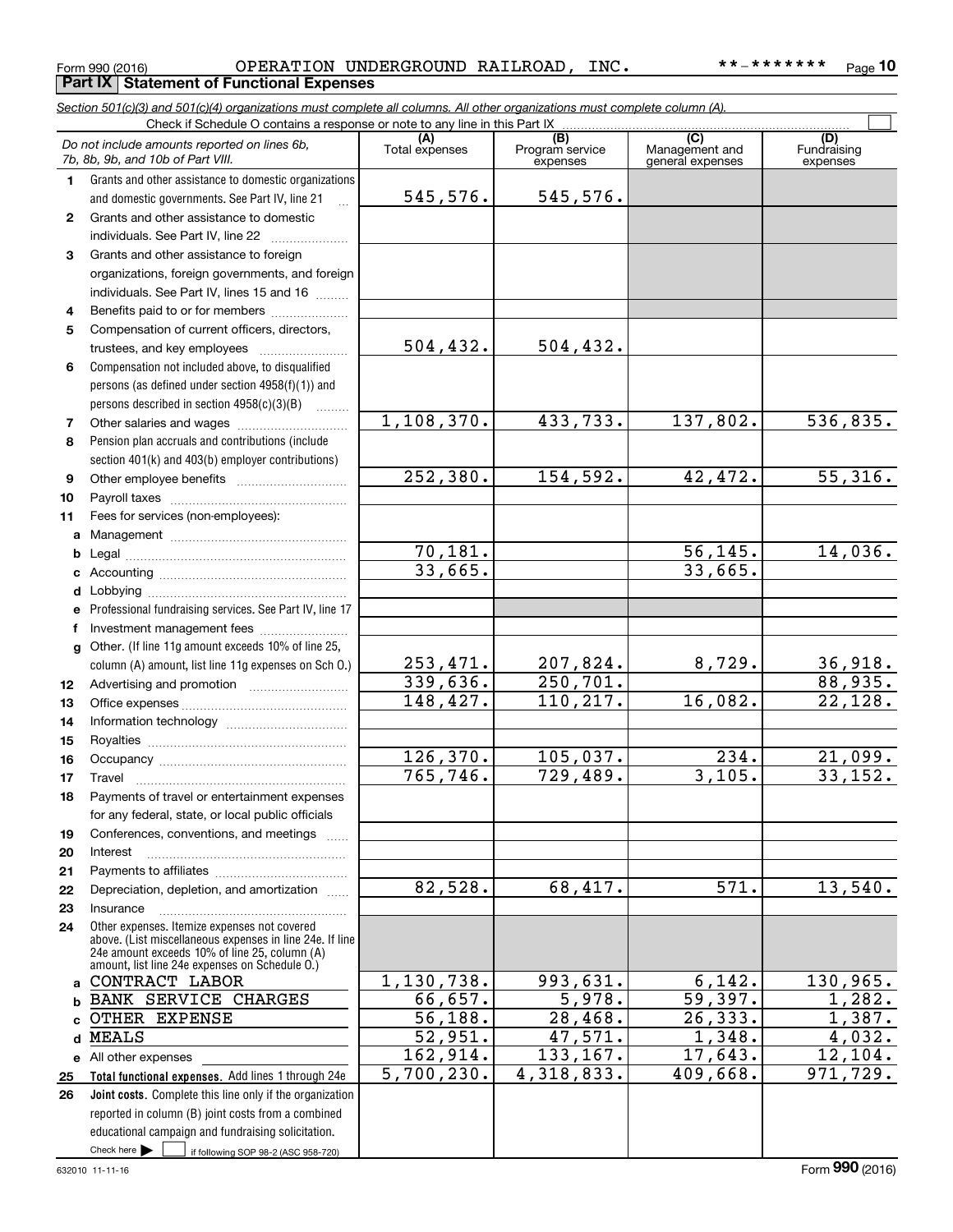#### Form 990 (2016) OPERATION UNDERGROUND RAILROAD,INC。 \* \* - \* \* \* \* \* \* \* Page OPERATION UNDERGROUND RAILROAD, INC. \*\*-\*\*\*\*\*\*\*

*Section 501(c)(3) and 501(c)(4) organizations must complete all columns. All other organizations must complete column (A).*

**10**

|              | Do not include amounts reported on lines 6b,<br>7b, 8b, 9b, and 10b of Part VIII.                                                                                                                           | (A)<br>Total expenses | $\overline{(B)}$<br>Program service<br>expenses | $\overline{C}$<br>Management and<br>general expenses | (D)<br>Fundraising<br>expenses |
|--------------|-------------------------------------------------------------------------------------------------------------------------------------------------------------------------------------------------------------|-----------------------|-------------------------------------------------|------------------------------------------------------|--------------------------------|
| 1.           | Grants and other assistance to domestic organizations                                                                                                                                                       | 545,576.              | 545,576.                                        |                                                      |                                |
|              | and domestic governments. See Part IV, line 21                                                                                                                                                              |                       |                                                 |                                                      |                                |
| $\mathbf{2}$ | Grants and other assistance to domestic                                                                                                                                                                     |                       |                                                 |                                                      |                                |
| 3            | individuals. See Part IV, line 22<br>Grants and other assistance to foreign                                                                                                                                 |                       |                                                 |                                                      |                                |
|              | organizations, foreign governments, and foreign                                                                                                                                                             |                       |                                                 |                                                      |                                |
|              | individuals. See Part IV, lines 15 and 16                                                                                                                                                                   |                       |                                                 |                                                      |                                |
| 4            | Benefits paid to or for members                                                                                                                                                                             |                       |                                                 |                                                      |                                |
| 5            | Compensation of current officers, directors,                                                                                                                                                                |                       |                                                 |                                                      |                                |
|              | trustees, and key employees                                                                                                                                                                                 | 504, 432.             | 504, 432.                                       |                                                      |                                |
| 6            | Compensation not included above, to disqualified                                                                                                                                                            |                       |                                                 |                                                      |                                |
|              | persons (as defined under section 4958(f)(1)) and                                                                                                                                                           |                       |                                                 |                                                      |                                |
|              | persons described in section 4958(c)(3)(B)                                                                                                                                                                  |                       |                                                 |                                                      |                                |
| 7            | Other salaries and wages                                                                                                                                                                                    | 1, 108, 370.          | 433, 733.                                       | 137,802.                                             | 536,835.                       |
| 8            | Pension plan accruals and contributions (include                                                                                                                                                            |                       |                                                 |                                                      |                                |
|              | section 401(k) and 403(b) employer contributions)                                                                                                                                                           |                       |                                                 |                                                      |                                |
| 9            |                                                                                                                                                                                                             | 252, 380.             | 154,592.                                        | 42,472.                                              | $\overline{55,316}$ .          |
| 10           |                                                                                                                                                                                                             |                       |                                                 |                                                      |                                |
| 11           | Fees for services (non-employees):                                                                                                                                                                          |                       |                                                 |                                                      |                                |
| a            |                                                                                                                                                                                                             | 70,181.               |                                                 | 56, 145.                                             | 14,036.                        |
| b<br>c       |                                                                                                                                                                                                             | 33,665.               |                                                 | 33,665.                                              |                                |
| d            |                                                                                                                                                                                                             |                       |                                                 |                                                      |                                |
| е            | Professional fundraising services. See Part IV, line 17                                                                                                                                                     |                       |                                                 |                                                      |                                |
| f            | Investment management fees                                                                                                                                                                                  |                       |                                                 |                                                      |                                |
| g            | Other. (If line 11g amount exceeds 10% of line 25,                                                                                                                                                          |                       |                                                 |                                                      |                                |
|              | column (A) amount, list line 11g expenses on Sch O.)                                                                                                                                                        | 253,471.              | 207,824.                                        | 8,729.                                               | 36,918.                        |
| 12           |                                                                                                                                                                                                             | 339,636.              | 250, 701.                                       |                                                      | 88,935.                        |
| 13           |                                                                                                                                                                                                             | 148,427.              | 110, 217.                                       | 16,082.                                              | 22,128.                        |
| 14           |                                                                                                                                                                                                             |                       |                                                 |                                                      |                                |
| 15           |                                                                                                                                                                                                             |                       |                                                 |                                                      |                                |
| 16           |                                                                                                                                                                                                             | 126, 370.             | 105,037.                                        | $\overline{234}$ .                                   | 21,099.                        |
| 17           | Travel                                                                                                                                                                                                      | 765, 746.             | 729,489.                                        | 3,105.                                               | 33,152.                        |
| 18           | Payments of travel or entertainment expenses                                                                                                                                                                |                       |                                                 |                                                      |                                |
|              | for any federal, state, or local public officials                                                                                                                                                           |                       |                                                 |                                                      |                                |
| 19<br>20     | Conferences, conventions, and meetings<br>Interest                                                                                                                                                          |                       |                                                 |                                                      |                                |
| 21           |                                                                                                                                                                                                             |                       |                                                 |                                                      |                                |
| 22           | Depreciation, depletion, and amortization                                                                                                                                                                   | 82,528.               | 68,417.                                         | $\overline{571}$ .                                   | 13,540.                        |
| 23           | Insurance                                                                                                                                                                                                   |                       |                                                 |                                                      |                                |
| 24           | Other expenses. Itemize expenses not covered<br>above. (List miscellaneous expenses in line 24e. If line<br>24e amount exceeds 10% of line 25, column (A)<br>amount, list line 24e expenses on Schedule O.) |                       |                                                 |                                                      |                                |
| a            | CONTRACT LABOR                                                                                                                                                                                              | 1,130,738.            | 993,631.                                        | 6,142.                                               | 130,965.                       |
| b            | <b>BANK SERVICE CHARGES</b>                                                                                                                                                                                 | 66,657.               | 5,978.                                          | 59,397.                                              | 1,282.                         |
| c.           | <b>OTHER EXPENSE</b>                                                                                                                                                                                        | 56, 188.              | 28,468.                                         | 26, 333.                                             | 1,387.                         |
| d            | <b>MEALS</b>                                                                                                                                                                                                | 52,951.               | $\overline{47,571}$ .                           | 1,348.                                               | 4,032.                         |
|              | e All other expenses                                                                                                                                                                                        | 162,914.              | 133,167.                                        | 17,643.                                              | 12, 104.                       |
| 25           | Total functional expenses. Add lines 1 through 24e                                                                                                                                                          | 5,700,230.            | 4,318,833.                                      | 409,668.                                             | 971,729.                       |
| 26           | Joint costs. Complete this line only if the organization                                                                                                                                                    |                       |                                                 |                                                      |                                |
|              | reported in column (B) joint costs from a combined                                                                                                                                                          |                       |                                                 |                                                      |                                |
|              | educational campaign and fundraising solicitation.                                                                                                                                                          |                       |                                                 |                                                      |                                |
|              | Check here $\blacktriangleright$<br>if following SOP 98-2 (ASC 958-720)                                                                                                                                     |                       |                                                 |                                                      |                                |

# **Part IX Statement of Functional Expenses**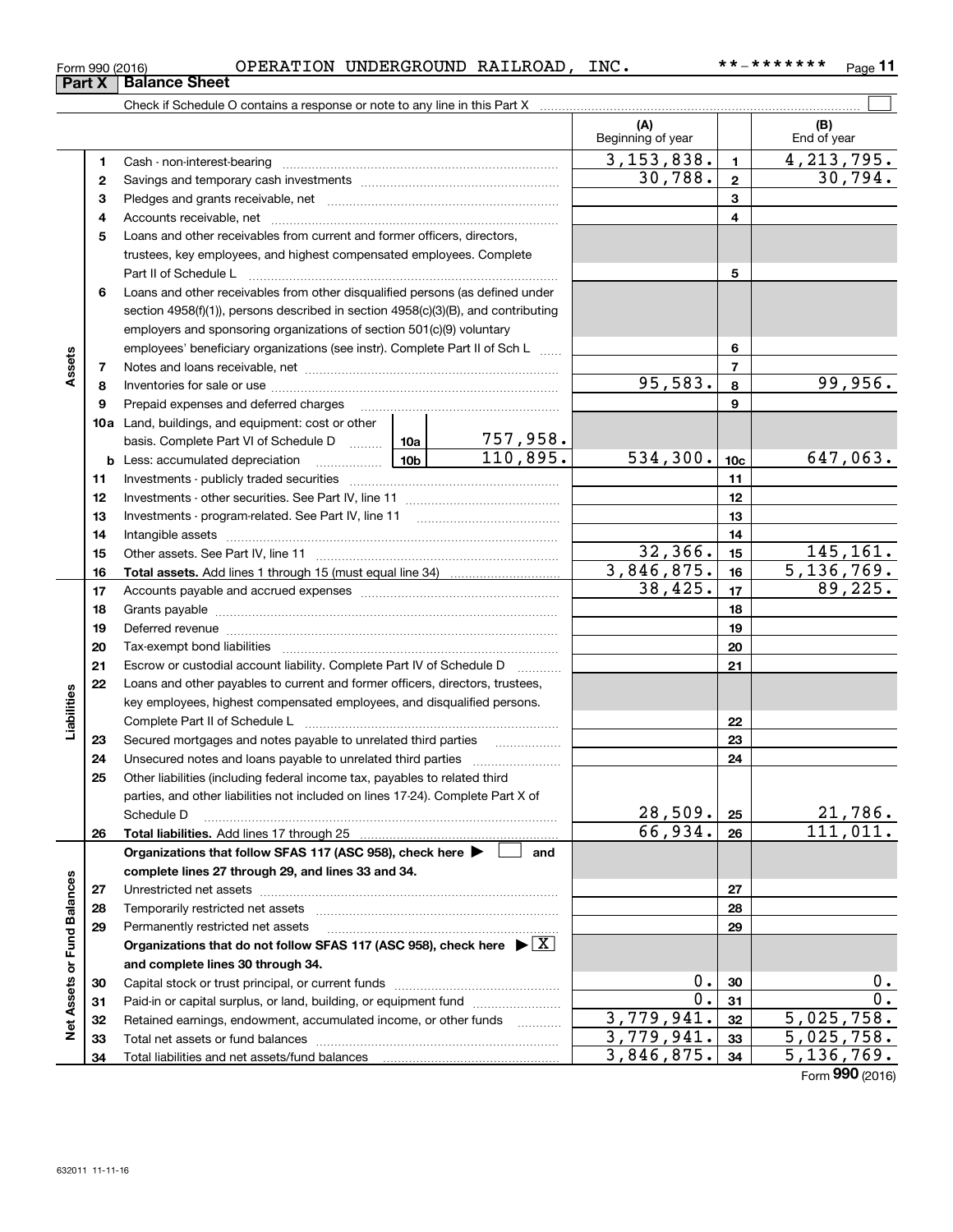| Form 990 (2016) | OPERATION | UNDERGROUND RAILROAD, |  | INC |  | $P$ age |  |
|-----------------|-----------|-----------------------|--|-----|--|---------|--|
|-----------------|-----------|-----------------------|--|-----|--|---------|--|

**11**

|                             |    |                                                                                                                     |                 | (A)<br>Beginning of year |                          | (B)<br>End of year                 |
|-----------------------------|----|---------------------------------------------------------------------------------------------------------------------|-----------------|--------------------------|--------------------------|------------------------------------|
|                             | 1  |                                                                                                                     |                 | 3, 153, 838.             | $\mathbf{1}$             | 4, 213, 795.                       |
|                             | 2  |                                                                                                                     | 30,788.         | $\mathbf 2$              | 30,794.                  |                                    |
|                             | 3  |                                                                                                                     |                 |                          | 3                        |                                    |
|                             | 4  |                                                                                                                     |                 |                          | 4                        |                                    |
|                             | 5  | Loans and other receivables from current and former officers, directors,                                            |                 |                          |                          |                                    |
|                             |    | trustees, key employees, and highest compensated employees. Complete                                                |                 |                          |                          |                                    |
|                             |    |                                                                                                                     |                 |                          | 5                        |                                    |
|                             | 6  | Loans and other receivables from other disqualified persons (as defined under                                       |                 |                          |                          |                                    |
|                             |    | section 4958(f)(1)), persons described in section 4958(c)(3)(B), and contributing                                   |                 |                          |                          |                                    |
|                             |    | employers and sponsoring organizations of section 501(c)(9) voluntary                                               |                 |                          |                          |                                    |
|                             |    | employees' beneficiary organizations (see instr). Complete Part II of Sch L                                         |                 |                          | 6                        |                                    |
| Assets                      | 7  |                                                                                                                     |                 |                          | $\overline{\phantom{a}}$ |                                    |
|                             | 8  |                                                                                                                     |                 | 95,583.                  | 8                        | 99,956.                            |
|                             | 9  | Prepaid expenses and deferred charges                                                                               |                 |                          | 9                        |                                    |
|                             |    | <b>10a</b> Land, buildings, and equipment: cost or other                                                            |                 |                          |                          |                                    |
|                             |    | basis. Complete Part VI of Schedule D  10a                                                                          | <u>757,958.</u> |                          |                          |                                    |
|                             |    | 10 <sub>b</sub><br><b>b</b> Less: accumulated depreciation<br>. 1                                                   | 110,895.        | 534,300.                 | 10 <sub>c</sub>          | 647,063.                           |
|                             | 11 |                                                                                                                     |                 | 11                       |                          |                                    |
|                             | 12 |                                                                                                                     |                 | 12                       |                          |                                    |
|                             | 13 |                                                                                                                     |                 | 13                       |                          |                                    |
|                             | 14 |                                                                                                                     |                 | 14                       |                          |                                    |
|                             | 15 |                                                                                                                     | 32,366.         | 15                       | 145, 161.                |                                    |
|                             | 16 |                                                                                                                     |                 | 3,846,875.               | 16                       | 5, 136, 769.                       |
|                             | 17 |                                                                                                                     |                 | 38,425.                  | 17                       | 89,225.                            |
|                             | 18 |                                                                                                                     |                 |                          | 18                       |                                    |
|                             | 19 |                                                                                                                     |                 |                          | 19                       |                                    |
|                             | 20 |                                                                                                                     |                 |                          | 20                       |                                    |
|                             | 21 | Escrow or custodial account liability. Complete Part IV of Schedule D                                               | .               |                          | 21                       |                                    |
|                             | 22 | Loans and other payables to current and former officers, directors, trustees,                                       |                 |                          |                          |                                    |
| Liabilities                 |    | key employees, highest compensated employees, and disqualified persons.                                             |                 |                          |                          |                                    |
|                             |    |                                                                                                                     |                 |                          | 22                       |                                    |
|                             | 23 |                                                                                                                     |                 |                          | 23                       |                                    |
|                             | 24 |                                                                                                                     |                 |                          | 24                       |                                    |
|                             | 25 | Other liabilities (including federal income tax, payables to related third                                          |                 |                          |                          |                                    |
|                             |    | parties, and other liabilities not included on lines 17-24). Complete Part X of                                     |                 |                          |                          |                                    |
|                             |    | Schedule D                                                                                                          |                 | 28,509.<br>66,934.       | 25                       | 21,786.<br>$\overline{111}$ , 011. |
|                             | 26 |                                                                                                                     | and             |                          | 26                       |                                    |
|                             |    | Organizations that follow SFAS 117 (ASC 958), check here<br>complete lines 27 through 29, and lines 33 and 34.      |                 |                          |                          |                                    |
|                             | 27 |                                                                                                                     |                 |                          | 27                       |                                    |
|                             | 28 |                                                                                                                     |                 |                          | 28                       |                                    |
|                             | 29 | Permanently restricted net assets                                                                                   |                 |                          | 29                       |                                    |
|                             |    | Organizations that do not follow SFAS 117 (ASC 958), check here $\blacktriangleright \lfloor \underline{X} \rfloor$ |                 |                          |                          |                                    |
|                             |    | and complete lines 30 through 34.                                                                                   |                 |                          |                          |                                    |
| Net Assets or Fund Balances | 30 |                                                                                                                     |                 | 0.                       | 30                       | $0$ .                              |
|                             | 31 | Paid-in or capital surplus, or land, building, or equipment fund                                                    |                 | $0$ .                    | 31                       | 0.                                 |
|                             | 32 | Retained earnings, endowment, accumulated income, or other funds                                                    |                 | 3,779,941.               | 32                       | 5,025,758.                         |
|                             | 33 |                                                                                                                     |                 | 3,779,941.               | 33                       | 5,025,758.                         |
|                             | 34 |                                                                                                                     |                 | 3,846,875.               | 34                       | 5, 136, 769.                       |

Form (2016) **990**

# **Part X Balance Sheet**

| Form 990 (2016 |  |
|----------------|--|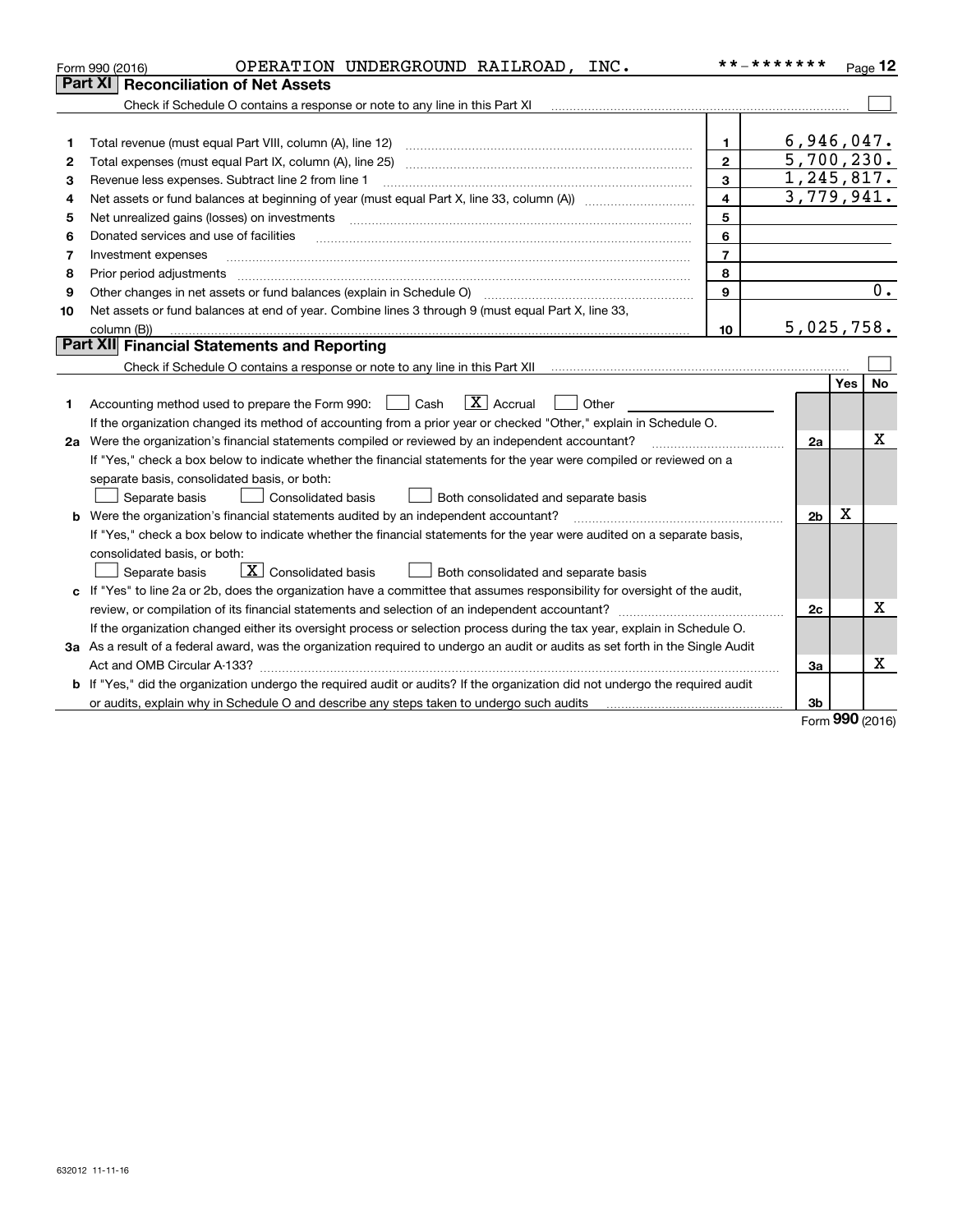|         | OPERATION UNDERGROUND RAILROAD, INC.<br>Form 990 (2016)                                                                                                                                                                        |                | **_*******               |      | Page 12 |  |
|---------|--------------------------------------------------------------------------------------------------------------------------------------------------------------------------------------------------------------------------------|----------------|--------------------------|------|---------|--|
| Part XI | <b>Reconciliation of Net Assets</b>                                                                                                                                                                                            |                |                          |      |         |  |
|         | Check if Schedule O contains a response or note to any line in this Part XI                                                                                                                                                    |                |                          |      |         |  |
|         |                                                                                                                                                                                                                                |                |                          |      |         |  |
| 1       |                                                                                                                                                                                                                                | 1              | 6,946,047.               |      |         |  |
| 2       | Total expenses (must equal Part IX, column (A), line 25)                                                                                                                                                                       | $\mathbf{2}$   | 5,700,230.               |      |         |  |
| з       | Revenue less expenses. Subtract line 2 from line 1                                                                                                                                                                             | 3              | 1,245,817.<br>3,779,941. |      |         |  |
| 4       | $\overline{\mathbf{4}}$                                                                                                                                                                                                        |                |                          |      |         |  |
| 5       | Net unrealized gains (losses) on investments                                                                                                                                                                                   | 5              |                          |      |         |  |
| 6       | Donated services and use of facilities                                                                                                                                                                                         | 6              |                          |      |         |  |
| 7       | Investment expenses                                                                                                                                                                                                            | $\overline{7}$ |                          |      |         |  |
| 8       | Prior period adjustments                                                                                                                                                                                                       | 8              |                          |      |         |  |
| 9       | Other changes in net assets or fund balances (explain in Schedule O)                                                                                                                                                           | 9              |                          |      | 0.      |  |
| 10      | Net assets or fund balances at end of year. Combine lines 3 through 9 (must equal Part X, line 33,                                                                                                                             |                | 5,025,758.               |      |         |  |
|         | column (B))<br>10                                                                                                                                                                                                              |                |                          |      |         |  |
|         | Part XII Financial Statements and Reporting                                                                                                                                                                                    |                |                          |      |         |  |
|         |                                                                                                                                                                                                                                |                |                          |      |         |  |
|         |                                                                                                                                                                                                                                |                |                          | Yes  | No      |  |
| 1       | $\boxed{\text{X}}$ Accrual<br>Accounting method used to prepare the Form 990: <u>June</u> Cash<br>Other                                                                                                                        |                |                          |      |         |  |
|         | If the organization changed its method of accounting from a prior year or checked "Other," explain in Schedule O.                                                                                                              |                |                          |      |         |  |
|         | 2a Were the organization's financial statements compiled or reviewed by an independent accountant?                                                                                                                             |                | 2a                       |      | х       |  |
|         | If "Yes," check a box below to indicate whether the financial statements for the year were compiled or reviewed on a                                                                                                           |                |                          |      |         |  |
|         | separate basis, consolidated basis, or both:                                                                                                                                                                                   |                |                          |      |         |  |
|         | Separate basis<br>Consolidated basis<br>Both consolidated and separate basis                                                                                                                                                   |                |                          |      |         |  |
| b       | Were the organization's financial statements audited by an independent accountant?                                                                                                                                             |                | 2 <sub>b</sub>           | X    |         |  |
|         | If "Yes," check a box below to indicate whether the financial statements for the year were audited on a separate basis,                                                                                                        |                |                          |      |         |  |
|         | consolidated basis, or both:                                                                                                                                                                                                   |                |                          |      |         |  |
|         | $\boxed{\textbf{X}}$ Consolidated basis<br>Separate basis<br>Both consolidated and separate basis                                                                                                                              |                |                          |      |         |  |
|         | c If "Yes" to line 2a or 2b, does the organization have a committee that assumes responsibility for oversight of the audit,                                                                                                    |                |                          |      |         |  |
|         |                                                                                                                                                                                                                                |                | 2c                       |      | x       |  |
|         | If the organization changed either its oversight process or selection process during the tax year, explain in Schedule O.                                                                                                      |                |                          |      |         |  |
|         | 3a As a result of a federal award, was the organization required to undergo an audit or audits as set forth in the Single Audit                                                                                                |                |                          |      |         |  |
|         | Act and OMB Circular A-133?                                                                                                                                                                                                    |                | За                       |      | Χ       |  |
|         | If "Yes," did the organization undergo the required audit or audits? If the organization did not undergo the required audit                                                                                                    |                |                          |      |         |  |
|         | or audits, explain why in Schedule O and describe any steps taken to undergo such audits manufactured content contents and the schedule O and describe and the state of an antistic content of an audit of the state of an ant |                | 3b                       | nnn. |         |  |

Form (2016) **990**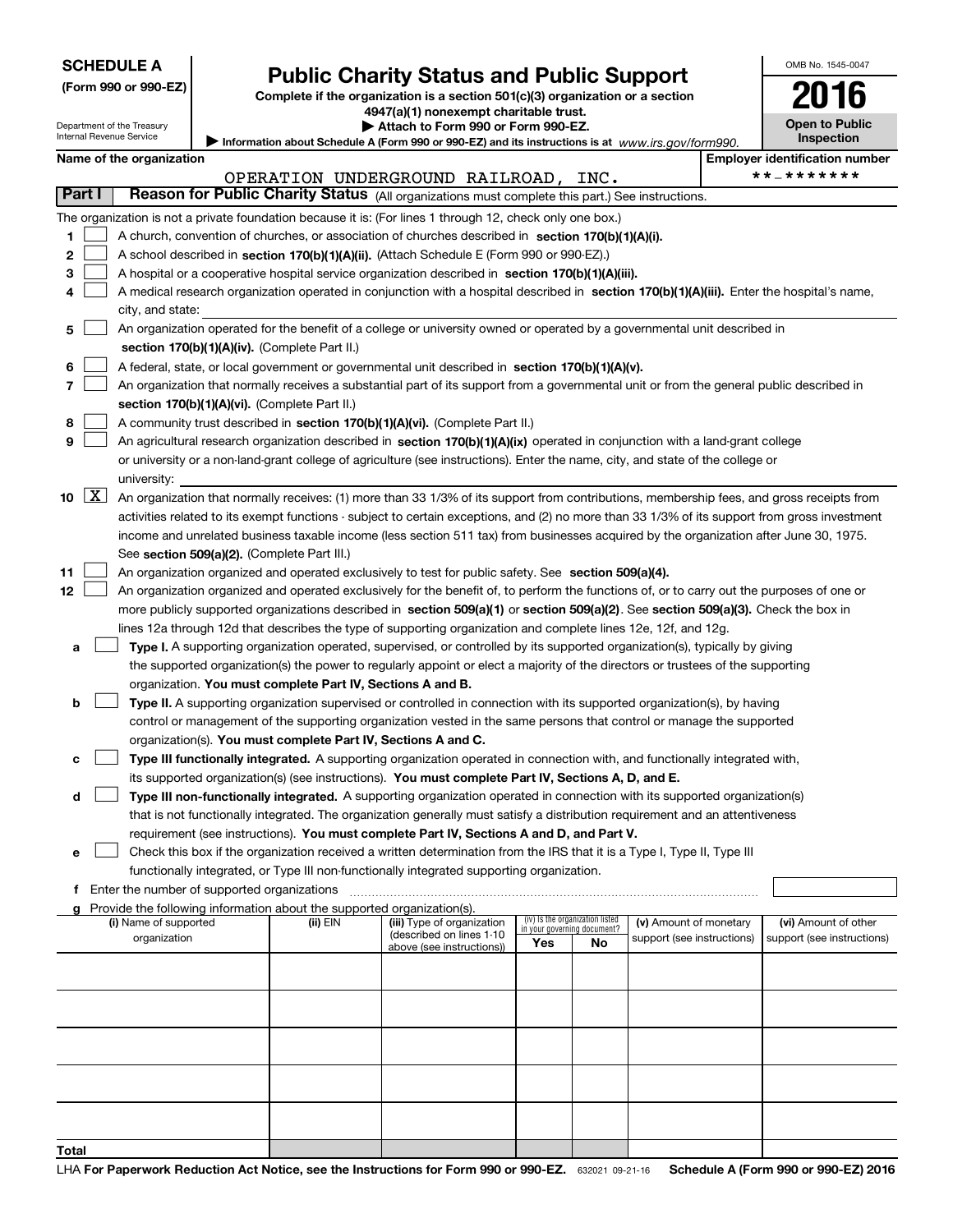|  |  |  |  | <b>SCHEDULE A</b> |
|--|--|--|--|-------------------|
|  |  |  |  |                   |

| (Form 990 or 990-EZ) |  |  |  |
|----------------------|--|--|--|
|----------------------|--|--|--|

# **Public Charity Status and Public Support**

OMB No. 1545-0047

**2016**

**Complete if the organization is a section 501(c)(3) organization or a section 4947(a)(1) nonexempt charitable trust.**

| Attach to Form 990 or Form 990-EZ. |  |  |  |
|------------------------------------|--|--|--|
|------------------------------------|--|--|--|

|                           | Department of the Treasury<br>Internal Revenue Service | <b>+3+7(a)(T) HOHEAEHIPL CHaritable trust.</b><br>Attach to Form 990 or Form 990-EZ. |                                                                                                                                               |     |                                 |                            | <b>Open to Public</b> |                                       |
|---------------------------|--------------------------------------------------------|--------------------------------------------------------------------------------------|-----------------------------------------------------------------------------------------------------------------------------------------------|-----|---------------------------------|----------------------------|-----------------------|---------------------------------------|
|                           |                                                        |                                                                                      | Information about Schedule A (Form 990 or 990-EZ) and its instructions is at www.irs.gov/form990.                                             |     |                                 |                            |                       | <b>Inspection</b>                     |
|                           | Name of the organization                               |                                                                                      |                                                                                                                                               |     |                                 |                            |                       | <b>Employer identification number</b> |
|                           |                                                        |                                                                                      | OPERATION UNDERGROUND RAILROAD, INC.                                                                                                          |     |                                 |                            |                       | **_*******                            |
| Part I                    |                                                        |                                                                                      | Reason for Public Charity Status (All organizations must complete this part.) See instructions.                                               |     |                                 |                            |                       |                                       |
|                           |                                                        |                                                                                      | The organization is not a private foundation because it is: (For lines 1 through 12, check only one box.)                                     |     |                                 |                            |                       |                                       |
| 1                         |                                                        |                                                                                      | A church, convention of churches, or association of churches described in section 170(b)(1)(A)(i).                                            |     |                                 |                            |                       |                                       |
| 2                         |                                                        |                                                                                      | A school described in section 170(b)(1)(A)(ii). (Attach Schedule E (Form 990 or 990-EZ).)                                                     |     |                                 |                            |                       |                                       |
| з                         |                                                        |                                                                                      | A hospital or a cooperative hospital service organization described in section 170(b)(1)(A)(iii).                                             |     |                                 |                            |                       |                                       |
| 4                         |                                                        |                                                                                      | A medical research organization operated in conjunction with a hospital described in section 170(b)(1)(A)(iii). Enter the hospital's name,    |     |                                 |                            |                       |                                       |
|                           | city, and state:                                       |                                                                                      |                                                                                                                                               |     |                                 |                            |                       |                                       |
| 5                         |                                                        |                                                                                      | An organization operated for the benefit of a college or university owned or operated by a governmental unit described in                     |     |                                 |                            |                       |                                       |
|                           |                                                        | section 170(b)(1)(A)(iv). (Complete Part II.)                                        |                                                                                                                                               |     |                                 |                            |                       |                                       |
| 6                         |                                                        |                                                                                      | A federal, state, or local government or governmental unit described in section 170(b)(1)(A)(v).                                              |     |                                 |                            |                       |                                       |
| 7                         |                                                        |                                                                                      | An organization that normally receives a substantial part of its support from a governmental unit or from the general public described in     |     |                                 |                            |                       |                                       |
|                           |                                                        | section 170(b)(1)(A)(vi). (Complete Part II.)                                        |                                                                                                                                               |     |                                 |                            |                       |                                       |
| 8                         |                                                        |                                                                                      | A community trust described in section 170(b)(1)(A)(vi). (Complete Part II.)                                                                  |     |                                 |                            |                       |                                       |
| 9                         |                                                        |                                                                                      | An agricultural research organization described in section 170(b)(1)(A)(ix) operated in conjunction with a land-grant college                 |     |                                 |                            |                       |                                       |
|                           |                                                        |                                                                                      | or university or a non-land-grant college of agriculture (see instructions). Enter the name, city, and state of the college or                |     |                                 |                            |                       |                                       |
|                           | university:                                            |                                                                                      |                                                                                                                                               |     |                                 |                            |                       |                                       |
| $\lfloor x \rfloor$<br>10 |                                                        |                                                                                      | An organization that normally receives: (1) more than 33 1/3% of its support from contributions, membership fees, and gross receipts from     |     |                                 |                            |                       |                                       |
|                           |                                                        |                                                                                      | activities related to its exempt functions - subject to certain exceptions, and (2) no more than 33 1/3% of its support from gross investment |     |                                 |                            |                       |                                       |
|                           |                                                        |                                                                                      | income and unrelated business taxable income (less section 511 tax) from businesses acquired by the organization after June 30, 1975.         |     |                                 |                            |                       |                                       |
|                           |                                                        | See section 509(a)(2). (Complete Part III.)                                          |                                                                                                                                               |     |                                 |                            |                       |                                       |
| 11                        |                                                        |                                                                                      | An organization organized and operated exclusively to test for public safety. See section 509(a)(4).                                          |     |                                 |                            |                       |                                       |
| 12                        |                                                        |                                                                                      | An organization organized and operated exclusively for the benefit of, to perform the functions of, or to carry out the purposes of one or    |     |                                 |                            |                       |                                       |
|                           |                                                        |                                                                                      | more publicly supported organizations described in section 509(a)(1) or section 509(a)(2). See section 509(a)(3). Check the box in            |     |                                 |                            |                       |                                       |
|                           |                                                        |                                                                                      | lines 12a through 12d that describes the type of supporting organization and complete lines 12e, 12f, and 12g.                                |     |                                 |                            |                       |                                       |
| а                         |                                                        |                                                                                      | Type I. A supporting organization operated, supervised, or controlled by its supported organization(s), typically by giving                   |     |                                 |                            |                       |                                       |
|                           |                                                        |                                                                                      | the supported organization(s) the power to regularly appoint or elect a majority of the directors or trustees of the supporting               |     |                                 |                            |                       |                                       |
|                           |                                                        | organization. You must complete Part IV, Sections A and B.                           |                                                                                                                                               |     |                                 |                            |                       |                                       |
| b                         |                                                        |                                                                                      | Type II. A supporting organization supervised or controlled in connection with its supported organization(s), by having                       |     |                                 |                            |                       |                                       |
|                           |                                                        |                                                                                      | control or management of the supporting organization vested in the same persons that control or manage the supported                          |     |                                 |                            |                       |                                       |
|                           |                                                        | organization(s). You must complete Part IV, Sections A and C.                        |                                                                                                                                               |     |                                 |                            |                       |                                       |
| с                         |                                                        |                                                                                      | Type III functionally integrated. A supporting organization operated in connection with, and functionally integrated with,                    |     |                                 |                            |                       |                                       |
|                           |                                                        |                                                                                      | its supported organization(s) (see instructions). You must complete Part IV, Sections A, D, and E.                                            |     |                                 |                            |                       |                                       |
| d                         |                                                        |                                                                                      | Type III non-functionally integrated. A supporting organization operated in connection with its supported organization(s)                     |     |                                 |                            |                       |                                       |
|                           |                                                        |                                                                                      | that is not functionally integrated. The organization generally must satisfy a distribution requirement and an attentiveness                  |     |                                 |                            |                       |                                       |
|                           |                                                        |                                                                                      | requirement (see instructions). You must complete Part IV, Sections A and D, and Part V.                                                      |     |                                 |                            |                       |                                       |
| е                         |                                                        |                                                                                      | Check this box if the organization received a written determination from the IRS that it is a Type I, Type II, Type III                       |     |                                 |                            |                       |                                       |
|                           |                                                        |                                                                                      | functionally integrated, or Type III non-functionally integrated supporting organization.                                                     |     |                                 |                            |                       |                                       |
|                           | <b>f</b> Enter the number of supported organizations   |                                                                                      |                                                                                                                                               |     |                                 |                            |                       |                                       |
|                           | (i) Name of supported                                  | Provide the following information about the supported organization(s).<br>(ii) EIN   | (iii) Type of organization                                                                                                                    |     | (iv) Is the organization listed | (v) Amount of monetary     |                       | (vi) Amount of other                  |
|                           | organization                                           |                                                                                      | (described on lines 1-10                                                                                                                      |     | in your governing document?     | support (see instructions) |                       | support (see instructions)            |
|                           |                                                        |                                                                                      | above (see instructions))                                                                                                                     | Yes | No                              |                            |                       |                                       |
|                           |                                                        |                                                                                      |                                                                                                                                               |     |                                 |                            |                       |                                       |
|                           |                                                        |                                                                                      |                                                                                                                                               |     |                                 |                            |                       |                                       |
|                           |                                                        |                                                                                      |                                                                                                                                               |     |                                 |                            |                       |                                       |
|                           |                                                        |                                                                                      |                                                                                                                                               |     |                                 |                            |                       |                                       |
|                           |                                                        |                                                                                      |                                                                                                                                               |     |                                 |                            |                       |                                       |
|                           |                                                        |                                                                                      |                                                                                                                                               |     |                                 |                            |                       |                                       |
|                           |                                                        |                                                                                      |                                                                                                                                               |     |                                 |                            |                       |                                       |
|                           |                                                        |                                                                                      |                                                                                                                                               |     |                                 |                            |                       |                                       |
|                           |                                                        |                                                                                      |                                                                                                                                               |     |                                 |                            |                       |                                       |
|                           |                                                        |                                                                                      |                                                                                                                                               |     |                                 |                            |                       |                                       |
| Total                     |                                                        |                                                                                      |                                                                                                                                               |     |                                 |                            |                       |                                       |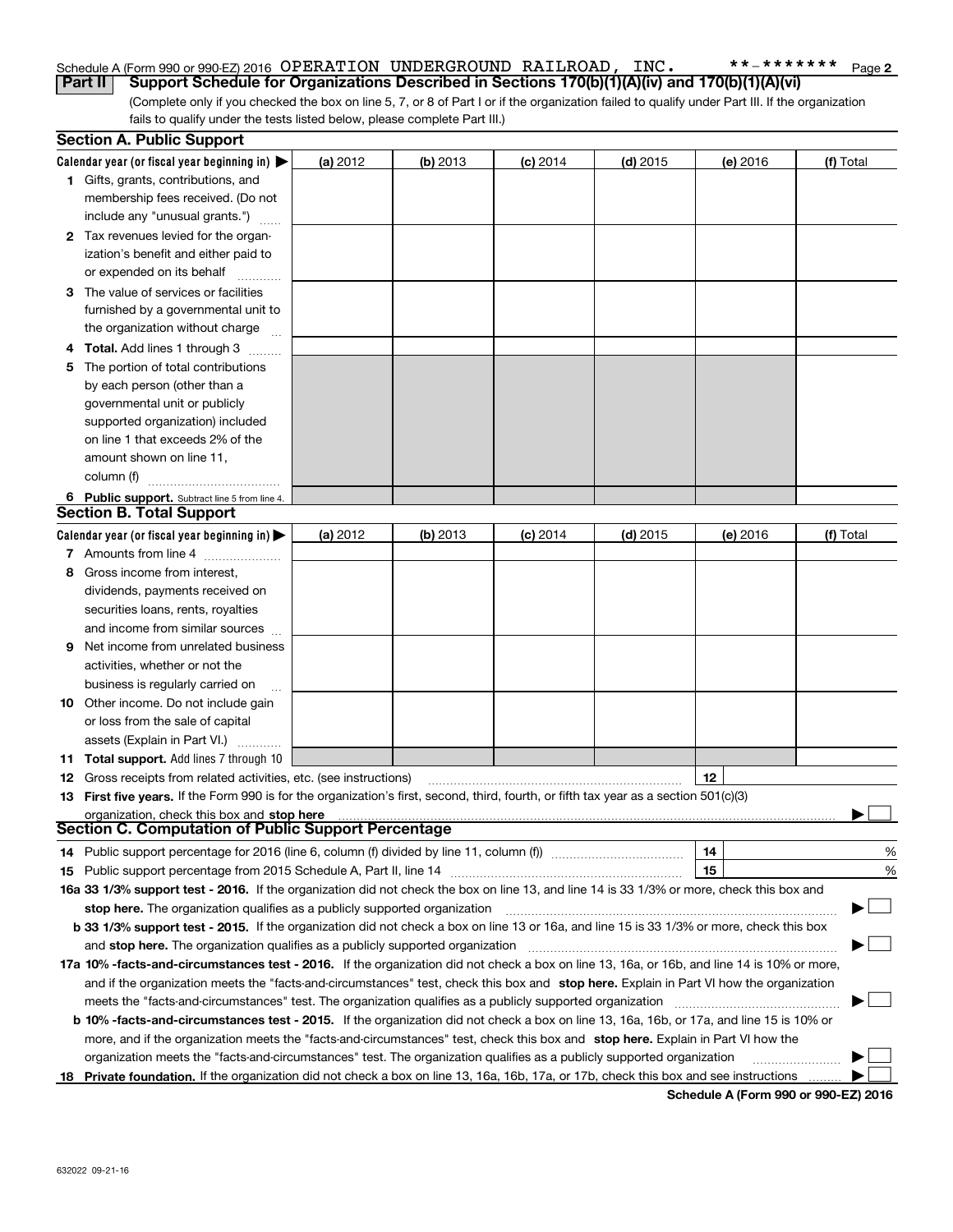#### Schedule A (Form 990 or 990-EZ) 2016 Page OPERATION UNDERGROUND RAILROAD, INC. \*\*-\*\*\*\*\*\*\***Part II Support Schedule for Organizations Described in Sections 170(b)(1)(A)(iv) and 170(b)(1)(A)(vi)**

(Complete only if you checked the box on line 5, 7, or 8 of Part I or if the organization failed to qualify under Part III. If the organization fails to qualify under the tests listed below, please complete Part III.)

|    | <b>Section A. Public Support</b>                                                                                                               |          |            |            |            |          |           |
|----|------------------------------------------------------------------------------------------------------------------------------------------------|----------|------------|------------|------------|----------|-----------|
|    | Calendar year (or fiscal year beginning in) $\blacktriangleright$                                                                              | (a) 2012 | $(b)$ 2013 | $(c)$ 2014 | $(d)$ 2015 | (e) 2016 | (f) Total |
|    | 1 Gifts, grants, contributions, and                                                                                                            |          |            |            |            |          |           |
|    | membership fees received. (Do not                                                                                                              |          |            |            |            |          |           |
|    | include any "unusual grants.")                                                                                                                 |          |            |            |            |          |           |
|    | 2 Tax revenues levied for the organ-                                                                                                           |          |            |            |            |          |           |
|    | ization's benefit and either paid to                                                                                                           |          |            |            |            |          |           |
|    | or expended on its behalf                                                                                                                      |          |            |            |            |          |           |
|    | 3 The value of services or facilities                                                                                                          |          |            |            |            |          |           |
|    | furnished by a governmental unit to                                                                                                            |          |            |            |            |          |           |
|    | the organization without charge                                                                                                                |          |            |            |            |          |           |
|    | 4 Total. Add lines 1 through 3<br>a badaana                                                                                                    |          |            |            |            |          |           |
| 5. | The portion of total contributions                                                                                                             |          |            |            |            |          |           |
|    | by each person (other than a                                                                                                                   |          |            |            |            |          |           |
|    | governmental unit or publicly                                                                                                                  |          |            |            |            |          |           |
|    | supported organization) included                                                                                                               |          |            |            |            |          |           |
|    | on line 1 that exceeds 2% of the                                                                                                               |          |            |            |            |          |           |
|    | amount shown on line 11,                                                                                                                       |          |            |            |            |          |           |
|    | column (f)                                                                                                                                     |          |            |            |            |          |           |
|    | 6 Public support. Subtract line 5 from line 4.                                                                                                 |          |            |            |            |          |           |
|    | <b>Section B. Total Support</b>                                                                                                                |          |            |            |            |          |           |
|    | Calendar year (or fiscal year beginning in) $\blacktriangleright$                                                                              | (a) 2012 | (b) 2013   | $(c)$ 2014 | $(d)$ 2015 | (e) 2016 | (f) Total |
|    | 7 Amounts from line 4                                                                                                                          |          |            |            |            |          |           |
| 8  | Gross income from interest,                                                                                                                    |          |            |            |            |          |           |
|    | dividends, payments received on                                                                                                                |          |            |            |            |          |           |
|    | securities loans, rents, royalties                                                                                                             |          |            |            |            |          |           |
|    | and income from similar sources                                                                                                                |          |            |            |            |          |           |
|    | <b>9</b> Net income from unrelated business                                                                                                    |          |            |            |            |          |           |
|    | activities, whether or not the                                                                                                                 |          |            |            |            |          |           |
|    | business is regularly carried on                                                                                                               |          |            |            |            |          |           |
|    | <b>10</b> Other income. Do not include gain                                                                                                    |          |            |            |            |          |           |
|    | or loss from the sale of capital                                                                                                               |          |            |            |            |          |           |
|    | assets (Explain in Part VI.)                                                                                                                   |          |            |            |            |          |           |
|    | <b>11 Total support.</b> Add lines 7 through 10                                                                                                |          |            |            |            |          |           |
|    | <b>12</b> Gross receipts from related activities, etc. (see instructions)                                                                      |          |            |            |            | 12       |           |
|    | 13 First five years. If the Form 990 is for the organization's first, second, third, fourth, or fifth tax year as a section 501(c)(3)          |          |            |            |            |          |           |
|    | organization, check this box and stop here                                                                                                     |          |            |            |            |          |           |
|    | Section C. Computation of Public Support Percentage                                                                                            |          |            |            |            |          |           |
|    | 14 Public support percentage for 2016 (line 6, column (f) divided by line 11, column (f) <i>mummention</i>                                     |          |            |            |            | 14       | %         |
|    |                                                                                                                                                |          |            |            |            | 15       | %         |
|    | 16a 33 1/3% support test - 2016. If the organization did not check the box on line 13, and line 14 is 33 1/3% or more, check this box and      |          |            |            |            |          |           |
|    | stop here. The organization qualifies as a publicly supported organization                                                                     |          |            |            |            |          | ▔▁▏       |
|    | b 33 1/3% support test - 2015. If the organization did not check a box on line 13 or 16a, and line 15 is 33 1/3% or more, check this box       |          |            |            |            |          |           |
|    | and stop here. The organization qualifies as a publicly supported organization                                                                 |          |            |            |            |          |           |
|    | 17a 10% -facts-and-circumstances test - 2016. If the organization did not check a box on line 13, 16a, or 16b, and line 14 is 10% or more,     |          |            |            |            |          |           |
|    | and if the organization meets the "facts-and-circumstances" test, check this box and stop here. Explain in Part VI how the organization        |          |            |            |            |          |           |
|    | meets the "facts-and-circumstances" test. The organization qualifies as a publicly supported organization                                      |          |            |            |            |          |           |
|    | <b>b 10% -facts-and-circumstances test - 2015.</b> If the organization did not check a box on line 13, 16a, 16b, or 17a, and line 15 is 10% or |          |            |            |            |          |           |
|    | more, and if the organization meets the "facts-and-circumstances" test, check this box and stop here. Explain in Part VI how the               |          |            |            |            |          |           |
|    | organization meets the "facts-and-circumstances" test. The organization qualifies as a publicly supported organization                         |          |            |            |            |          |           |
|    | 18 Private foundation. If the organization did not check a box on line 13, 16a, 16b, 17a, or 17b, check this box and see instructions          |          |            |            |            |          |           |

**Schedule A (Form 990 or 990-EZ) 2016**

**2**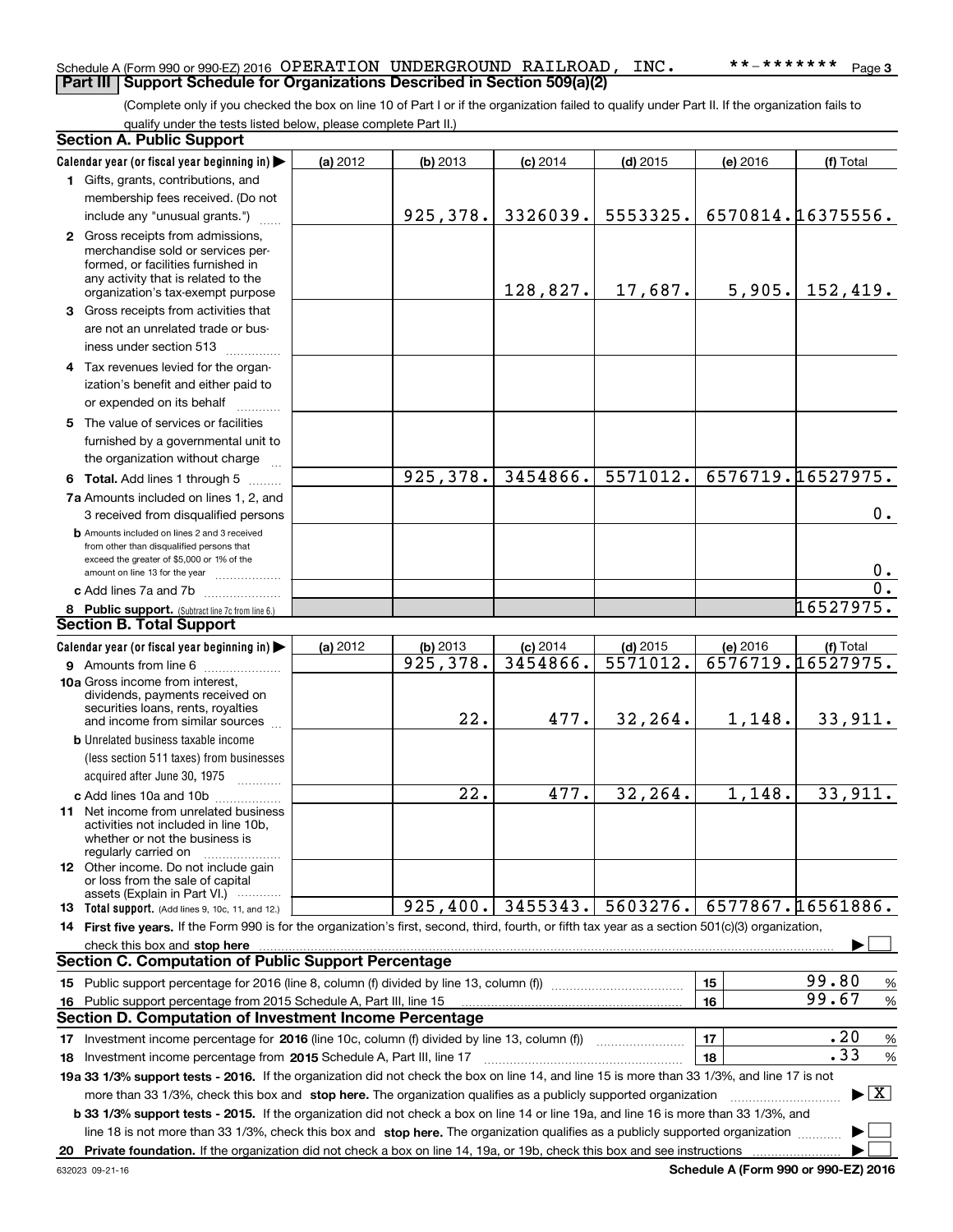### Schedule A (Form 990 or 990-EZ) 2016 Page OPERATION UNDERGROUND RAILROAD, INC. \*\*-\*\*\*\*\*\*\* **Part III Support Schedule for Organizations Described in Section 509(a)(2)**

(Complete only if you checked the box on line 10 of Part I or if the organization failed to qualify under Part II. If the organization fails to qualify under the tests listed below, please complete Part II.)

|    | <b>Section A. Public Support</b>                                                                                                                                                                                              |          |                        |            |            |          |                                 |
|----|-------------------------------------------------------------------------------------------------------------------------------------------------------------------------------------------------------------------------------|----------|------------------------|------------|------------|----------|---------------------------------|
|    | Calendar year (or fiscal year beginning in)                                                                                                                                                                                   | (a) 2012 | $(b)$ 2013             | $(c)$ 2014 | $(d)$ 2015 | (e) 2016 | (f) Total                       |
|    | 1 Gifts, grants, contributions, and                                                                                                                                                                                           |          |                        |            |            |          |                                 |
|    | membership fees received. (Do not                                                                                                                                                                                             |          |                        |            |            |          |                                 |
|    | include any "unusual grants.")                                                                                                                                                                                                |          | 925,378.               | 3326039.   | 5553325.   |          | 6570814.16375556.               |
|    | 2 Gross receipts from admissions,                                                                                                                                                                                             |          |                        |            |            |          |                                 |
|    | merchandise sold or services per-                                                                                                                                                                                             |          |                        |            |            |          |                                 |
|    | formed, or facilities furnished in                                                                                                                                                                                            |          |                        |            |            |          |                                 |
|    | any activity that is related to the<br>organization's tax-exempt purpose                                                                                                                                                      |          |                        | 128,827.   | 17,687.    | 5,905.   | 152,419.                        |
|    | 3 Gross receipts from activities that                                                                                                                                                                                         |          |                        |            |            |          |                                 |
|    | are not an unrelated trade or bus-                                                                                                                                                                                            |          |                        |            |            |          |                                 |
|    | iness under section 513                                                                                                                                                                                                       |          |                        |            |            |          |                                 |
|    | 4 Tax revenues levied for the organ-                                                                                                                                                                                          |          |                        |            |            |          |                                 |
|    | ization's benefit and either paid to                                                                                                                                                                                          |          |                        |            |            |          |                                 |
|    | or expended on its behalf                                                                                                                                                                                                     |          |                        |            |            |          |                                 |
|    | .<br>5 The value of services or facilities                                                                                                                                                                                    |          |                        |            |            |          |                                 |
|    | furnished by a governmental unit to                                                                                                                                                                                           |          |                        |            |            |          |                                 |
|    | the organization without charge                                                                                                                                                                                               |          |                        |            |            |          |                                 |
|    |                                                                                                                                                                                                                               |          | 925,378.               | 3454866.   | 5571012.   |          | 6576719.16527975.               |
|    | 6 Total. Add lines 1 through 5                                                                                                                                                                                                |          |                        |            |            |          |                                 |
|    | 7a Amounts included on lines 1, 2, and                                                                                                                                                                                        |          |                        |            |            |          |                                 |
|    | 3 received from disqualified persons                                                                                                                                                                                          |          |                        |            |            |          | $0$ .                           |
|    | <b>b</b> Amounts included on lines 2 and 3 received<br>from other than disqualified persons that                                                                                                                              |          |                        |            |            |          |                                 |
|    | exceed the greater of \$5,000 or 1% of the                                                                                                                                                                                    |          |                        |            |            |          |                                 |
|    | amount on line 13 for the year                                                                                                                                                                                                |          |                        |            |            |          | 0.                              |
|    | c Add lines 7a and 7b                                                                                                                                                                                                         |          |                        |            |            |          | $\overline{0}$ .                |
|    | 8 Public support. (Subtract line 7c from line 6.)<br><b>Section B. Total Support</b>                                                                                                                                          |          |                        |            |            |          | 16527975.                       |
|    |                                                                                                                                                                                                                               |          |                        |            |            |          |                                 |
|    | Calendar year (or fiscal year beginning in)                                                                                                                                                                                   | (a) 2012 | (b) 2013               | $(c)$ 2014 | $(d)$ 2015 | (e) 2016 | (f) Total                       |
|    | 9 Amounts from line 6                                                                                                                                                                                                         |          | $\overline{925,378}$ . | 3454866.   | 5571012.   |          | 6576719.16527975.               |
|    | 10a Gross income from interest,<br>dividends, payments received on                                                                                                                                                            |          |                        |            |            |          |                                 |
|    | securities loans, rents, royalties                                                                                                                                                                                            |          |                        |            |            |          |                                 |
|    | and income from similar sources                                                                                                                                                                                               |          | 22.                    | 477.       | 32,264.    | 1,148.   | 33,911.                         |
|    | <b>b</b> Unrelated business taxable income                                                                                                                                                                                    |          |                        |            |            |          |                                 |
|    | (less section 511 taxes) from businesses                                                                                                                                                                                      |          |                        |            |            |          |                                 |
|    | acquired after June 30, 1975 [10001]                                                                                                                                                                                          |          |                        |            |            |          |                                 |
|    | c Add lines 10a and 10b                                                                                                                                                                                                       |          | 22.                    | 477.       | 32, 264.   | 1,148.   | 33,911.                         |
|    | 11 Net income from unrelated business                                                                                                                                                                                         |          |                        |            |            |          |                                 |
|    | activities not included in line 10b,<br>whether or not the business is                                                                                                                                                        |          |                        |            |            |          |                                 |
|    | regularly carried on                                                                                                                                                                                                          |          |                        |            |            |          |                                 |
|    | 12 Other income. Do not include gain                                                                                                                                                                                          |          |                        |            |            |          |                                 |
|    | or loss from the sale of capital<br>assets (Explain in Part VI.)                                                                                                                                                              |          |                        |            |            |          |                                 |
|    | 13 Total support. (Add lines 9, 10c, 11, and 12.)                                                                                                                                                                             |          | 925,400.               | 3455343.   | 5603276.   |          | 6577867.16561886.               |
|    | 14 First five years. If the Form 990 is for the organization's first, second, third, fourth, or fifth tax year as a section 501(c)(3) organization,                                                                           |          |                        |            |            |          |                                 |
|    | check this box and stop here measurements are all the contract of the state of the state of the state of the state of the state of the state of the state of the state of the state of the state of the state of the state of |          |                        |            |            |          |                                 |
|    | <b>Section C. Computation of Public Support Percentage</b>                                                                                                                                                                    |          |                        |            |            |          |                                 |
|    | 15 Public support percentage for 2016 (line 8, column (f) divided by line 13, column (f))                                                                                                                                     |          |                        |            |            | 15       | 99.80<br>%                      |
|    | 16 Public support percentage from 2015 Schedule A, Part III, line 15                                                                                                                                                          |          |                        |            |            | 16       | 99.67<br>$\%$                   |
|    | <b>Section D. Computation of Investment Income Percentage</b>                                                                                                                                                                 |          |                        |            |            |          |                                 |
|    | 17 Investment income percentage for 2016 (line 10c, column (f) divided by line 13, column (f))                                                                                                                                |          |                        |            |            | 17       | .20<br>$\%$                     |
|    | <b>18</b> Investment income percentage from <b>2015</b> Schedule A, Part III, line 17                                                                                                                                         |          |                        |            |            | 18       | .33<br>%                        |
|    | 19a 33 1/3% support tests - 2016. If the organization did not check the box on line 14, and line 15 is more than 33 1/3%, and line 17 is not                                                                                  |          |                        |            |            |          |                                 |
|    | more than 33 1/3%, check this box and stop here. The organization qualifies as a publicly supported organization                                                                                                              |          |                        |            |            |          | $\blacktriangleright$ $\vert$ X |
|    | b 33 1/3% support tests - 2015. If the organization did not check a box on line 14 or line 19a, and line 16 is more than 33 1/3%, and                                                                                         |          |                        |            |            |          |                                 |
|    | line 18 is not more than 33 1/3%, check this box and stop here. The organization qualifies as a publicly supported organization                                                                                               |          |                        |            |            |          | ▶                               |
| 20 |                                                                                                                                                                                                                               |          |                        |            |            |          | ▶                               |
|    |                                                                                                                                                                                                                               |          |                        |            |            |          |                                 |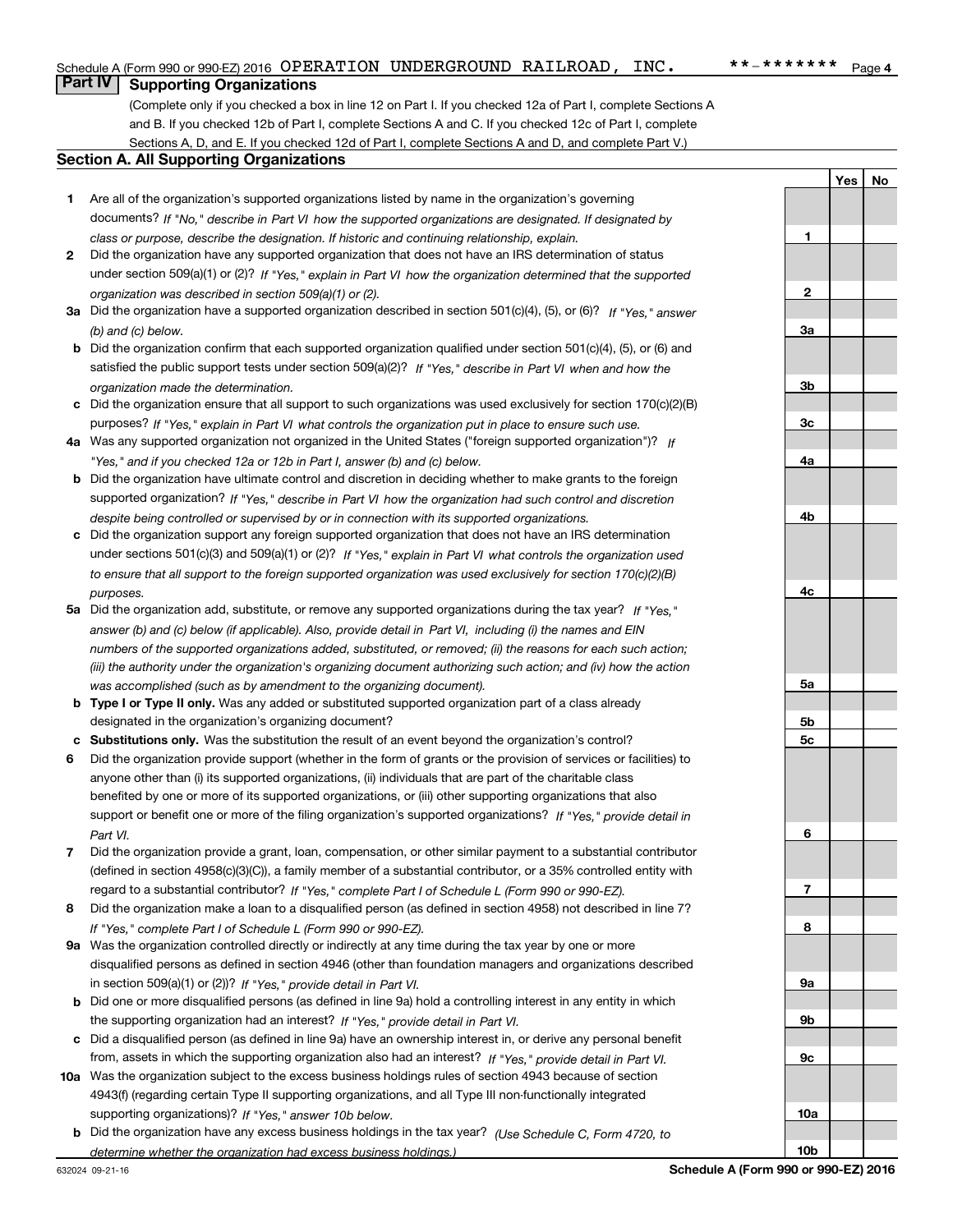## **Part IV Supporting Organizations**

(Complete only if you checked a box in line 12 on Part I. If you checked 12a of Part I, complete Sections A and B. If you checked 12b of Part I, complete Sections A and C. If you checked 12c of Part I, complete Sections A, D, and E. If you checked 12d of Part I, complete Sections A and D, and complete Part V.)

#### **Section A. All Supporting Organizations**

- **1** Are all of the organization's supported organizations listed by name in the organization's governing documents? If "No," describe in Part VI how the supported organizations are designated. If designated by *class or purpose, describe the designation. If historic and continuing relationship, explain.*
- **2** Did the organization have any supported organization that does not have an IRS determination of status under section 509(a)(1) or (2)? If "Yes," explain in Part VI how the organization determined that the supported *organization was described in section 509(a)(1) or (2).*
- **3a** Did the organization have a supported organization described in section 501(c)(4), (5), or (6)? If "Yes," answer *(b) and (c) below.*
- **b** Did the organization confirm that each supported organization qualified under section 501(c)(4), (5), or (6) and satisfied the public support tests under section 509(a)(2)? If "Yes," describe in Part VI when and how the *organization made the determination.*
- **c**Did the organization ensure that all support to such organizations was used exclusively for section 170(c)(2)(B) purposes? If "Yes," explain in Part VI what controls the organization put in place to ensure such use.
- **4a***If* Was any supported organization not organized in the United States ("foreign supported organization")? *"Yes," and if you checked 12a or 12b in Part I, answer (b) and (c) below.*
- **b** Did the organization have ultimate control and discretion in deciding whether to make grants to the foreign supported organization? If "Yes," describe in Part VI how the organization had such control and discretion *despite being controlled or supervised by or in connection with its supported organizations.*
- **c** Did the organization support any foreign supported organization that does not have an IRS determination under sections 501(c)(3) and 509(a)(1) or (2)? If "Yes," explain in Part VI what controls the organization used *to ensure that all support to the foreign supported organization was used exclusively for section 170(c)(2)(B) purposes.*
- **5a***If "Yes,"* Did the organization add, substitute, or remove any supported organizations during the tax year? answer (b) and (c) below (if applicable). Also, provide detail in Part VI, including (i) the names and EIN *numbers of the supported organizations added, substituted, or removed; (ii) the reasons for each such action; (iii) the authority under the organization's organizing document authorizing such action; and (iv) how the action was accomplished (such as by amendment to the organizing document).*
- **b** Type I or Type II only. Was any added or substituted supported organization part of a class already designated in the organization's organizing document?
- **cSubstitutions only.**  Was the substitution the result of an event beyond the organization's control?
- **6** Did the organization provide support (whether in the form of grants or the provision of services or facilities) to *If "Yes," provide detail in* support or benefit one or more of the filing organization's supported organizations? anyone other than (i) its supported organizations, (ii) individuals that are part of the charitable class benefited by one or more of its supported organizations, or (iii) other supporting organizations that also *Part VI.*
- **7**Did the organization provide a grant, loan, compensation, or other similar payment to a substantial contributor *If "Yes," complete Part I of Schedule L (Form 990 or 990-EZ).* regard to a substantial contributor? (defined in section 4958(c)(3)(C)), a family member of a substantial contributor, or a 35% controlled entity with
- **8** Did the organization make a loan to a disqualified person (as defined in section 4958) not described in line 7? *If "Yes," complete Part I of Schedule L (Form 990 or 990-EZ).*
- **9a** Was the organization controlled directly or indirectly at any time during the tax year by one or more in section 509(a)(1) or (2))? If "Yes," *provide detail in Part VI.* disqualified persons as defined in section 4946 (other than foundation managers and organizations described
- **b** Did one or more disqualified persons (as defined in line 9a) hold a controlling interest in any entity in which the supporting organization had an interest? If "Yes," provide detail in Part VI.
- **c**Did a disqualified person (as defined in line 9a) have an ownership interest in, or derive any personal benefit from, assets in which the supporting organization also had an interest? If "Yes," provide detail in Part VI.
- **10a** Was the organization subject to the excess business holdings rules of section 4943 because of section supporting organizations)? If "Yes," answer 10b below. 4943(f) (regarding certain Type II supporting organizations, and all Type III non-functionally integrated
- **b** Did the organization have any excess business holdings in the tax year? (Use Schedule C, Form 4720, to *determine whether the organization had excess business holdings.)*

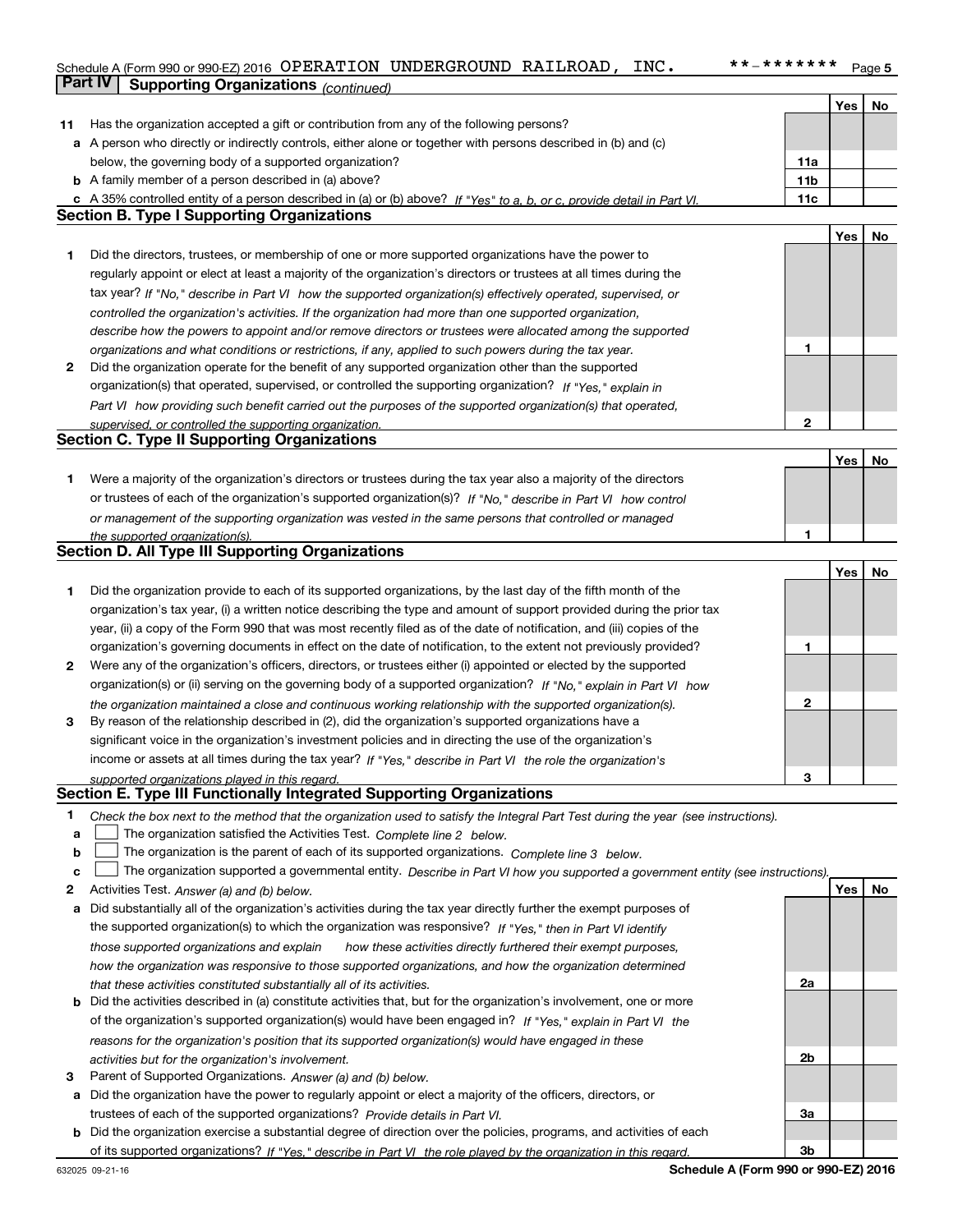### Schedule A (Form 990 or 990-EZ) 2016 Page OPERATION UNDERGROUND RAILROAD, INC. \*\*-\*\*\*\*\*\*\***Part IV** Supporting Organizations (*continued*)

|    |                                                                                                                                   |                 | Yes        | No |
|----|-----------------------------------------------------------------------------------------------------------------------------------|-----------------|------------|----|
| 11 | Has the organization accepted a gift or contribution from any of the following persons?                                           |                 |            |    |
|    | a A person who directly or indirectly controls, either alone or together with persons described in (b) and (c)                    |                 |            |    |
|    | below, the governing body of a supported organization?                                                                            | 11a             |            |    |
|    | <b>b</b> A family member of a person described in (a) above?                                                                      | 11 <sub>b</sub> |            |    |
|    | c A 35% controlled entity of a person described in (a) or (b) above? If "Yes" to a, b, or c, provide detail in Part VI.           | 11c             |            |    |
|    | <b>Section B. Type I Supporting Organizations</b>                                                                                 |                 |            |    |
|    |                                                                                                                                   |                 | Yes        | No |
| 1  | Did the directors, trustees, or membership of one or more supported organizations have the power to                               |                 |            |    |
|    | regularly appoint or elect at least a majority of the organization's directors or trustees at all times during the                |                 |            |    |
|    | tax year? If "No," describe in Part VI how the supported organization(s) effectively operated, supervised, or                     |                 |            |    |
|    | controlled the organization's activities. If the organization had more than one supported organization,                           |                 |            |    |
|    | describe how the powers to appoint and/or remove directors or trustees were allocated among the supported                         |                 |            |    |
|    | organizations and what conditions or restrictions, if any, applied to such powers during the tax year.                            | 1               |            |    |
| 2  | Did the organization operate for the benefit of any supported organization other than the supported                               |                 |            |    |
|    | organization(s) that operated, supervised, or controlled the supporting organization? If "Yes," explain in                        |                 |            |    |
|    |                                                                                                                                   |                 |            |    |
|    | Part VI how providing such benefit carried out the purposes of the supported organization(s) that operated,                       |                 |            |    |
|    | supervised, or controlled the supporting organization.<br><b>Section C. Type II Supporting Organizations</b>                      | $\mathbf{2}$    |            |    |
|    |                                                                                                                                   |                 |            |    |
|    |                                                                                                                                   |                 | Yes        | No |
| 1. | Were a majority of the organization's directors or trustees during the tax year also a majority of the directors                  |                 |            |    |
|    | or trustees of each of the organization's supported organization(s)? If "No," describe in Part VI how control                     |                 |            |    |
|    | or management of the supporting organization was vested in the same persons that controlled or managed                            |                 |            |    |
|    | the supported organization(s).                                                                                                    | 1               |            |    |
|    | Section D. All Type III Supporting Organizations                                                                                  |                 |            |    |
|    |                                                                                                                                   |                 | Yes        | No |
| 1  | Did the organization provide to each of its supported organizations, by the last day of the fifth month of the                    |                 |            |    |
|    | organization's tax year, (i) a written notice describing the type and amount of support provided during the prior tax             |                 |            |    |
|    | year, (ii) a copy of the Form 990 that was most recently filed as of the date of notification, and (iii) copies of the            |                 |            |    |
|    | organization's governing documents in effect on the date of notification, to the extent not previously provided?                  | 1               |            |    |
| 2  | Were any of the organization's officers, directors, or trustees either (i) appointed or elected by the supported                  |                 |            |    |
|    | organization(s) or (ii) serving on the governing body of a supported organization? If "No," explain in Part VI how                |                 |            |    |
|    | the organization maintained a close and continuous working relationship with the supported organization(s).                       | $\mathbf{2}$    |            |    |
| 3  | By reason of the relationship described in (2), did the organization's supported organizations have a                             |                 |            |    |
|    | significant voice in the organization's investment policies and in directing the use of the organization's                        |                 |            |    |
|    | income or assets at all times during the tax year? If "Yes," describe in Part VI the role the organization's                      |                 |            |    |
|    | supported organizations played in this regard.                                                                                    | 3               |            |    |
|    | Section E. Type III Functionally Integrated Supporting Organizations                                                              |                 |            |    |
| 1  |                                                                                                                                   |                 |            |    |
|    | Check the box next to the method that the organization used to satisfy the Integral Part Test during the year (see instructions). |                 |            |    |
| a  | The organization satisfied the Activities Test. Complete line 2 below.                                                            |                 |            |    |
| b  | The organization is the parent of each of its supported organizations. Complete line 3 below.                                     |                 |            |    |
| с  | The organization supported a governmental entity. Describe in Part VI how you supported a government entity (see instructions).   |                 |            |    |
| 2  | Activities Test. Answer (a) and (b) below.                                                                                        |                 | <b>Yes</b> | No |
| а  | Did substantially all of the organization's activities during the tax year directly further the exempt purposes of                |                 |            |    |
|    | the supported organization(s) to which the organization was responsive? If "Yes," then in Part VI identify                        |                 |            |    |
|    | those supported organizations and explain<br>how these activities directly furthered their exempt purposes.                       |                 |            |    |
|    | how the organization was responsive to those supported organizations, and how the organization determined                         |                 |            |    |
|    | that these activities constituted substantially all of its activities.                                                            | 2a              |            |    |
|    | <b>b</b> Did the activities described in (a) constitute activities that, but for the organization's involvement, one or more      |                 |            |    |
|    | of the organization's supported organization(s) would have been engaged in? If "Yes," explain in Part VI the                      |                 |            |    |
|    | reasons for the organization's position that its supported organization(s) would have engaged in these                            |                 |            |    |
|    | activities but for the organization's involvement.                                                                                | 2b              |            |    |
| 3  | Parent of Supported Organizations. Answer (a) and (b) below.                                                                      |                 |            |    |
| а  | Did the organization have the power to regularly appoint or elect a majority of the officers, directors, or                       |                 |            |    |
|    | trustees of each of the supported organizations? Provide details in Part VI.                                                      | За              |            |    |
|    | <b>b</b> Did the organization exercise a substantial degree of direction over the policies, programs, and activities of each      |                 |            |    |
|    | of its supported organizations? If "Yes." describe in Part VI the role played by the organization in this regard.                 | 3b              |            |    |
|    |                                                                                                                                   |                 |            |    |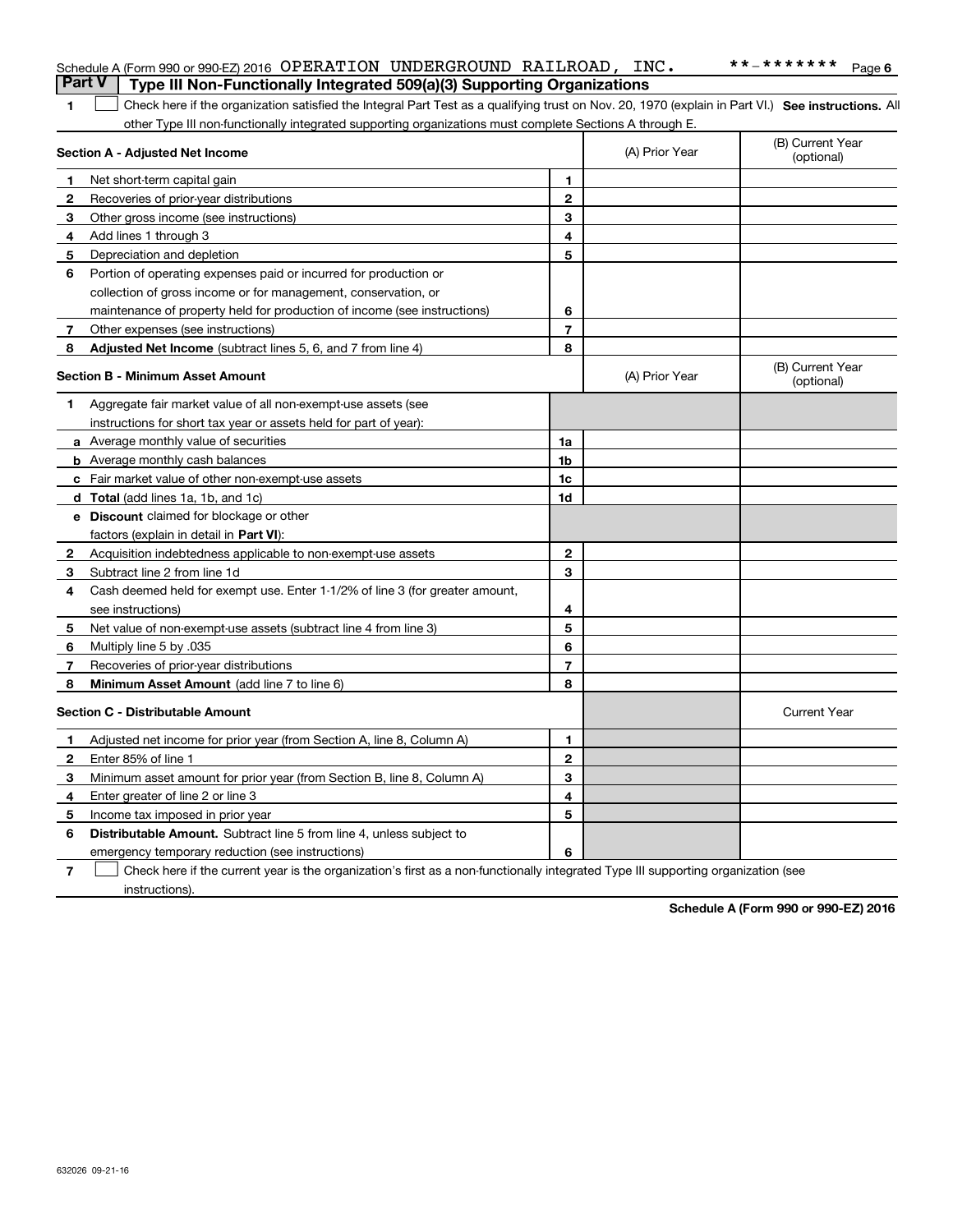|                | Schedule A (Form 990 or 990-EZ) 2016 OPERATION UNDERGROUND RAILROAD, INC.                                                                          |                |                | **_*******<br>Page 6           |
|----------------|----------------------------------------------------------------------------------------------------------------------------------------------------|----------------|----------------|--------------------------------|
| <b>Part V</b>  | Type III Non-Functionally Integrated 509(a)(3) Supporting Organizations                                                                            |                |                |                                |
| 1              | Check here if the organization satisfied the Integral Part Test as a qualifying trust on Nov. 20, 1970 (explain in Part VI.) See instructions. All |                |                |                                |
|                | other Type III non-functionally integrated supporting organizations must complete Sections A through E.                                            |                |                |                                |
|                | Section A - Adjusted Net Income                                                                                                                    |                | (A) Prior Year | (B) Current Year<br>(optional) |
| 1              | Net short-term capital gain                                                                                                                        | 1              |                |                                |
| 2              | Recoveries of prior-year distributions                                                                                                             | 2              |                |                                |
| 3              | Other gross income (see instructions)                                                                                                              | З              |                |                                |
| 4              | Add lines 1 through 3                                                                                                                              | 4              |                |                                |
| 5              | Depreciation and depletion                                                                                                                         | 5              |                |                                |
| 6              | Portion of operating expenses paid or incurred for production or                                                                                   |                |                |                                |
|                | collection of gross income or for management, conservation, or                                                                                     |                |                |                                |
|                | maintenance of property held for production of income (see instructions)                                                                           | 6              |                |                                |
| 7              | Other expenses (see instructions)                                                                                                                  | 7              |                |                                |
| 8              | Adjusted Net Income (subtract lines 5, 6, and 7 from line 4)                                                                                       | 8              |                |                                |
|                | <b>Section B - Minimum Asset Amount</b>                                                                                                            |                | (A) Prior Year | (B) Current Year<br>(optional) |
| 1              | Aggregate fair market value of all non-exempt-use assets (see                                                                                      |                |                |                                |
|                | instructions for short tax year or assets held for part of year):                                                                                  |                |                |                                |
|                | a Average monthly value of securities                                                                                                              | 1a             |                |                                |
|                | <b>b</b> Average monthly cash balances                                                                                                             | 1b             |                |                                |
|                | c Fair market value of other non-exempt-use assets                                                                                                 | 1 <sub>c</sub> |                |                                |
|                | d Total (add lines 1a, 1b, and 1c)                                                                                                                 | 1d             |                |                                |
|                | <b>e</b> Discount claimed for blockage or other                                                                                                    |                |                |                                |
|                | factors (explain in detail in <b>Part VI</b> ):                                                                                                    |                |                |                                |
| 2              | Acquisition indebtedness applicable to non-exempt-use assets                                                                                       | $\mathbf 2$    |                |                                |
| 3              | Subtract line 2 from line 1d                                                                                                                       | 3              |                |                                |
| 4              | Cash deemed held for exempt use. Enter 1-1/2% of line 3 (for greater amount,                                                                       |                |                |                                |
|                | see instructions)                                                                                                                                  | 4              |                |                                |
| 5              | Net value of non-exempt-use assets (subtract line 4 from line 3)                                                                                   | 5              |                |                                |
| 6              | Multiply line 5 by .035                                                                                                                            | 6              |                |                                |
| 7              | Recoveries of prior-year distributions                                                                                                             | $\overline{7}$ |                |                                |
| 8              | <b>Minimum Asset Amount</b> (add line 7 to line 6)                                                                                                 | 8              |                |                                |
|                | <b>Section C - Distributable Amount</b>                                                                                                            |                |                | <b>Current Year</b>            |
|                | Adjusted net income for prior year (from Section A, line 8, Column A)                                                                              | 1              |                |                                |
|                | Enter 85% of line 1                                                                                                                                | $\overline{2}$ |                |                                |
| 3              | Minimum asset amount for prior year (from Section B, line 8, Column A)                                                                             | 3              |                |                                |
| 4              | Enter greater of line 2 or line 3                                                                                                                  | 4              |                |                                |
| 5              | Income tax imposed in prior year                                                                                                                   | 5              |                |                                |
| 6              | <b>Distributable Amount.</b> Subtract line 5 from line 4, unless subject to                                                                        |                |                |                                |
|                | emergency temporary reduction (see instructions)                                                                                                   | 6              |                |                                |
| $\overline{7}$ | Check here if the current year is the organization's first as a non-functionally integrated Type III supporting organization (see                  |                |                |                                |

instructions).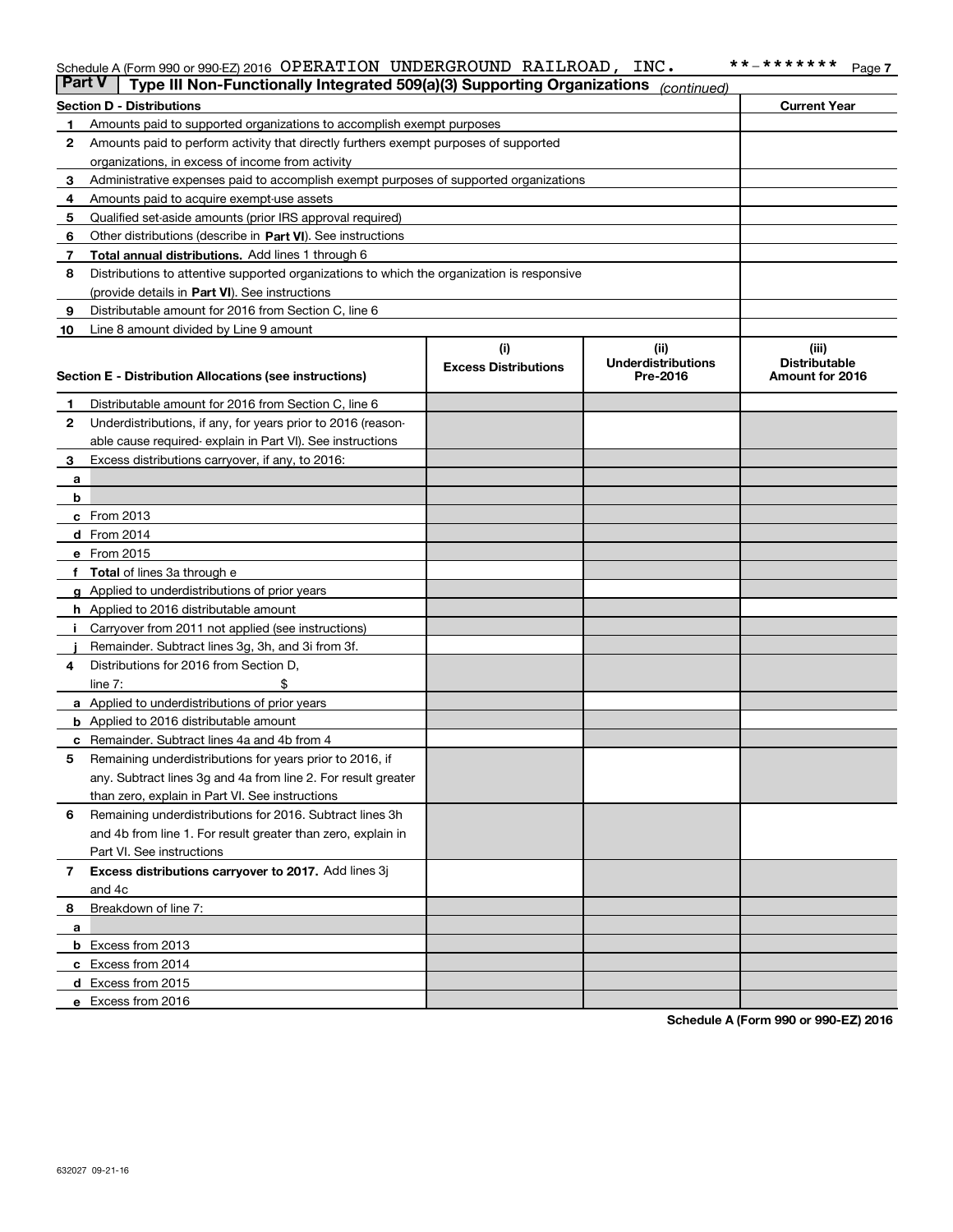#### Schedule A (Form 990 or 990-EZ) 2016 Page OPERATION UNDERGROUND RAILROAD, INC. \*\*-\*\*\*\*\*\*\*

| <b>Part V</b> | Type III Non-Functionally Integrated 509(a)(3) Supporting Organizations                    |                             | (continued)               |                      |
|---------------|--------------------------------------------------------------------------------------------|-----------------------------|---------------------------|----------------------|
|               | <b>Section D - Distributions</b>                                                           |                             |                           | <b>Current Year</b>  |
| 1             | Amounts paid to supported organizations to accomplish exempt purposes                      |                             |                           |                      |
| 2             | Amounts paid to perform activity that directly furthers exempt purposes of supported       |                             |                           |                      |
|               | organizations, in excess of income from activity                                           |                             |                           |                      |
| з             | Administrative expenses paid to accomplish exempt purposes of supported organizations      |                             |                           |                      |
| 4             | Amounts paid to acquire exempt-use assets                                                  |                             |                           |                      |
| 5             | Qualified set-aside amounts (prior IRS approval required)                                  |                             |                           |                      |
| 6             | Other distributions (describe in Part VI). See instructions                                |                             |                           |                      |
| 7             | Total annual distributions. Add lines 1 through 6                                          |                             |                           |                      |
| 8             | Distributions to attentive supported organizations to which the organization is responsive |                             |                           |                      |
|               | (provide details in Part VI). See instructions                                             |                             |                           |                      |
| 9             | Distributable amount for 2016 from Section C, line 6                                       |                             |                           |                      |
| 10            | Line 8 amount divided by Line 9 amount                                                     |                             |                           |                      |
|               |                                                                                            | (i)                         | (ii)                      | (iii)                |
|               |                                                                                            | <b>Excess Distributions</b> | <b>Underdistributions</b> | <b>Distributable</b> |
|               | <b>Section E - Distribution Allocations (see instructions)</b>                             |                             | Pre-2016                  | Amount for 2016      |
| 1             | Distributable amount for 2016 from Section C, line 6                                       |                             |                           |                      |
| 2             | Underdistributions, if any, for years prior to 2016 (reason-                               |                             |                           |                      |
|               | able cause required-explain in Part VI). See instructions                                  |                             |                           |                      |
| 3             | Excess distributions carryover, if any, to 2016:                                           |                             |                           |                      |
|               |                                                                                            |                             |                           |                      |
| а<br>b        |                                                                                            |                             |                           |                      |
|               | $c$ From 2013                                                                              |                             |                           |                      |
|               | d From 2014                                                                                |                             |                           |                      |
|               | e From 2015                                                                                |                             |                           |                      |
|               | Total of lines 3a through e                                                                |                             |                           |                      |
|               |                                                                                            |                             |                           |                      |
|               | <b>g</b> Applied to underdistributions of prior years                                      |                             |                           |                      |
|               | <b>h</b> Applied to 2016 distributable amount                                              |                             |                           |                      |
|               | Carryover from 2011 not applied (see instructions)                                         |                             |                           |                      |
|               | Remainder. Subtract lines 3g, 3h, and 3i from 3f.                                          |                             |                           |                      |
| 4             | Distributions for 2016 from Section D,                                                     |                             |                           |                      |
|               | line $7:$                                                                                  |                             |                           |                      |
|               | <b>a</b> Applied to underdistributions of prior years                                      |                             |                           |                      |
|               | <b>b</b> Applied to 2016 distributable amount                                              |                             |                           |                      |
| с             | Remainder. Subtract lines 4a and 4b from 4                                                 |                             |                           |                      |
| 5             | Remaining underdistributions for years prior to 2016, if                                   |                             |                           |                      |
|               | any. Subtract lines 3g and 4a from line 2. For result greater                              |                             |                           |                      |
|               | than zero, explain in Part VI. See instructions                                            |                             |                           |                      |
| 6             | Remaining underdistributions for 2016. Subtract lines 3h                                   |                             |                           |                      |
|               | and 4b from line 1. For result greater than zero, explain in                               |                             |                           |                      |
|               | Part VI. See instructions                                                                  |                             |                           |                      |
| 7             | Excess distributions carryover to 2017. Add lines 3j                                       |                             |                           |                      |
|               | and 4c                                                                                     |                             |                           |                      |
| 8             | Breakdown of line 7:                                                                       |                             |                           |                      |
| а             |                                                                                            |                             |                           |                      |
|               | b Excess from 2013                                                                         |                             |                           |                      |
|               | c Excess from 2014                                                                         |                             |                           |                      |
|               | <b>d</b> Excess from 2015                                                                  |                             |                           |                      |
|               | e Excess from 2016                                                                         |                             |                           |                      |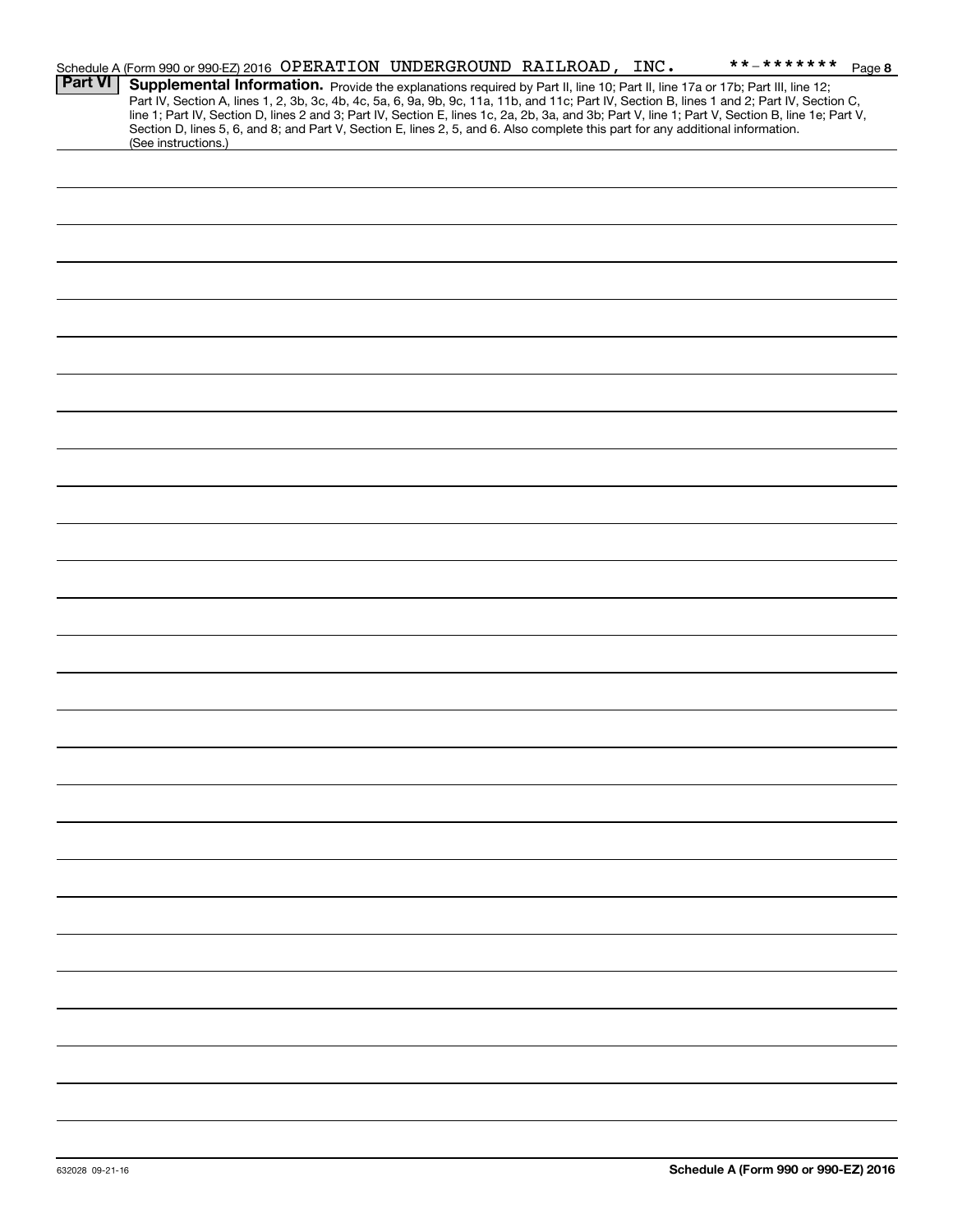|                | Schedule A (Form 990 or 990-EZ) 2016 OPERATION UNDERGROUND RAILROAD, INC.                                                                                                                                                                                                                                                                                                                                                                                                                                                                                            |  | **_******* Page 8 |  |
|----------------|----------------------------------------------------------------------------------------------------------------------------------------------------------------------------------------------------------------------------------------------------------------------------------------------------------------------------------------------------------------------------------------------------------------------------------------------------------------------------------------------------------------------------------------------------------------------|--|-------------------|--|
| <b>Part VI</b> | Supplemental Information. Provide the explanations required by Part II, line 10; Part II, line 17a or 17b; Part III, line 12;<br>Part IV, Section A, lines 1, 2, 3b, 3c, 4b, 4c, 5a, 6, 9a, 9b, 9c, 11a, 11b, and 11c; Part IV, Section B, lines 1 and 2; Part IV, Section C,<br>line 1; Part IV, Section D, lines 2 and 3; Part IV, Section E, lines 1c, 2a, 2b, 3a, and 3b; Part V, line 1; Part V, Section B, line 1e; Part V,<br>Section D, lines 5, 6, and 8; and Part V, Section E, lines 2, 5, and 6. Also complete this part for any additional information. |  |                   |  |
|                | (See instructions.)                                                                                                                                                                                                                                                                                                                                                                                                                                                                                                                                                  |  |                   |  |
|                |                                                                                                                                                                                                                                                                                                                                                                                                                                                                                                                                                                      |  |                   |  |
|                |                                                                                                                                                                                                                                                                                                                                                                                                                                                                                                                                                                      |  |                   |  |
|                |                                                                                                                                                                                                                                                                                                                                                                                                                                                                                                                                                                      |  |                   |  |
|                |                                                                                                                                                                                                                                                                                                                                                                                                                                                                                                                                                                      |  |                   |  |
|                |                                                                                                                                                                                                                                                                                                                                                                                                                                                                                                                                                                      |  |                   |  |
|                |                                                                                                                                                                                                                                                                                                                                                                                                                                                                                                                                                                      |  |                   |  |
|                |                                                                                                                                                                                                                                                                                                                                                                                                                                                                                                                                                                      |  |                   |  |
|                |                                                                                                                                                                                                                                                                                                                                                                                                                                                                                                                                                                      |  |                   |  |
|                |                                                                                                                                                                                                                                                                                                                                                                                                                                                                                                                                                                      |  |                   |  |
|                |                                                                                                                                                                                                                                                                                                                                                                                                                                                                                                                                                                      |  |                   |  |
|                |                                                                                                                                                                                                                                                                                                                                                                                                                                                                                                                                                                      |  |                   |  |
|                |                                                                                                                                                                                                                                                                                                                                                                                                                                                                                                                                                                      |  |                   |  |
|                |                                                                                                                                                                                                                                                                                                                                                                                                                                                                                                                                                                      |  |                   |  |
|                |                                                                                                                                                                                                                                                                                                                                                                                                                                                                                                                                                                      |  |                   |  |
|                |                                                                                                                                                                                                                                                                                                                                                                                                                                                                                                                                                                      |  |                   |  |
|                |                                                                                                                                                                                                                                                                                                                                                                                                                                                                                                                                                                      |  |                   |  |
|                |                                                                                                                                                                                                                                                                                                                                                                                                                                                                                                                                                                      |  |                   |  |
|                |                                                                                                                                                                                                                                                                                                                                                                                                                                                                                                                                                                      |  |                   |  |
|                |                                                                                                                                                                                                                                                                                                                                                                                                                                                                                                                                                                      |  |                   |  |
|                |                                                                                                                                                                                                                                                                                                                                                                                                                                                                                                                                                                      |  |                   |  |
|                |                                                                                                                                                                                                                                                                                                                                                                                                                                                                                                                                                                      |  |                   |  |
|                |                                                                                                                                                                                                                                                                                                                                                                                                                                                                                                                                                                      |  |                   |  |
|                |                                                                                                                                                                                                                                                                                                                                                                                                                                                                                                                                                                      |  |                   |  |
|                |                                                                                                                                                                                                                                                                                                                                                                                                                                                                                                                                                                      |  |                   |  |
|                |                                                                                                                                                                                                                                                                                                                                                                                                                                                                                                                                                                      |  |                   |  |
|                |                                                                                                                                                                                                                                                                                                                                                                                                                                                                                                                                                                      |  |                   |  |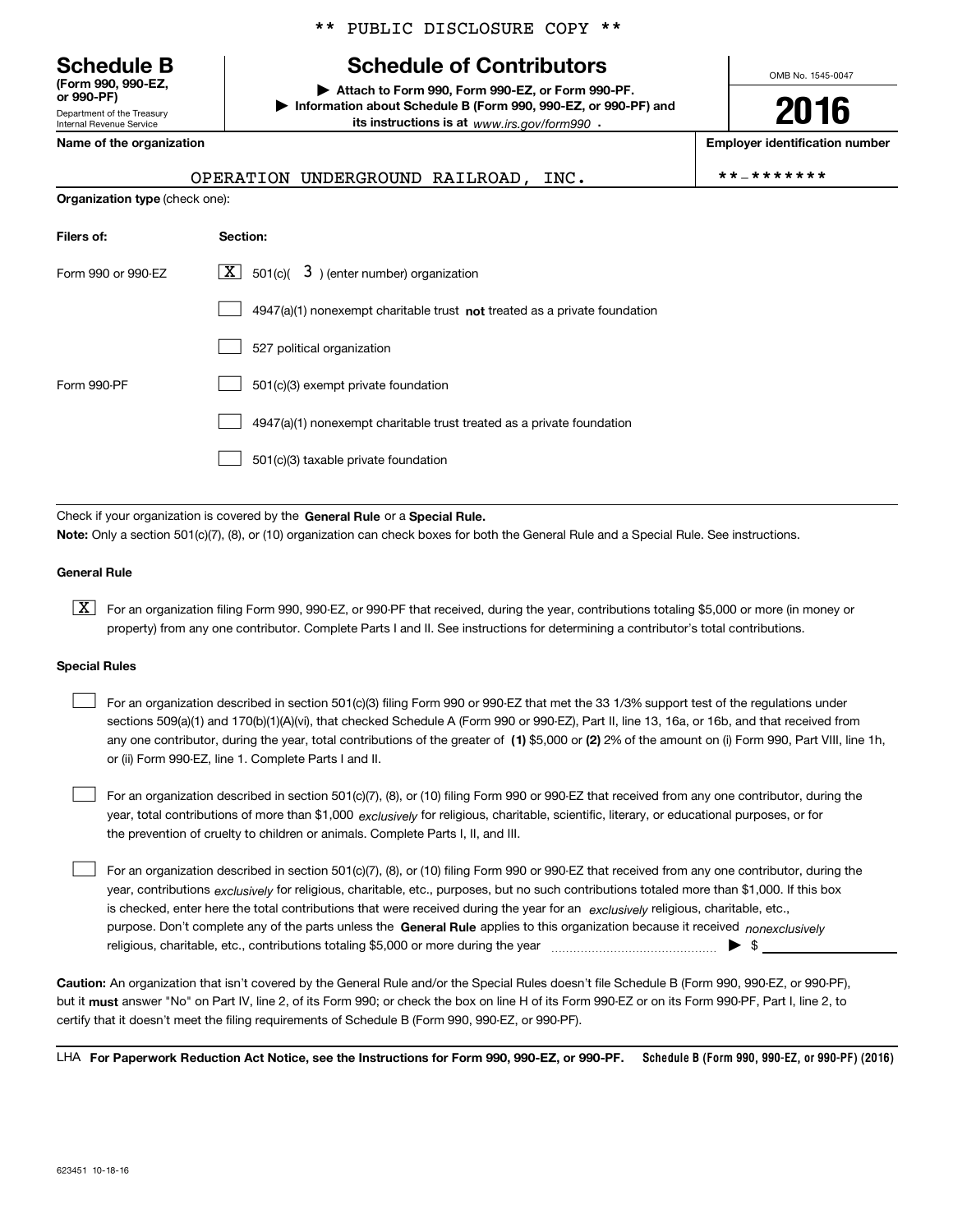Department of the Treasury **(Form 990, 990-EZ, or 990-PF)**

Internal Revenue Service

### \*\* PUBLIC DISCLOSURE COPY \*\*

# **Schedule B Schedule of Contributors**

**| Attach to Form 990, Form 990-EZ, or Form 990-PF. | Information about Schedule B (Form 990, 990-EZ, or 990-PF) and its instructions is at** www.irs.gov/form990  $\cdot$ 

**Name of the organization Employer identification number**

| OPERATION UNDERGROUND RAILROAD. |  |  | **_******* |
|---------------------------------|--|--|------------|
|---------------------------------|--|--|------------|

OMB No. 1545-0047

**2016**

|  | ·* _ * * * * * * * |  |  |  |  |
|--|--------------------|--|--|--|--|
|  |                    |  |  |  |  |

| <b>Organization type</b> (check one): |                                                                                    |  |  |  |
|---------------------------------------|------------------------------------------------------------------------------------|--|--|--|
| Filers of:                            | Section:                                                                           |  |  |  |
| Form 990 or 990-EZ                    | $\lfloor x \rfloor$ 501(c)( 3) (enter number) organization                         |  |  |  |
|                                       | $4947(a)(1)$ nonexempt charitable trust <b>not</b> treated as a private foundation |  |  |  |
|                                       | 527 political organization                                                         |  |  |  |
| Form 990-PF                           | 501(c)(3) exempt private foundation                                                |  |  |  |
|                                       | 4947(a)(1) nonexempt charitable trust treated as a private foundation              |  |  |  |
|                                       | 501(c)(3) taxable private foundation                                               |  |  |  |

Check if your organization is covered by the **General Rule** or a **Special Rule. Note:**  Only a section 501(c)(7), (8), or (10) organization can check boxes for both the General Rule and a Special Rule. See instructions.

#### **General Rule**

 $\boxed{\textbf{X}}$  For an organization filing Form 990, 990-EZ, or 990-PF that received, during the year, contributions totaling \$5,000 or more (in money or property) from any one contributor. Complete Parts I and II. See instructions for determining a contributor's total contributions.

#### **Special Rules**

 $\mathcal{L}^{\text{max}}$ 

any one contributor, during the year, total contributions of the greater of  $\,$  (1) \$5,000 or (2) 2% of the amount on (i) Form 990, Part VIII, line 1h, For an organization described in section 501(c)(3) filing Form 990 or 990-EZ that met the 33 1/3% support test of the regulations under sections 509(a)(1) and 170(b)(1)(A)(vi), that checked Schedule A (Form 990 or 990-EZ), Part II, line 13, 16a, or 16b, and that received from or (ii) Form 990-EZ, line 1. Complete Parts I and II.  $\mathcal{L}^{\text{max}}$ 

year, total contributions of more than \$1,000 *exclusively* for religious, charitable, scientific, literary, or educational purposes, or for For an organization described in section 501(c)(7), (8), or (10) filing Form 990 or 990-EZ that received from any one contributor, during the the prevention of cruelty to children or animals. Complete Parts I, II, and III.  $\mathcal{L}^{\text{max}}$ 

purpose. Don't complete any of the parts unless the **General Rule** applies to this organization because it received *nonexclusively* year, contributions <sub>exclusively</sub> for religious, charitable, etc., purposes, but no such contributions totaled more than \$1,000. If this box is checked, enter here the total contributions that were received during the year for an  $\;$ exclusively religious, charitable, etc., For an organization described in section 501(c)(7), (8), or (10) filing Form 990 or 990-EZ that received from any one contributor, during the religious, charitable, etc., contributions totaling \$5,000 or more during the year  $\ldots$  $\ldots$  $\ldots$  $\ldots$  $\ldots$  $\ldots$  $\ldots$ 

**Caution:**  An organization that isn't covered by the General Rule and/or the Special Rules doesn't file Schedule B (Form 990, 990-EZ, or 990-PF),  **must** but it answer "No" on Part IV, line 2, of its Form 990; or check the box on line H of its Form 990-EZ or on its Form 990-PF, Part I, line 2, to certify that it doesn't meet the filing requirements of Schedule B (Form 990, 990-EZ, or 990-PF).

**Schedule B (Form 990, 990-EZ, or 990-PF) (2016) For Paperwork Reduction Act Notice, see the Instructions for Form 990, 990-EZ, or 990-PF.** LHA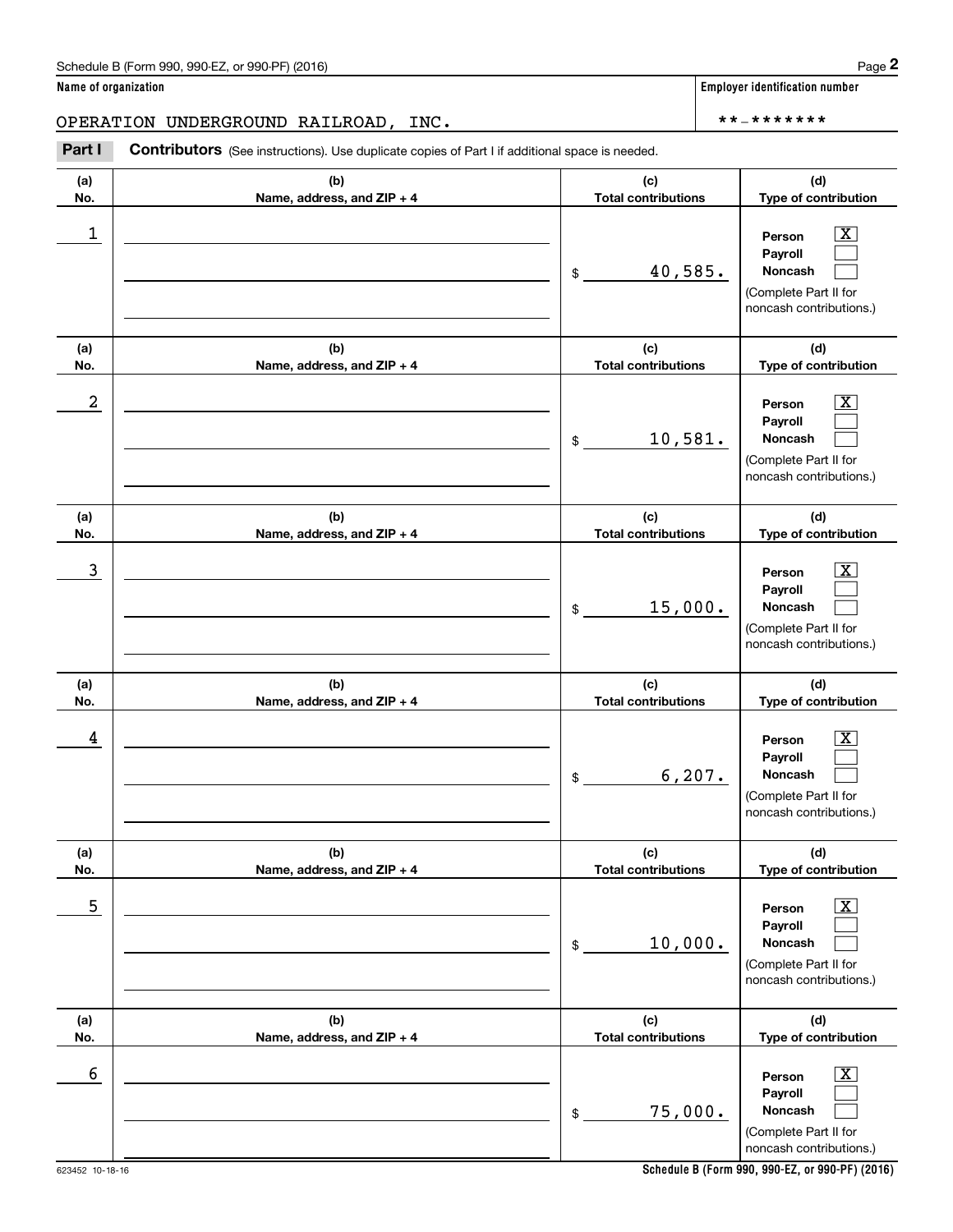Chedule B (Form 990, 990-EZ, or 990-PF) (2016)<br> **2 ame of organization**<br> **2 PERATION UNDERGROUND RAILROAD, INC.**<br> **Part I Contributors** (See instructions). Use duplicate copies of Part I if additional space is needed.

| (a)<br>No. | (b)<br>Name, address, and ZIP + 4 | (c)<br><b>Total contributions</b> | (d)<br>Type of contribution                                                                                   |
|------------|-----------------------------------|-----------------------------------|---------------------------------------------------------------------------------------------------------------|
| 1          |                                   | 40,585.<br>\$                     | $\boxed{\text{X}}$<br>Person<br>Payroll<br>Noncash<br>(Complete Part II for<br>noncash contributions.)        |
| (a)<br>No. | (b)<br>Name, address, and ZIP + 4 | (c)<br><b>Total contributions</b> | (d)<br>Type of contribution                                                                                   |
| 2          |                                   | 10,581.<br>\$                     | $\boxed{\text{X}}$<br>Person<br>Payroll<br><b>Noncash</b><br>(Complete Part II for<br>noncash contributions.) |
| (a)<br>No. | (b)<br>Name, address, and ZIP + 4 | (c)<br><b>Total contributions</b> | (d)<br>Type of contribution                                                                                   |
| 3          |                                   | 15,000.<br>\$                     | $\boxed{\text{X}}$<br>Person<br>Payroll<br><b>Noncash</b><br>(Complete Part II for<br>noncash contributions.) |
| (a)<br>No. | (b)<br>Name, address, and ZIP + 4 | (c)<br><b>Total contributions</b> | (d)<br>Type of contribution                                                                                   |
| 4          |                                   | 6, 207.<br>\$                     | $\boxed{\text{X}}$<br>Person<br>Payroll<br><b>Noncash</b><br>(Complete Part II for<br>noncash contributions.) |
| (a)<br>No. | (b)<br>Name, address, and ZIP + 4 | (c)<br><b>Total contributions</b> | (d)<br>Type of contribution                                                                                   |
| 5          |                                   | 10,000.<br>\$                     | $\boxed{\text{X}}$<br>Person<br>Payroll<br>Noncash<br>(Complete Part II for<br>noncash contributions.)        |
| (a)<br>No. | (b)<br>Name, address, and ZIP + 4 | (c)<br><b>Total contributions</b> | (d)<br>Type of contribution                                                                                   |
| 6          |                                   | 75,000.<br>\$                     | $\boxed{\text{X}}$<br>Person<br>Payroll<br>Noncash<br>(Complete Part II for<br>noncash contributions.)        |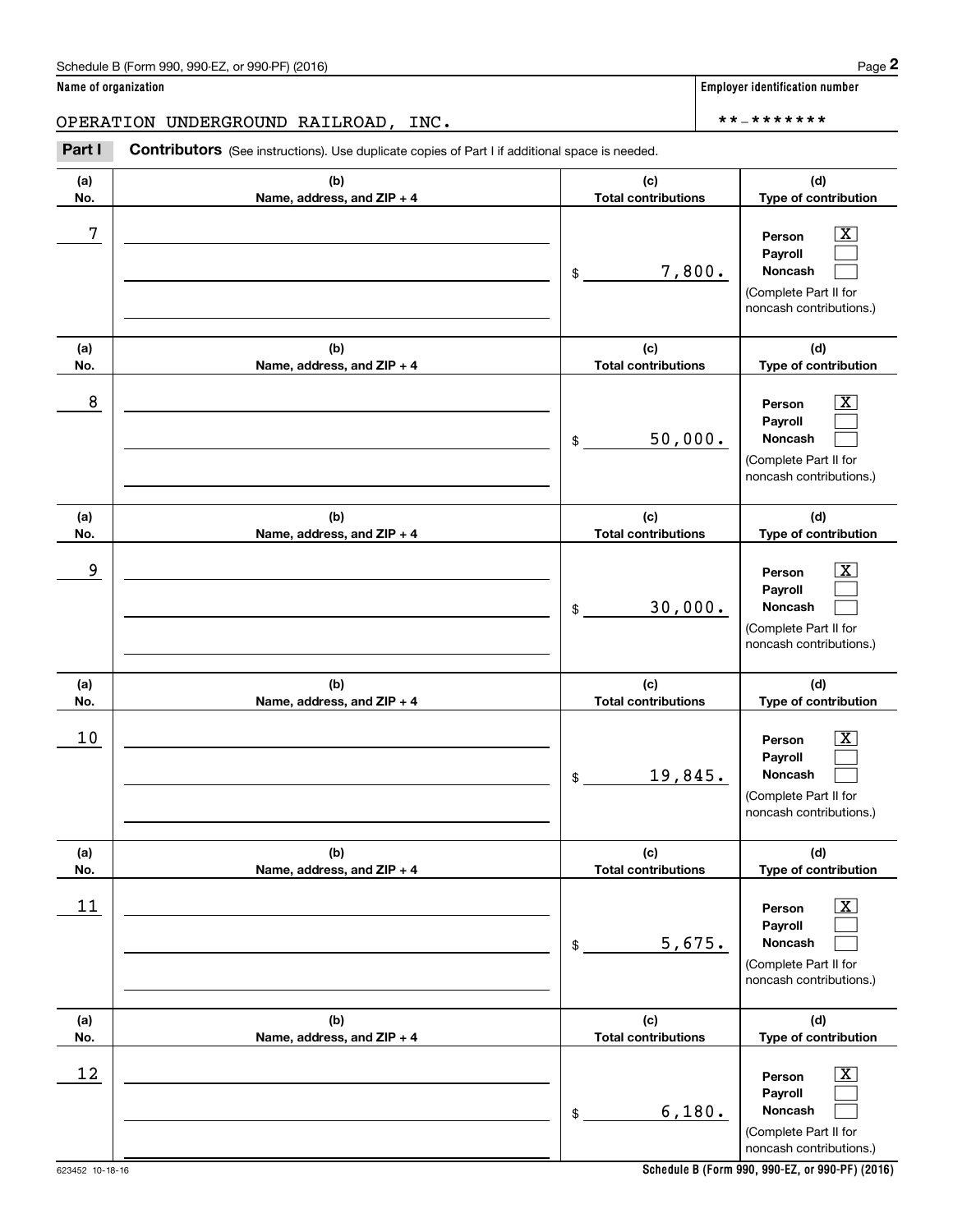| (a)  | (b)                        | (c)                        | (d)                                                                                                       |
|------|----------------------------|----------------------------|-----------------------------------------------------------------------------------------------------------|
| No.  | Name, address, and ZIP + 4 | <b>Total contributions</b> | Type of contribution                                                                                      |
| 7    |                            | 7,800.<br>\$               | X<br>Person<br>Payroll<br>Noncash<br>(Complete Part II for<br>noncash contributions.)                     |
| (a)  | (b)                        | (c)                        | (d)                                                                                                       |
| No.  | Name, address, and ZIP + 4 | <b>Total contributions</b> | Type of contribution                                                                                      |
| 8    |                            | 50,000.<br>\$              | X<br>Person<br>Payroll<br>Noncash<br>(Complete Part II for<br>noncash contributions.)                     |
| (a)  | (b)                        | (c)                        | (d)                                                                                                       |
| No.  | Name, address, and ZIP + 4 | <b>Total contributions</b> | Type of contribution                                                                                      |
| 9    |                            | 30,000.<br>$$\circ$$       | х<br>Person<br>Payroll<br>Noncash<br>(Complete Part II for<br>noncash contributions.)                     |
| (a)  | (b)                        | (c)                        | (d)                                                                                                       |
| No.  | Name, address, and ZIP + 4 | <b>Total contributions</b> | Type of contribution                                                                                      |
| 10   |                            | 19,845.<br>\$              | x<br>Person<br>Payroll<br>Noncash<br>(Complete Part II for<br>noncash contributions.)                     |
| (a)  | (b)                        | (c)                        | (d)                                                                                                       |
| No.  | Name, address, and ZIP + 4 | <b>Total contributions</b> | Type of contribution                                                                                      |
| $11$ |                            | 5,675.<br>\$               | $\overline{\text{X}}$<br>Person<br>Payroll<br>Noncash<br>(Complete Part II for<br>noncash contributions.) |
| (a)  | (b)                        | (c)                        | (d)                                                                                                       |
| No.  | Name, address, and ZIP + 4 | <b>Total contributions</b> | Type of contribution                                                                                      |
| 12   |                            | 6,180.<br>\$               | $\overline{\text{X}}$<br>Person<br>Payroll<br>Noncash<br>(Complete Part II for<br>noncash contributions.) |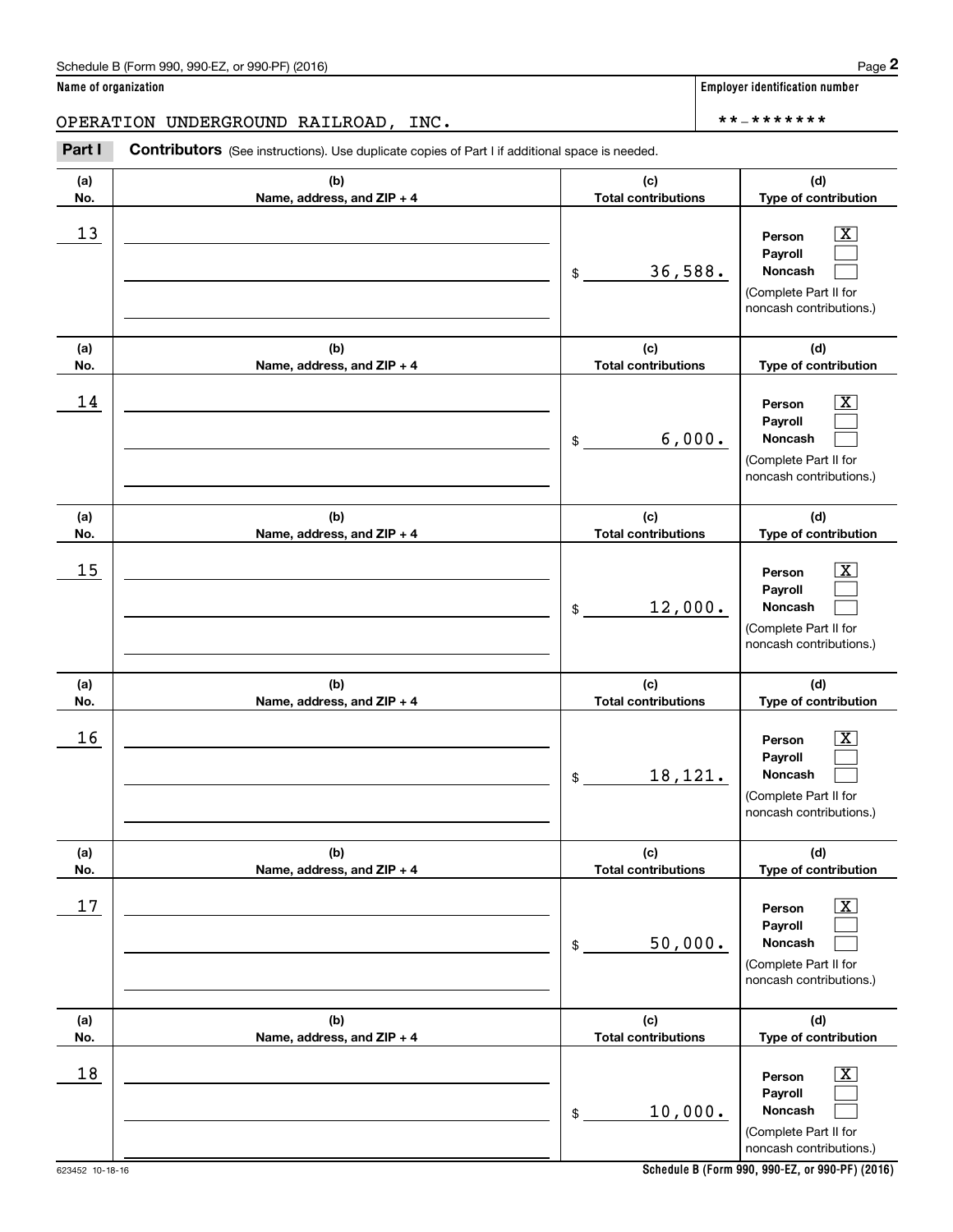Chedule B (Form 990, 990-EZ, or 990-PF) (2016)<br> **2 ame of organization**<br> **2 PERATION UNDERGROUND RAILROAD, INC.**<br> **Part I Contributors** (See instructions). Use duplicate copies of Part I if additional space is needed.

| (a)<br>No. | (b)<br>Name, address, and ZIP + 4 | (c)<br><b>Total contributions</b> | (d)<br>Type of contribution                                                                                 |
|------------|-----------------------------------|-----------------------------------|-------------------------------------------------------------------------------------------------------------|
| 13         |                                   | 36,588.<br>\$                     | $\overline{\mathbf{X}}$<br>Person<br>Payroll<br>Noncash<br>(Complete Part II for<br>noncash contributions.) |
| (a)<br>No. | (b)<br>Name, address, and ZIP + 4 | (c)<br><b>Total contributions</b> | (d)<br>Type of contribution                                                                                 |
| 14         |                                   | 6,000.<br>$\frac{1}{2}$           | $\overline{\mathbf{X}}$<br>Person<br>Payroll<br>Noncash<br>(Complete Part II for<br>noncash contributions.) |
| (a)<br>No. | (b)<br>Name, address, and ZIP + 4 | (c)<br><b>Total contributions</b> | (d)<br>Type of contribution                                                                                 |
| 15         |                                   | 12,000.<br>$\frac{1}{2}$          | $\boxed{\text{X}}$<br>Person<br>Payroll<br>Noncash<br>(Complete Part II for<br>noncash contributions.)      |
| (a)<br>No. | (b)<br>Name, address, and ZIP + 4 | (c)<br><b>Total contributions</b> | (d)<br>Type of contribution                                                                                 |
| 16         |                                   | 18,121.<br>$\frac{1}{2}$          | $\boxed{\text{X}}$<br>Person<br>Payroll<br>Noncash<br>(Complete Part II for<br>noncash contributions.)      |
| (a)<br>No. | (b)<br>Name, address, and ZIP + 4 | (c)<br><b>Total contributions</b> | (d)<br>Type of contribution                                                                                 |
| $17$       |                                   | 50,000.<br>$\$$                   | $\overline{\texttt{X}}$<br>Person<br>Payroll<br>Noncash<br>(Complete Part II for<br>noncash contributions.) |
| (a)<br>No. | (b)<br>Name, address, and ZIP + 4 | (c)<br><b>Total contributions</b> | (d)<br>Type of contribution                                                                                 |
| 18         |                                   | 10,000.<br>$\$$                   | $\overline{\mathbf{x}}$<br>Person<br>Payroll<br>Noncash<br>(Complete Part II for                            |

**Schedule B (Form 990, 990-EZ, or 990-PF) (2016)**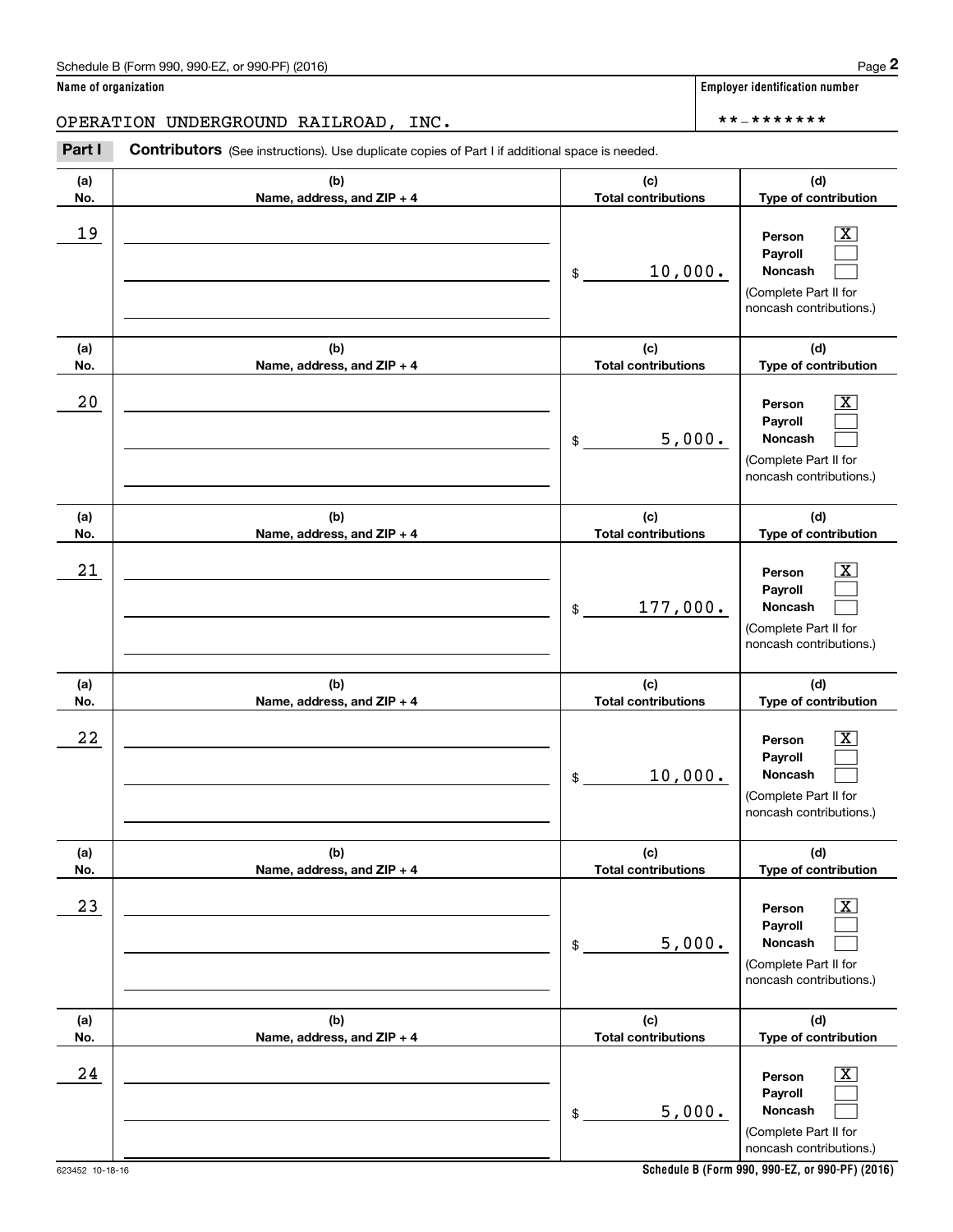| (a)<br>No. | (b)<br>Name, address, and ZIP + 4 | (c)<br><b>Total contributions</b> | (d)<br>Type of contribution                                                                                        |
|------------|-----------------------------------|-----------------------------------|--------------------------------------------------------------------------------------------------------------------|
| 19         |                                   | 10,000.<br>\$                     | $\overline{\texttt{X}}$<br>Person<br>Payroll<br><b>Noncash</b><br>(Complete Part II for<br>noncash contributions.) |
| (a)<br>No. | (b)<br>Name, address, and ZIP + 4 | (c)<br><b>Total contributions</b> | (d)<br>Type of contribution                                                                                        |
| 20         |                                   | 5,000.<br>\$                      | $\overline{\texttt{X}}$<br>Person<br>Payroll<br>Noncash<br>(Complete Part II for<br>noncash contributions.)        |
| (a)<br>No. | (b)<br>Name, address, and ZIP + 4 | (c)<br><b>Total contributions</b> | (d)<br>Type of contribution                                                                                        |
| 21         |                                   | 177,000.<br>\$                    | $\overline{\texttt{x}}$<br>Person<br>Payroll<br>Noncash<br>(Complete Part II for<br>noncash contributions.)        |
| (a)<br>No. | (b)<br>Name, address, and ZIP + 4 | (c)<br><b>Total contributions</b> | (d)<br>Type of contribution                                                                                        |
| 22         |                                   | 10,000.<br>\$                     | $\overline{\texttt{x}}$<br>Person<br>Payroll<br>Noncash<br>(Complete Part II for<br>noncash contributions.)        |
| (a)<br>No. | (b)<br>Name, address, and ZIP + 4 | (c)<br><b>Total contributions</b> | (d)<br>Type of contribution                                                                                        |
| 23         |                                   | 5,000.<br>\$                      | $\overline{\text{X}}$<br>Person<br>Payroll<br>Noncash<br>(Complete Part II for<br>noncash contributions.)          |
| (a)<br>No. | (b)<br>Name, address, and ZIP + 4 | (c)<br><b>Total contributions</b> | (d)<br>Type of contribution                                                                                        |
| 24         |                                   | 5,000.<br>\$                      | $\overline{\texttt{X}}$<br>Person<br>Payroll<br>Noncash<br>(Complete Part II for<br>noncash contributions.)        |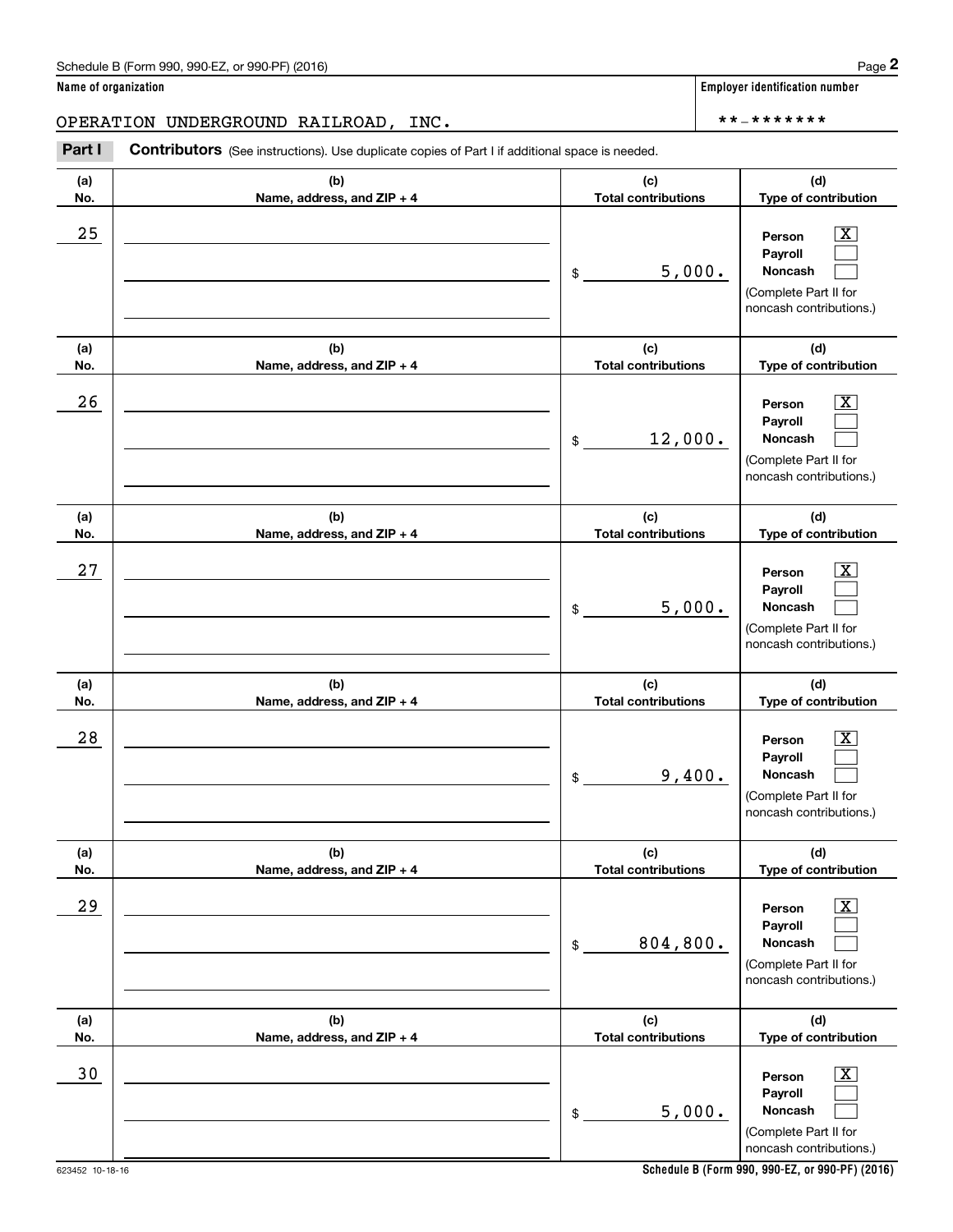| (a)<br>No. | (b)<br>Name, address, and ZIP + 4 | (c)<br><b>Total contributions</b> | (d)<br>Type of contribution                                                                                 |
|------------|-----------------------------------|-----------------------------------|-------------------------------------------------------------------------------------------------------------|
| 25         |                                   | 5,000.<br>$\frac{1}{2}$           | $\mathbf{X}$<br>Person<br>Payroll<br>Noncash<br>(Complete Part II for<br>noncash contributions.)            |
| (a)<br>No. | (b)<br>Name, address, and ZIP + 4 | (c)<br><b>Total contributions</b> | (d)<br>Type of contribution                                                                                 |
| 26         |                                   | 12,000.<br>$\frac{1}{2}$          | $\overline{\mathbf{x}}$<br>Person<br>Payroll<br>Noncash<br>(Complete Part II for<br>noncash contributions.) |
| (a)<br>No. | (b)<br>Name, address, and ZIP + 4 | (c)<br><b>Total contributions</b> | (d)<br>Type of contribution                                                                                 |
| 27         |                                   | 5,000.<br>$\frac{1}{2}$           | $\overline{\mathbf{X}}$<br>Person<br>Payroll<br>Noncash<br>(Complete Part II for<br>noncash contributions.) |
| (a)<br>No. | (b)<br>Name, address, and ZIP + 4 | (c)<br><b>Total contributions</b> | (d)<br>Type of contribution                                                                                 |
| 28         |                                   | 9,400.<br>$\frac{1}{2}$           | $\mathbf{X}$<br>Person<br>Payroll<br>Noncash<br>(Complete Part II for<br>noncash contributions.)            |
| (a)<br>No. | (b)<br>Name, address, and ZIP + 4 | (c)<br><b>Total contributions</b> | (d)<br>Type of contribution                                                                                 |
| 29         |                                   | 804,800.<br>\$                    | $\overline{\mathbf{X}}$<br>Person<br>Payroll<br>Noncash<br>(Complete Part II for<br>noncash contributions.) |
| (a)<br>No. | (b)<br>Name, address, and ZIP + 4 | (c)<br><b>Total contributions</b> | (d)<br>Type of contribution                                                                                 |
| $30$       |                                   | 5,000.<br>\$                      | $\boxed{\text{X}}$<br>Person<br>Payroll<br>Noncash<br>(Complete Part II for<br>noncash contributions.)      |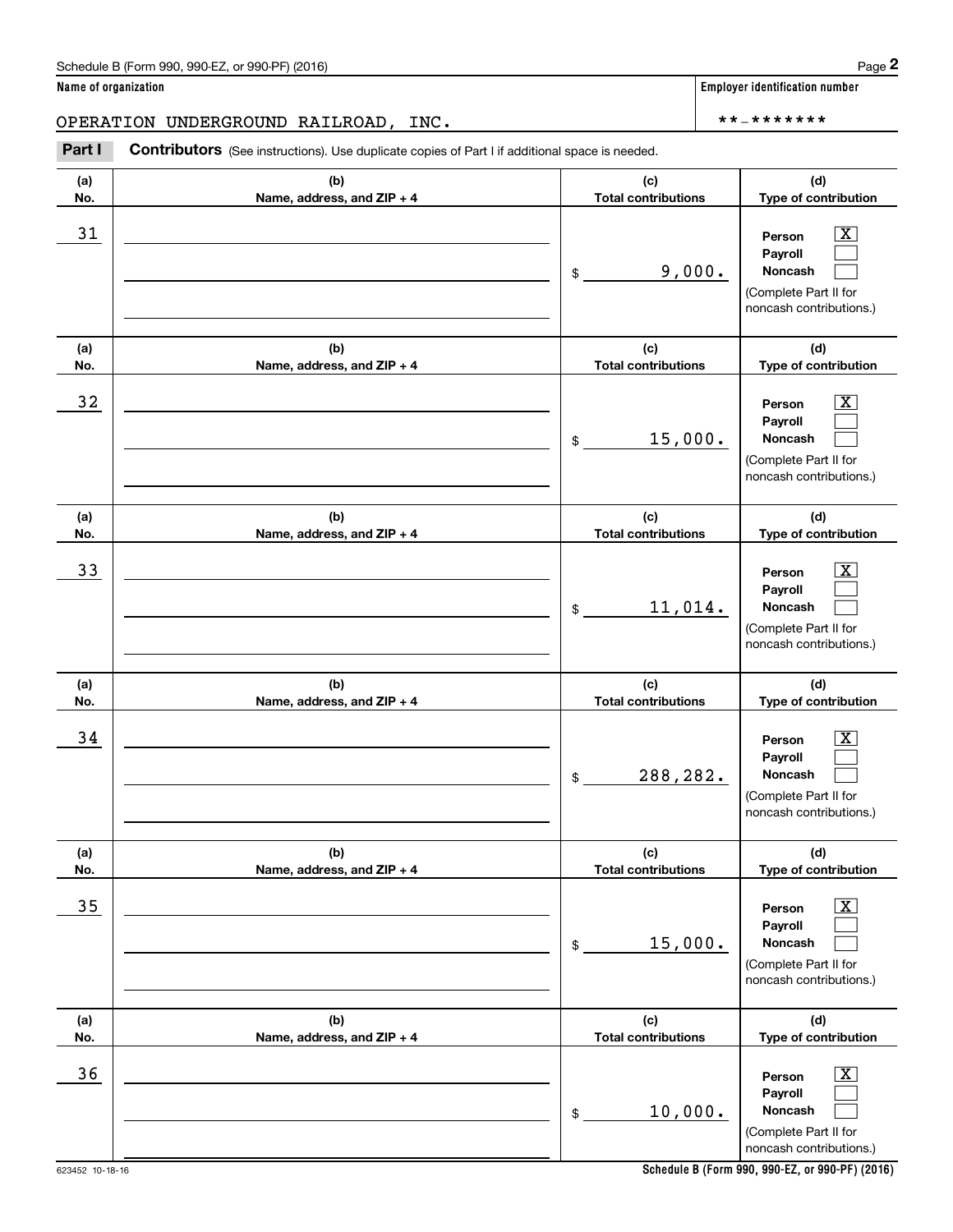| (a)<br>No. | (b)<br>Name, address, and ZIP + 4 | (c)<br><b>Total contributions</b> | (d)<br>Type of contribution                                                                                   |
|------------|-----------------------------------|-----------------------------------|---------------------------------------------------------------------------------------------------------------|
| 31         |                                   | 9,000.<br>\$                      | $\boxed{\text{X}}$<br>Person<br>Payroll<br><b>Noncash</b><br>(Complete Part II for<br>noncash contributions.) |
| (a)<br>No. | (b)<br>Name, address, and ZIP + 4 | (c)<br><b>Total contributions</b> | (d)<br>Type of contribution                                                                                   |
| 32         |                                   | 15,000.<br>\$                     | $\boxed{\text{X}}$<br>Person<br>Payroll<br>Noncash<br>(Complete Part II for<br>noncash contributions.)        |
| (a)<br>No. | (b)<br>Name, address, and ZIP + 4 | (c)<br><b>Total contributions</b> | (d)<br>Type of contribution                                                                                   |
| 33         |                                   | 11,014.<br>\$                     | $\boxed{\text{X}}$<br>Person<br>Payroll<br>Noncash<br>(Complete Part II for<br>noncash contributions.)        |
| (a)<br>No. | (b)<br>Name, address, and ZIP + 4 | (c)<br><b>Total contributions</b> | (d)<br>Type of contribution                                                                                   |
| 34         |                                   | 288,282.<br>\$                    | $\boxed{\text{X}}$<br>Person<br>Payroll<br>Noncash<br>(Complete Part II for<br>noncash contributions.)        |
| (a)<br>No. | (b)<br>Name, address, and ZIP + 4 | (c)<br><b>Total contributions</b> | (d)<br>Type of contribution                                                                                   |
| 35         |                                   | 15,000.<br>\$                     | $\boxed{\text{X}}$<br>Person<br>Payroll<br>Noncash<br>(Complete Part II for<br>noncash contributions.)        |
| (a)<br>No. | (b)<br>Name, address, and ZIP + 4 | (c)<br><b>Total contributions</b> | (d)<br>Type of contribution                                                                                   |
| 36         |                                   | 10,000.<br>\$                     | $\boxed{\text{X}}$<br>Person<br>Payroll<br>Noncash<br>(Complete Part II for<br>noncash contributions.)        |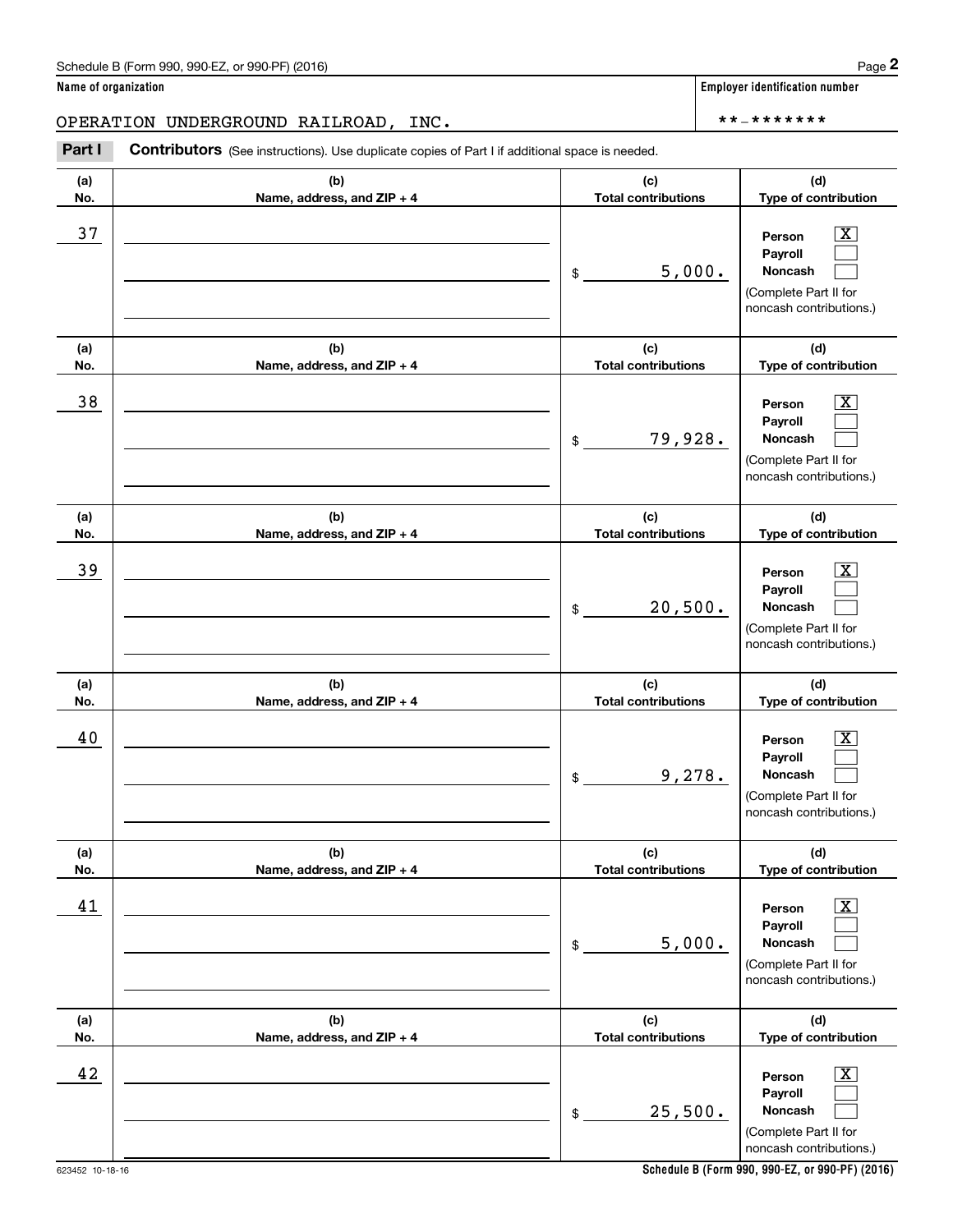Chedule B (Form 990, 990-EZ, or 990-PF) (2016)<br> **2 ame of organization**<br> **2 PERATION UNDERGROUND RAILROAD, INC.**<br> **Part I Contributors** (See instructions). Use duplicate copies of Part I if additional space is needed.

| (a)<br>No. | (b)<br>Name, address, and ZIP + 4 | (c)<br><b>Total contributions</b> | (d)<br>Type of contribution                                                                                 |
|------------|-----------------------------------|-----------------------------------|-------------------------------------------------------------------------------------------------------------|
| 37         |                                   | 5,000.<br>\$                      | $\overline{\mathbf{x}}$<br>Person<br>Payroll<br>Noncash<br>(Complete Part II for<br>noncash contributions.) |
| (a)<br>No. | (b)<br>Name, address, and ZIP + 4 | (c)<br><b>Total contributions</b> | (d)<br>Type of contribution                                                                                 |
| 38         |                                   | 79,928.<br>\$                     | $\overline{\mathbf{x}}$<br>Person<br>Payroll<br>Noncash<br>(Complete Part II for<br>noncash contributions.) |
| (a)<br>No. | (b)<br>Name, address, and ZIP + 4 | (c)<br><b>Total contributions</b> | (d)<br>Type of contribution                                                                                 |
| 39         |                                   | 20,500.<br>\$                     | $\overline{\text{X}}$<br>Person<br>Payroll<br>Noncash<br>(Complete Part II for<br>noncash contributions.)   |
| (a)<br>No. | (b)<br>Name, address, and ZIP + 4 | (c)<br><b>Total contributions</b> | (d)<br>Type of contribution                                                                                 |
| 40         |                                   | 9,278.<br>$\mathsf{\$}$           | $\overline{\text{X}}$<br>Person<br>Payroll<br>Noncash<br>(Complete Part II for<br>noncash contributions.)   |
| (a)<br>No. | (b)<br>Name, address, and ZIP + 4 | (c)<br><b>Total contributions</b> | (d)<br>Type of contribution                                                                                 |
| 41         |                                   | 5,000.<br>\$                      | $\overline{\texttt{x}}$<br>Person<br>Payroll<br>Noncash<br>(Complete Part II for<br>noncash contributions.) |
| (a)<br>No. | (b)<br>Name, address, and ZIP + 4 | (c)<br><b>Total contributions</b> | (d)<br>Type of contribution                                                                                 |
| 42         |                                   | 25,500.<br>\$                     | $\overline{\text{X}}$<br>Person<br>Payroll<br>Noncash<br>(Complete Part II for<br>noncash contributions.)   |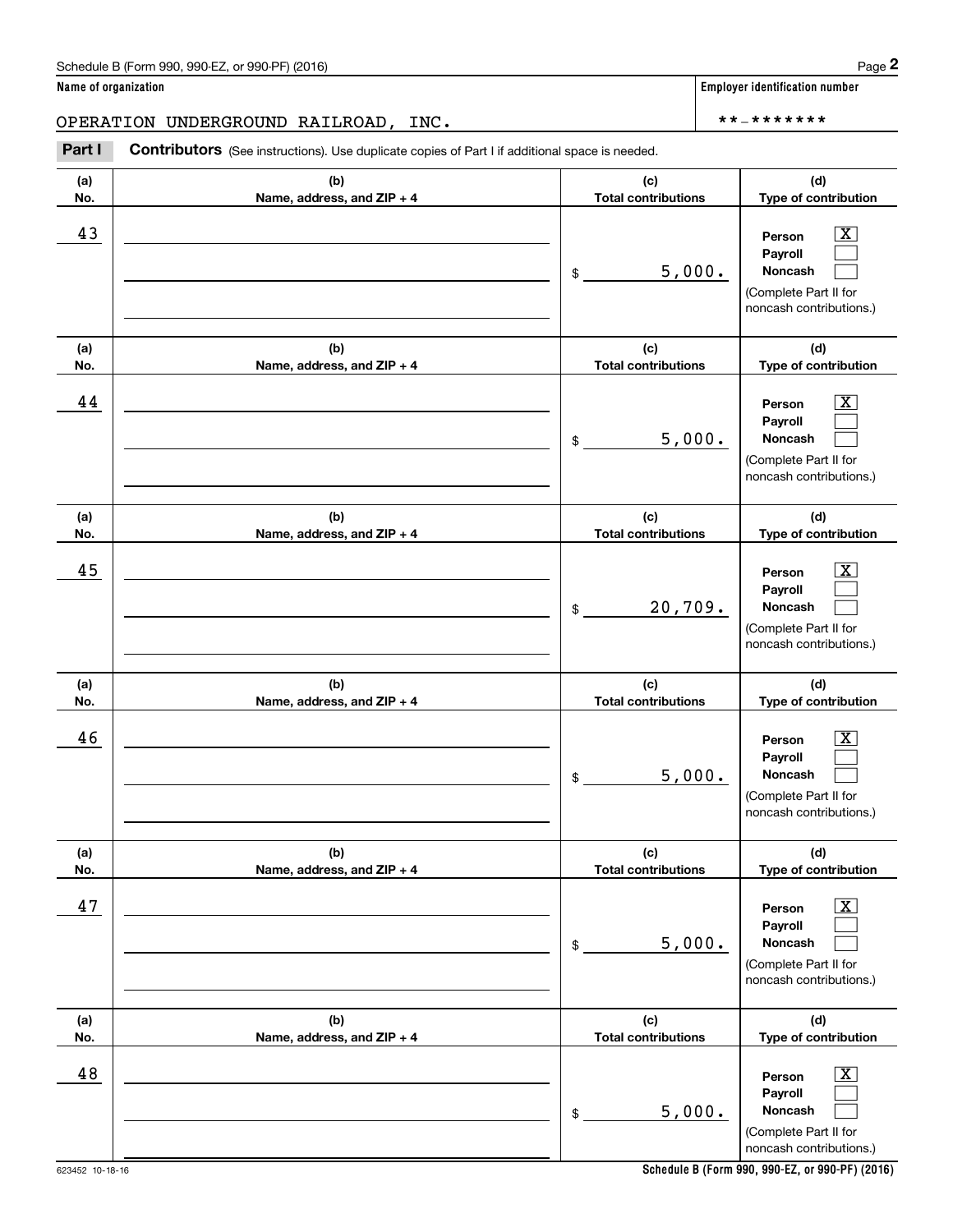| (a) | (b)                        | (c)                        | (d)                                                                                                    |
|-----|----------------------------|----------------------------|--------------------------------------------------------------------------------------------------------|
| No. | Name, address, and ZIP + 4 | <b>Total contributions</b> | Type of contribution                                                                                   |
| 43  |                            | 5,000.<br>$\frac{1}{2}$    | $\mathbf{X}$<br>Person<br>Payroll<br>Noncash<br>(Complete Part II for<br>noncash contributions.)       |
| (a) | (b)                        | (c)                        | (d)                                                                                                    |
| No. | Name, address, and ZIP + 4 | <b>Total contributions</b> | Type of contribution                                                                                   |
| 44  |                            | 5,000.<br>$\mathsf{\$}$    | $\mathbf{X}$<br>Person<br>Payroll<br>Noncash<br>(Complete Part II for<br>noncash contributions.)       |
| (a) | (b)                        | (c)                        | (d)                                                                                                    |
| No. | Name, address, and ZIP + 4 | <b>Total contributions</b> | Type of contribution                                                                                   |
| 45  |                            | 20,709.<br>\$              | $\mathbf{X}$<br>Person<br>Payroll<br>Noncash<br>(Complete Part II for<br>noncash contributions.)       |
| (a) | (b)                        | (c)                        | (d)                                                                                                    |
| No. | Name, address, and ZIP + 4 | <b>Total contributions</b> | Type of contribution                                                                                   |
| 46  |                            | 5,000.<br>$\mathsf{\$}$    | $\mathbf{X}$<br>Person<br>Payroll<br>Noncash<br>(Complete Part II for<br>noncash contributions.)       |
| (a) | (b)                        | (c)                        | (d)                                                                                                    |
| No. | Name, address, and ZIP + 4 | <b>Total contributions</b> | Type of contribution                                                                                   |
| 47  |                            | 5,000.<br>$$\mathbb{S}$$   | $\boxed{\text{X}}$<br>Person<br>Payroll<br>Noncash<br>(Complete Part II for<br>noncash contributions.) |
| (a) | (b)                        | (c)                        | (d)                                                                                                    |
| No. | Name, address, and ZIP + 4 | <b>Total contributions</b> | Type of contribution                                                                                   |
| 48  |                            | 5,000.<br>\$               | $\boxed{\text{X}}$<br>Person<br>Payroll<br>Noncash<br>(Complete Part II for<br>noncash contributions.) |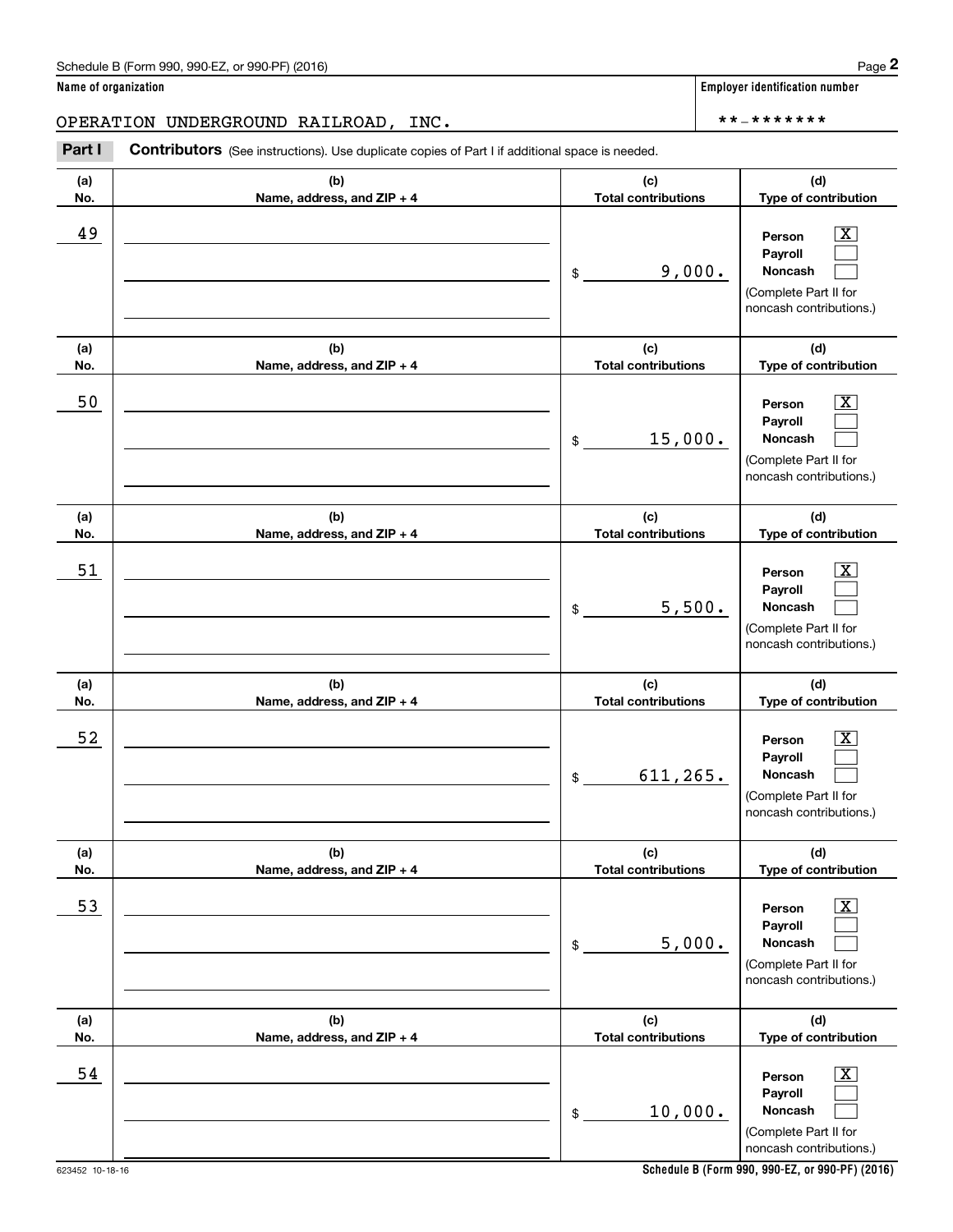Chedule B (Form 990, 990-EZ, or 990-PF) (2016)<br> **2 ame of organization**<br> **2 PERATION UNDERGROUND RAILROAD, INC.**<br> **Part I Contributors** (See instructions). Use duplicate copies of Part I if additional space is needed.

| (a)<br>No. | (b)<br>Name, address, and ZIP + 4 | (c)<br><b>Total contributions</b> | (d)<br>Type of contribution                                                                                    |
|------------|-----------------------------------|-----------------------------------|----------------------------------------------------------------------------------------------------------------|
| 49         |                                   | 9,000.<br>\$                      | $\boxed{\text{X}}$<br>Person<br>Payroll<br>Noncash<br>(Complete Part II for<br>noncash contributions.)         |
| (a)<br>No. | (b)<br>Name, address, and ZIP + 4 | (c)<br><b>Total contributions</b> | (d)<br>Type of contribution                                                                                    |
| 50         |                                   | 15,000.<br>$$\circ$$              | $\lfloor x \rfloor$<br>Person<br>Payroll<br>Noncash<br>(Complete Part II for<br>noncash contributions.)        |
| (a)<br>No. | (b)<br>Name, address, and ZIP + 4 | (c)<br><b>Total contributions</b> | (d)<br>Type of contribution                                                                                    |
| 51         |                                   | 5,500.<br>\$                      | $\boxed{\text{X}}$<br>Person<br>Payroll<br>Noncash<br>(Complete Part II for<br>noncash contributions.)         |
| (a)<br>No. | (b)<br>Name, address, and ZIP + 4 | (c)<br><b>Total contributions</b> | (d)<br>Type of contribution                                                                                    |
| 52         |                                   | 611, 265.<br>\$                   | $\lfloor x \rfloor$<br>Person<br>Payroll<br><b>Noncash</b><br>(Complete Part II for<br>noncash contributions.) |
| (a)<br>No. | (b)<br>Name, address, and ZIP + 4 | (c)<br><b>Total contributions</b> | (d)<br>Type of contribution                                                                                    |
| <u>53</u>  |                                   | 5,000.<br>\$                      | $\boxed{\text{X}}$<br>Person<br>Payroll<br>Noncash<br>(Complete Part II for<br>noncash contributions.)         |
| (a)<br>No. | (b)<br>Name, address, and ZIP + 4 | (c)<br><b>Total contributions</b> | (d)<br>Type of contribution                                                                                    |
| 54         |                                   | 10,000.<br>\$                     | $\boxed{\text{X}}$<br>Person<br>Payroll<br>Noncash<br>(Complete Part II for<br>noncash contributions.)         |

**Name of organization Employer identification number**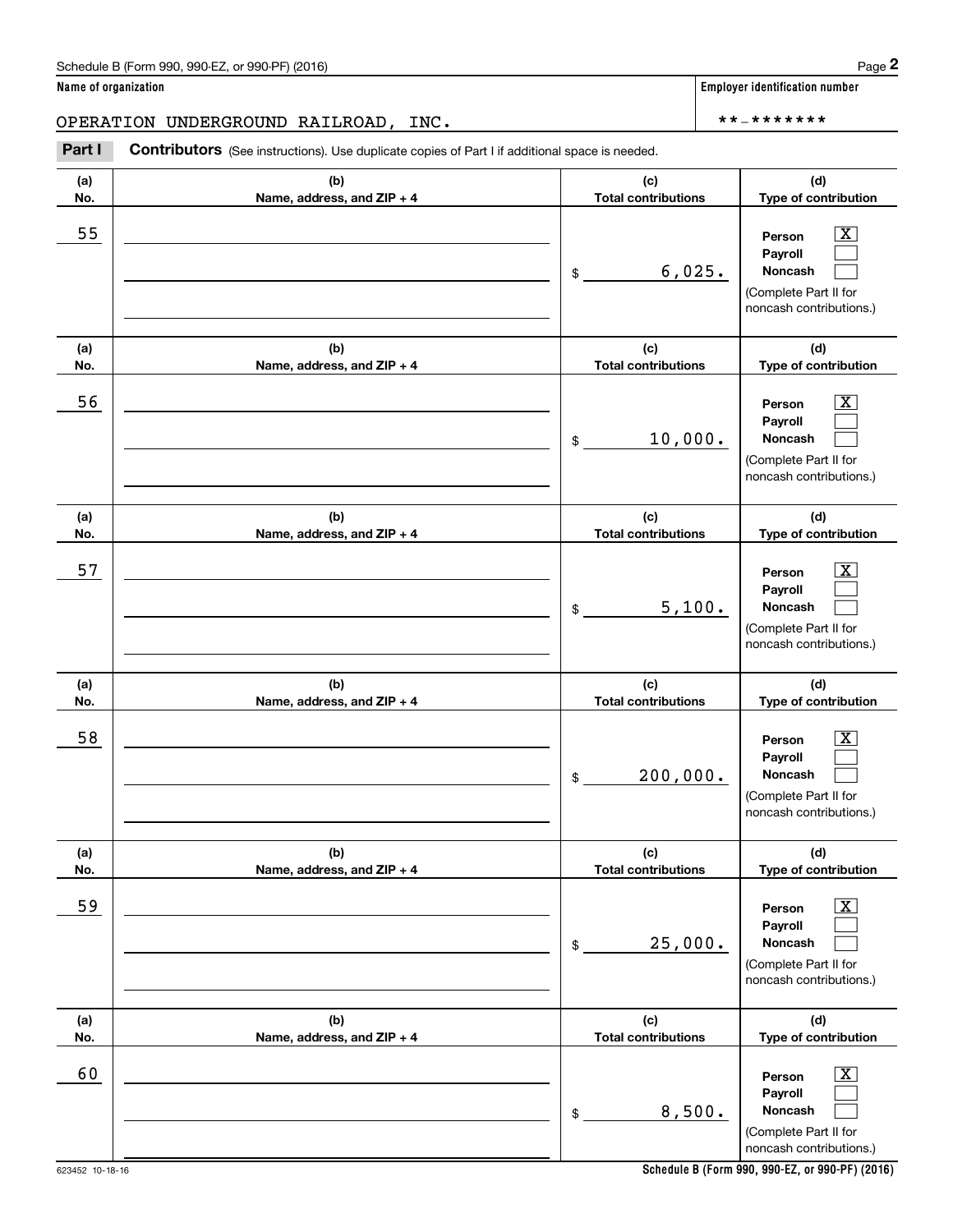| (a)<br>No. | (b)<br>Name, address, and ZIP + 4 | (c)<br><b>Total contributions</b> | (d)<br>Type of contribution                                                                                      |
|------------|-----------------------------------|-----------------------------------|------------------------------------------------------------------------------------------------------------------|
| 55         |                                   | 6,025.<br>$\frac{1}{2}$           | $\overline{\text{X}}$<br>Person<br>Payroll<br>Noncash<br>(Complete Part II for<br>noncash contributions.)        |
| (a)<br>No. | (b)<br>Name, address, and ZIP + 4 | (c)<br><b>Total contributions</b> | (d)<br>Type of contribution                                                                                      |
| 56         |                                   | 10,000.<br>$\mathsf{\$}$          | $\overline{\mathbf{x}}$<br>Person<br>Payroll<br>Noncash<br>(Complete Part II for<br>noncash contributions.)      |
| (a)<br>No. | (b)<br>Name, address, and ZIP + 4 | (c)<br><b>Total contributions</b> | (d)<br>Type of contribution                                                                                      |
| 57         |                                   | 5,100.<br>$\frac{1}{2}$           | $\overline{\mathbf{x}}$<br>Person<br>Payroll<br>Noncash<br>(Complete Part II for<br>noncash contributions.)      |
| (a)<br>No. | (b)<br>Name, address, and ZIP + 4 | (c)<br><b>Total contributions</b> | (d)<br>Type of contribution                                                                                      |
| 58         |                                   | 200,000.<br>\$                    | $\overline{\text{X}}$<br>Person<br>Payroll<br><b>Noncash</b><br>(Complete Part II for<br>noncash contributions.) |
| (a)<br>No. | (b)<br>Name, address, and ZIP + 4 | (c)<br><b>Total contributions</b> | (d)<br>Type of contribution                                                                                      |
| <u>59</u>  |                                   | 25,000.<br>\$                     | $\boxed{\text{X}}$<br>Person<br>Payroll<br>Noncash<br>(Complete Part II for<br>noncash contributions.)           |
| (a)<br>No. | (b)<br>Name, address, and ZIP + 4 | (c)<br><b>Total contributions</b> | (d)<br>Type of contribution                                                                                      |
| 60         |                                   | 8,500.<br>\$                      | $\boxed{\text{X}}$<br>Person<br>Payroll<br>Noncash                                                               |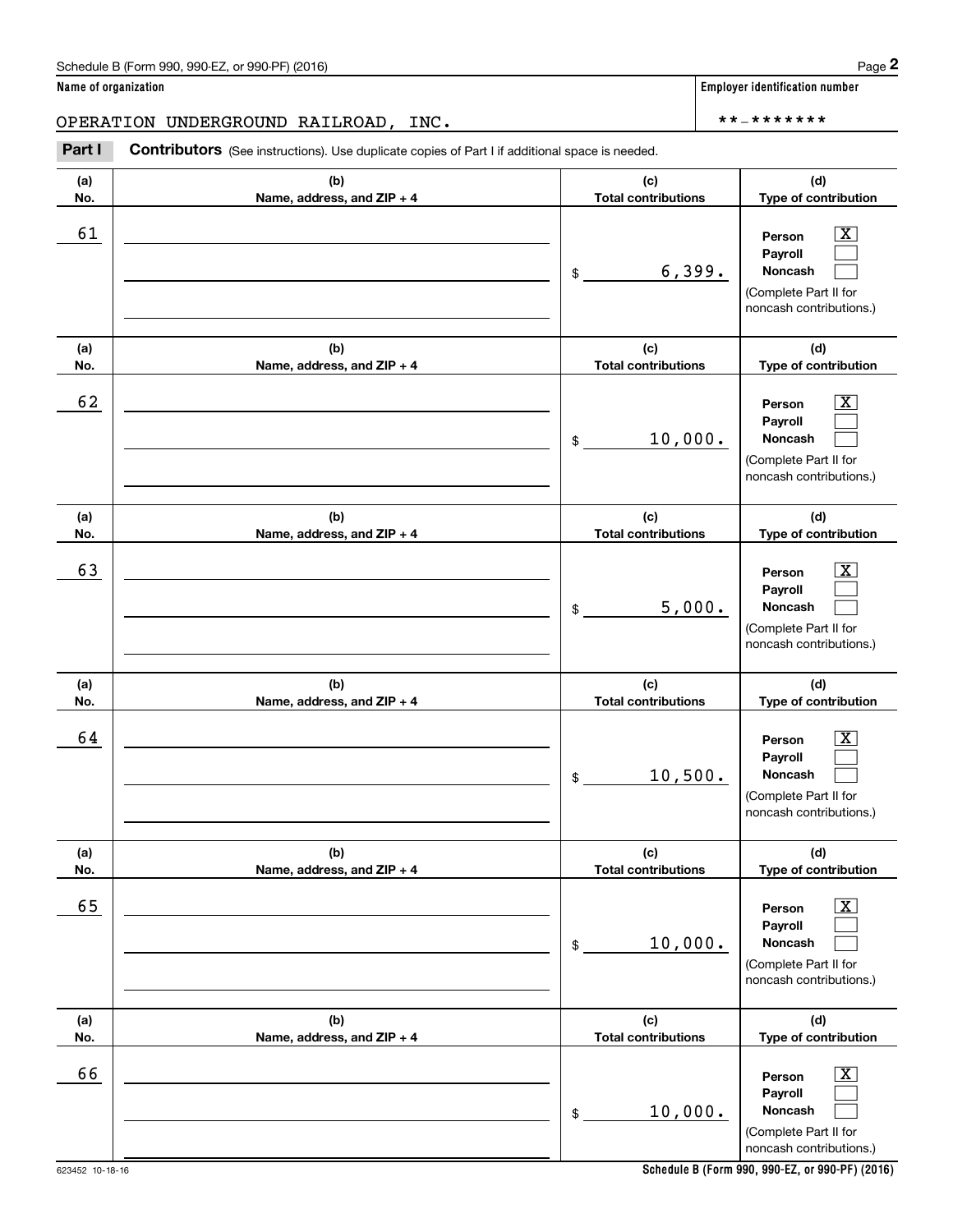Chedule B (Form 990, 990-EZ, or 990-PF) (2016)<br> **2 ame of organization**<br> **2 PERATION UNDERGROUND RAILROAD, INC.**<br> **Part I Contributors** (See instructions). Use duplicate copies of Part I if additional space is needed.

| (a)<br>No. | (b)<br>Name, address, and ZIP + 4 | (c)<br><b>Total contributions</b> | (d)<br>Type of contribution                                                                                    |
|------------|-----------------------------------|-----------------------------------|----------------------------------------------------------------------------------------------------------------|
| 61         |                                   | 6,399.<br>\$                      | $\boxed{\text{X}}$<br>Person<br>Payroll<br><b>Noncash</b><br>(Complete Part II for<br>noncash contributions.)  |
| (a)<br>No. | (b)<br>Name, address, and ZIP + 4 | (c)<br><b>Total contributions</b> | (d)<br>Type of contribution                                                                                    |
| 62         |                                   | 10,000.<br>$$\tilde{}}$           | $\lfloor x \rfloor$<br>Person<br>Payroll<br>Noncash<br>(Complete Part II for<br>noncash contributions.)        |
| (a)<br>No. | (b)<br>Name, address, and ZIP + 4 | (c)<br><b>Total contributions</b> | (d)<br>Type of contribution                                                                                    |
| 63         |                                   | 5,000.<br>\$                      | $\boxed{\text{X}}$<br>Person<br>Payroll<br><b>Noncash</b><br>(Complete Part II for<br>noncash contributions.)  |
| (a)<br>No. | (b)<br>Name, address, and ZIP + 4 | (c)<br><b>Total contributions</b> | (d)<br>Type of contribution                                                                                    |
| 64         |                                   | 10,500.<br>$$\tilde{}}$           | $\lfloor x \rfloor$<br>Person<br>Payroll<br><b>Noncash</b><br>(Complete Part II for<br>noncash contributions.) |
| (a)<br>No. | (b)<br>Name, address, and ZIP + 4 | (c)<br><b>Total contributions</b> | (d)<br>Type of contribution                                                                                    |
| 65         |                                   | 10,000.<br>$\,$                   | $\boxed{\text{X}}$<br>Person<br>Payroll<br>Noncash<br>(Complete Part II for<br>noncash contributions.)         |
| (a)<br>No. | (b)<br>Name, address, and ZIP + 4 | (c)<br><b>Total contributions</b> | (d)<br>Type of contribution                                                                                    |
| 66         |                                   | 10,000.<br>\$                     | $\boxed{\text{X}}$<br>Person<br>Payroll<br>Noncash<br>(Complete Part II for<br>noncash contributions.)         |

**Name of organization Employer identification number**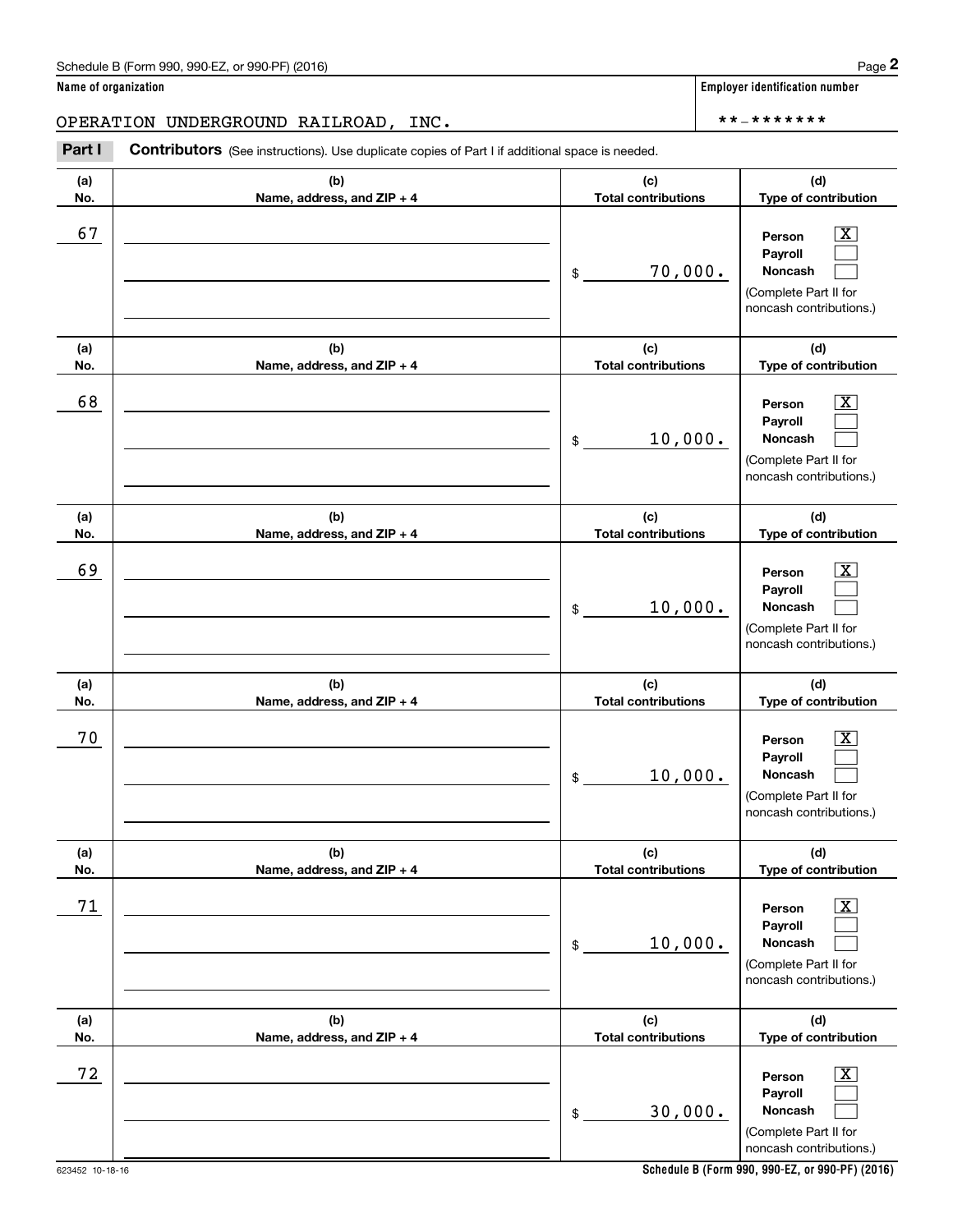Chedule B (Form 990, 990-EZ, or 990-PF) (2016)<br> **2 ame of organization**<br> **2 PERATION UNDERGROUND RAILROAD, INC.**<br> **Part I Contributors** (See instructions). Use duplicate copies of Part I if additional space is needed.

| (a)<br>No. | (b)<br>Name, address, and ZIP + 4 | (c)<br><b>Total contributions</b> | (d)<br>Type of contribution                                                                            |
|------------|-----------------------------------|-----------------------------------|--------------------------------------------------------------------------------------------------------|
| 67         |                                   | 70,000.<br>\$                     | $\boxed{\text{X}}$<br>Person<br>Payroll<br>Noncash<br>(Complete Part II for<br>noncash contributions.) |
| (a)<br>No. | (b)<br>Name, address, and ZIP + 4 | (c)<br><b>Total contributions</b> | (d)<br>Type of contribution                                                                            |
| 68         |                                   | 10,000.<br>\$                     | $\boxed{\text{X}}$<br>Person<br>Payroll<br>Noncash<br>(Complete Part II for<br>noncash contributions.) |
| (a)<br>No. | (b)<br>Name, address, and ZIP + 4 | (c)<br><b>Total contributions</b> | (d)<br>Type of contribution                                                                            |
| 69         |                                   | 10,000.<br>\$                     | $\boxed{\text{X}}$<br>Person<br>Payroll<br>Noncash<br>(Complete Part II for<br>noncash contributions.) |
| (a)<br>No. | (b)<br>Name, address, and ZIP + 4 | (c)<br><b>Total contributions</b> | (d)<br>Type of contribution                                                                            |
| 70         |                                   | 10,000.<br>\$                     | $\boxed{\text{X}}$<br>Person<br>Payroll<br>Noncash<br>(Complete Part II for<br>noncash contributions.) |
| (a)<br>No. | (b)<br>Name, address, and ZIP + 4 | (c)<br><b>Total contributions</b> | (d)<br>Type of contribution                                                                            |
| 71         |                                   | 10,000.<br>\$                     | $\boxed{\text{X}}$<br>Person<br>Payroll<br>Noncash<br>(Complete Part II for<br>noncash contributions.) |
| (a)<br>No. | (b)<br>Name, address, and ZIP + 4 | (c)<br><b>Total contributions</b> | (d)<br>Type of contribution                                                                            |
| 72         |                                   | 30,000.<br>\$                     | $\boxed{\text{X}}$<br>Person<br>Payroll<br>Noncash<br>(Complete Part II for<br>noncash contributions.) |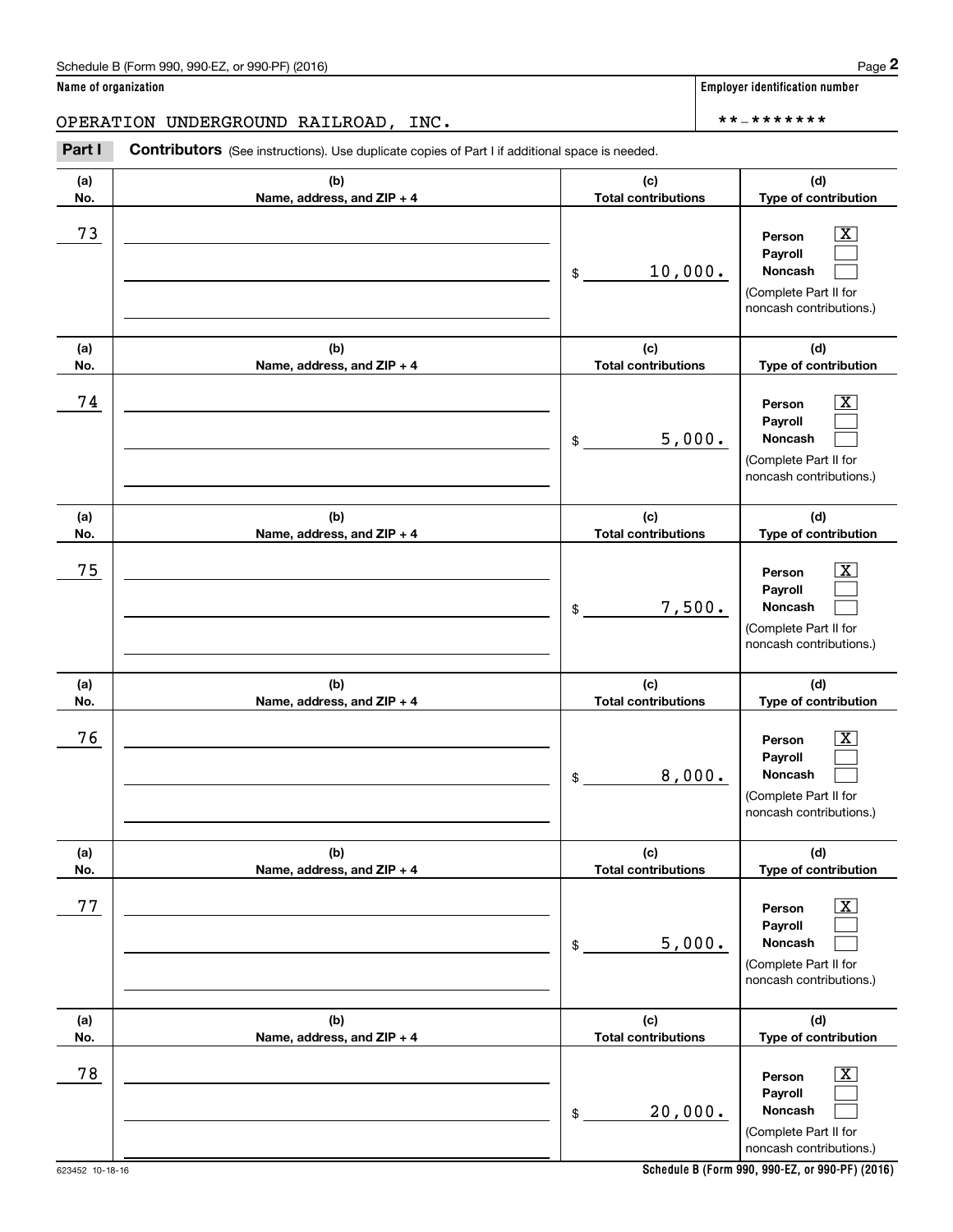Chedule B (Form 990, 990-EZ, or 990-PF) (2016)<br> **2 ame of organization**<br> **2 PERATION UNDERGROUND RAILROAD, INC.**<br> **Part I Contributors** (See instructions). Use duplicate copies of Part I if additional space is needed.

| (a)<br>No. | (b)<br>Name, address, and ZIP + 4 | (c)<br><b>Total contributions</b> | (d)<br>Type of contribution                                                                                   |
|------------|-----------------------------------|-----------------------------------|---------------------------------------------------------------------------------------------------------------|
| 73         |                                   | 10,000.<br>\$                     | $\boxed{\text{X}}$<br>Person<br>Payroll<br><b>Noncash</b><br>(Complete Part II for<br>noncash contributions.) |
| (a)<br>No. | (b)<br>Name, address, and ZIP + 4 | (c)<br><b>Total contributions</b> | (d)<br>Type of contribution                                                                                   |
| 74         |                                   | 5,000.<br>\$                      | $\boxed{\text{X}}$<br>Person<br>Payroll<br>Noncash<br>(Complete Part II for<br>noncash contributions.)        |
| (a)<br>No. | (b)<br>Name, address, and ZIP + 4 | (c)<br><b>Total contributions</b> | (d)<br>Type of contribution                                                                                   |
| 75         |                                   | 7,500.<br>\$                      | $\boxed{\text{X}}$<br>Person<br>Payroll<br>Noncash<br>(Complete Part II for<br>noncash contributions.)        |
| (a)<br>No. | (b)<br>Name, address, and ZIP + 4 | (c)<br><b>Total contributions</b> | (d)<br>Type of contribution                                                                                   |
| 76         |                                   | 8,000.<br>\$                      | $\boxed{\text{X}}$<br>Person<br>Payroll<br>Noncash<br>(Complete Part II for<br>noncash contributions.)        |
| (a)<br>No. | (b)<br>Name, address, and ZIP + 4 | (c)<br><b>Total contributions</b> | (d)<br>Type of contribution                                                                                   |
| 77         |                                   | 5,000.<br>\$                      | $\boxed{\text{X}}$<br>Person<br>Payroll<br>Noncash<br>(Complete Part II for<br>noncash contributions.)        |
| (a)<br>No. | (b)<br>Name, address, and ZIP + 4 | (c)<br><b>Total contributions</b> | (d)<br>Type of contribution                                                                                   |
| 78         |                                   | 20,000.<br>\$                     | $\boxed{\text{X}}$<br>Person<br>Payroll<br>Noncash<br>(Complete Part II for<br>noncash contributions.)        |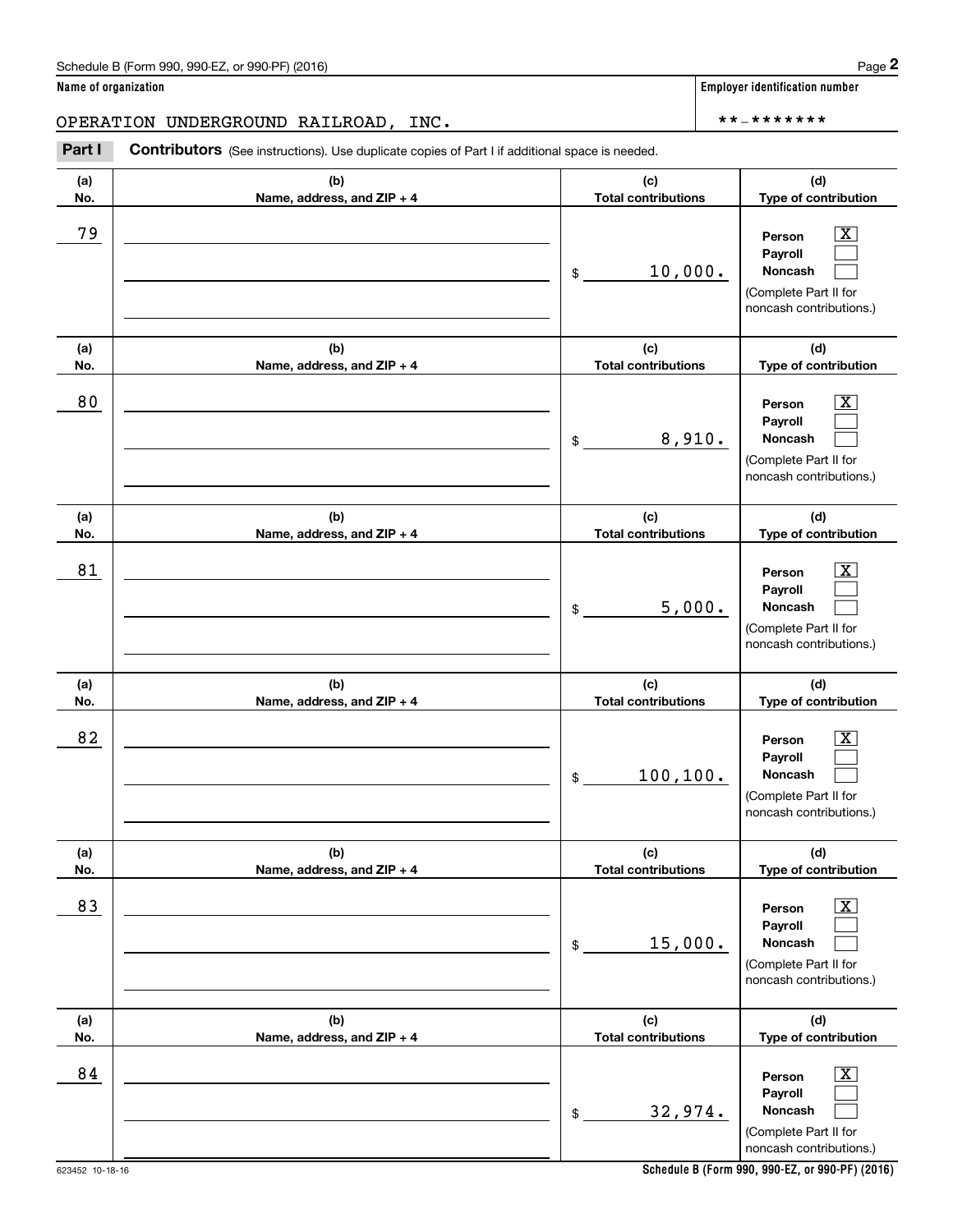Chedule B (Form 990, 990-EZ, or 990-PF) (2016)<br> **2 ame of organization**<br> **2 PERATION UNDERGROUND RAILROAD, INC.**<br> **Part I Contributors** (See instructions). Use duplicate copies of Part I if additional space is needed.

| (a)<br>No. | (b)<br>Name, address, and ZIP + 4 | (c)<br><b>Total contributions</b> | (d)<br>Type of contribution                                                                                 |
|------------|-----------------------------------|-----------------------------------|-------------------------------------------------------------------------------------------------------------|
| 79         |                                   | 10,000.<br>\$                     | $\overline{\texttt{x}}$<br>Person<br>Payroll<br>Noncash<br>(Complete Part II for<br>noncash contributions.) |
| (a)<br>No. | (b)<br>Name, address, and ZIP + 4 | (c)<br><b>Total contributions</b> | (d)<br>Type of contribution                                                                                 |
| 80         |                                   | 8,910.<br>\$                      | $\overline{\texttt{x}}$<br>Person<br>Payroll<br>Noncash<br>(Complete Part II for<br>noncash contributions.) |
| (a)<br>No. | (b)<br>Name, address, and ZIP + 4 | (c)<br><b>Total contributions</b> | (d)<br>Type of contribution                                                                                 |
| 81         |                                   | 5,000.<br>\$                      | $\overline{\texttt{x}}$<br>Person<br>Payroll<br>Noncash<br>(Complete Part II for<br>noncash contributions.) |
| (a)<br>No. | (b)<br>Name, address, and ZIP + 4 | (c)<br><b>Total contributions</b> | (d)<br>Type of contribution                                                                                 |
| 82         |                                   | 100, 100.<br>\$                   | $\overline{\texttt{x}}$<br>Person<br>Payroll<br>Noncash<br>(Complete Part II for<br>noncash contributions.) |
| (a)<br>No. | (b)<br>Name, address, and ZIP + 4 | (c)<br><b>Total contributions</b> | (d)<br>Type of contribution                                                                                 |
| 83         |                                   | 15,000.<br>\$                     | $\overline{\text{X}}$<br>Person<br>Payroll<br>Noncash<br>(Complete Part II for<br>noncash contributions.)   |
| (a)<br>No. | (b)<br>Name, address, and ZIP + 4 | (c)<br><b>Total contributions</b> | (d)<br>Type of contribution                                                                                 |
| 84         |                                   | 32,974.<br>\$                     | $\overline{\texttt{X}}$<br>Person<br>Payroll<br>Noncash<br>(Complete Part II for<br>noncash contributions.) |

**Name of organization Employer identification number**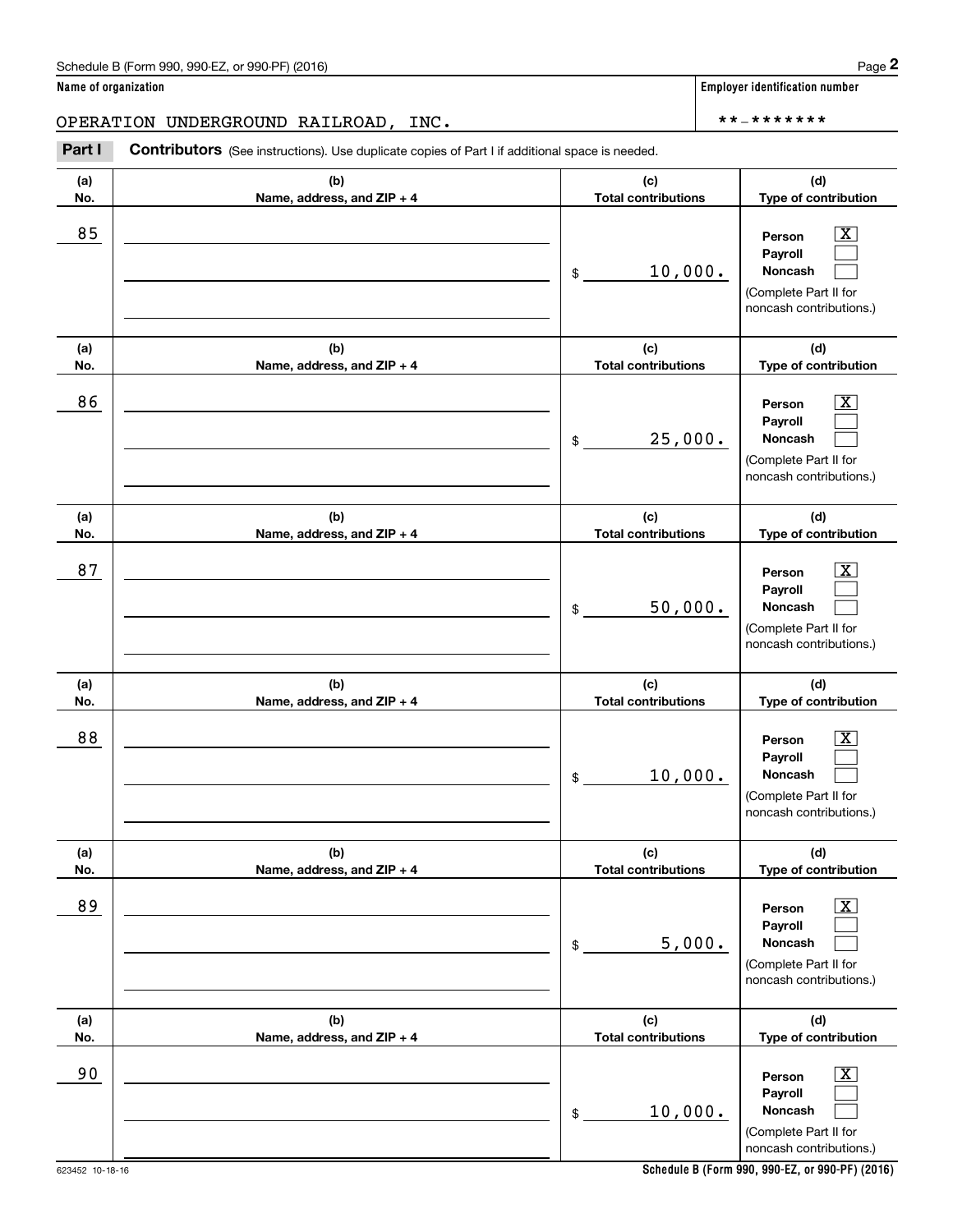Chedule B (Form 990, 990-EZ, or 990-PF) (2016)<br> **2 ame of organization**<br> **2 PERATION UNDERGROUND RAILROAD, INC.**<br> **Part I Contributors** (See instructions). Use duplicate copies of Part I if additional space is needed.

| (a)        | (b)                                 | (c)<br><b>Total contributions</b> | (d)                                                                                                            |
|------------|-------------------------------------|-----------------------------------|----------------------------------------------------------------------------------------------------------------|
| No.<br>85  | Name, address, and ZIP + 4          | 10,000.<br>\$                     | Type of contribution<br>X.<br>Person<br>Payroll<br>Noncash<br>(Complete Part II for<br>noncash contributions.) |
| (a)<br>No. | (b)<br>Name, address, and ZIP + 4   | (c)<br><b>Total contributions</b> | (d)<br>Type of contribution                                                                                    |
| 86         |                                     | 25,000.<br>\$                     | X<br>Person<br>Payroll<br>Noncash<br>(Complete Part II for<br>noncash contributions.)                          |
| (a)<br>No. | (b)<br>Name, address, and ZIP + 4   | (c)<br><b>Total contributions</b> | (d)<br>Type of contribution                                                                                    |
| 87         |                                     | 50,000.<br>\$                     | X.<br>Person<br>Payroll<br>Noncash<br>(Complete Part II for<br>noncash contributions.)                         |
| (a)<br>No. | (b)<br>Name, address, and ZIP + 4   | (c)<br><b>Total contributions</b> | (d)<br>Type of contribution                                                                                    |
| 88         |                                     | 10,000.<br>\$                     | Person<br>x<br>Payroll<br>Noncash<br>(Complete Part II for<br>noncash contributions.)                          |
| (a)<br>No. | (b)<br>Name, address, and $ZIP + 4$ | (c)<br><b>Total contributions</b> | (d)<br>Type of contribution                                                                                    |
| 89         |                                     | 5,000.<br>\$                      | $\overline{\mathbf{X}}$<br>Person<br>Payroll<br>Noncash<br>(Complete Part II for<br>noncash contributions.)    |
| (a)<br>No. | (b)<br>Name, address, and ZIP + 4   | (c)<br><b>Total contributions</b> | (d)<br>Type of contribution                                                                                    |
| 90         |                                     | 10,000.<br>$\,$                   | $\overline{\text{X}}$<br>Person<br>Payroll<br>Noncash<br>(Complete Part II for<br>noncash contributions.)      |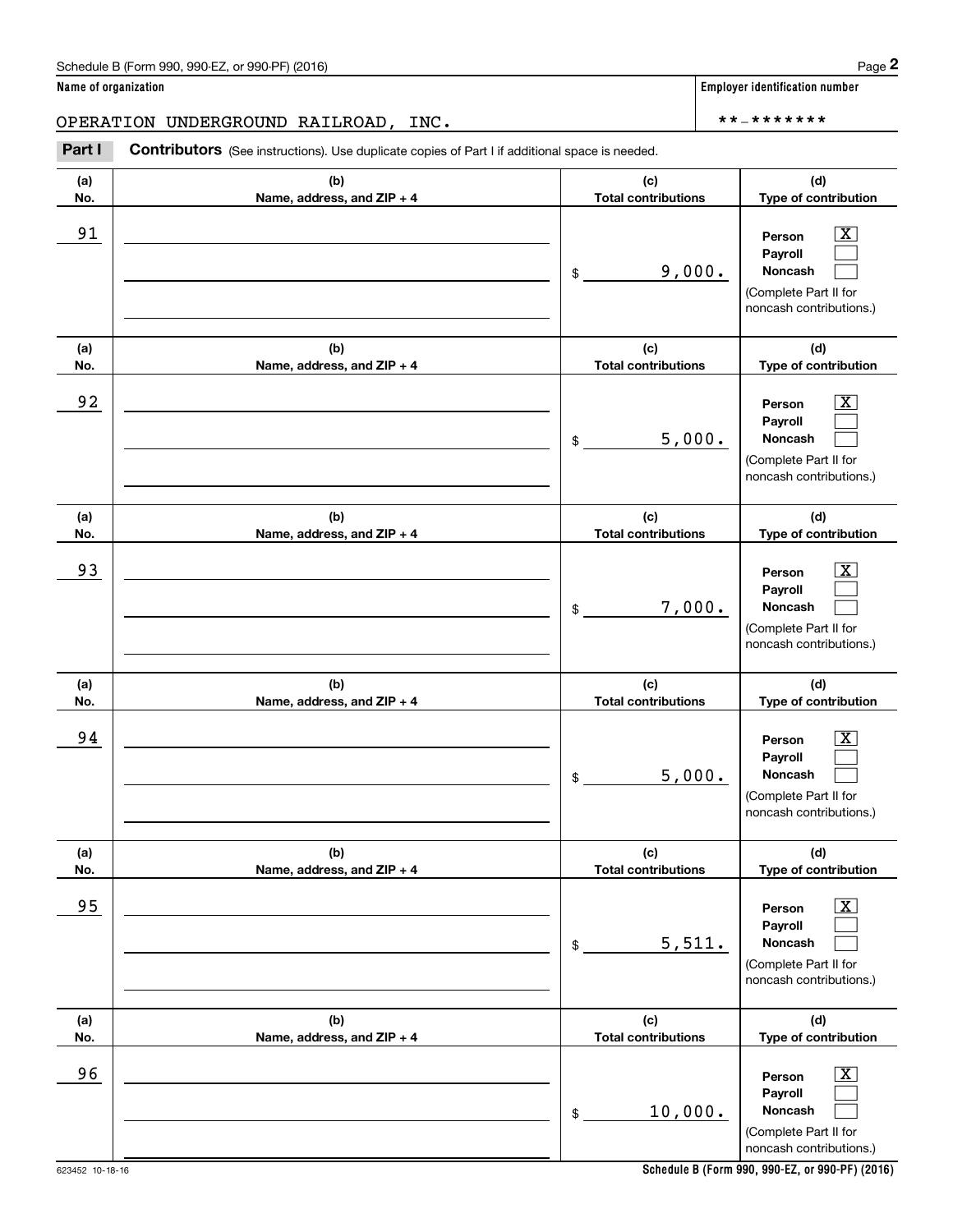Chedule B (Form 990, 990-EZ, or 990-PF) (2016)<br> **2 ame of organization**<br> **2 PERATION UNDERGROUND RAILROAD, INC.**<br> **Part I Contributors** (See instructions). Use duplicate copies of Part I if additional space is needed.

| (a)<br>No. | (b)<br>Name, address, and ZIP + 4 | (c)<br><b>Total contributions</b> | (d)<br>Type of contribution                                                                                   |  |  |
|------------|-----------------------------------|-----------------------------------|---------------------------------------------------------------------------------------------------------------|--|--|
| 91         |                                   | 9,000.<br>\$                      | $\boxed{\text{X}}$<br>Person<br>Payroll<br>Noncash<br>(Complete Part II for<br>noncash contributions.)        |  |  |
| (a)<br>No. | (b)<br>Name, address, and ZIP + 4 | (c)<br><b>Total contributions</b> | (d)<br>Type of contribution                                                                                   |  |  |
| 92         |                                   | 5,000.<br>\$                      | $\boxed{\text{X}}$<br>Person<br>Payroll<br><b>Noncash</b><br>(Complete Part II for<br>noncash contributions.) |  |  |
| (a)<br>No. | (b)<br>Name, address, and ZIP + 4 | (c)<br><b>Total contributions</b> | (d)<br>Type of contribution                                                                                   |  |  |
| 93         |                                   | 7,000.<br>\$                      | $\boxed{\text{X}}$<br>Person<br>Payroll<br><b>Noncash</b><br>(Complete Part II for<br>noncash contributions.) |  |  |
| (a)<br>No. | (b)<br>Name, address, and ZIP + 4 | (c)<br><b>Total contributions</b> | (d)<br>Type of contribution                                                                                   |  |  |
| 94         |                                   | 5,000.<br>\$                      | $\boxed{\text{X}}$<br>Person<br>Payroll<br><b>Noncash</b><br>(Complete Part II for<br>noncash contributions.) |  |  |
| (a)<br>No. | (b)<br>Name, address, and ZIP + 4 | (c)<br><b>Total contributions</b> | (d)<br>Type of contribution                                                                                   |  |  |
| 95         |                                   | 5,511.<br>\$                      | $\boxed{\text{X}}$<br>Person<br>Payroll<br>Noncash<br>(Complete Part II for<br>noncash contributions.)        |  |  |
| (a)<br>No. | (b)<br>Name, address, and ZIP + 4 | (c)<br><b>Total contributions</b> | (d)<br>Type of contribution                                                                                   |  |  |
| 96         |                                   | 10,000.<br>$\$$                   | $\boxed{\text{X}}$<br>Person<br>Payroll<br>Noncash<br>(Complete Part II for<br>noncash contributions.)        |  |  |

623452 10-18-16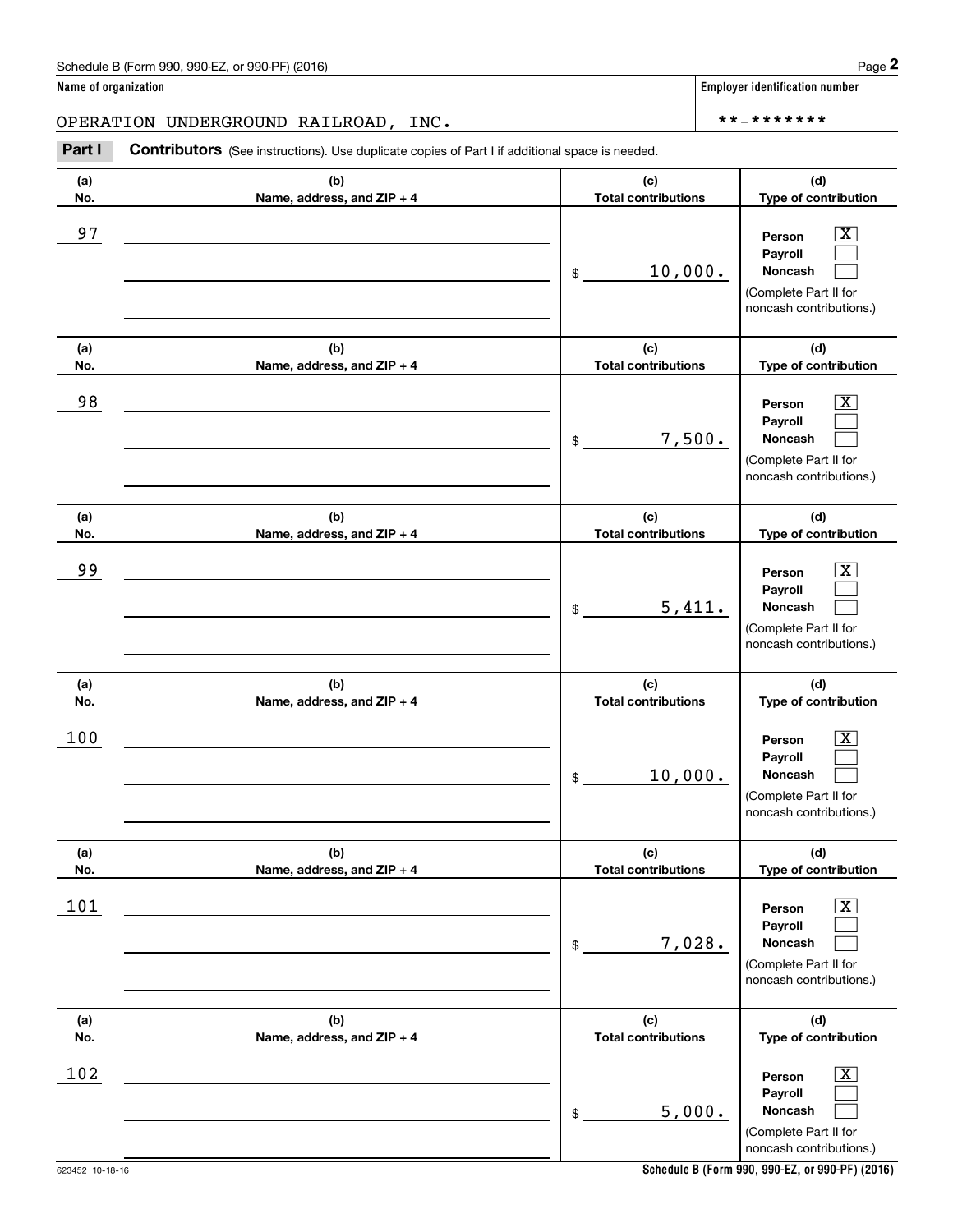Chedule B (Form 990, 990-EZ, or 990-PF) (2016)<br> **2 ame of organization**<br> **2 PERATION UNDERGROUND RAILROAD, INC.**<br> **Part I Contributors** (See instructions). Use duplicate copies of Part I if additional space is needed.

| (a)<br>No. | (b)<br>Name, address, and ZIP + 4 | (c)<br><b>Total contributions</b> | (d)<br>Type of contribution                                                                             |  |  |
|------------|-----------------------------------|-----------------------------------|---------------------------------------------------------------------------------------------------------|--|--|
| 97         |                                   | 10,000.<br>\$                     | $\boxed{\text{X}}$<br>Person<br>Payroll<br>Noncash<br>(Complete Part II for<br>noncash contributions.)  |  |  |
| (a)<br>No. | (b)<br>Name, address, and ZIP + 4 | (c)<br><b>Total contributions</b> | (d)<br>Type of contribution                                                                             |  |  |
| 98         |                                   | 7,500.<br>\$                      | $\boxed{\text{X}}$<br>Person<br>Payroll<br>Noncash<br>(Complete Part II for<br>noncash contributions.)  |  |  |
| (a)<br>No. | (b)<br>Name, address, and ZIP + 4 | (c)<br><b>Total contributions</b> | (d)<br>Type of contribution                                                                             |  |  |
| 99         |                                   | 5,411.<br>$\mathsf{\$}$           | $\mathbf{X}$<br>Person<br>Payroll<br><b>Noncash</b><br>(Complete Part II for<br>noncash contributions.) |  |  |
| (a)<br>No. | (b)<br>Name, address, and ZIP + 4 | (c)<br><b>Total contributions</b> | (d)<br>Type of contribution                                                                             |  |  |
| 100        |                                   | 10,000.<br>\$                     | $\mathbf{X}$<br>Person<br>Payroll<br>Noncash<br>(Complete Part II for<br>noncash contributions.)        |  |  |
| (a)<br>No. | (b)<br>Name, address, and ZIP + 4 | (c)<br><b>Total contributions</b> | (d)<br>Type of contribution                                                                             |  |  |
| 101        |                                   | 7,028.<br>\$                      | $\boxed{\text{X}}$<br>Person<br>Payroll<br>Noncash<br>(Complete Part II for<br>noncash contributions.)  |  |  |
| (a)<br>No. | (b)<br>Name, address, and ZIP + 4 | (c)<br><b>Total contributions</b> | (d)<br>Type of contribution                                                                             |  |  |
| 102        |                                   | 5,000.<br>\$                      | $\boxed{\text{X}}$<br>Person<br>Payroll<br>Noncash<br>(Complete Part II for<br>noncash contributions.)  |  |  |

**Schedule B (Form 990, 990-EZ, or 990-PF) (2016)**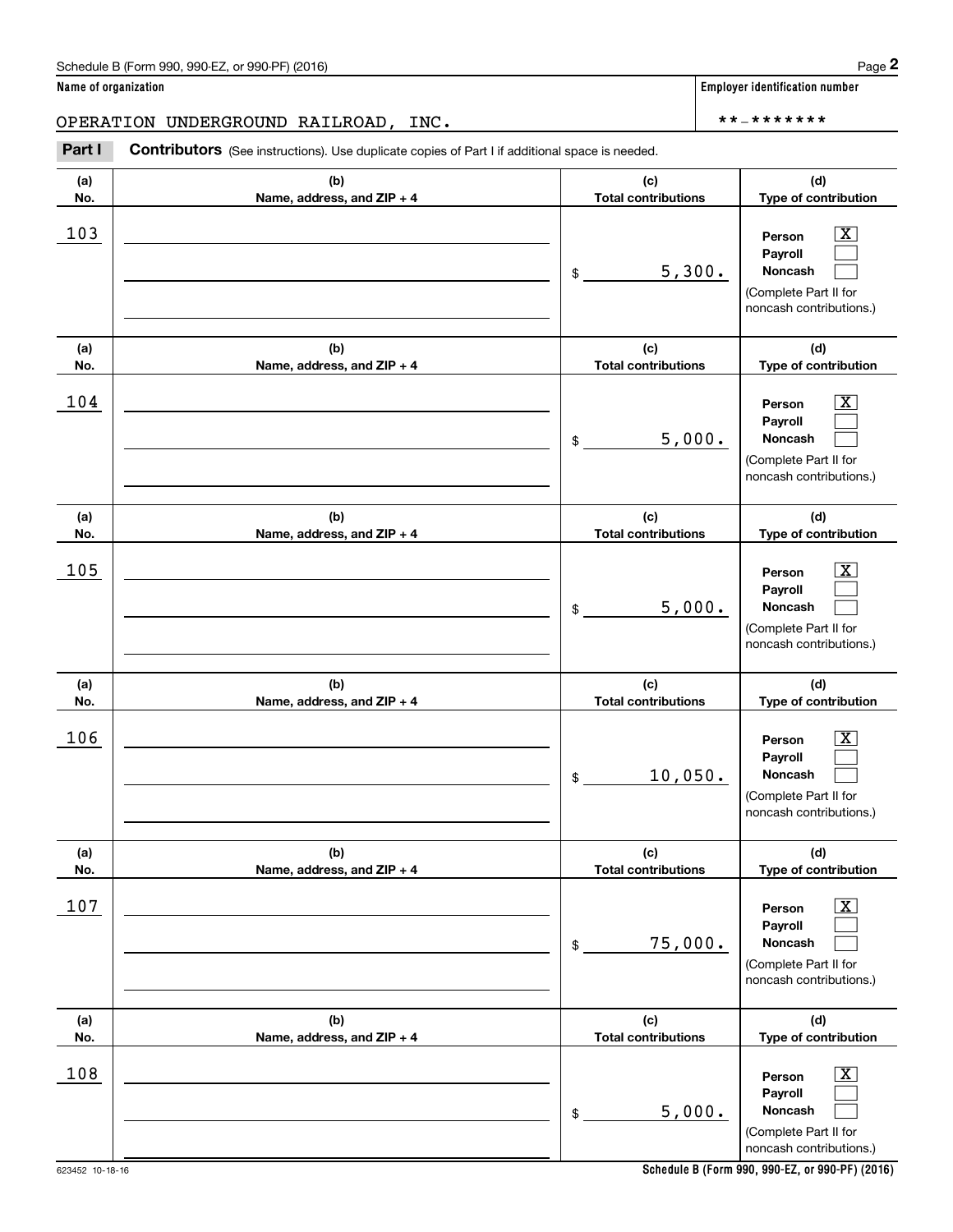Chedule B (Form 990, 990-EZ, or 990-PF) (2016)<br> **2 ame of organization**<br> **2 PERATION UNDERGROUND RAILROAD, INC.**<br> **Part I Contributors** (See instructions). Use duplicate copies of Part I if additional space is needed.

| (a)        | (b)                                 | (c)                               | (d)                                                                                    |  |  |
|------------|-------------------------------------|-----------------------------------|----------------------------------------------------------------------------------------|--|--|
| No.        | Name, address, and ZIP + 4          | <b>Total contributions</b>        | Type of contribution                                                                   |  |  |
| 103        |                                     | 5,300.<br>\$                      | X.<br>Person<br>Pavroll<br>Noncash<br>(Complete Part II for<br>noncash contributions.) |  |  |
| (a)<br>No. | (b)<br>Name, address, and ZIP + 4   | (c)<br><b>Total contributions</b> | (d)<br>Type of contribution                                                            |  |  |
| 104        |                                     | 5,000.<br>$\frac{1}{2}$           | Person<br>X.<br>Payroll<br>Noncash<br>(Complete Part II for<br>noncash contributions.) |  |  |
| (a)<br>No. | (b)<br>Name, address, and ZIP + 4   | (c)<br><b>Total contributions</b> | (d)<br>Type of contribution                                                            |  |  |
| 105        |                                     | 5,000.<br>$\frac{1}{2}$           | Person<br>X.<br>Payroll<br>Noncash<br>(Complete Part II for<br>noncash contributions.) |  |  |
| (a)<br>No. | (b)<br>Name, address, and ZIP + 4   | (c)<br><b>Total contributions</b> | (d)<br>Type of contribution                                                            |  |  |
| 106        |                                     | 10,050.<br>\$                     | Person<br>X.<br>Payroll<br>Noncash<br>(Complete Part II for<br>noncash contributions.) |  |  |
| (a)<br>No. | (b)<br>Name, address, and $ZIP + 4$ | (c)<br><b>Total contributions</b> | (d)<br>Type of contribution                                                            |  |  |
| 107        |                                     | 75,000.<br>\$                     | X<br>Person<br>Payroll<br>Noncash<br>(Complete Part II for<br>noncash contributions.)  |  |  |
| (a)<br>No. | (b)<br>Name, address, and ZIP + 4   | (c)<br><b>Total contributions</b> | (d)<br>Type of contribution                                                            |  |  |
| 108        |                                     | 5,000.<br>\$                      | X<br>Person<br>Payroll<br>Noncash<br>(Complete Part II for<br>noncash contributions.)  |  |  |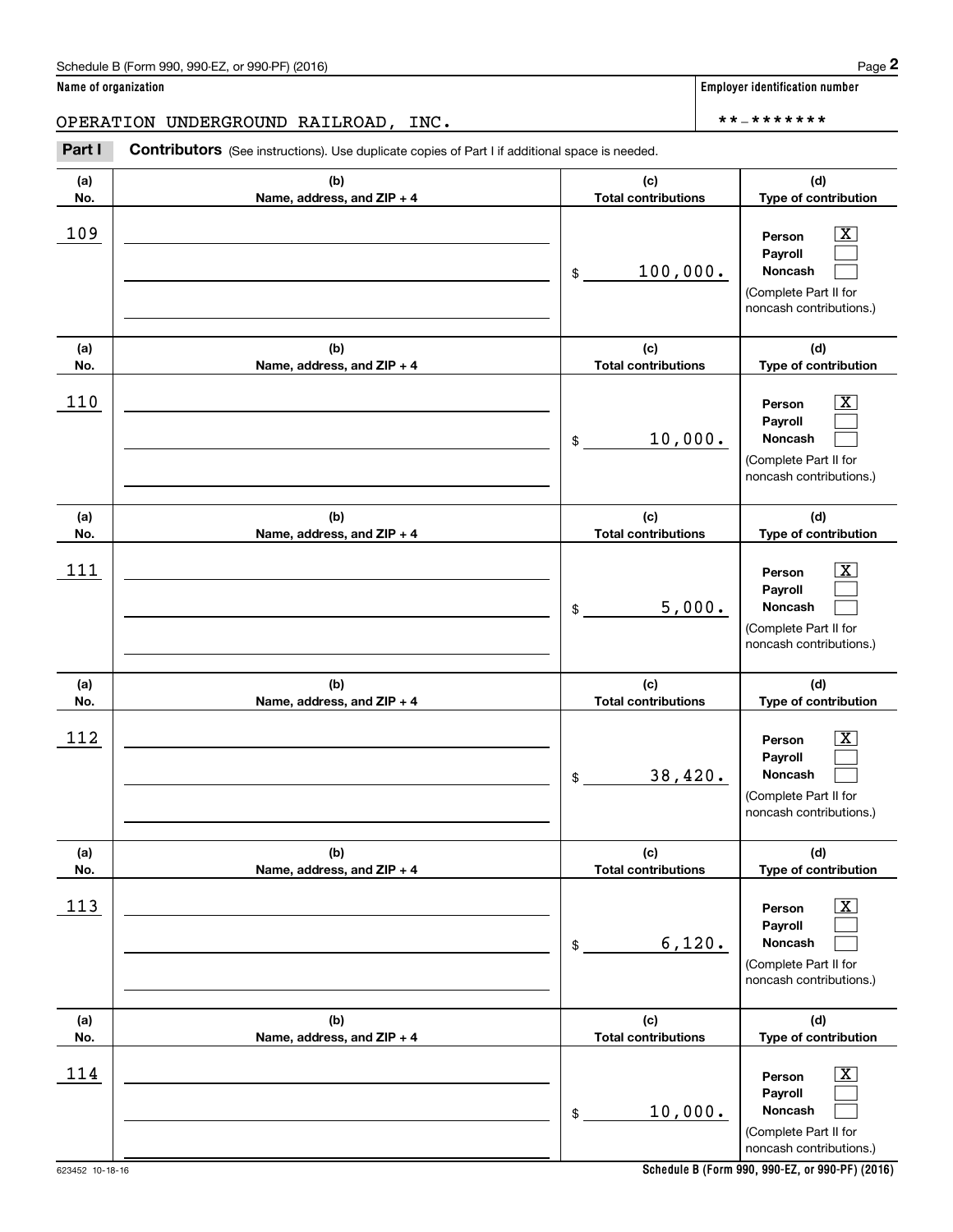Chedule B (Form 990, 990-EZ, or 990-PF) (2016)<br> **2 ame of organization**<br> **2 PERATION UNDERGROUND RAILROAD, INC.**<br> **Part I Contributors** (See instructions). Use duplicate copies of Part I if additional space is needed.

| (a)<br>No. | (b)<br>Name, address, and ZIP + 4 | (c)<br><b>Total contributions</b> | (d)<br>Type of contribution                                                                            |
|------------|-----------------------------------|-----------------------------------|--------------------------------------------------------------------------------------------------------|
| 109        |                                   | 100,000.<br>\$                    | $\boxed{\text{X}}$<br>Person<br>Payroll<br>Noncash<br>(Complete Part II for<br>noncash contributions.) |
| (a)<br>No. | (b)<br>Name, address, and ZIP + 4 | (c)<br><b>Total contributions</b> | (d)<br>Type of contribution                                                                            |
| 110        |                                   | 10,000.<br>$\frac{1}{2}$          | $\boxed{\text{X}}$<br>Person<br>Payroll<br>Noncash<br>(Complete Part II for<br>noncash contributions.) |
| (a)<br>No. | (b)<br>Name, address, and ZIP + 4 | (c)<br><b>Total contributions</b> | (d)<br>Type of contribution                                                                            |
| 111        |                                   | 5,000.<br>\$                      | $\boxed{\text{X}}$<br>Person<br>Payroll<br>Noncash<br>(Complete Part II for<br>noncash contributions.) |
| (a)<br>No. | (b)<br>Name, address, and ZIP + 4 | (c)<br><b>Total contributions</b> | (d)<br>Type of contribution                                                                            |
| 112        |                                   | 38,420.<br>\$                     | $\boxed{\text{X}}$<br>Person<br>Payroll<br>Noncash<br>(Complete Part II for<br>noncash contributions.) |
| (a)<br>No. | (b)<br>Name, address, and ZIP + 4 | (c)<br><b>Total contributions</b> | (d)<br>Type of contribution                                                                            |
| <u>113</u> |                                   | 6,120.<br>\$                      | $\boxed{\text{X}}$<br>Person<br>Payroll<br>Noncash<br>(Complete Part II for<br>noncash contributions.) |
| (a)<br>No. | (b)<br>Name, address, and ZIP + 4 | (c)<br><b>Total contributions</b> | (d)<br>Type of contribution                                                                            |
| 114        |                                   | 10,000.<br>\$                     | $\boxed{\text{X}}$<br>Person<br>Payroll<br>Noncash<br>(Complete Part II for<br>noncash contributions.) |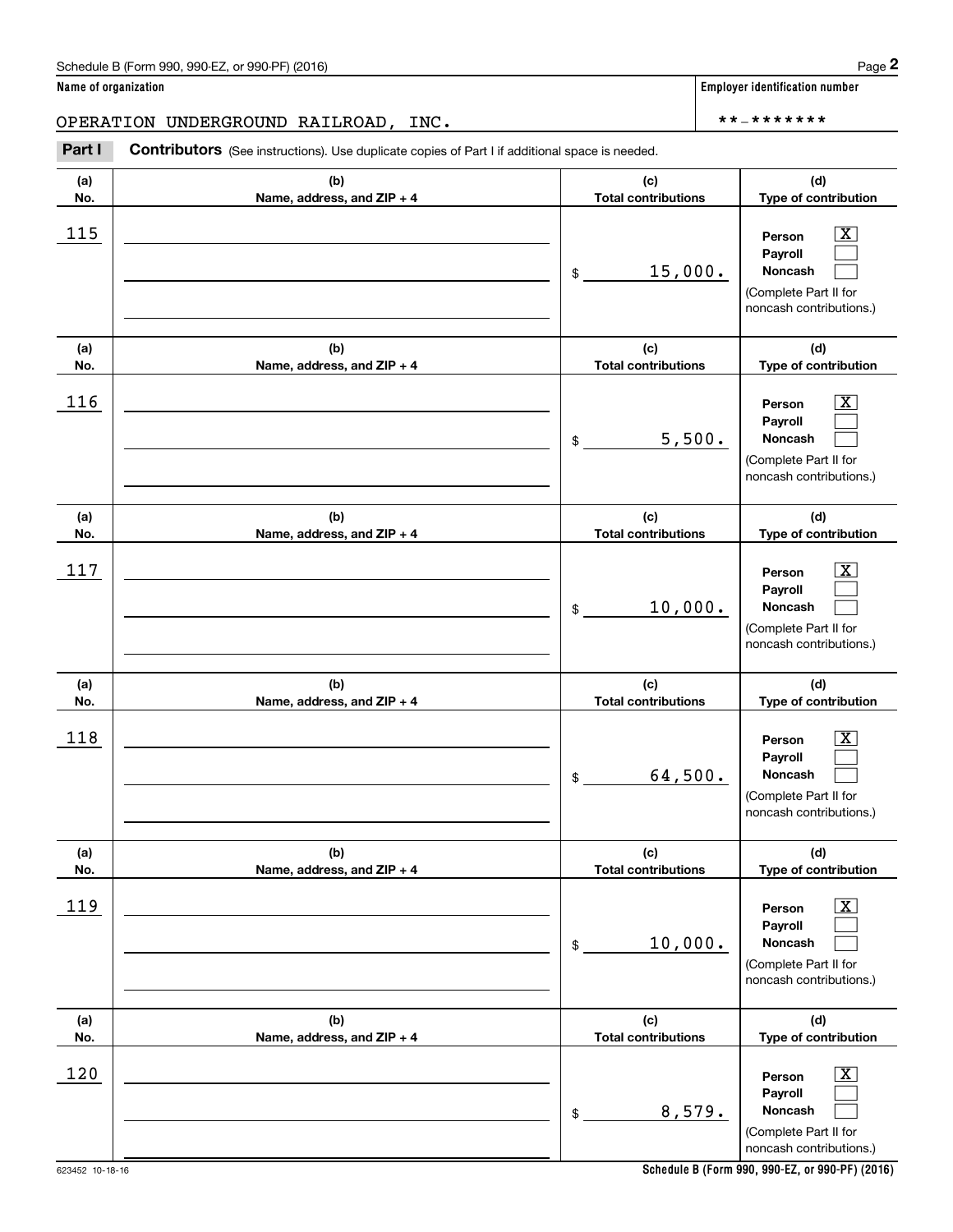Chedule B (Form 990, 990-EZ, or 990-PF) (2016)<br> **2 ame of organization**<br> **2 PERATION UNDERGROUND RAILROAD, INC.**<br> **Part I Contributors** (See instructions). Use duplicate copies of Part I if additional space is needed.

| (a)<br>No. | (b)<br>Name, address, and ZIP + 4 | (c)<br><b>Total contributions</b> | (d)<br>Type of contribution                                                                                 |  |  |
|------------|-----------------------------------|-----------------------------------|-------------------------------------------------------------------------------------------------------------|--|--|
| 115        |                                   | 15,000.<br>\$                     | $\overline{\texttt{X}}$<br>Person<br>Payroll<br>Noncash<br>(Complete Part II for<br>noncash contributions.) |  |  |
| (a)<br>No. | (b)<br>Name, address, and ZIP + 4 | (c)<br><b>Total contributions</b> | (d)<br>Type of contribution                                                                                 |  |  |
| 116        |                                   | 5,500.<br>\$                      | $\overline{\texttt{X}}$<br>Person<br>Payroll<br>Noncash<br>(Complete Part II for<br>noncash contributions.) |  |  |
| (a)<br>No. | (b)<br>Name, address, and ZIP + 4 | (c)<br><b>Total contributions</b> | (d)<br>Type of contribution                                                                                 |  |  |
| 117        |                                   | 10,000.<br>\$                     | $\overline{\texttt{x}}$<br>Person<br>Payroll<br>Noncash<br>(Complete Part II for<br>noncash contributions.) |  |  |
| (a)<br>No. | (b)<br>Name, address, and ZIP + 4 | (c)<br><b>Total contributions</b> | (d)<br>Type of contribution                                                                                 |  |  |
| 118        |                                   | 64,500.<br>\$                     | $\overline{\texttt{X}}$<br>Person<br>Payroll<br>Noncash<br>(Complete Part II for<br>noncash contributions.) |  |  |
| (a)<br>No. | (b)<br>Name, address, and ZIP + 4 | (c)<br><b>Total contributions</b> | (d)<br>Type of contribution                                                                                 |  |  |
| 119        |                                   | 10,000.<br>\$                     | $\overline{\text{X}}$<br>Person<br>Payroll<br>Noncash<br>(Complete Part II for<br>noncash contributions.)   |  |  |
| (a)<br>No. | (b)<br>Name, address, and ZIP + 4 | (c)<br><b>Total contributions</b> | (d)<br>Type of contribution                                                                                 |  |  |
| 120        |                                   | 8,579.<br>\$                      | $\overline{\text{X}}$<br>Person<br>Payroll<br>Noncash<br>(Complete Part II for<br>noncash contributions.)   |  |  |

**Name of organization Employer identification number**

623452 10-18-16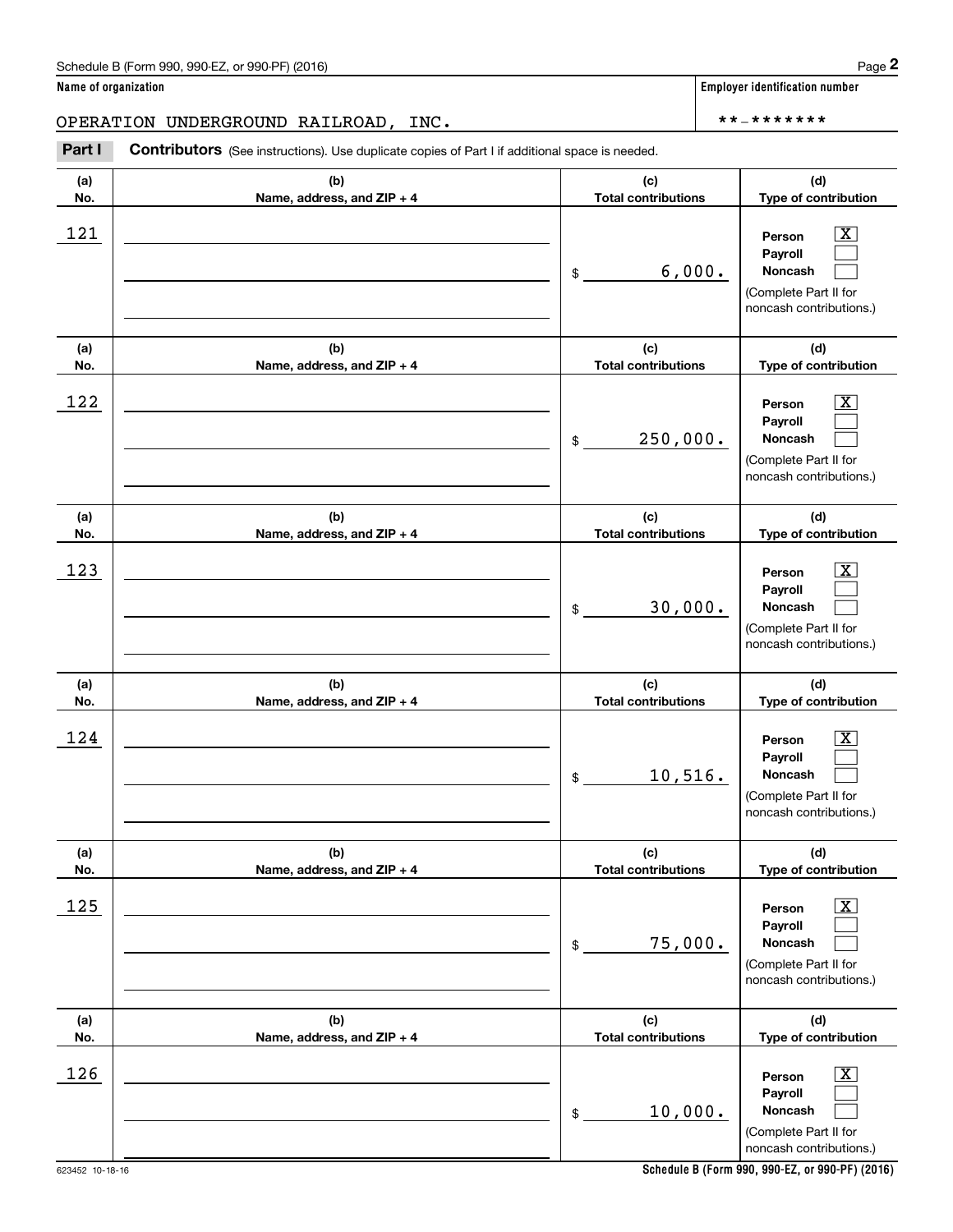Chedule B (Form 990, 990-EZ, or 990-PF) (2016)<br> **2 ame of organization**<br> **2 PERATION UNDERGROUND RAILROAD, INC.**<br> **Part I Contributors** (See instructions). Use duplicate copies of Part I if additional space is needed.

| (a) | (b)                        | (c)                        | (d)                                                                                                         |  |  |
|-----|----------------------------|----------------------------|-------------------------------------------------------------------------------------------------------------|--|--|
| No. | Name, address, and ZIP + 4 | <b>Total contributions</b> | Type of contribution                                                                                        |  |  |
| 121 |                            | 6,000.<br>$\frac{1}{2}$    | х<br>Person<br>Payroll<br>Noncash<br>(Complete Part II for<br>noncash contributions.)                       |  |  |
| (a) | (b)                        | (c)                        | (d)                                                                                                         |  |  |
| No. | Name, address, and ZIP + 4 | <b>Total contributions</b> | Type of contribution                                                                                        |  |  |
| 122 |                            | 250,000.<br>$$\circ$$      | X.<br>Person<br>Payroll<br>Noncash<br>(Complete Part II for<br>noncash contributions.)                      |  |  |
| (a) | (b)                        | (c)                        | (d)                                                                                                         |  |  |
| No. | Name, address, and ZIP + 4 | <b>Total contributions</b> | Type of contribution                                                                                        |  |  |
| 123 |                            | 30,000.<br>$\frac{1}{2}$   | x<br>Person<br>Payroll<br>Noncash<br>(Complete Part II for<br>noncash contributions.)                       |  |  |
| (a) | (b)                        | (c)                        | (d)                                                                                                         |  |  |
| No. | Name, address, and ZIP + 4 | <b>Total contributions</b> | Type of contribution                                                                                        |  |  |
| 124 |                            | 10,516.<br>$$\circ$$       | x<br>Person<br>Payroll<br>Noncash<br>(Complete Part II for<br>noncash contributions.)                       |  |  |
| (a) | (b)                        | (c)                        | (d)                                                                                                         |  |  |
| No. | Name, address, and ZIP + 4 | <b>Total contributions</b> | Type of contribution                                                                                        |  |  |
| 125 |                            | 75,000.<br>\$              | $\overline{\text{X}}$<br>Person<br>Payroll<br>Noncash<br>(Complete Part II for<br>noncash contributions.)   |  |  |
| (a) | (b)                        | (c)                        | (d)                                                                                                         |  |  |
| No. | Name, address, and ZIP + 4 | <b>Total contributions</b> | Type of contribution                                                                                        |  |  |
| 126 |                            | 10,000.<br>$\mathcal{L}$   | $\overline{\mathbf{X}}$<br>Person<br>Payroll<br>Noncash<br>(Complete Part II for<br>noncash contributions.) |  |  |

623452 10-18-16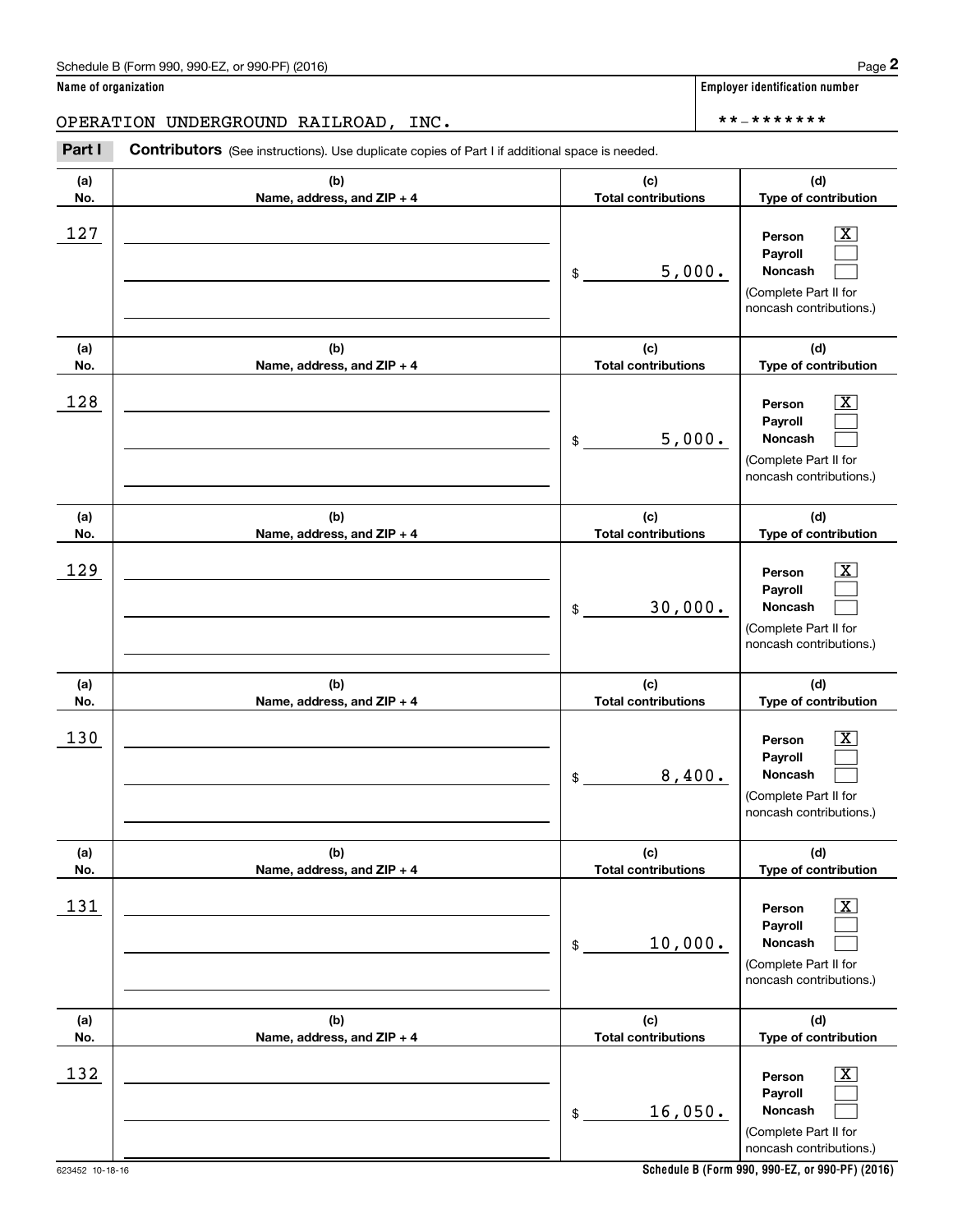Chedule B (Form 990, 990-EZ, or 990-PF) (2016)<br> **2 ame of organization**<br> **2 PERATION UNDERGROUND RAILROAD, INC.**<br> **Part I Contributors** (See instructions). Use duplicate copies of Part I if additional space is needed.

| (a)        | (b)                        | (c)                        | (d)                                                                                                       |  |  |
|------------|----------------------------|----------------------------|-----------------------------------------------------------------------------------------------------------|--|--|
| No.        | Name, address, and ZIP + 4 | <b>Total contributions</b> | Type of contribution                                                                                      |  |  |
| 127        |                            | 5,000.<br>\$               | х<br>Person<br>Payroll<br>Noncash<br>(Complete Part II for<br>noncash contributions.)                     |  |  |
| (a)        | (b)                        | (c)                        | (d)                                                                                                       |  |  |
| No.        | Name, address, and ZIP + 4 | <b>Total contributions</b> | Type of contribution                                                                                      |  |  |
| 128        |                            | 5,000.<br>\$               | X.<br>Person<br>Payroll<br>Noncash<br>(Complete Part II for<br>noncash contributions.)                    |  |  |
| (a)        | (b)                        | (c)                        | (d)                                                                                                       |  |  |
| No.        | Name, address, and ZIP + 4 | <b>Total contributions</b> | Type of contribution                                                                                      |  |  |
| 129        |                            | 30,000.<br>\$              | X.<br>Person<br>Payroll<br>Noncash<br>(Complete Part II for<br>noncash contributions.)                    |  |  |
|            |                            |                            |                                                                                                           |  |  |
| (a)        | (b)                        | (c)                        | (d)                                                                                                       |  |  |
| No.        | Name, address, and ZIP + 4 | <b>Total contributions</b> | Type of contribution                                                                                      |  |  |
| 130        |                            | 8,400.<br>\$               | X.<br>Person<br>Payroll<br>Noncash<br>(Complete Part II for<br>noncash contributions.)                    |  |  |
| (a)        | (b)                        | (c)                        | (d)                                                                                                       |  |  |
| No.        | Name, address, and ZIP + 4 | <b>Total contributions</b> | Type of contribution                                                                                      |  |  |
| <u>131</u> |                            | 10,000.<br>\$              | $\overline{\text{X}}$<br>Person<br>Payroll<br>Noncash<br>(Complete Part II for<br>noncash contributions.) |  |  |
| (a)        | (b)                        | (c)                        | (d)                                                                                                       |  |  |
| No.        | Name, address, and ZIP + 4 | <b>Total contributions</b> | Type of contribution                                                                                      |  |  |

**Schedule B (Form 990, 990-EZ, or 990-PF) (2016)**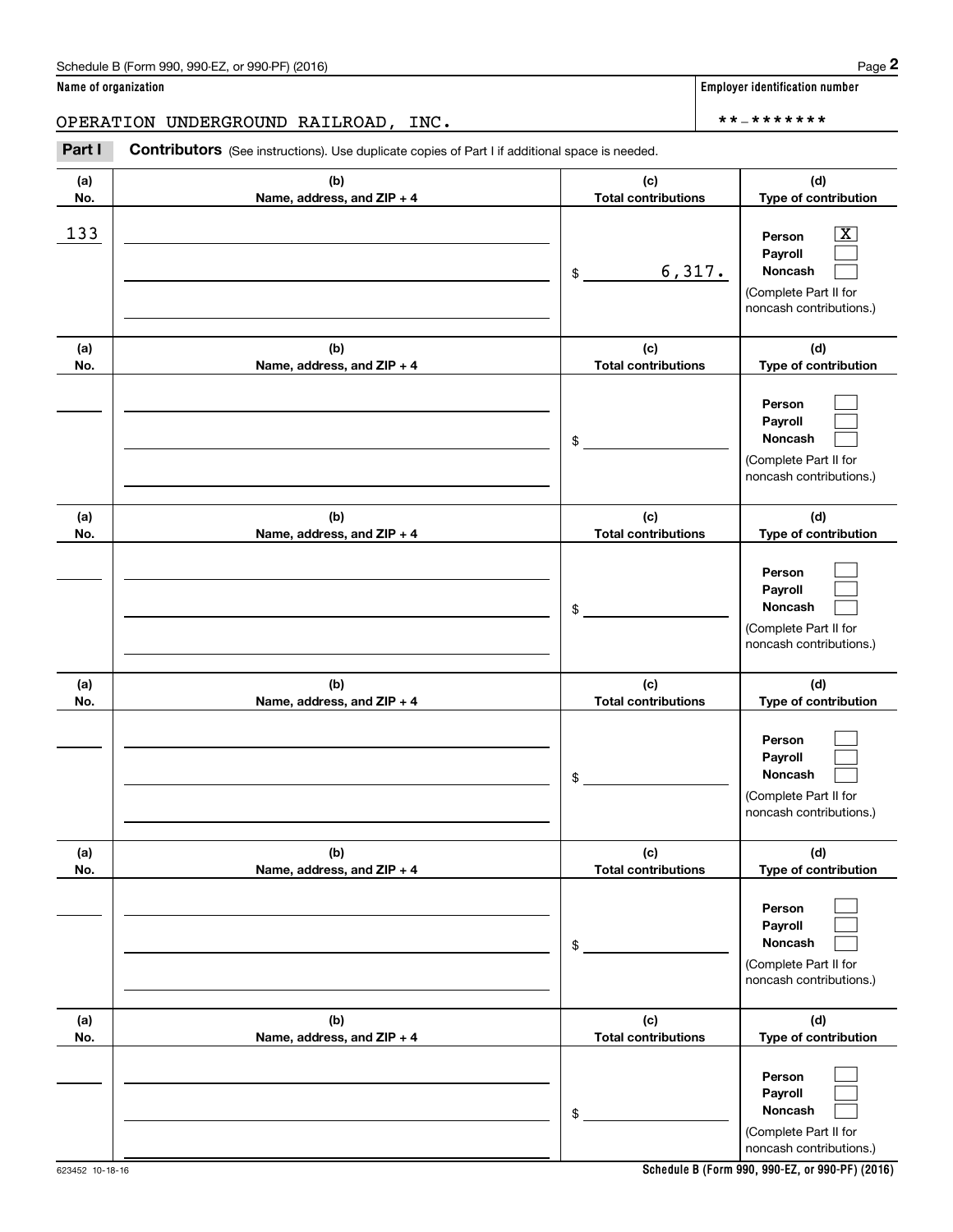Chedule B (Form 990, 990-EZ, or 990-PF) (2016)<br> **2 ame of organization**<br> **2 PERATION UNDERGROUND RAILROAD, INC.**<br> **Part I Contributors** (See instructions). Use duplicate copies of Part I if additional space is needed.

| (a)<br>No. | (b)<br>Name, address, and ZIP + 4 | (c)<br><b>Total contributions</b> | (d)<br>Type of contribution                                                                      |
|------------|-----------------------------------|-----------------------------------|--------------------------------------------------------------------------------------------------|
| 133        |                                   | 6,317.<br>$\frac{1}{2}$           | $\mathbf{X}$<br>Person<br>Payroll<br>Noncash<br>(Complete Part II for<br>noncash contributions.) |
| (a)<br>No. | (b)<br>Name, address, and ZIP + 4 | (c)<br><b>Total contributions</b> | (d)<br>Type of contribution                                                                      |
|            |                                   | \$                                | Person<br>Payroll<br>Noncash<br>(Complete Part II for<br>noncash contributions.)                 |
| (a)<br>No. | (b)<br>Name, address, and ZIP + 4 | (c)<br><b>Total contributions</b> | (d)<br>Type of contribution                                                                      |
|            |                                   | \$                                | Person<br>Payroll<br>Noncash<br>(Complete Part II for<br>noncash contributions.)                 |
| (a)<br>No. | (b)<br>Name, address, and ZIP + 4 | (c)<br><b>Total contributions</b> | (d)<br>Type of contribution                                                                      |
|            |                                   | \$                                | Person<br>Payroll<br><b>Noncash</b><br>(Complete Part II for<br>noncash contributions.)          |
| (a)<br>No. | (b)<br>Name, address, and ZIP + 4 | (c)<br><b>Total contributions</b> | (d)<br>Type of contribution                                                                      |
|            |                                   | $\,$                              | Person<br>Payroll<br>Noncash<br>(Complete Part II for<br>noncash contributions.)                 |
| (a)<br>No. | (b)<br>Name, address, and ZIP + 4 | (c)<br><b>Total contributions</b> | (d)<br>Type of contribution                                                                      |
|            |                                   | \$                                | Person<br>Payroll<br>Noncash<br>(Complete Part II for<br>noncash contributions.)                 |

**Name of organization Employer identification number**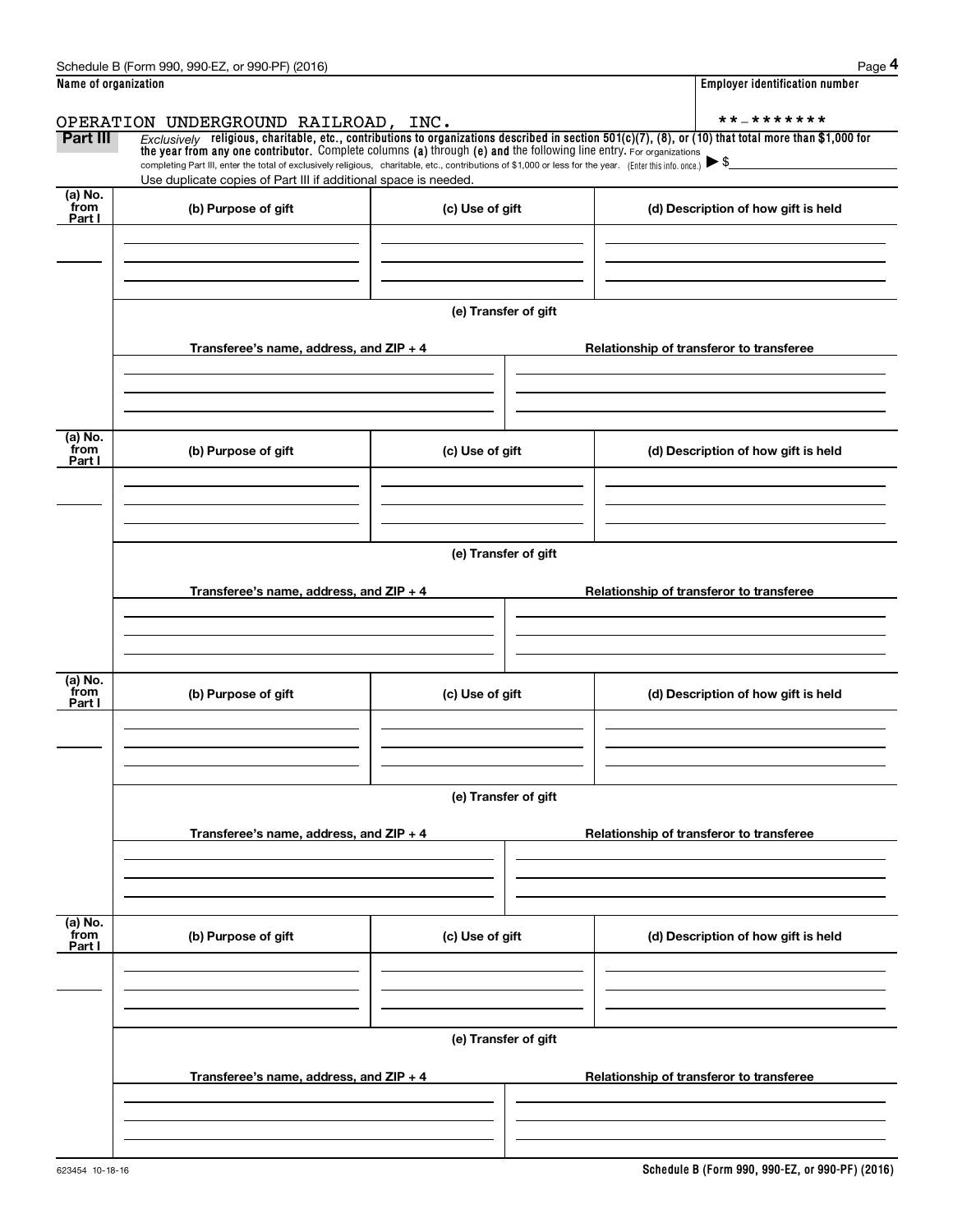|                           | Schedule B (Form 990, 990-EZ, or 990-PF) (2016)                                                                                                                                                                                                                                                          |                      | Page 4                                                                                                                                                   |  |  |  |  |  |
|---------------------------|----------------------------------------------------------------------------------------------------------------------------------------------------------------------------------------------------------------------------------------------------------------------------------------------------------|----------------------|----------------------------------------------------------------------------------------------------------------------------------------------------------|--|--|--|--|--|
| Name of organization      |                                                                                                                                                                                                                                                                                                          |                      | <b>Employer identification number</b>                                                                                                                    |  |  |  |  |  |
|                           | OPERATION UNDERGROUND RAILROAD, INC.                                                                                                                                                                                                                                                                     |                      | **_*******                                                                                                                                               |  |  |  |  |  |
| Part III                  | the year from any one contributor. Complete columns (a) through (e) and the following line entry. For organizations<br>completing Part III, enter the total of exclusively religious, charitable, etc., contributions of \$1,000 or less for the year. (Enter this info. once.) $\blacktriangleright$ \$ |                      | Exclusively religious, charitable, etc., contributions to organizations described in section $501(c)(7)$ , (8), or (10) that total more than \$1,000 for |  |  |  |  |  |
| (a) No.                   | Use duplicate copies of Part III if additional space is needed.                                                                                                                                                                                                                                          |                      |                                                                                                                                                          |  |  |  |  |  |
| from<br>Part I            | (b) Purpose of gift                                                                                                                                                                                                                                                                                      | (c) Use of gift      | (d) Description of how gift is held                                                                                                                      |  |  |  |  |  |
|                           |                                                                                                                                                                                                                                                                                                          |                      |                                                                                                                                                          |  |  |  |  |  |
|                           |                                                                                                                                                                                                                                                                                                          | (e) Transfer of gift |                                                                                                                                                          |  |  |  |  |  |
|                           | Transferee's name, address, and ZIP + 4                                                                                                                                                                                                                                                                  |                      | Relationship of transferor to transferee                                                                                                                 |  |  |  |  |  |
| (a) No.                   |                                                                                                                                                                                                                                                                                                          |                      |                                                                                                                                                          |  |  |  |  |  |
| from<br>Part I            | (b) Purpose of gift                                                                                                                                                                                                                                                                                      | (c) Use of gift      | (d) Description of how gift is held                                                                                                                      |  |  |  |  |  |
|                           |                                                                                                                                                                                                                                                                                                          |                      |                                                                                                                                                          |  |  |  |  |  |
|                           | (e) Transfer of gift                                                                                                                                                                                                                                                                                     |                      |                                                                                                                                                          |  |  |  |  |  |
|                           | Transferee's name, address, and $ZIP + 4$                                                                                                                                                                                                                                                                |                      | Relationship of transferor to transferee                                                                                                                 |  |  |  |  |  |
| (a) No.                   |                                                                                                                                                                                                                                                                                                          |                      |                                                                                                                                                          |  |  |  |  |  |
| from<br>Part I            | (b) Purpose of gift                                                                                                                                                                                                                                                                                      | (c) Use of gift      | (d) Description of how gift is held                                                                                                                      |  |  |  |  |  |
|                           |                                                                                                                                                                                                                                                                                                          |                      |                                                                                                                                                          |  |  |  |  |  |
|                           | (e) Transfer of gift                                                                                                                                                                                                                                                                                     |                      |                                                                                                                                                          |  |  |  |  |  |
|                           | Transferee's name, address, and ZIP + 4                                                                                                                                                                                                                                                                  |                      | Relationship of transferor to transferee                                                                                                                 |  |  |  |  |  |
|                           |                                                                                                                                                                                                                                                                                                          |                      |                                                                                                                                                          |  |  |  |  |  |
| (a) No.<br>from<br>Part I | (b) Purpose of gift                                                                                                                                                                                                                                                                                      | (c) Use of gift      | (d) Description of how gift is held                                                                                                                      |  |  |  |  |  |
|                           |                                                                                                                                                                                                                                                                                                          |                      |                                                                                                                                                          |  |  |  |  |  |
|                           | (e) Transfer of gift                                                                                                                                                                                                                                                                                     |                      |                                                                                                                                                          |  |  |  |  |  |
|                           | Transferee's name, address, and ZIP + 4                                                                                                                                                                                                                                                                  |                      | Relationship of transferor to transferee                                                                                                                 |  |  |  |  |  |
|                           |                                                                                                                                                                                                                                                                                                          |                      |                                                                                                                                                          |  |  |  |  |  |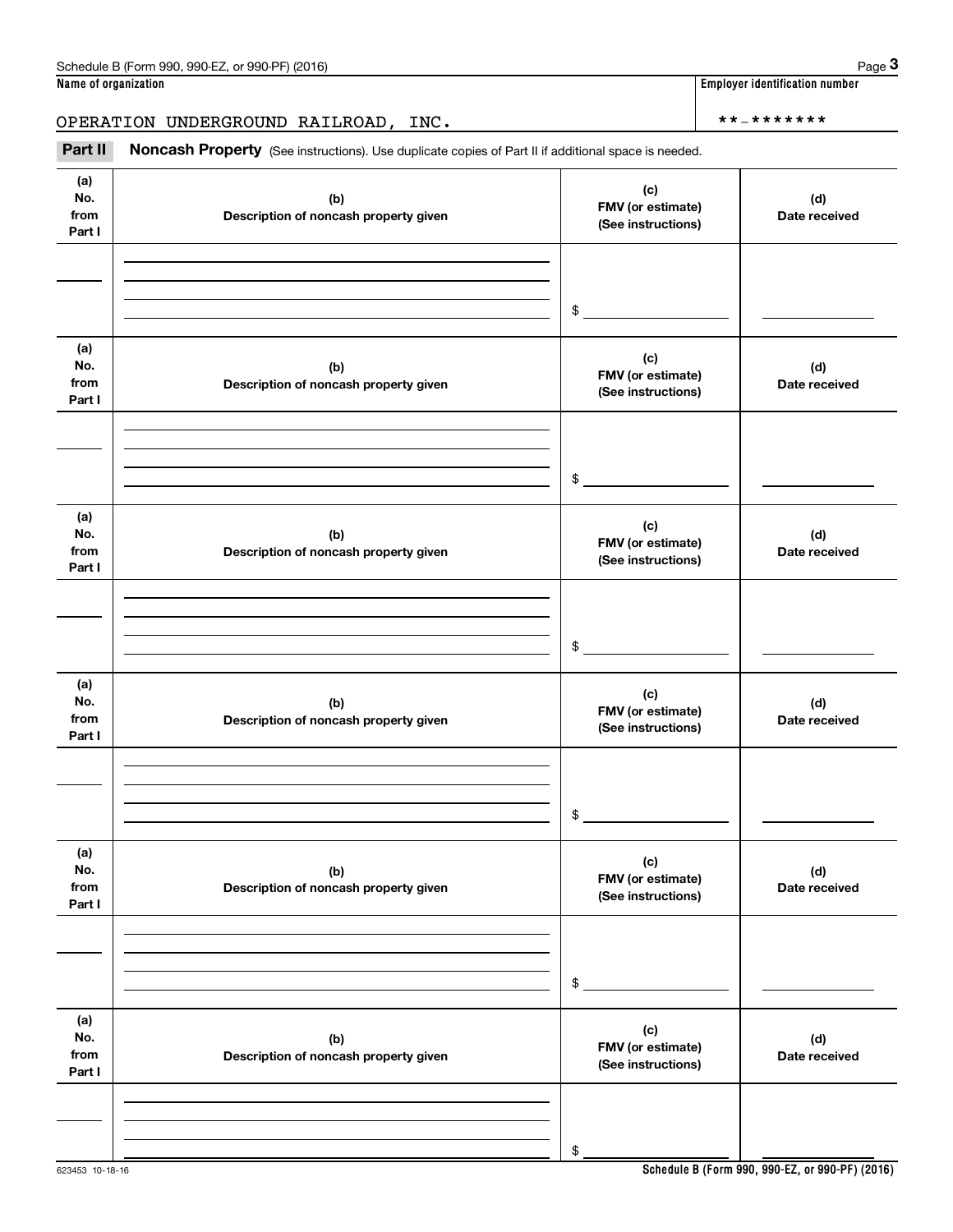|                              | Schedule B (Form 990, 990-EZ, or 990-PF) (2016)                                                     |                                                | Page 3                         |  |  |
|------------------------------|-----------------------------------------------------------------------------------------------------|------------------------------------------------|--------------------------------|--|--|
| Name of organization         |                                                                                                     |                                                | Employer identification number |  |  |
|                              | OPERATION UNDERGROUND RAILROAD, INC.                                                                |                                                | **_*******                     |  |  |
| Part II                      | Noncash Property (See instructions). Use duplicate copies of Part II if additional space is needed. |                                                |                                |  |  |
| (a)<br>No.<br>from<br>Part I | (b)<br>Description of noncash property given                                                        | (c)<br>FMV (or estimate)<br>(See instructions) | (d)<br>Date received           |  |  |
|                              |                                                                                                     | \$                                             |                                |  |  |
| (a)<br>No.<br>from<br>Part I | (b)<br>Description of noncash property given                                                        | (c)<br>FMV (or estimate)<br>(See instructions) | (d)<br>Date received           |  |  |
|                              |                                                                                                     | \$                                             |                                |  |  |
| (a)<br>No.<br>from<br>Part I | (b)<br>Description of noncash property given                                                        | (c)<br>FMV (or estimate)<br>(See instructions) | (d)<br>Date received           |  |  |
|                              |                                                                                                     | \$                                             |                                |  |  |
| (a)<br>No.<br>from<br>Part I | (b)<br>Description of noncash property given                                                        | (c)<br>FMV (or estimate)<br>(See instructions) | (d)<br>Date received           |  |  |
|                              |                                                                                                     | \$                                             |                                |  |  |
| (a)<br>No.<br>from<br>Part I | (b)<br>Description of noncash property given                                                        | (c)<br>FMV (or estimate)<br>(See instructions) | (d)<br>Date received           |  |  |
|                              |                                                                                                     | \$                                             |                                |  |  |
| (a)<br>No.<br>from<br>Part I | (b)<br>Description of noncash property given                                                        | (c)<br>FMV (or estimate)<br>(See instructions) | (d)<br>Date received           |  |  |
|                              |                                                                                                     |                                                |                                |  |  |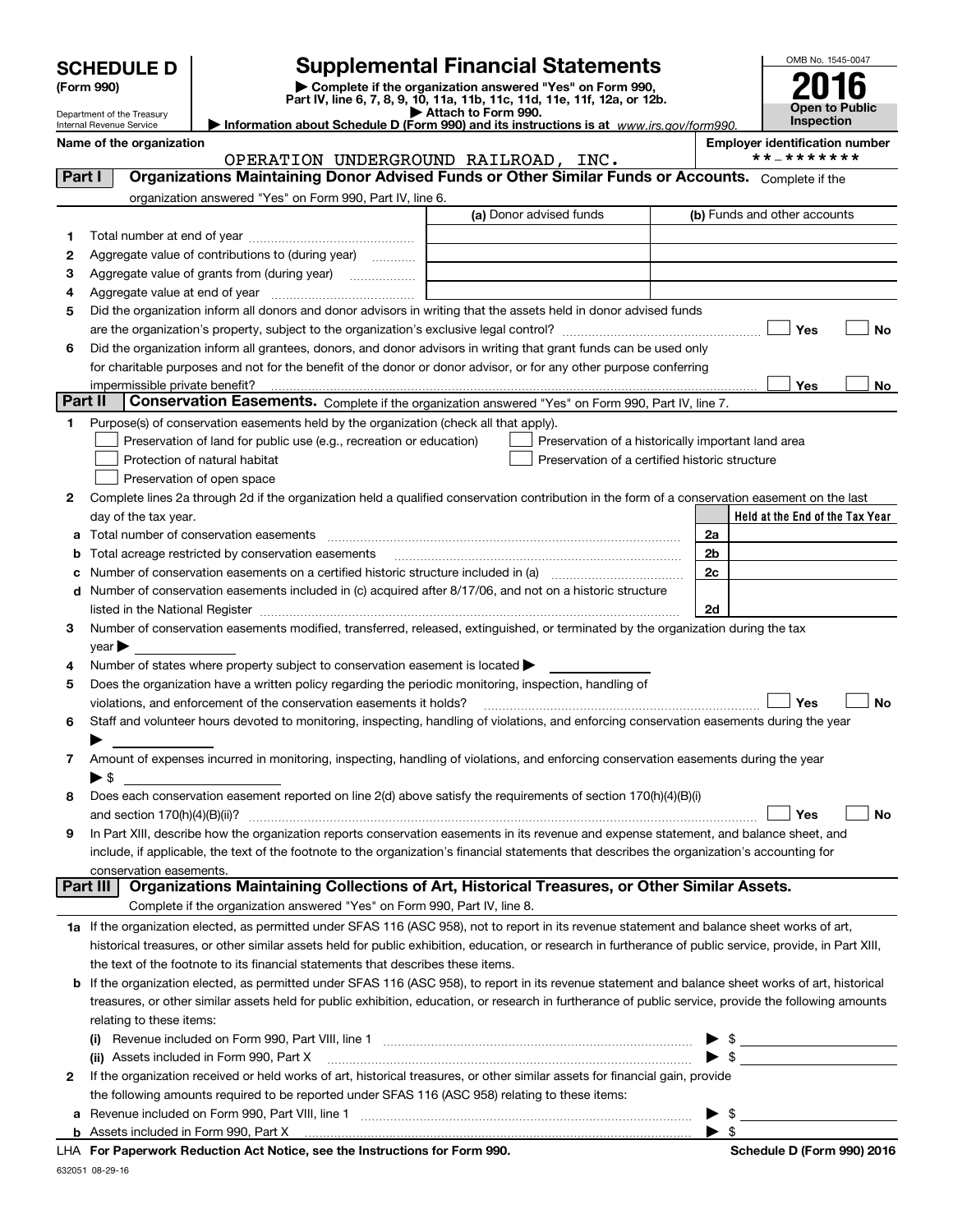## **SCHEDULE D Supplemental Financial Statements**

**(Form 990)** (**Form 990,**<br>Part IV, line 6, 7, 8, 9, 10, 11a, 11b, 11c, 11d, 11e, 11f, 12a, or 12b.<br>Department of the Treasury



|         |                         | Department of the Treasury<br>Internal Revenue Service | Information about Schedule D (Form 990) and its instructions is at $www.irs.gov/form990$ .                                                                 |                                      | ► Attacn to Form 990. |                                                    |    |                                       | <b>Inspection</b> |                                 |
|---------|-------------------------|--------------------------------------------------------|------------------------------------------------------------------------------------------------------------------------------------------------------------|--------------------------------------|-----------------------|----------------------------------------------------|----|---------------------------------------|-------------------|---------------------------------|
|         |                         | Name of the organization                               |                                                                                                                                                            |                                      |                       |                                                    |    | <b>Employer identification number</b> |                   |                                 |
|         |                         |                                                        |                                                                                                                                                            | OPERATION UNDERGROUND RAILROAD, INC. |                       |                                                    |    |                                       | **_*******        |                                 |
| Part I  |                         |                                                        | Organizations Maintaining Donor Advised Funds or Other Similar Funds or Accounts. Complete if the                                                          |                                      |                       |                                                    |    |                                       |                   |                                 |
|         |                         |                                                        | organization answered "Yes" on Form 990, Part IV, line 6.                                                                                                  |                                      |                       |                                                    |    |                                       |                   |                                 |
|         |                         |                                                        |                                                                                                                                                            |                                      |                       | (a) Donor advised funds                            |    | (b) Funds and other accounts          |                   |                                 |
| 1.      |                         |                                                        |                                                                                                                                                            |                                      |                       |                                                    |    |                                       |                   |                                 |
| 2       |                         |                                                        | Aggregate value of contributions to (during year)                                                                                                          |                                      |                       |                                                    |    |                                       |                   |                                 |
| з       |                         |                                                        | Aggregate value of grants from (during year)                                                                                                               |                                      |                       |                                                    |    |                                       |                   |                                 |
| 4       |                         |                                                        |                                                                                                                                                            |                                      |                       |                                                    |    |                                       |                   |                                 |
| 5       |                         |                                                        | Did the organization inform all donors and donor advisors in writing that the assets held in donor advised funds                                           |                                      |                       |                                                    |    |                                       |                   |                                 |
|         |                         |                                                        |                                                                                                                                                            |                                      |                       |                                                    |    |                                       | Yes               | No                              |
| 6       |                         |                                                        | Did the organization inform all grantees, donors, and donor advisors in writing that grant funds can be used only                                          |                                      |                       |                                                    |    |                                       |                   |                                 |
|         |                         |                                                        | for charitable purposes and not for the benefit of the donor or donor advisor, or for any other purpose conferring                                         |                                      |                       |                                                    |    |                                       |                   |                                 |
|         |                         | impermissible private benefit?                         |                                                                                                                                                            |                                      |                       |                                                    |    |                                       | Yes               | No                              |
| Part II |                         |                                                        | Conservation Easements. Complete if the organization answered "Yes" on Form 990, Part IV, line 7.                                                          |                                      |                       |                                                    |    |                                       |                   |                                 |
| 1       |                         |                                                        | Purpose(s) of conservation easements held by the organization (check all that apply).                                                                      |                                      |                       |                                                    |    |                                       |                   |                                 |
|         |                         |                                                        | Preservation of land for public use (e.g., recreation or education)                                                                                        |                                      |                       | Preservation of a historically important land area |    |                                       |                   |                                 |
|         |                         |                                                        | Protection of natural habitat                                                                                                                              |                                      |                       | Preservation of a certified historic structure     |    |                                       |                   |                                 |
|         |                         |                                                        | Preservation of open space                                                                                                                                 |                                      |                       |                                                    |    |                                       |                   |                                 |
| 2       |                         |                                                        | Complete lines 2a through 2d if the organization held a qualified conservation contribution in the form of a conservation easement on the last             |                                      |                       |                                                    |    |                                       |                   |                                 |
|         |                         | day of the tax year.                                   |                                                                                                                                                            |                                      |                       |                                                    |    |                                       |                   | Held at the End of the Tax Year |
|         |                         |                                                        | <b>a</b> Total number of conservation easements                                                                                                            |                                      |                       |                                                    | 2a |                                       |                   |                                 |
| b       |                         |                                                        | Total acreage restricted by conservation easements                                                                                                         |                                      |                       |                                                    | 2b |                                       |                   |                                 |
|         |                         |                                                        | Number of conservation easements on a certified historic structure included in (a) <i>manumumumumum</i>                                                    |                                      |                       |                                                    | 2c |                                       |                   |                                 |
|         |                         |                                                        | d Number of conservation easements included in (c) acquired after 8/17/06, and not on a historic structure                                                 |                                      |                       |                                                    |    |                                       |                   |                                 |
|         |                         |                                                        |                                                                                                                                                            |                                      |                       |                                                    | 2d |                                       |                   |                                 |
| 3       |                         |                                                        | Number of conservation easements modified, transferred, released, extinguished, or terminated by the organization during the tax                           |                                      |                       |                                                    |    |                                       |                   |                                 |
|         | year                    |                                                        |                                                                                                                                                            |                                      |                       |                                                    |    |                                       |                   |                                 |
| 4       |                         |                                                        | Number of states where property subject to conservation easement is located >                                                                              |                                      |                       |                                                    |    |                                       |                   |                                 |
| 5       |                         |                                                        | Does the organization have a written policy regarding the periodic monitoring, inspection, handling of                                                     |                                      |                       |                                                    |    |                                       |                   |                                 |
|         |                         |                                                        | violations, and enforcement of the conservation easements it holds?                                                                                        |                                      |                       |                                                    |    |                                       | Yes               | No                              |
| 6       |                         |                                                        | Staff and volunteer hours devoted to monitoring, inspecting, handling of violations, and enforcing conservation easements during the year                  |                                      |                       |                                                    |    |                                       |                   |                                 |
|         |                         |                                                        |                                                                                                                                                            |                                      |                       |                                                    |    |                                       |                   |                                 |
| 7       |                         |                                                        | Amount of expenses incurred in monitoring, inspecting, handling of violations, and enforcing conservation easements during the year                        |                                      |                       |                                                    |    |                                       |                   |                                 |
|         | $\blacktriangleright$ S |                                                        |                                                                                                                                                            |                                      |                       |                                                    |    |                                       |                   |                                 |
| 8       |                         |                                                        | Does each conservation easement reported on line 2(d) above satisfy the requirements of section 170(h)(4)(B)(i)                                            |                                      |                       |                                                    |    |                                       |                   |                                 |
|         |                         | and section $170(h)(4)(B)(ii)?$                        |                                                                                                                                                            |                                      |                       |                                                    |    |                                       | Yes               | No                              |
| 9       |                         |                                                        | In Part XIII, describe how the organization reports conservation easements in its revenue and expense statement, and balance sheet, and                    |                                      |                       |                                                    |    |                                       |                   |                                 |
|         |                         |                                                        | include, if applicable, the text of the footnote to the organization's financial statements that describes the organization's accounting for               |                                      |                       |                                                    |    |                                       |                   |                                 |
|         |                         | conservation easements.                                | Organizations Maintaining Collections of Art, Historical Treasures, or Other Similar Assets.                                                               |                                      |                       |                                                    |    |                                       |                   |                                 |
|         | Part III                |                                                        |                                                                                                                                                            |                                      |                       |                                                    |    |                                       |                   |                                 |
|         |                         |                                                        | Complete if the organization answered "Yes" on Form 990, Part IV, line 8.                                                                                  |                                      |                       |                                                    |    |                                       |                   |                                 |
|         |                         |                                                        | 1a If the organization elected, as permitted under SFAS 116 (ASC 958), not to report in its revenue statement and balance sheet works of art,              |                                      |                       |                                                    |    |                                       |                   |                                 |
|         |                         |                                                        | historical treasures, or other similar assets held for public exhibition, education, or research in furtherance of public service, provide, in Part XIII,  |                                      |                       |                                                    |    |                                       |                   |                                 |
|         |                         |                                                        | the text of the footnote to its financial statements that describes these items.                                                                           |                                      |                       |                                                    |    |                                       |                   |                                 |
|         |                         |                                                        | <b>b</b> If the organization elected, as permitted under SFAS 116 (ASC 958), to report in its revenue statement and balance sheet works of art, historical |                                      |                       |                                                    |    |                                       |                   |                                 |
|         |                         |                                                        | treasures, or other similar assets held for public exhibition, education, or research in furtherance of public service, provide the following amounts      |                                      |                       |                                                    |    |                                       |                   |                                 |
|         |                         | relating to these items:                               |                                                                                                                                                            |                                      |                       |                                                    |    |                                       |                   |                                 |
|         | $\left( 0 \right)$      |                                                        |                                                                                                                                                            |                                      |                       |                                                    | \$ |                                       |                   |                                 |
|         |                         |                                                        | (ii) Assets included in Form 990, Part X                                                                                                                   |                                      |                       |                                                    |    | $\blacktriangleright$ \$              |                   |                                 |
| 2       |                         |                                                        | If the organization received or held works of art, historical treasures, or other similar assets for financial gain, provide                               |                                      |                       |                                                    |    |                                       |                   |                                 |

**a**Revenue included on Form 990, Part VIII, line 1 ~~~~~~~~~~~~~~~~~~~~~~~~~~~~~~the following amounts required to be reported under SFAS 116 (ASC 958) relating to these items:

**b**Assets included in Form 990, Part X

**For Paperwork Reduction Act Notice, see the Instructions for Form 990. Schedule D (Form 990) 2016** LHA

 $\blacktriangleright$  \$

 $\blacktriangleright$  \$

632051 08-29-16

 $\overline{a}$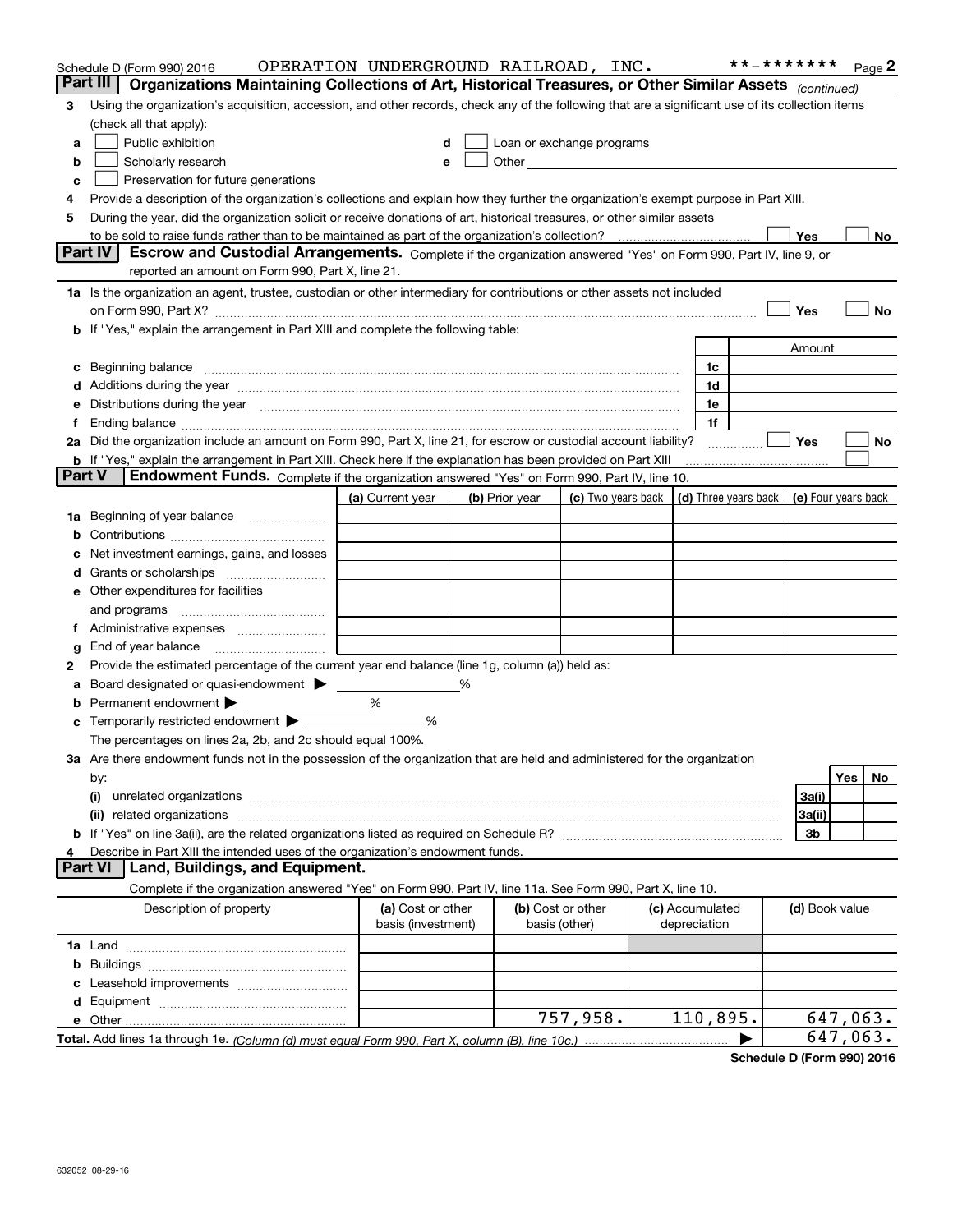|               | Schedule D (Form 990) 2016                                                                                                                                                                                                     | OPERATION UNDERGROUND RAILROAD, INC.    |   |                                    |                                                                                                                                                                                                                               |  |                                 | **_******* |                | Page 2    |
|---------------|--------------------------------------------------------------------------------------------------------------------------------------------------------------------------------------------------------------------------------|-----------------------------------------|---|------------------------------------|-------------------------------------------------------------------------------------------------------------------------------------------------------------------------------------------------------------------------------|--|---------------------------------|------------|----------------|-----------|
|               | Part III<br>Organizations Maintaining Collections of Art, Historical Treasures, or Other Similar Assets (continued)                                                                                                            |                                         |   |                                    |                                                                                                                                                                                                                               |  |                                 |            |                |           |
| з             | Using the organization's acquisition, accession, and other records, check any of the following that are a significant use of its collection items                                                                              |                                         |   |                                    |                                                                                                                                                                                                                               |  |                                 |            |                |           |
|               | (check all that apply):                                                                                                                                                                                                        |                                         |   |                                    |                                                                                                                                                                                                                               |  |                                 |            |                |           |
| a             | Public exhibition                                                                                                                                                                                                              | d                                       |   |                                    | Loan or exchange programs                                                                                                                                                                                                     |  |                                 |            |                |           |
| b             | Scholarly research                                                                                                                                                                                                             |                                         |   |                                    | Other and the contract of the contract of the contract of the contract of the contract of the contract of the contract of the contract of the contract of the contract of the contract of the contract of the contract of the |  |                                 |            |                |           |
| c             | Preservation for future generations                                                                                                                                                                                            |                                         |   |                                    |                                                                                                                                                                                                                               |  |                                 |            |                |           |
|               | Provide a description of the organization's collections and explain how they further the organization's exempt purpose in Part XIII.                                                                                           |                                         |   |                                    |                                                                                                                                                                                                                               |  |                                 |            |                |           |
| 5             | During the year, did the organization solicit or receive donations of art, historical treasures, or other similar assets                                                                                                       |                                         |   |                                    |                                                                                                                                                                                                                               |  |                                 |            |                |           |
|               | to be sold to raise funds rather than to be maintained as part of the organization's collection?<br>Part IV                                                                                                                    |                                         |   |                                    |                                                                                                                                                                                                                               |  |                                 |            | Yes            | No        |
|               | Escrow and Custodial Arrangements. Complete if the organization answered "Yes" on Form 990, Part IV, line 9, or<br>reported an amount on Form 990, Part X, line 21.                                                            |                                         |   |                                    |                                                                                                                                                                                                                               |  |                                 |            |                |           |
|               | 1a Is the organization an agent, trustee, custodian or other intermediary for contributions or other assets not included                                                                                                       |                                         |   |                                    |                                                                                                                                                                                                                               |  |                                 |            |                |           |
|               | on Form 990, Part X? [11] matter contracts and contracts and contracts are contracted as a form 990, Part X?                                                                                                                   |                                         |   |                                    |                                                                                                                                                                                                                               |  |                                 |            | Yes            | No        |
|               | <b>b</b> If "Yes," explain the arrangement in Part XIII and complete the following table:                                                                                                                                      |                                         |   |                                    |                                                                                                                                                                                                                               |  |                                 |            |                |           |
|               |                                                                                                                                                                                                                                |                                         |   |                                    |                                                                                                                                                                                                                               |  |                                 |            | Amount         |           |
|               | c Beginning balance measurements and the contract of the contract of the contract of the contract of the contract of the contract of the contract of the contract of the contract of the contract of the contract of the contr |                                         |   |                                    |                                                                                                                                                                                                                               |  | 1c                              |            |                |           |
|               | d Additions during the year measurements are all an according to the year measurement of the year measurement of the state of the state of the state of the state of the state of the state of the state of the state of the s |                                         |   |                                    |                                                                                                                                                                                                                               |  | 1d                              |            |                |           |
|               | e Distributions during the year manufactured and continuum and control of the control of the control of the control of the control of the control of the control of the control of the control of the control of the control o |                                         |   |                                    |                                                                                                                                                                                                                               |  | 1e                              |            |                |           |
|               |                                                                                                                                                                                                                                |                                         |   |                                    |                                                                                                                                                                                                                               |  | 1f                              |            |                |           |
|               | 2a Did the organization include an amount on Form 990, Part X, line 21, for escrow or custodial account liability?                                                                                                             |                                         |   |                                    |                                                                                                                                                                                                                               |  |                                 |            | Yes            | No        |
|               | <b>b</b> If "Yes," explain the arrangement in Part XIII. Check here if the explanation has been provided on Part XIII                                                                                                          |                                         |   |                                    |                                                                                                                                                                                                                               |  |                                 |            |                |           |
| <b>Part V</b> | Endowment Funds. Complete if the organization answered "Yes" on Form 990, Part IV, line 10.                                                                                                                                    |                                         |   |                                    |                                                                                                                                                                                                                               |  |                                 |            |                |           |
|               |                                                                                                                                                                                                                                | (a) Current year                        |   | (b) Prior year                     | (c) Two years back $\vert$ (d) Three years back $\vert$ (e) Four years back                                                                                                                                                   |  |                                 |            |                |           |
|               |                                                                                                                                                                                                                                |                                         |   |                                    |                                                                                                                                                                                                                               |  |                                 |            |                |           |
|               |                                                                                                                                                                                                                                |                                         |   |                                    |                                                                                                                                                                                                                               |  |                                 |            |                |           |
|               | c Net investment earnings, gains, and losses                                                                                                                                                                                   |                                         |   |                                    |                                                                                                                                                                                                                               |  |                                 |            |                |           |
|               |                                                                                                                                                                                                                                |                                         |   |                                    |                                                                                                                                                                                                                               |  |                                 |            |                |           |
|               | e Other expenditures for facilities                                                                                                                                                                                            |                                         |   |                                    |                                                                                                                                                                                                                               |  |                                 |            |                |           |
|               | and programs                                                                                                                                                                                                                   |                                         |   |                                    |                                                                                                                                                                                                                               |  |                                 |            |                |           |
|               | f Administrative expenses <i>manually communicative</i>                                                                                                                                                                        |                                         |   |                                    |                                                                                                                                                                                                                               |  |                                 |            |                |           |
| g             |                                                                                                                                                                                                                                |                                         |   |                                    |                                                                                                                                                                                                                               |  |                                 |            |                |           |
| 2             | Provide the estimated percentage of the current year end balance (line 1g, column (a)) held as:                                                                                                                                |                                         |   |                                    |                                                                                                                                                                                                                               |  |                                 |            |                |           |
| а             | Board designated or quasi-endowment >                                                                                                                                                                                          |                                         | % |                                    |                                                                                                                                                                                                                               |  |                                 |            |                |           |
|               | <b>b</b> Permanent endowment $\blacktriangleright$                                                                                                                                                                             | %                                       |   |                                    |                                                                                                                                                                                                                               |  |                                 |            |                |           |
|               | <b>c</b> Temporarily restricted endowment $\blacktriangleright$                                                                                                                                                                | %                                       |   |                                    |                                                                                                                                                                                                                               |  |                                 |            |                |           |
|               | The percentages on lines 2a, 2b, and 2c should equal 100%.                                                                                                                                                                     |                                         |   |                                    |                                                                                                                                                                                                                               |  |                                 |            |                |           |
|               | 3a Are there endowment funds not in the possession of the organization that are held and administered for the organization                                                                                                     |                                         |   |                                    |                                                                                                                                                                                                                               |  |                                 |            |                |           |
|               | by:                                                                                                                                                                                                                            |                                         |   |                                    |                                                                                                                                                                                                                               |  |                                 |            |                | Yes<br>No |
|               | (i)                                                                                                                                                                                                                            |                                         |   |                                    |                                                                                                                                                                                                                               |  |                                 |            | 3a(i)          |           |
|               |                                                                                                                                                                                                                                |                                         |   |                                    |                                                                                                                                                                                                                               |  |                                 |            | 3a(ii)         |           |
|               |                                                                                                                                                                                                                                |                                         |   |                                    |                                                                                                                                                                                                                               |  |                                 |            | 3b             |           |
|               | Describe in Part XIII the intended uses of the organization's endowment funds.<br>Land, Buildings, and Equipment.<br><b>Part VI</b>                                                                                            |                                         |   |                                    |                                                                                                                                                                                                                               |  |                                 |            |                |           |
|               |                                                                                                                                                                                                                                |                                         |   |                                    |                                                                                                                                                                                                                               |  |                                 |            |                |           |
|               | Complete if the organization answered "Yes" on Form 990, Part IV, line 11a. See Form 990, Part X, line 10.                                                                                                                     |                                         |   |                                    |                                                                                                                                                                                                                               |  |                                 |            |                |           |
|               | Description of property                                                                                                                                                                                                        | (a) Cost or other<br>basis (investment) |   | (b) Cost or other<br>basis (other) |                                                                                                                                                                                                                               |  | (c) Accumulated<br>depreciation |            | (d) Book value |           |
|               |                                                                                                                                                                                                                                |                                         |   |                                    |                                                                                                                                                                                                                               |  |                                 |            |                |           |
|               |                                                                                                                                                                                                                                |                                         |   |                                    |                                                                                                                                                                                                                               |  |                                 |            |                |           |
|               |                                                                                                                                                                                                                                |                                         |   |                                    |                                                                                                                                                                                                                               |  |                                 |            |                |           |
|               |                                                                                                                                                                                                                                |                                         |   |                                    |                                                                                                                                                                                                                               |  |                                 |            |                |           |
|               |                                                                                                                                                                                                                                |                                         |   |                                    | 757,958.                                                                                                                                                                                                                      |  | 110,895.                        |            |                | 647,063.  |
|               | Total. Add lines 1a through 1e. (Column (d) must equal Form 990. Part X, column (B), line 10c.)                                                                                                                                |                                         |   |                                    |                                                                                                                                                                                                                               |  |                                 |            |                | 647,063.  |

**Schedule D (Form 990) 2016**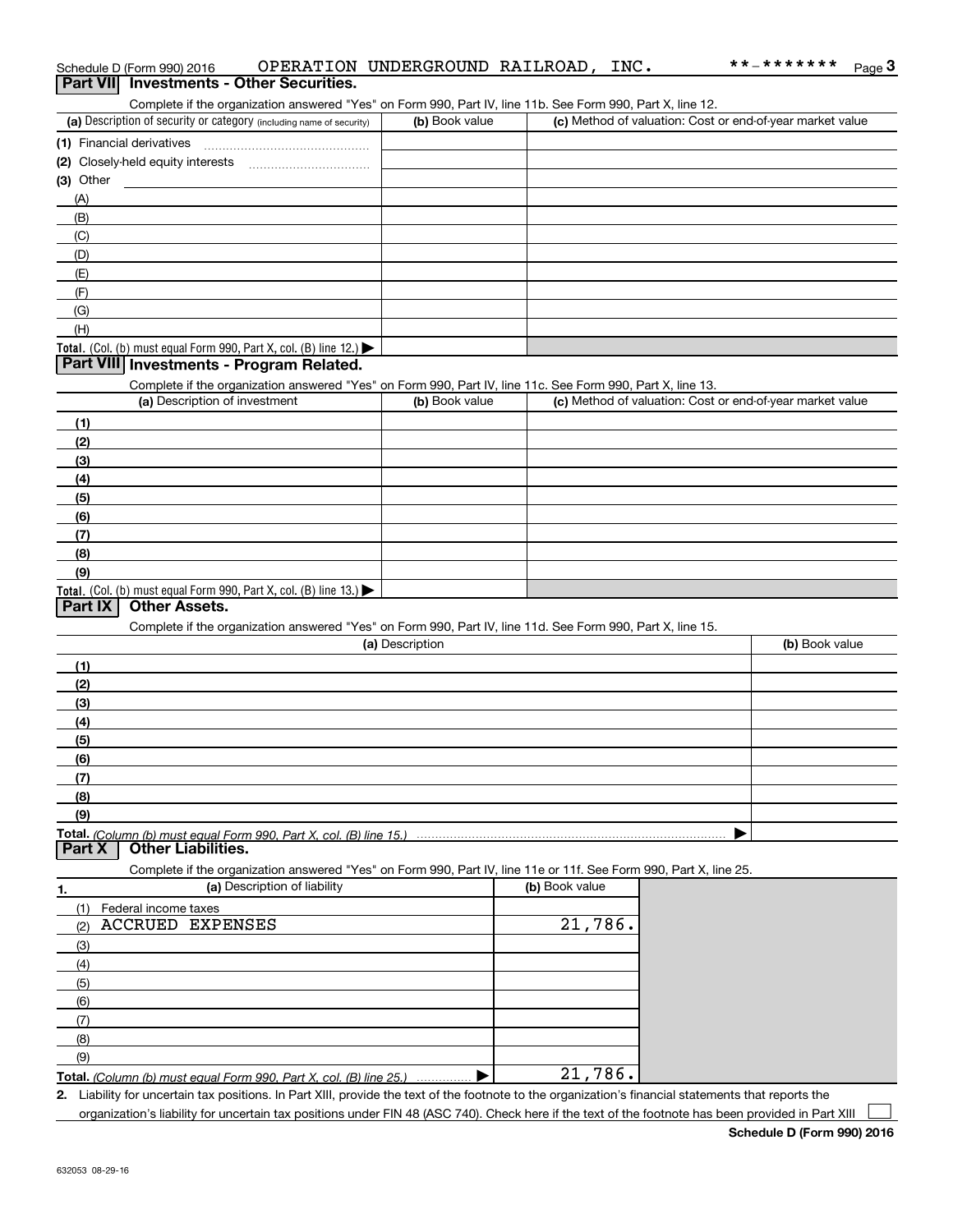|             | Complete if the organization answered "Yes" on Form 990, Part IV, line 11b. See Form 990, Part X, line 12.        |                 |                |                                                           |
|-------------|-------------------------------------------------------------------------------------------------------------------|-----------------|----------------|-----------------------------------------------------------|
|             | (a) Description of security or category (including name of security)                                              | (b) Book value  |                | (c) Method of valuation: Cost or end-of-year market value |
|             |                                                                                                                   |                 |                |                                                           |
|             |                                                                                                                   |                 |                |                                                           |
| $(3)$ Other |                                                                                                                   |                 |                |                                                           |
| (A)         |                                                                                                                   |                 |                |                                                           |
| (B)         |                                                                                                                   |                 |                |                                                           |
| (C)         |                                                                                                                   |                 |                |                                                           |
| (D)         |                                                                                                                   |                 |                |                                                           |
| (E)         |                                                                                                                   |                 |                |                                                           |
| (F)         |                                                                                                                   |                 |                |                                                           |
| (G)         |                                                                                                                   |                 |                |                                                           |
| (H)         |                                                                                                                   |                 |                |                                                           |
|             | <b>Total.</b> (Col. (b) must equal Form 990, Part X, col. (B) line $12$ .)                                        |                 |                |                                                           |
|             | Part VIII Investments - Program Related.                                                                          |                 |                |                                                           |
|             | Complete if the organization answered "Yes" on Form 990, Part IV, line 11c. See Form 990, Part X, line 13.        |                 |                |                                                           |
|             | (a) Description of investment                                                                                     | (b) Book value  |                | (c) Method of valuation: Cost or end-of-year market value |
| (1)         |                                                                                                                   |                 |                |                                                           |
| (2)         |                                                                                                                   |                 |                |                                                           |
| (3)         |                                                                                                                   |                 |                |                                                           |
| (4)         |                                                                                                                   |                 |                |                                                           |
| (5)         |                                                                                                                   |                 |                |                                                           |
| (6)         |                                                                                                                   |                 |                |                                                           |
| (7)         |                                                                                                                   |                 |                |                                                           |
| (8)         |                                                                                                                   |                 |                |                                                           |
| (9)         | <b>Total.</b> (Col. (b) must equal Form 990, Part X, col. (B) line $13.$                                          |                 |                |                                                           |
| Part IX     | <b>Other Assets.</b>                                                                                              |                 |                |                                                           |
|             | Complete if the organization answered "Yes" on Form 990, Part IV, line 11d. See Form 990, Part X, line 15.        |                 |                |                                                           |
|             |                                                                                                                   | (a) Description |                | (b) Book value                                            |
| (1)         |                                                                                                                   |                 |                |                                                           |
| (2)         |                                                                                                                   |                 |                |                                                           |
| (3)         |                                                                                                                   |                 |                |                                                           |
| (4)         |                                                                                                                   |                 |                |                                                           |
| (5)         |                                                                                                                   |                 |                |                                                           |
| (6)         |                                                                                                                   |                 |                |                                                           |
| (7)         |                                                                                                                   |                 |                |                                                           |
| (8)         |                                                                                                                   |                 |                |                                                           |
| (9)         |                                                                                                                   |                 |                |                                                           |
|             |                                                                                                                   |                 |                |                                                           |
|             |                                                                                                                   |                 |                |                                                           |
| Part X      | <b>Other Liabilities.</b>                                                                                         |                 |                |                                                           |
|             | Complete if the organization answered "Yes" on Form 990, Part IV, line 11e or 11f. See Form 990, Part X, line 25. |                 |                |                                                           |
| 1.          | (a) Description of liability                                                                                      |                 | (b) Book value |                                                           |
| (1)         | Federal income taxes                                                                                              |                 |                |                                                           |
| (2)         | ACCRUED EXPENSES                                                                                                  |                 | 21,786.        |                                                           |
| (3)         |                                                                                                                   |                 |                |                                                           |
| (4)         |                                                                                                                   |                 |                |                                                           |
| (5)         |                                                                                                                   |                 |                |                                                           |
| (6)         |                                                                                                                   |                 |                |                                                           |
| (7)         |                                                                                                                   |                 |                |                                                           |
| (8)         |                                                                                                                   |                 |                |                                                           |
| (9)         | Total. (Column (b) must equal Form 990. Part X, col. (B) line 25.)                                                |                 | 21,786.        |                                                           |

Schedule D (Form 990) 2016 Page **3Part VII Investments - Other Securities.** OPERATION UNDERGROUND RAILROAD, INC.

**2.** Liability for uncertain tax positions. In Part XIII, provide the text of the footnote to the organization's financial statements that reports the organization's liability for uncertain tax positions under FIN 48 (ASC 740). Check here if the text of the footnote has been provided in Part XIII

\*\*-\*\*\*\*\*\*\*

 $\mathcal{L}^{\text{max}}$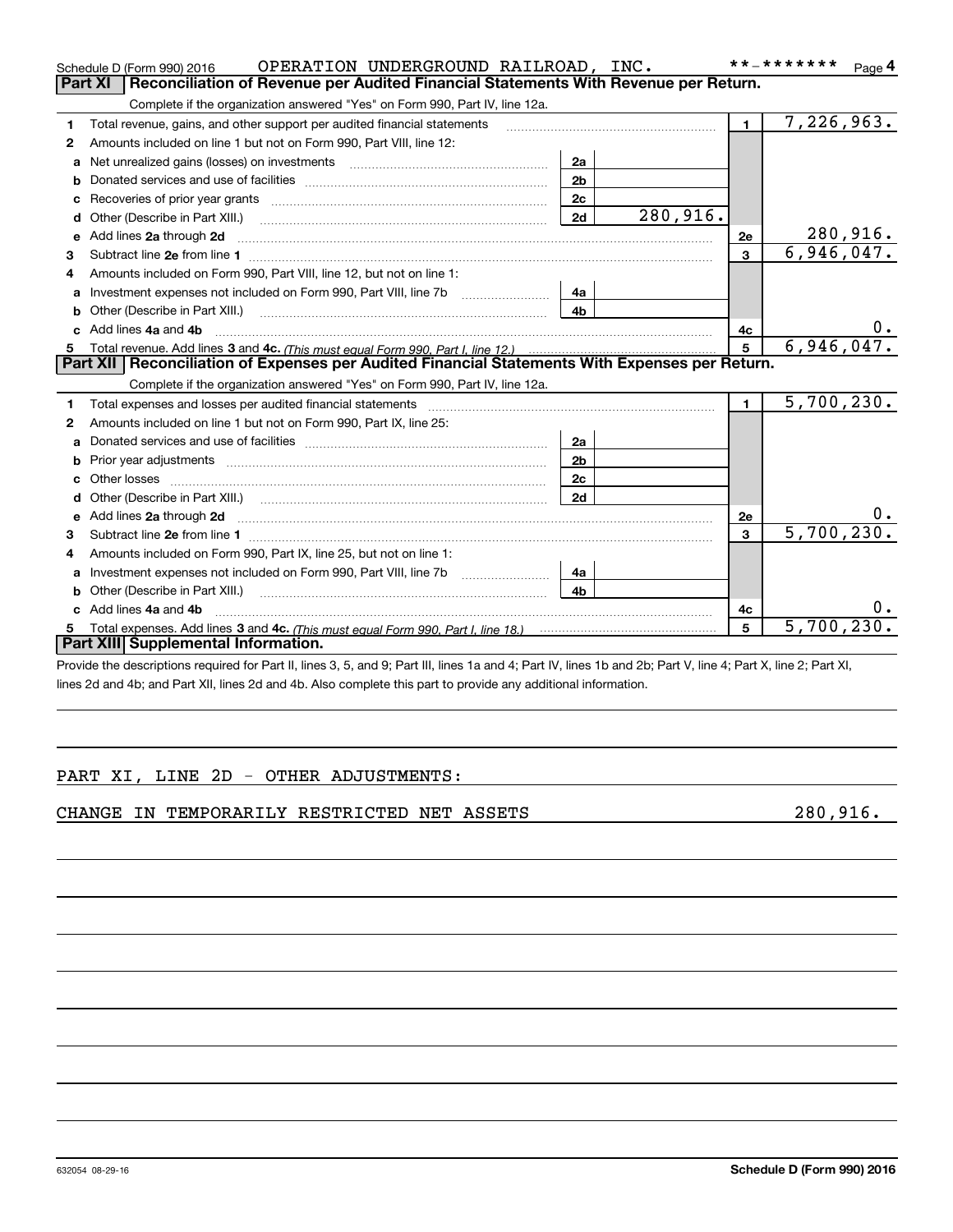|    | OPERATION UNDERGROUND RAILROAD, INC.<br>Schedule D (Form 990) 2016                                                                                                                                                                   |                |                 |                | * * _ * * * * * * *<br>Page $4$ |
|----|--------------------------------------------------------------------------------------------------------------------------------------------------------------------------------------------------------------------------------------|----------------|-----------------|----------------|---------------------------------|
|    | Reconciliation of Revenue per Audited Financial Statements With Revenue per Return.<br>Part XI                                                                                                                                       |                |                 |                |                                 |
|    | Complete if the organization answered "Yes" on Form 990, Part IV, line 12a.                                                                                                                                                          |                |                 |                |                                 |
| 1. | Total revenue, gains, and other support per audited financial statements                                                                                                                                                             |                |                 | $\blacksquare$ | 7,226,963.                      |
| 2  | Amounts included on line 1 but not on Form 990, Part VIII, line 12:                                                                                                                                                                  |                |                 |                |                                 |
| a  | Net unrealized gains (losses) on investments [11] matter contracts and the unrealized gains (losses) on investments                                                                                                                  | 2a             |                 |                |                                 |
| b  |                                                                                                                                                                                                                                      | 2 <sub>b</sub> |                 |                |                                 |
|    |                                                                                                                                                                                                                                      | 2 <sub>c</sub> |                 |                |                                 |
| d  | Other (Describe in Part XIII.) <b>Construction Contract Construction</b> [                                                                                                                                                           | 2d             | 280,916.        |                |                                 |
| е  | Add lines 2a through 2d                                                                                                                                                                                                              |                |                 | <b>2e</b>      | 280,916.                        |
| з  |                                                                                                                                                                                                                                      |                |                 | 3              | 6,946,047.                      |
| 4  | Amounts included on Form 990, Part VIII, line 12, but not on line 1:                                                                                                                                                                 |                |                 |                |                                 |
| a  |                                                                                                                                                                                                                                      | 4a             |                 |                |                                 |
|    |                                                                                                                                                                                                                                      | 4 <sub>b</sub> |                 |                |                                 |
|    | c Add lines 4a and 4b                                                                                                                                                                                                                |                |                 | 4c             |                                 |
|    |                                                                                                                                                                                                                                      |                | $5\phantom{.0}$ | 6,946,047.     |                                 |
|    |                                                                                                                                                                                                                                      |                |                 |                |                                 |
|    | Part XII   Reconciliation of Expenses per Audited Financial Statements With Expenses per Return.                                                                                                                                     |                |                 |                |                                 |
|    | Complete if the organization answered "Yes" on Form 990, Part IV, line 12a.                                                                                                                                                          |                |                 |                |                                 |
| 1  | Total expenses and losses per audited financial statements [11] [12] manuscription and contract the statements [13] manuscription and the statements [13] manuscription and the statements and the statements and the statemen       |                |                 | $\mathbf{1}$   | 5,700,230.                      |
| 2  | Amounts included on line 1 but not on Form 990, Part IX, line 25:                                                                                                                                                                    |                |                 |                |                                 |
| a  |                                                                                                                                                                                                                                      | 2a             |                 |                |                                 |
| b  | Prior year adjustments www.communication.com/www.communication.com/www.com/                                                                                                                                                          | 2 <sub>b</sub> |                 |                |                                 |
|    | Other losses <b>with a contract the contract of the contract of the contract of the contract of the contract of the contract of the contract of the contract of the contract of the contract of the contract of the contract of </b> | 2c             |                 |                |                                 |
| d  |                                                                                                                                                                                                                                      | 2d             |                 |                |                                 |
| e  | Add lines 2a through 2d <b>contained a contained a contained a contained a</b> contained a contained a contained a contained a contained a contained a contained a contained a contained a contained a contained a contained a cont  |                |                 | 2e             | υ.                              |
| з  | Subtract line 2e from line 1 <b>manufacture contract and contract line 2e</b> from line 1                                                                                                                                            |                |                 | 3              | 5,700,230.                      |
| 4  | Amounts included on Form 990, Part IX, line 25, but not on line 1:                                                                                                                                                                   |                |                 |                |                                 |
| a  |                                                                                                                                                                                                                                      | 4а             |                 |                |                                 |
|    | Other (Describe in Part XIII.)                                                                                                                                                                                                       | 4 <sub>b</sub> |                 |                |                                 |
|    | c Add lines 4a and 4b                                                                                                                                                                                                                |                |                 | 4c             |                                 |
|    | Part XIII Supplemental Information.                                                                                                                                                                                                  |                |                 | 5              | 5,700,230.                      |

Provide the descriptions required for Part II, lines 3, 5, and 9; Part III, lines 1a and 4; Part IV, lines 1b and 2b; Part V, line 4; Part X, line 2; Part XI, lines 2d and 4b; and Part XII, lines 2d and 4b. Also complete this part to provide any additional information.

### PART XI, LINE 2D - OTHER ADJUSTMENTS:

### CHANGE IN TEMPORARILY RESTRICTED NET ASSETS **1994** 280,916.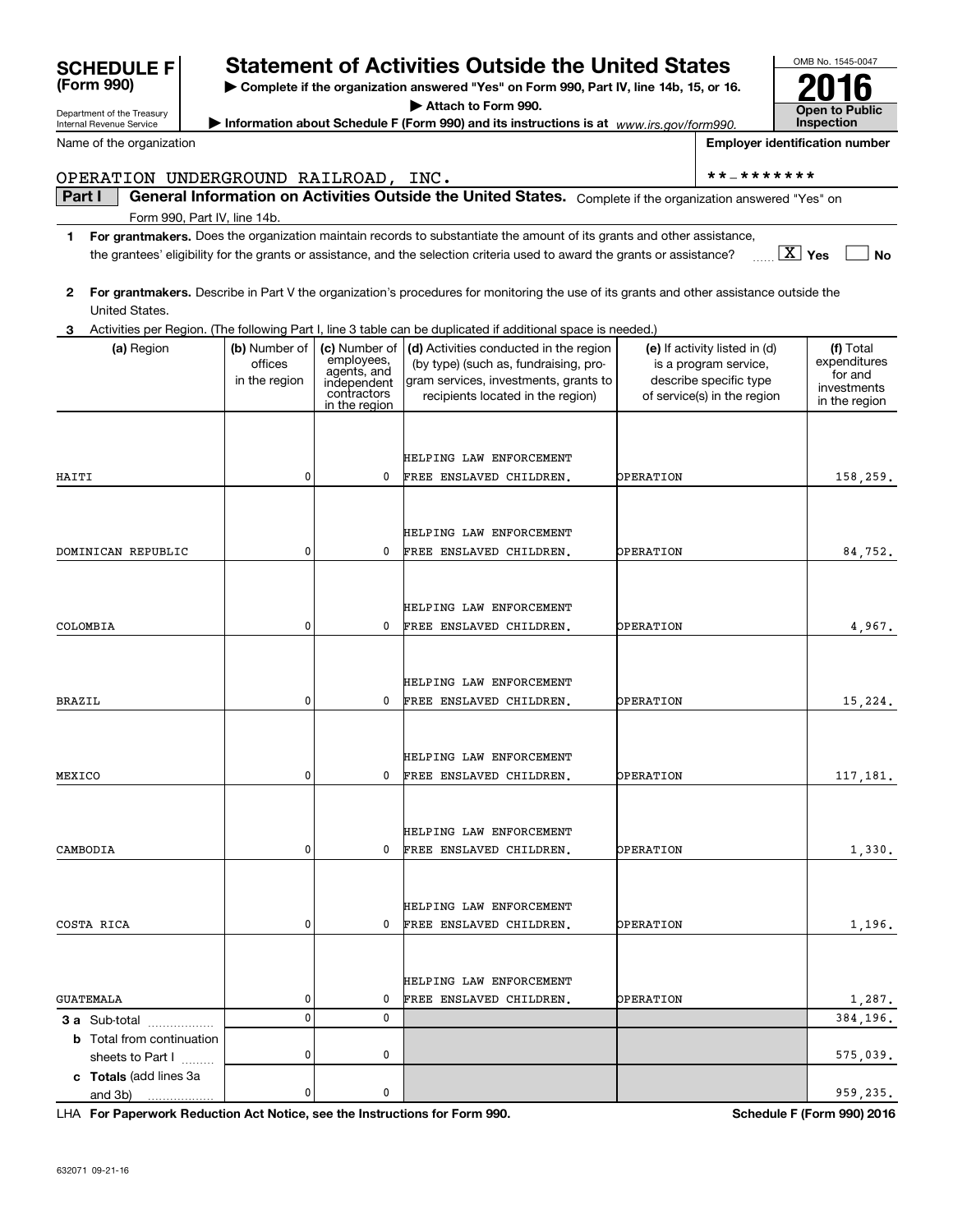| Name of the organization             |                                                                           | <b>Employer identification number</b> |                                                                                                                                         |                               |                                                       |                           |
|--------------------------------------|---------------------------------------------------------------------------|---------------------------------------|-----------------------------------------------------------------------------------------------------------------------------------------|-------------------------------|-------------------------------------------------------|---------------------------|
| OPERATION UNDERGROUND RAILROAD, INC. |                                                                           |                                       |                                                                                                                                         |                               | **_*******                                            |                           |
| Part I                               |                                                                           |                                       | General Information on Activities Outside the United States. Complete if the organization answered "Yes" on                             |                               |                                                       |                           |
| Form 990, Part IV, line 14b.         |                                                                           |                                       |                                                                                                                                         |                               |                                                       |                           |
| 1.                                   |                                                                           |                                       | For grantmakers. Does the organization maintain records to substantiate the amount of its grants and other assistance,                  |                               |                                                       |                           |
|                                      |                                                                           |                                       | the grantees' eligibility for the grants or assistance, and the selection criteria used to award the grants or assistance?              |                               |                                                       | $\vert X \vert$ Yes<br>No |
|                                      |                                                                           |                                       |                                                                                                                                         |                               |                                                       |                           |
| 2<br>United States.                  |                                                                           |                                       | For grantmakers. Describe in Part V the organization's procedures for monitoring the use of its grants and other assistance outside the |                               |                                                       |                           |
| З                                    |                                                                           |                                       | Activities per Region. (The following Part I, line 3 table can be duplicated if additional space is needed.)                            |                               |                                                       |                           |
| (a) Region                           | (b) Number of<br>(c) Number of $ $ (d) Activities conducted in the region |                                       |                                                                                                                                         | (e) If activity listed in (d) | (f) Total                                             |                           |
|                                      | offices                                                                   | employees,<br>agents, and             | (by type) (such as, fundraising, pro-                                                                                                   |                               | is a program service,                                 | expenditures<br>for and   |
|                                      | in the region                                                             | independent<br>contractors            | gram services, investments, grants to<br>recipients located in the region)                                                              |                               | describe specific type<br>of service(s) in the region | investments               |
|                                      |                                                                           | in the region                         |                                                                                                                                         |                               |                                                       | in the region             |
|                                      |                                                                           |                                       |                                                                                                                                         |                               |                                                       |                           |
|                                      |                                                                           |                                       | HELPING LAW ENFORCEMENT                                                                                                                 |                               |                                                       |                           |
| HAITI                                | 0                                                                         | 0                                     | FREE ENSLAVED CHILDREN.                                                                                                                 | <b>OPERATION</b>              |                                                       | 158,259.                  |
|                                      |                                                                           |                                       |                                                                                                                                         |                               |                                                       |                           |
|                                      |                                                                           |                                       |                                                                                                                                         |                               |                                                       |                           |
|                                      |                                                                           |                                       | HELPING LAW ENFORCEMENT                                                                                                                 |                               |                                                       |                           |
| DOMINICAN REPUBLIC                   | 0                                                                         | 0                                     | FREE ENSLAVED CHILDREN.                                                                                                                 | <b>OPERATION</b>              |                                                       | 84,752.                   |
|                                      |                                                                           |                                       |                                                                                                                                         |                               |                                                       |                           |
|                                      |                                                                           |                                       | HELPING LAW ENFORCEMENT                                                                                                                 |                               |                                                       |                           |
| COLOMBIA                             | 0                                                                         | 0                                     | FREE ENSLAVED CHILDREN.                                                                                                                 | <b>OPERATION</b>              |                                                       | 4,967.                    |
|                                      |                                                                           |                                       |                                                                                                                                         |                               |                                                       |                           |
|                                      |                                                                           |                                       |                                                                                                                                         |                               |                                                       |                           |
| BRAZIL                               | 0                                                                         | 0                                     | HELPING LAW ENFORCEMENT<br>FREE ENSLAVED CHILDREN.                                                                                      | <b>OPERATION</b>              |                                                       | 15,224.                   |
|                                      |                                                                           |                                       |                                                                                                                                         |                               |                                                       |                           |
|                                      |                                                                           |                                       |                                                                                                                                         |                               |                                                       |                           |
|                                      |                                                                           |                                       | HELPING LAW ENFORCEMENT                                                                                                                 |                               |                                                       |                           |
| MEXICO                               | 0                                                                         | 0                                     | FREE ENSLAVED CHILDREN.                                                                                                                 | <b>OPERATION</b>              |                                                       | 117,181.                  |
|                                      |                                                                           |                                       |                                                                                                                                         |                               |                                                       |                           |
|                                      |                                                                           |                                       | HELPING LAW ENFORCEMENT                                                                                                                 |                               |                                                       |                           |
| CAMBODIA                             | 0                                                                         | 0                                     | FREE ENSLAVED CHILDREN.                                                                                                                 | <b>OPERATION</b>              |                                                       | 1,330.                    |
|                                      |                                                                           |                                       |                                                                                                                                         |                               |                                                       |                           |
|                                      |                                                                           |                                       |                                                                                                                                         |                               |                                                       |                           |
|                                      |                                                                           |                                       | HELPING LAW ENFORCEMENT                                                                                                                 |                               |                                                       |                           |
| COSTA RICA                           | 0                                                                         | 0                                     | FREE ENSLAVED CHILDREN.                                                                                                                 | <b>OPERATION</b>              |                                                       | 1,196.                    |
|                                      |                                                                           |                                       |                                                                                                                                         |                               |                                                       |                           |
|                                      |                                                                           |                                       | HELPING LAW ENFORCEMENT                                                                                                                 |                               |                                                       |                           |
| <b>GUATEMALA</b>                     | 0                                                                         | 0                                     | FREE ENSLAVED CHILDREN.                                                                                                                 | OPERATION                     |                                                       | 1,287.                    |
| 3 a Sub-total                        | $\pmb{0}$                                                                 | 0                                     |                                                                                                                                         |                               |                                                       | 384,196.                  |
| <b>b</b> Total from continuation     |                                                                           |                                       |                                                                                                                                         |                               |                                                       |                           |
| sheets to Part I                     | 0                                                                         | 0                                     |                                                                                                                                         |                               |                                                       | 575,039.                  |
| c Totals (add lines 3a<br>and 3b)    | 0                                                                         | 0                                     |                                                                                                                                         |                               |                                                       | 959,235.                  |
|                                      |                                                                           |                                       |                                                                                                                                         |                               |                                                       |                           |

**| Complete if the organization answered "Yes" on Form 990, Part IV, line 14b, 15, or 16. | Attach to Form 990. | Information about Schedule F (Form 990) and its instructions is at**  *www.irs.gov/form990.*

**Statement of Activities Outside the United States** 

**For Paperwork Reduction Act Notice, see the Instructions for Form 990. Schedule F (Form 990) 2016** LHA

OMB No. 1545-0047

**2016**

**Open to Public Inspection**

Department of the Treasury Internal Revenue Service

**(Form 990)**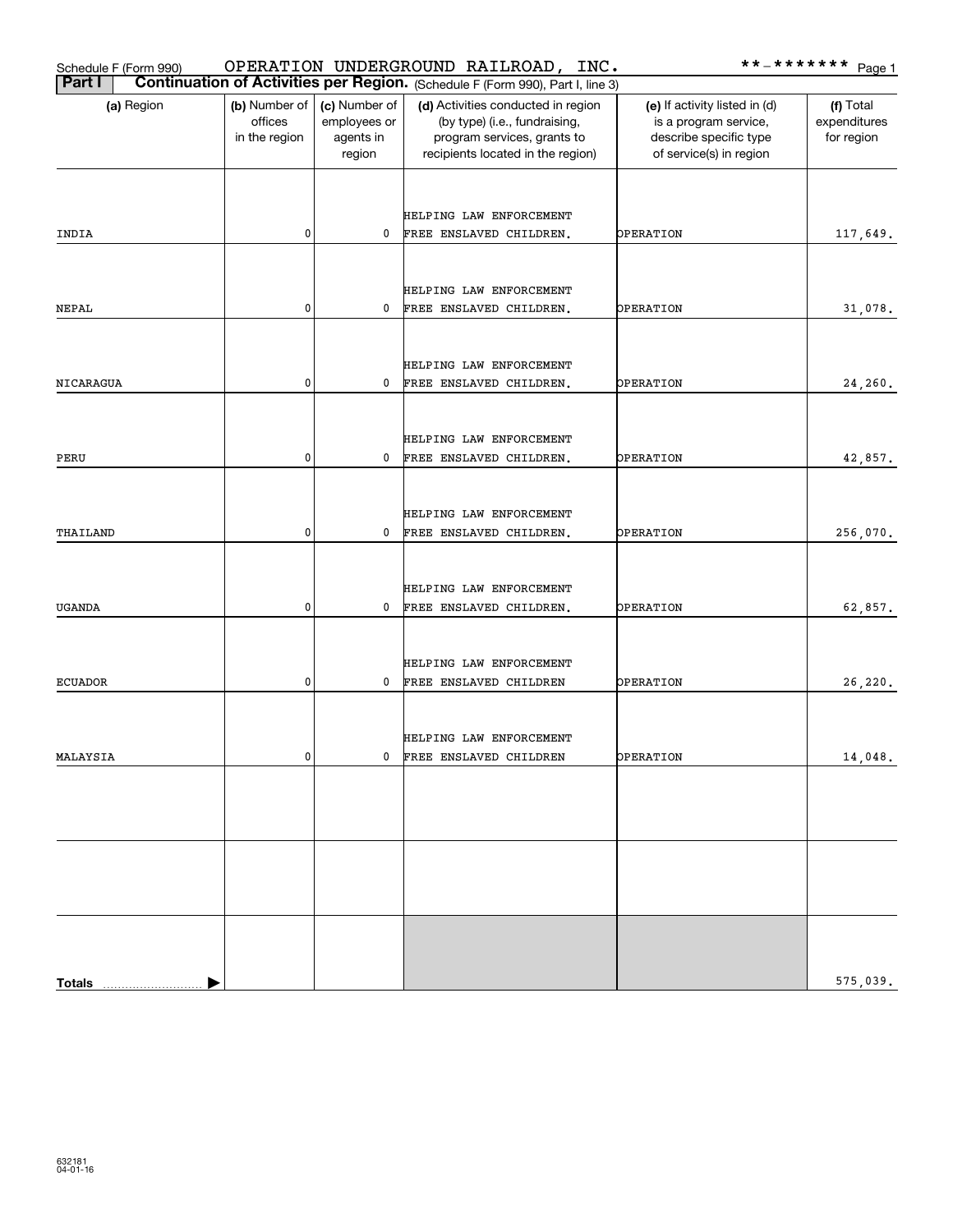| Schedule F (Form 990) |                                           |                                                      | OPERATION UNDERGROUND RAILROAD, INC.                                                                                                    |                                                                                                             | **_******* <u>Page 1</u>                |
|-----------------------|-------------------------------------------|------------------------------------------------------|-----------------------------------------------------------------------------------------------------------------------------------------|-------------------------------------------------------------------------------------------------------------|-----------------------------------------|
| Part I                |                                           |                                                      | Continuation of Activities per Region. (Schedule F (Form 990), Part I, line 3)                                                          |                                                                                                             |                                         |
| (a) Region            | (b) Number of<br>offices<br>in the region | (c) Number of<br>employees or<br>agents in<br>region | (d) Activities conducted in region<br>(by type) (i.e., fundraising,<br>program services, grants to<br>recipients located in the region) | (e) If activity listed in (d)<br>is a program service,<br>describe specific type<br>of service(s) in region | (f) Total<br>expenditures<br>for region |
| INDIA                 | 0                                         | 0                                                    | HELPING LAW ENFORCEMENT<br>FREE ENSLAVED CHILDREN.                                                                                      | OPERATION                                                                                                   | 117,649.                                |
|                       |                                           |                                                      |                                                                                                                                         |                                                                                                             |                                         |
| NEPAL                 | 0                                         | 0                                                    | HELPING LAW ENFORCEMENT<br>FREE ENSLAVED CHILDREN.                                                                                      | OPERATION                                                                                                   | 31,078.                                 |
|                       |                                           |                                                      |                                                                                                                                         |                                                                                                             |                                         |
| NICARAGUA             | 0                                         | 0                                                    | HELPING LAW ENFORCEMENT<br>FREE ENSLAVED CHILDREN.                                                                                      | OPERATION                                                                                                   | 24,260.                                 |
|                       |                                           |                                                      |                                                                                                                                         |                                                                                                             |                                         |
|                       |                                           |                                                      | HELPING LAW ENFORCEMENT                                                                                                                 |                                                                                                             |                                         |
| PERU                  | 0                                         | 0                                                    | FREE ENSLAVED CHILDREN.                                                                                                                 | OPERATION                                                                                                   | 42,857.                                 |
| THAILAND              | 0                                         | 0                                                    | HELPING LAW ENFORCEMENT<br>FREE ENSLAVED CHILDREN.                                                                                      | OPERATION                                                                                                   | 256,070.                                |
| <b>UGANDA</b>         | 0                                         | 0                                                    | HELPING LAW ENFORCEMENT<br>FREE ENSLAVED CHILDREN.                                                                                      | OPERATION                                                                                                   | 62,857.                                 |
| <b>ECUADOR</b>        | 0                                         | 0                                                    | HELPING LAW ENFORCEMENT<br>FREE ENSLAVED CHILDREN                                                                                       | OPERATION                                                                                                   | 26,220.                                 |
| MALAYSIA              | 0                                         |                                                      | HELPING LAW ENFORCEMENT<br>0 FREE ENSLAVED CHILDREN                                                                                     | OPERATION                                                                                                   | 14,048.                                 |
|                       |                                           |                                                      |                                                                                                                                         |                                                                                                             |                                         |
|                       |                                           |                                                      |                                                                                                                                         |                                                                                                             |                                         |
|                       |                                           |                                                      |                                                                                                                                         |                                                                                                             | 575,039.                                |
| <b>Totals</b>         |                                           |                                                      |                                                                                                                                         |                                                                                                             |                                         |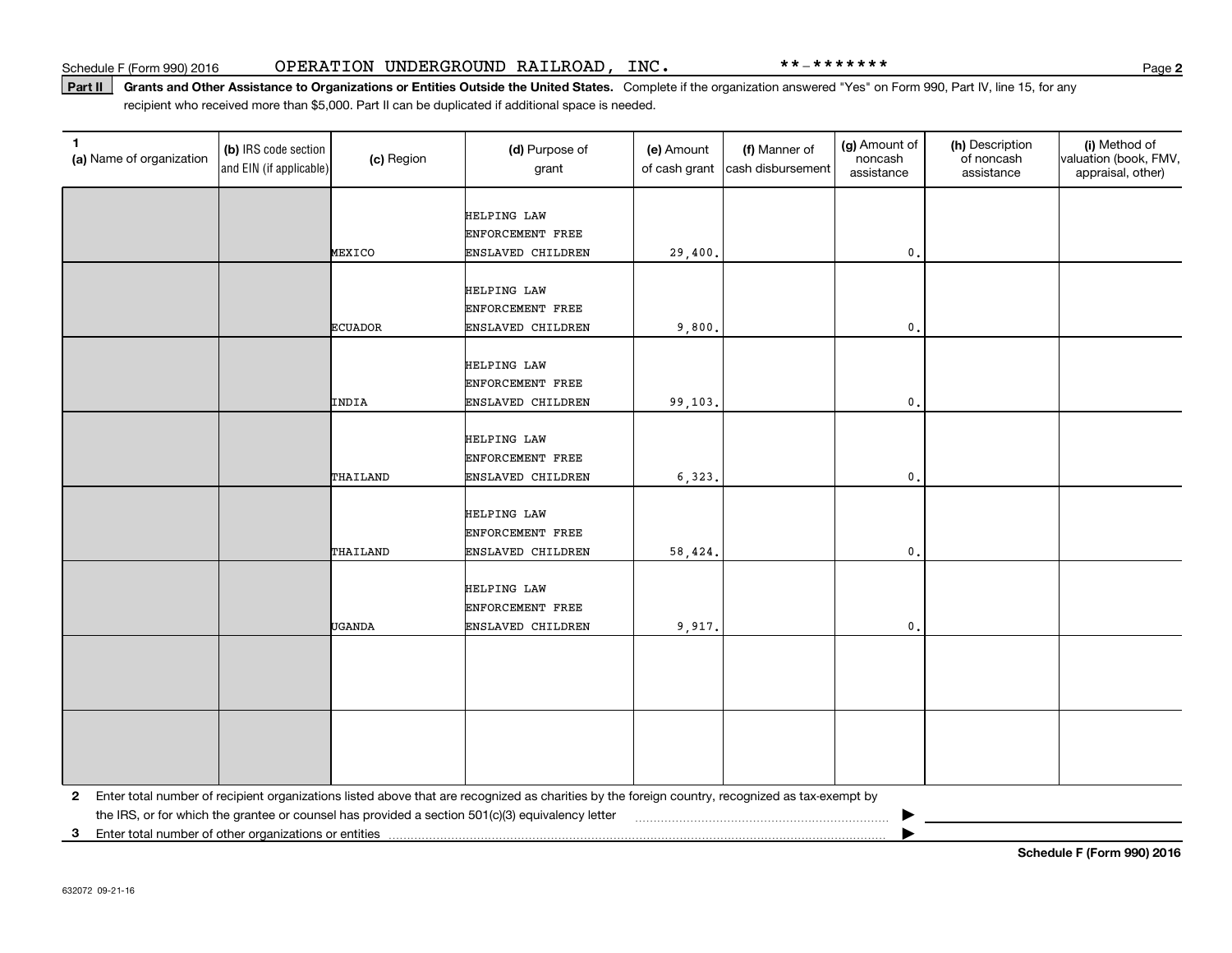#### Part II | Grants and Other Assistance to Organizations or Entities Outside the United States. Complete if the organization answered "Yes" on Form 990, Part IV, line 15, for any recipient who received more than \$5,000. Part II can be duplicated if additional space is needed.

| $\mathbf{1}$<br>(a) Name of organization                   | (b) IRS code section<br>and EIN (if applicable) | (c) Region     | (d) Purpose of<br>grant                                                                                                                         | (e) Amount<br>of cash grant | (f) Manner of<br>cash disbursement | (g) Amount of<br>noncash<br>assistance | (h) Description<br>of noncash<br>assistance | (i) Method of<br>valuation (book, FMV,<br>appraisal, other) |
|------------------------------------------------------------|-------------------------------------------------|----------------|-------------------------------------------------------------------------------------------------------------------------------------------------|-----------------------------|------------------------------------|----------------------------------------|---------------------------------------------|-------------------------------------------------------------|
|                                                            |                                                 |                | HELPING LAW                                                                                                                                     |                             |                                    |                                        |                                             |                                                             |
|                                                            |                                                 |                | ENFORCEMENT FREE                                                                                                                                |                             |                                    |                                        |                                             |                                                             |
|                                                            |                                                 | MEXICO         | ENSLAVED CHILDREN                                                                                                                               | 29,400.                     |                                    | $\mathsf{o}\,.$                        |                                             |                                                             |
|                                                            |                                                 |                |                                                                                                                                                 |                             |                                    |                                        |                                             |                                                             |
|                                                            |                                                 |                | <b>HELPING LAW</b>                                                                                                                              |                             |                                    |                                        |                                             |                                                             |
|                                                            |                                                 | <b>ECUADOR</b> | ENFORCEMENT FREE<br>ENSLAVED CHILDREN                                                                                                           | 9,800.                      |                                    | $\mathbf{0}$ .                         |                                             |                                                             |
|                                                            |                                                 |                |                                                                                                                                                 |                             |                                    |                                        |                                             |                                                             |
|                                                            |                                                 |                | <b>HELPING LAW</b>                                                                                                                              |                             |                                    |                                        |                                             |                                                             |
|                                                            |                                                 |                | ENFORCEMENT FREE                                                                                                                                |                             |                                    |                                        |                                             |                                                             |
|                                                            |                                                 | INDIA          | ENSLAVED CHILDREN                                                                                                                               | 99,103.                     |                                    | $\mathfrak o$ .                        |                                             |                                                             |
|                                                            |                                                 |                |                                                                                                                                                 |                             |                                    |                                        |                                             |                                                             |
|                                                            |                                                 |                | HELPING LAW                                                                                                                                     |                             |                                    |                                        |                                             |                                                             |
|                                                            |                                                 |                | ENFORCEMENT FREE                                                                                                                                |                             |                                    |                                        |                                             |                                                             |
|                                                            |                                                 | THAILAND       | ENSLAVED CHILDREN                                                                                                                               | 6,323.                      |                                    | $\mathbf{0}$ .                         |                                             |                                                             |
|                                                            |                                                 |                |                                                                                                                                                 |                             |                                    |                                        |                                             |                                                             |
|                                                            |                                                 |                | <b>HELPING LAW</b>                                                                                                                              |                             |                                    |                                        |                                             |                                                             |
|                                                            |                                                 |                | ENFORCEMENT FREE                                                                                                                                |                             |                                    |                                        |                                             |                                                             |
|                                                            |                                                 | THAILAND       | ENSLAVED CHILDREN                                                                                                                               | 58,424.                     |                                    | $\mathbf{0}$ .                         |                                             |                                                             |
|                                                            |                                                 |                | HELPING LAW                                                                                                                                     |                             |                                    |                                        |                                             |                                                             |
|                                                            |                                                 |                | ENFORCEMENT FREE                                                                                                                                |                             |                                    |                                        |                                             |                                                             |
|                                                            |                                                 | UGANDA         | ENSLAVED CHILDREN                                                                                                                               | 9,917.                      |                                    | $\mathbf{0}$ .                         |                                             |                                                             |
|                                                            |                                                 |                |                                                                                                                                                 |                             |                                    |                                        |                                             |                                                             |
|                                                            |                                                 |                |                                                                                                                                                 |                             |                                    |                                        |                                             |                                                             |
|                                                            |                                                 |                |                                                                                                                                                 |                             |                                    |                                        |                                             |                                                             |
|                                                            |                                                 |                |                                                                                                                                                 |                             |                                    |                                        |                                             |                                                             |
|                                                            |                                                 |                |                                                                                                                                                 |                             |                                    |                                        |                                             |                                                             |
|                                                            |                                                 |                |                                                                                                                                                 |                             |                                    |                                        |                                             |                                                             |
|                                                            |                                                 |                |                                                                                                                                                 |                             |                                    |                                        |                                             |                                                             |
|                                                            |                                                 |                |                                                                                                                                                 |                             |                                    |                                        |                                             |                                                             |
| $\mathbf{2}$                                               |                                                 |                | Enter total number of recipient organizations listed above that are recognized as charities by the foreign country, recognized as tax-exempt by |                             |                                    |                                        |                                             |                                                             |
|                                                            |                                                 |                | the IRS, or for which the grantee or counsel has provided a section 501(c)(3) equivalency letter                                                |                             |                                    |                                        |                                             |                                                             |
| Enter total number of other organizations or entities<br>3 |                                                 |                |                                                                                                                                                 |                             |                                    |                                        |                                             |                                                             |

**Schedule F (Form 990) 2016**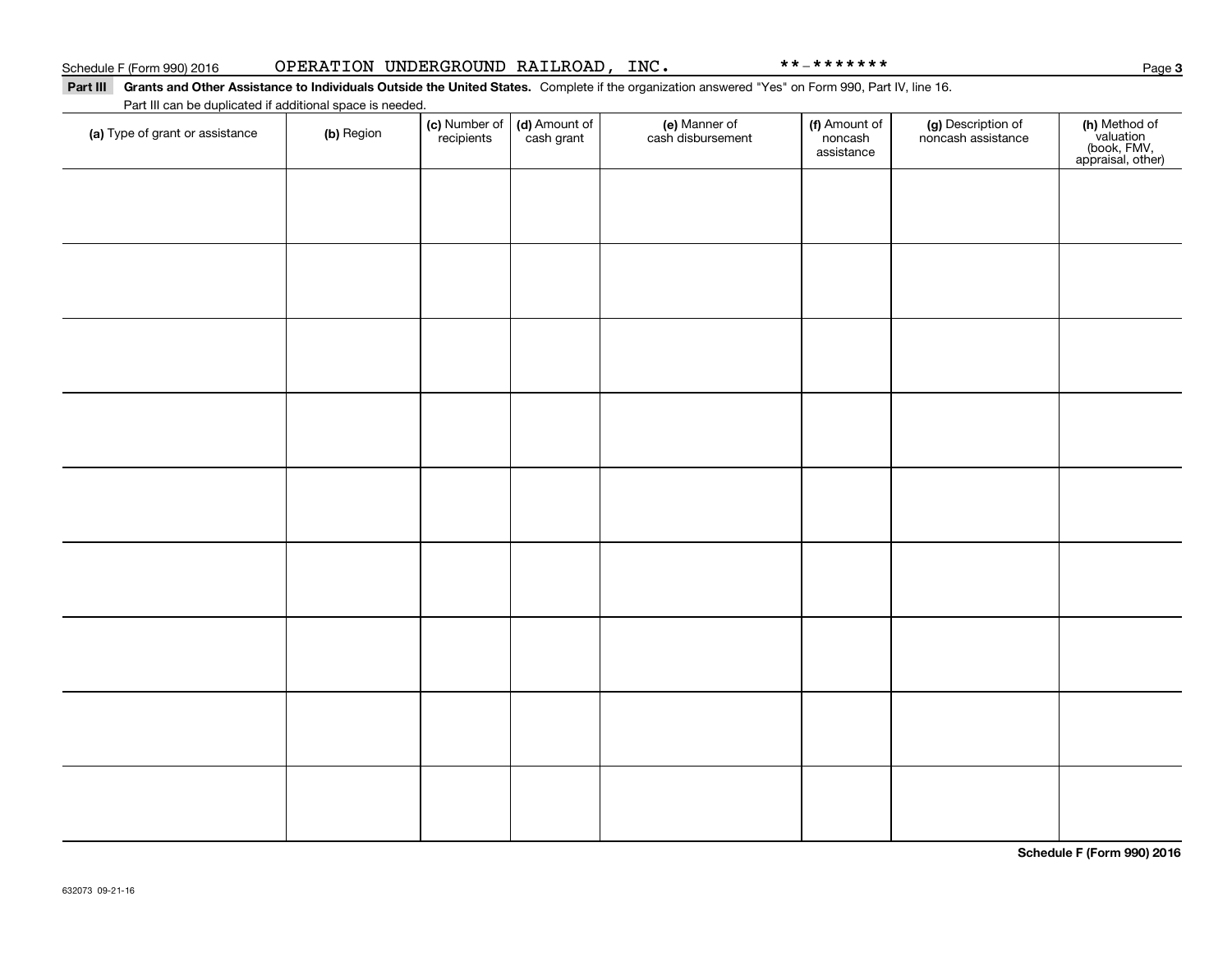### Part III Grants and Other Assistance to Individuals Outside the United States. Complete if the organization answered "Yes" on Form 990, Part IV, line 16.

Part III can be duplicated if additional space is needed.

| (a) Type of grant or assistance | (b) Region | (c) Number of (d) Amount of<br>recipients cash grant | (e) Manner of<br>cash disbursement | (f) Amount of<br>noncash<br>assistance | (g) Description of<br>noncash assistance | (h) Method of<br>valuation<br>(book, FMV,<br>appraisal, other) |
|---------------------------------|------------|------------------------------------------------------|------------------------------------|----------------------------------------|------------------------------------------|----------------------------------------------------------------|
|                                 |            |                                                      |                                    |                                        |                                          |                                                                |
|                                 |            |                                                      |                                    |                                        |                                          |                                                                |
|                                 |            |                                                      |                                    |                                        |                                          |                                                                |
|                                 |            |                                                      |                                    |                                        |                                          |                                                                |
|                                 |            |                                                      |                                    |                                        |                                          |                                                                |
|                                 |            |                                                      |                                    |                                        |                                          |                                                                |
|                                 |            |                                                      |                                    |                                        |                                          |                                                                |
|                                 |            |                                                      |                                    |                                        |                                          |                                                                |
|                                 |            |                                                      |                                    |                                        |                                          |                                                                |
|                                 |            |                                                      |                                    |                                        |                                          |                                                                |

**Schedule F (Form 990) 2016**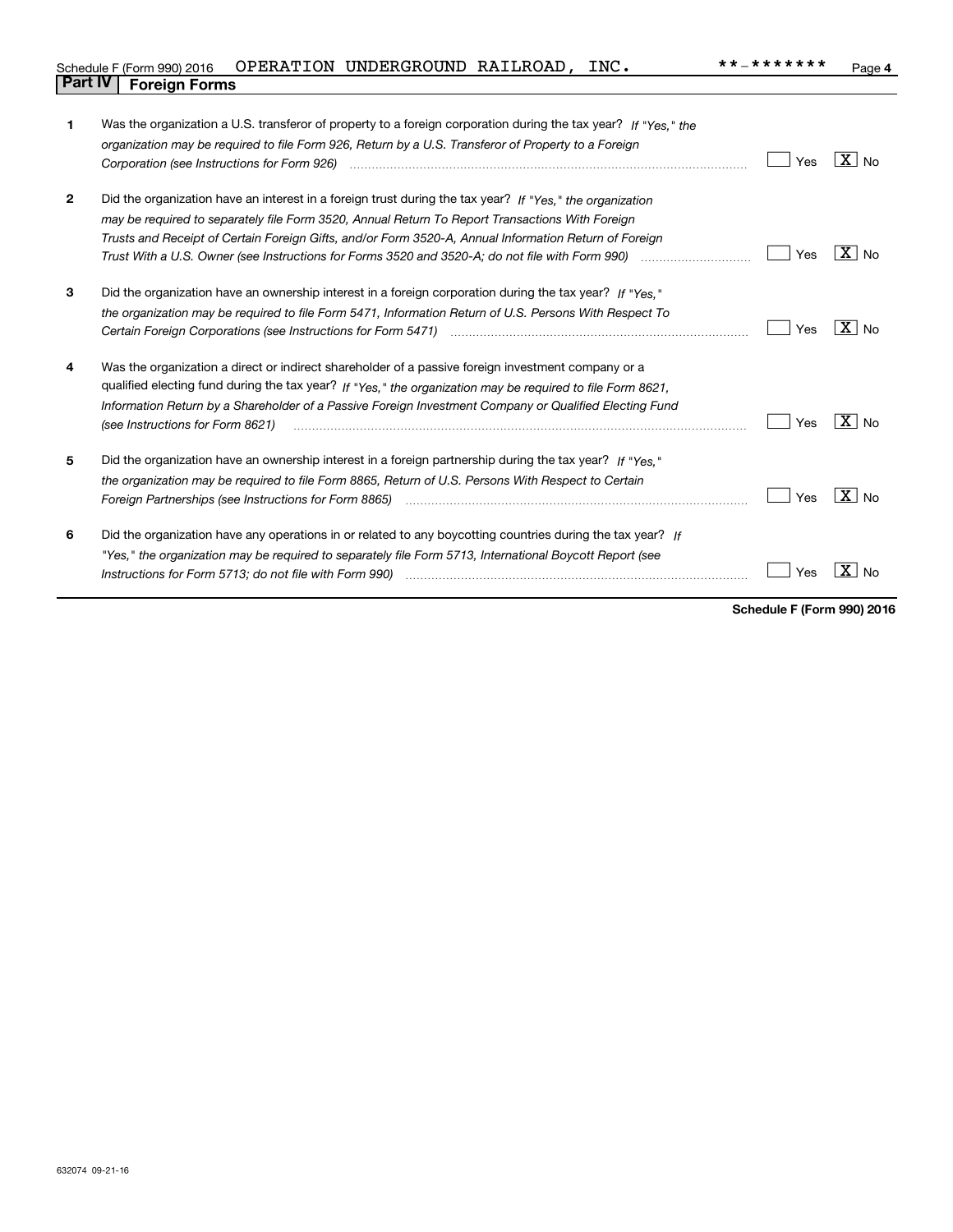| Schedule F (Form 990) 2016  OPERATION UNDERGROUND RAILROAD, |  | INC. | **_******* | $P$ age |
|-------------------------------------------------------------|--|------|------------|---------|
| <b>Part IV   Foreign Forms</b>                              |  |      |            |         |

| 1              | Was the organization a U.S. transferor of property to a foreign corporation during the tax year? If "Yes." the                                                                                                                 |     |                            |
|----------------|--------------------------------------------------------------------------------------------------------------------------------------------------------------------------------------------------------------------------------|-----|----------------------------|
|                | organization may be required to file Form 926, Return by a U.S. Transferor of Property to a Foreign                                                                                                                            |     |                            |
|                |                                                                                                                                                                                                                                | Yes | $\overline{X}$ No          |
|                |                                                                                                                                                                                                                                |     |                            |
| $\overline{2}$ | Did the organization have an interest in a foreign trust during the tax year? If "Yes," the organization                                                                                                                       |     |                            |
|                | may be required to separately file Form 3520, Annual Return To Report Transactions With Foreign                                                                                                                                |     |                            |
|                | Trusts and Receipt of Certain Foreign Gifts, and/or Form 3520-A, Annual Information Return of Foreign                                                                                                                          |     |                            |
|                |                                                                                                                                                                                                                                | Yes | $X \mid N_0$               |
| 3              | Did the organization have an ownership interest in a foreign corporation during the tax year? If "Yes."                                                                                                                        |     |                            |
|                | the organization may be required to file Form 5471, Information Return of U.S. Persons With Respect To                                                                                                                         |     |                            |
|                |                                                                                                                                                                                                                                | Yes | $X _{\text{No}}$           |
| 4              | Was the organization a direct or indirect shareholder of a passive foreign investment company or a                                                                                                                             |     |                            |
|                | qualified electing fund during the tax year? If "Yes," the organization may be required to file Form 8621,                                                                                                                     |     |                            |
|                | Information Return by a Shareholder of a Passive Foreign Investment Company or Qualified Electing Fund                                                                                                                         |     |                            |
|                | (see Instructions for Form 8621)                                                                                                                                                                                               | Yes | $\overline{\mathbf{X}}$ No |
| 5              | Did the organization have an ownership interest in a foreign partnership during the tax year? If "Yes."                                                                                                                        |     |                            |
|                | the organization may be required to file Form 8865, Return of U.S. Persons With Respect to Certain                                                                                                                             |     |                            |
|                |                                                                                                                                                                                                                                | Yes | $\boxed{\text{X}}$ No      |
| 6              | Did the organization have any operations in or related to any boycotting countries during the tax year? If                                                                                                                     |     |                            |
|                | "Yes," the organization may be required to separately file Form 5713, International Boycott Report (see                                                                                                                        |     |                            |
|                | Instructions for Form 5713; do not file with Form 990) manufactured contained and the form of the local manufactured in the local manufactured in the local manufactured in the local manufactured in the local manufactured i | Yes | ΧI<br><b>No</b>            |
|                |                                                                                                                                                                                                                                |     |                            |

**Schedule F (Form 990) 2016**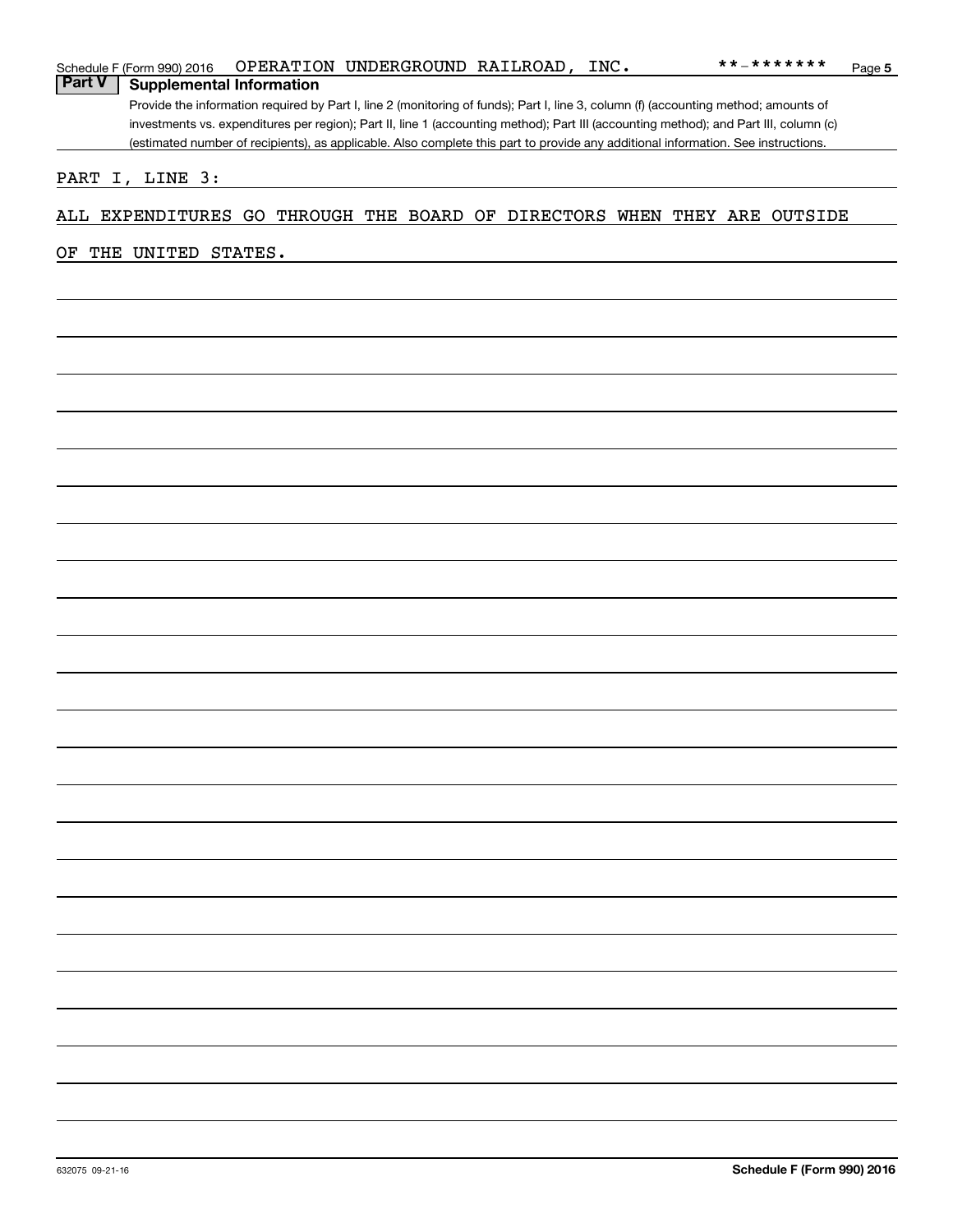|               | Schedule F (Form 990) 2016 |                                 | OPERATION UNDERGROUND RAILROAD, INC. |  | **_*******                                                                                                                            | Page 5 |
|---------------|----------------------------|---------------------------------|--------------------------------------|--|---------------------------------------------------------------------------------------------------------------------------------------|--------|
| <b>Part V</b> |                            | <b>Supplemental Information</b> |                                      |  |                                                                                                                                       |        |
|               |                            |                                 |                                      |  | Provide the information required by Part I, line 2 (monitoring of funds); Part I, line 3, column (f) (accounting method; amounts of   |        |
|               |                            |                                 |                                      |  | investments vs. expenditures per region); Part II, line 1 (accounting method); Part III (accounting method); and Part III, column (c) |        |
|               |                            |                                 |                                      |  | (estimated number of recipients), as applicable. Also complete this part to provide any additional information. See instructions.     |        |
|               |                            |                                 |                                      |  |                                                                                                                                       |        |
|               | PART I, LINE 3:            |                                 |                                      |  |                                                                                                                                       |        |
|               |                            |                                 |                                      |  |                                                                                                                                       |        |
|               |                            |                                 |                                      |  | ALL EXPENDITURES GO THROUGH THE BOARD OF DIRECTORS WHEN THEY ARE OUTSIDE                                                              |        |
|               |                            |                                 |                                      |  |                                                                                                                                       |        |
| OF            | THE UNITED STATES.         |                                 |                                      |  |                                                                                                                                       |        |
|               |                            |                                 |                                      |  |                                                                                                                                       |        |
|               |                            |                                 |                                      |  |                                                                                                                                       |        |
|               |                            |                                 |                                      |  |                                                                                                                                       |        |
|               |                            |                                 |                                      |  |                                                                                                                                       |        |
|               |                            |                                 |                                      |  |                                                                                                                                       |        |
|               |                            |                                 |                                      |  |                                                                                                                                       |        |
|               |                            |                                 |                                      |  |                                                                                                                                       |        |
|               |                            |                                 |                                      |  |                                                                                                                                       |        |
|               |                            |                                 |                                      |  |                                                                                                                                       |        |
|               |                            |                                 |                                      |  |                                                                                                                                       |        |
|               |                            |                                 |                                      |  |                                                                                                                                       |        |
|               |                            |                                 |                                      |  |                                                                                                                                       |        |
|               |                            |                                 |                                      |  |                                                                                                                                       |        |
|               |                            |                                 |                                      |  |                                                                                                                                       |        |
|               |                            |                                 |                                      |  |                                                                                                                                       |        |
|               |                            |                                 |                                      |  |                                                                                                                                       |        |
|               |                            |                                 |                                      |  |                                                                                                                                       |        |
|               |                            |                                 |                                      |  |                                                                                                                                       |        |
|               |                            |                                 |                                      |  |                                                                                                                                       |        |
|               |                            |                                 |                                      |  |                                                                                                                                       |        |
|               |                            |                                 |                                      |  |                                                                                                                                       |        |
|               |                            |                                 |                                      |  |                                                                                                                                       |        |
|               |                            |                                 |                                      |  |                                                                                                                                       |        |
|               |                            |                                 |                                      |  |                                                                                                                                       |        |
|               |                            |                                 |                                      |  |                                                                                                                                       |        |
|               |                            |                                 |                                      |  |                                                                                                                                       |        |
|               |                            |                                 |                                      |  |                                                                                                                                       |        |
|               |                            |                                 |                                      |  |                                                                                                                                       |        |
|               |                            |                                 |                                      |  |                                                                                                                                       |        |
|               |                            |                                 |                                      |  |                                                                                                                                       |        |
|               |                            |                                 |                                      |  |                                                                                                                                       |        |
|               |                            |                                 |                                      |  |                                                                                                                                       |        |
|               |                            |                                 |                                      |  |                                                                                                                                       |        |
|               |                            |                                 |                                      |  |                                                                                                                                       |        |
|               |                            |                                 |                                      |  |                                                                                                                                       |        |
|               |                            |                                 |                                      |  |                                                                                                                                       |        |
|               |                            |                                 |                                      |  |                                                                                                                                       |        |
|               |                            |                                 |                                      |  |                                                                                                                                       |        |
|               |                            |                                 |                                      |  |                                                                                                                                       |        |
|               |                            |                                 |                                      |  |                                                                                                                                       |        |
|               |                            |                                 |                                      |  |                                                                                                                                       |        |
|               |                            |                                 |                                      |  |                                                                                                                                       |        |
|               |                            |                                 |                                      |  |                                                                                                                                       |        |
|               |                            |                                 |                                      |  |                                                                                                                                       |        |
|               |                            |                                 |                                      |  |                                                                                                                                       |        |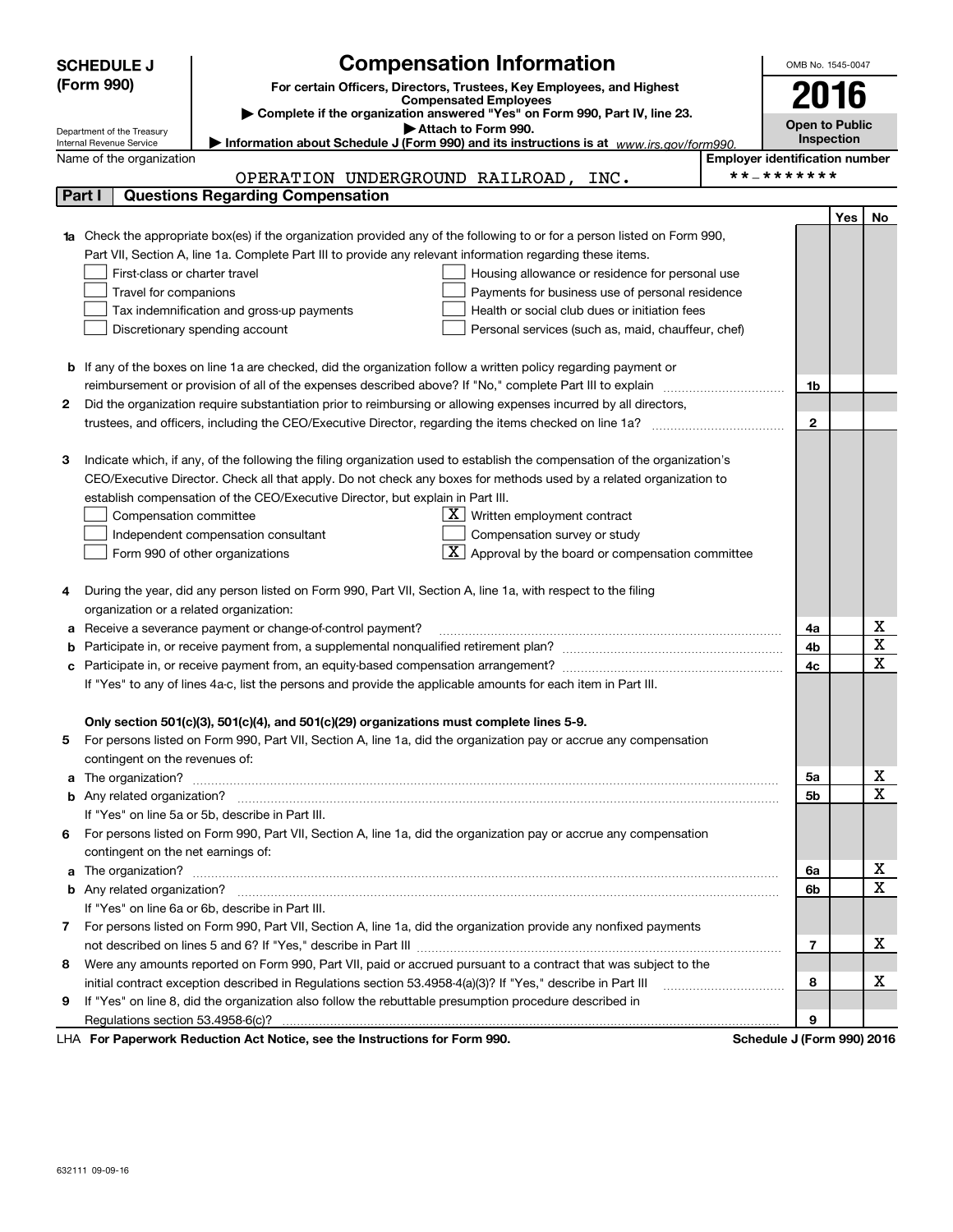|    | <b>SCHEDULE J</b>                       | <b>Compensation Information</b>                                                                                                                                                                                                      | OMB No. 1545-0047                     |            |    |
|----|-----------------------------------------|--------------------------------------------------------------------------------------------------------------------------------------------------------------------------------------------------------------------------------------|---------------------------------------|------------|----|
|    | (Form 990)                              | For certain Officers, Directors, Trustees, Key Employees, and Highest                                                                                                                                                                |                                       |            |    |
|    |                                         | <b>Compensated Employees</b><br>Complete if the organization answered "Yes" on Form 990, Part IV, line 23.                                                                                                                           |                                       | 2016       |    |
|    | Department of the Treasury              | Attach to Form 990.                                                                                                                                                                                                                  | <b>Open to Public</b>                 |            |    |
|    | Internal Revenue Service                | Information about Schedule J (Form 990) and its instructions is at $www.irs.gov/form990$ .                                                                                                                                           |                                       | Inspection |    |
|    | Name of the organization                |                                                                                                                                                                                                                                      | <b>Employer identification number</b> |            |    |
|    |                                         | OPERATION UNDERGROUND RAILROAD, INC.                                                                                                                                                                                                 | **_*******                            |            |    |
|    | Part I                                  | <b>Questions Regarding Compensation</b>                                                                                                                                                                                              |                                       |            |    |
|    |                                         |                                                                                                                                                                                                                                      |                                       | Yes        | No |
| 1a |                                         | Check the appropriate box(es) if the organization provided any of the following to or for a person listed on Form 990,                                                                                                               |                                       |            |    |
|    |                                         | Part VII, Section A, line 1a. Complete Part III to provide any relevant information regarding these items.                                                                                                                           |                                       |            |    |
|    | First-class or charter travel           | Housing allowance or residence for personal use                                                                                                                                                                                      |                                       |            |    |
|    | Travel for companions                   | Payments for business use of personal residence                                                                                                                                                                                      |                                       |            |    |
|    |                                         | Tax indemnification and gross-up payments<br>Health or social club dues or initiation fees                                                                                                                                           |                                       |            |    |
|    |                                         | Discretionary spending account<br>Personal services (such as, maid, chauffeur, chef)                                                                                                                                                 |                                       |            |    |
|    |                                         |                                                                                                                                                                                                                                      |                                       |            |    |
|    |                                         | <b>b</b> If any of the boxes on line 1a are checked, did the organization follow a written policy regarding payment or                                                                                                               |                                       |            |    |
|    |                                         |                                                                                                                                                                                                                                      | 1b                                    |            |    |
| 2  |                                         | Did the organization require substantiation prior to reimbursing or allowing expenses incurred by all directors,                                                                                                                     |                                       |            |    |
|    |                                         |                                                                                                                                                                                                                                      | $\mathbf{2}$                          |            |    |
| З  |                                         | Indicate which, if any, of the following the filing organization used to establish the compensation of the organization's                                                                                                            |                                       |            |    |
|    |                                         | CEO/Executive Director. Check all that apply. Do not check any boxes for methods used by a related organization to                                                                                                                   |                                       |            |    |
|    |                                         | establish compensation of the CEO/Executive Director, but explain in Part III.                                                                                                                                                       |                                       |            |    |
|    | Compensation committee                  | $X$ Written employment contract                                                                                                                                                                                                      |                                       |            |    |
|    |                                         | Compensation survey or study<br>Independent compensation consultant                                                                                                                                                                  |                                       |            |    |
|    |                                         | $\mathbf{X}$ Approval by the board or compensation committee<br>Form 990 of other organizations                                                                                                                                      |                                       |            |    |
|    |                                         |                                                                                                                                                                                                                                      |                                       |            |    |
| 4  |                                         | During the year, did any person listed on Form 990, Part VII, Section A, line 1a, with respect to the filing                                                                                                                         |                                       |            |    |
|    | organization or a related organization: |                                                                                                                                                                                                                                      |                                       |            |    |
| а  |                                         | Receive a severance payment or change-of-control payment?                                                                                                                                                                            | 4a                                    |            | Χ  |
| b  |                                         |                                                                                                                                                                                                                                      | 4b                                    |            | X  |
| c  |                                         |                                                                                                                                                                                                                                      | 4c                                    |            | х  |
|    |                                         | If "Yes" to any of lines 4a-c, list the persons and provide the applicable amounts for each item in Part III.                                                                                                                        |                                       |            |    |
|    |                                         |                                                                                                                                                                                                                                      |                                       |            |    |
|    |                                         | Only section 501(c)(3), 501(c)(4), and 501(c)(29) organizations must complete lines 5-9.                                                                                                                                             |                                       |            |    |
|    |                                         | For persons listed on Form 990, Part VII, Section A, line 1a, did the organization pay or accrue any compensation                                                                                                                    |                                       |            |    |
|    | contingent on the revenues of:          |                                                                                                                                                                                                                                      |                                       |            |    |
|    |                                         | a The organization? <b>Entitled Strategie and Strategie and Strategie and Strategie and Strategie and Strategie and Strategie and Strategie and Strategie and Strategie and Strategie and Strategie and Strategie and Strategie </b> | 5а                                    |            | х  |
|    |                                         |                                                                                                                                                                                                                                      | 5b                                    |            | X  |
|    |                                         | If "Yes" on line 5a or 5b, describe in Part III.                                                                                                                                                                                     |                                       |            |    |
|    |                                         | 6 For persons listed on Form 990, Part VII, Section A, line 1a, did the organization pay or accrue any compensation                                                                                                                  |                                       |            |    |
|    | contingent on the net earnings of:      |                                                                                                                                                                                                                                      |                                       |            |    |
| a  |                                         |                                                                                                                                                                                                                                      | 6a                                    |            | х  |
|    |                                         |                                                                                                                                                                                                                                      | 6b                                    |            | X  |
|    |                                         | If "Yes" on line 6a or 6b, describe in Part III.                                                                                                                                                                                     |                                       |            |    |
|    |                                         | 7 For persons listed on Form 990, Part VII, Section A, line 1a, did the organization provide any nonfixed payments                                                                                                                   |                                       |            |    |
|    |                                         |                                                                                                                                                                                                                                      | 7                                     |            | X  |
| 8  |                                         | Were any amounts reported on Form 990, Part VII, paid or accrued pursuant to a contract that was subject to the                                                                                                                      |                                       |            |    |
|    |                                         | initial contract exception described in Regulations section 53.4958-4(a)(3)? If "Yes," describe in Part III                                                                                                                          | 8                                     |            | х  |
| 9  |                                         | If "Yes" on line 8, did the organization also follow the rebuttable presumption procedure described in                                                                                                                               |                                       |            |    |
|    |                                         | $\cdots$ $\cdots$ $\cdots$ $\cdots$                                                                                                                                                                                                  | 9                                     |            |    |

LHA For Paperwork Reduction Act Notice, see the Instructions for Form 990. Schedule J (Form 990) 2016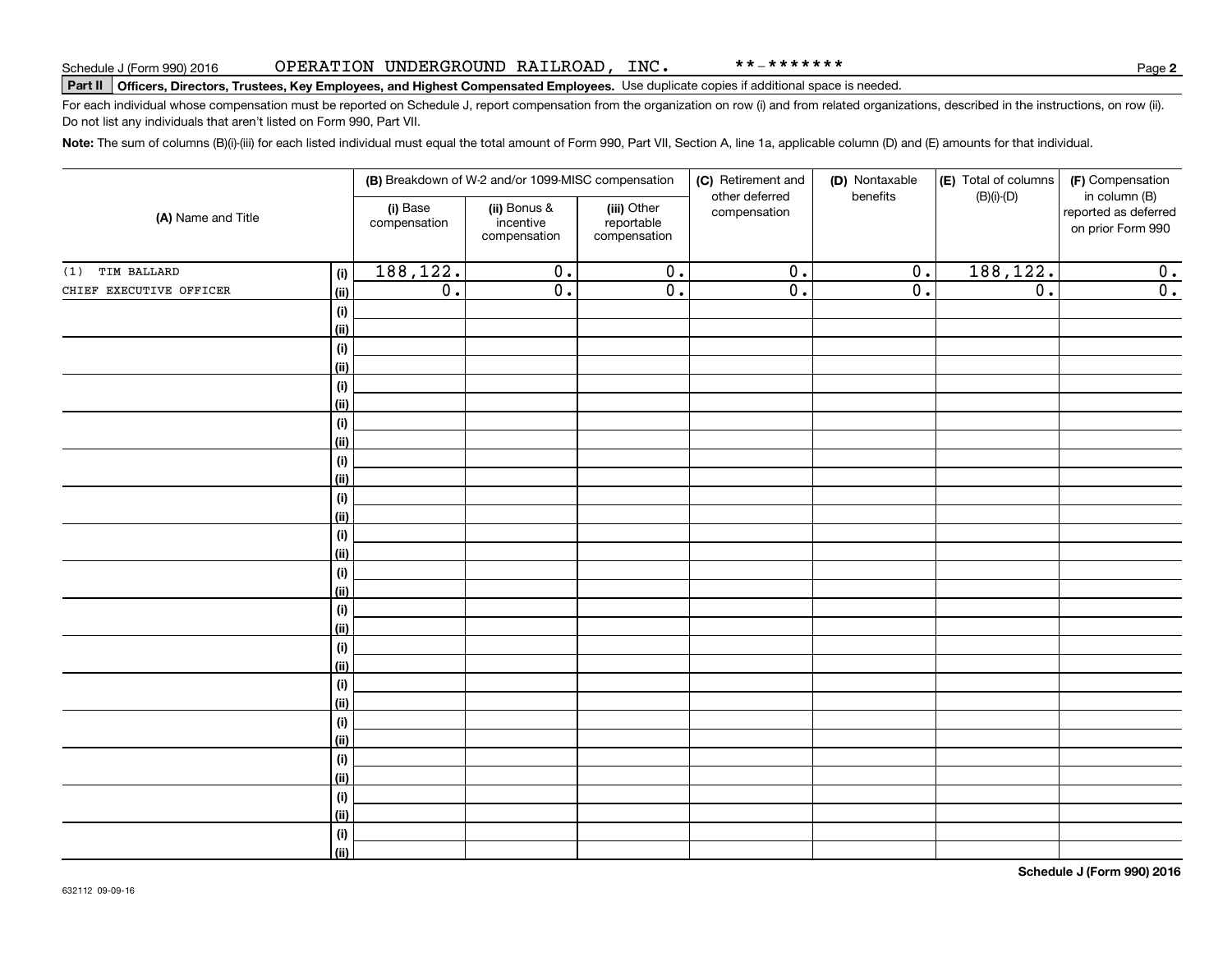\*\*-\*\*\*\*\*\*\*

# **Part II Officers, Directors, Trustees, Key Employees, and Highest Compensated Employees.**  Schedule J (Form 990) 2016 Page Use duplicate copies if additional space is needed.

For each individual whose compensation must be reported on Schedule J, report compensation from the organization on row (i) and from related organizations, described in the instructions, on row (ii). Do not list any individuals that aren't listed on Form 990, Part VII.

**Note:**  The sum of columns (B)(i)-(iii) for each listed individual must equal the total amount of Form 990, Part VII, Section A, line 1a, applicable column (D) and (E) amounts for that individual.

|                         |             |                          | (B) Breakdown of W-2 and/or 1099-MISC compensation |                                           | (C) Retirement and<br>other deferred | (D) Nontaxable<br>benefits | (E) Total of columns<br>$(B)(i)-(D)$ | (F) Compensation<br>in column (B)         |
|-------------------------|-------------|--------------------------|----------------------------------------------------|-------------------------------------------|--------------------------------------|----------------------------|--------------------------------------|-------------------------------------------|
| (A) Name and Title      |             | (i) Base<br>compensation | (ii) Bonus &<br>incentive<br>compensation          | (iii) Other<br>reportable<br>compensation | compensation                         |                            |                                      | reported as deferred<br>on prior Form 990 |
| TIM BALLARD<br>(1)      | (i)         | 188,122.                 | $\overline{0}$ .                                   | $\overline{0}$ .                          | $\overline{0}$ .                     | $\overline{0}$ .           | 188, 122.                            | 0.                                        |
| CHIEF EXECUTIVE OFFICER | <u>(ii)</u> | $\overline{0}$ .         | $\overline{0}$ .                                   | $\overline{0}$ .                          | $\overline{0}$ .                     | $\overline{0}$ .           | $\overline{0}$ .                     | $\overline{0}$ .                          |
|                         | (i)         |                          |                                                    |                                           |                                      |                            |                                      |                                           |
|                         | <u>(ii)</u> |                          |                                                    |                                           |                                      |                            |                                      |                                           |
|                         | (i)         |                          |                                                    |                                           |                                      |                            |                                      |                                           |
|                         | (ii)        |                          |                                                    |                                           |                                      |                            |                                      |                                           |
|                         | (i)         |                          |                                                    |                                           |                                      |                            |                                      |                                           |
|                         | (ii)        |                          |                                                    |                                           |                                      |                            |                                      |                                           |
|                         | (i)         |                          |                                                    |                                           |                                      |                            |                                      |                                           |
|                         | (ii)        |                          |                                                    |                                           |                                      |                            |                                      |                                           |
|                         | (i)         |                          |                                                    |                                           |                                      |                            |                                      |                                           |
|                         | (ii)        |                          |                                                    |                                           |                                      |                            |                                      |                                           |
|                         | (i)         |                          |                                                    |                                           |                                      |                            |                                      |                                           |
|                         | <u>(ii)</u> |                          |                                                    |                                           |                                      |                            |                                      |                                           |
|                         | (i)         |                          |                                                    |                                           |                                      |                            |                                      |                                           |
|                         | <u>(ii)</u> |                          |                                                    |                                           |                                      |                            |                                      |                                           |
|                         | (i)         |                          |                                                    |                                           |                                      |                            |                                      |                                           |
|                         | <u>(ii)</u> |                          |                                                    |                                           |                                      |                            |                                      |                                           |
|                         | (i)         |                          |                                                    |                                           |                                      |                            |                                      |                                           |
|                         | <u>(ii)</u> |                          |                                                    |                                           |                                      |                            |                                      |                                           |
|                         | (i)         |                          |                                                    |                                           |                                      |                            |                                      |                                           |
|                         | <u>(ii)</u> |                          |                                                    |                                           |                                      |                            |                                      |                                           |
|                         | (i)         |                          |                                                    |                                           |                                      |                            |                                      |                                           |
|                         | (ii)        |                          |                                                    |                                           |                                      |                            |                                      |                                           |
|                         | $(\sf{i})$  |                          |                                                    |                                           |                                      |                            |                                      |                                           |
|                         | (ii)        |                          |                                                    |                                           |                                      |                            |                                      |                                           |
|                         | $(\sf{i})$  |                          |                                                    |                                           |                                      |                            |                                      |                                           |
|                         | (ii)        |                          |                                                    |                                           |                                      |                            |                                      |                                           |
|                         | (i)         |                          |                                                    |                                           |                                      |                            |                                      |                                           |
|                         | (ii)        |                          |                                                    |                                           |                                      |                            |                                      |                                           |
|                         | $(\sf{i})$  |                          |                                                    |                                           |                                      |                            |                                      |                                           |
|                         | (ii)        |                          |                                                    |                                           |                                      |                            |                                      |                                           |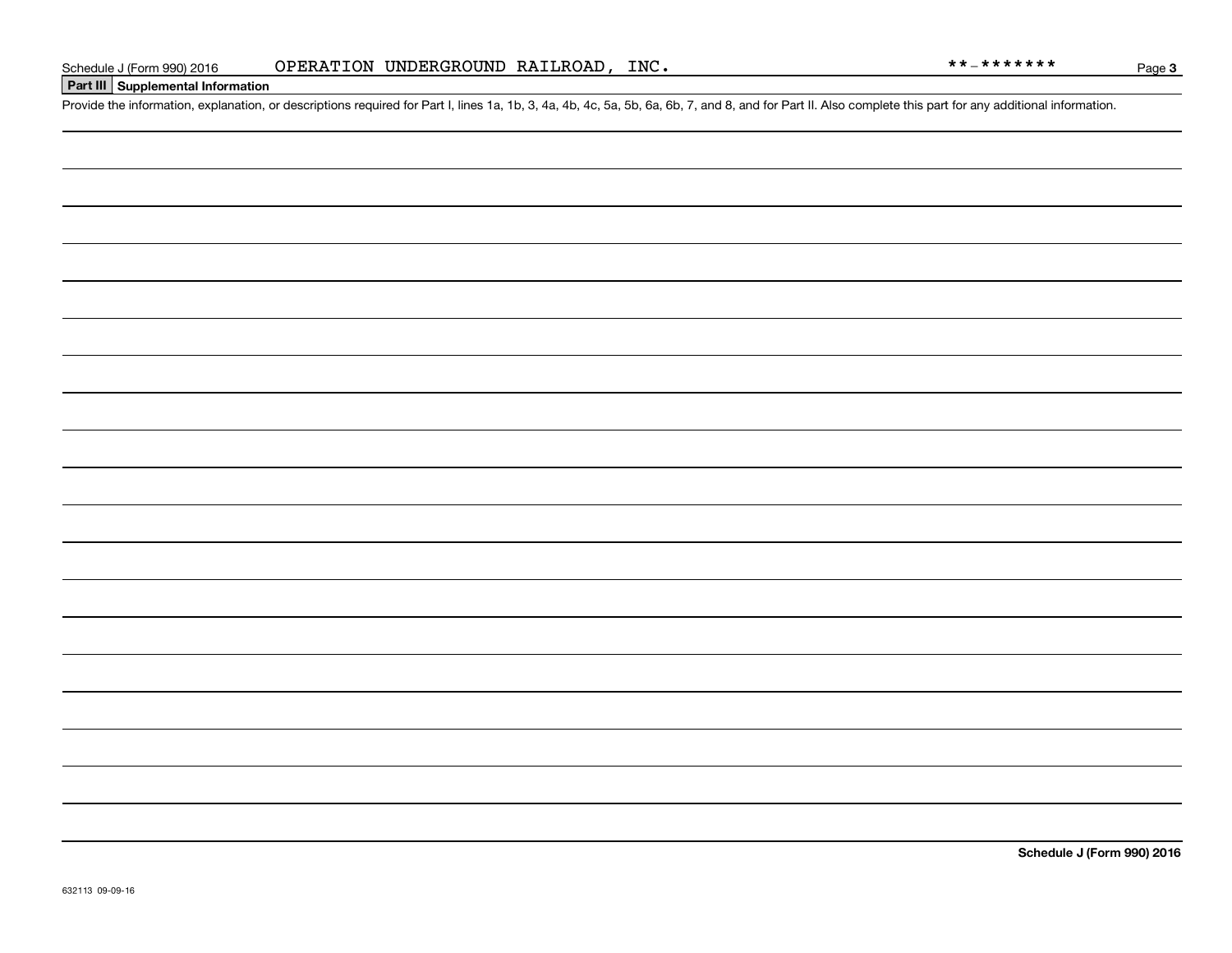### **Part III Supplemental Information**

Schedule J (Form 990) 2016 OPERATION UNDERGROUND RAILROAD, INC.<br>Part III Supplemental Information<br>Provide the information, explanation, or descriptions required for Part I, lines 1a, 1b, 3, 4a, 4b, 4c, 5a, 5b, 6a, 6b, 7, a

**Schedule J (Form 990) 2016**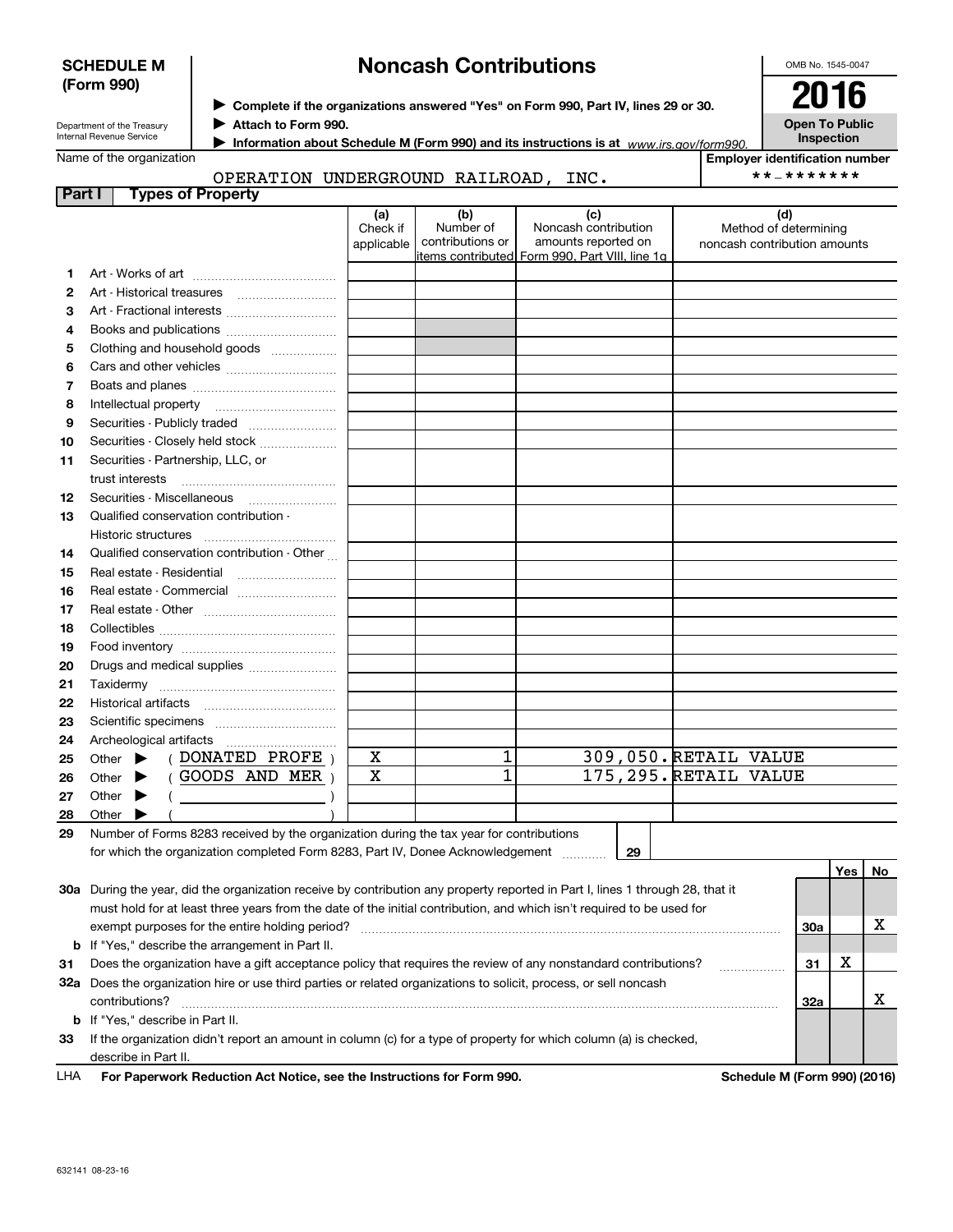632141 08-23-16

## **Noncash Contributions**

**Employer identification number**

\*\*-\*\*\*\*\*\*\*

Department of the Treasury Internal Revenue Service

**SCHEDULE M (Form 990)**

**Attach to Form 990.** J

**Information about Schedule M (Form 990) and its instructions is at** *www.irs.gov/form990.* 

Name of the organization

#### **Part I Types of Property** OPERATION UNDERGROUND RAILROAD, INC.

|    |                                                                                                                                     | (a)<br>Check if<br>applicable | (b)<br>Number of<br>contributions or | (c)<br>Noncash contribution<br>amounts reported on<br>litems contributed  Form 990, Part VIII, line 1g |    |                       | (d)<br>Method of determining<br>noncash contribution amounts |         |    |
|----|-------------------------------------------------------------------------------------------------------------------------------------|-------------------------------|--------------------------------------|--------------------------------------------------------------------------------------------------------|----|-----------------------|--------------------------------------------------------------|---------|----|
| 1. |                                                                                                                                     |                               |                                      |                                                                                                        |    |                       |                                                              |         |    |
| 2  |                                                                                                                                     |                               |                                      |                                                                                                        |    |                       |                                                              |         |    |
| З  | Art - Fractional interests                                                                                                          |                               |                                      |                                                                                                        |    |                       |                                                              |         |    |
| 4  | Books and publications                                                                                                              |                               |                                      |                                                                                                        |    |                       |                                                              |         |    |
| 5  | Clothing and household goods                                                                                                        |                               |                                      |                                                                                                        |    |                       |                                                              |         |    |
| 6  |                                                                                                                                     |                               |                                      |                                                                                                        |    |                       |                                                              |         |    |
| 7  |                                                                                                                                     |                               |                                      |                                                                                                        |    |                       |                                                              |         |    |
| 8  | Intellectual property                                                                                                               |                               |                                      |                                                                                                        |    |                       |                                                              |         |    |
| 9  | Securities - Publicly traded                                                                                                        |                               |                                      |                                                                                                        |    |                       |                                                              |         |    |
| 10 | Securities - Closely held stock                                                                                                     |                               |                                      |                                                                                                        |    |                       |                                                              |         |    |
| 11 | Securities - Partnership, LLC, or                                                                                                   |                               |                                      |                                                                                                        |    |                       |                                                              |         |    |
|    | trust interests                                                                                                                     |                               |                                      |                                                                                                        |    |                       |                                                              |         |    |
| 12 |                                                                                                                                     |                               |                                      |                                                                                                        |    |                       |                                                              |         |    |
| 13 | Qualified conservation contribution -                                                                                               |                               |                                      |                                                                                                        |    |                       |                                                              |         |    |
|    | Historic structures                                                                                                                 |                               |                                      |                                                                                                        |    |                       |                                                              |         |    |
| 14 | Qualified conservation contribution - Other                                                                                         |                               |                                      |                                                                                                        |    |                       |                                                              |         |    |
| 15 | Real estate - Residential<br>$\ldots \ldots \ldots \ldots \ldots \ldots \ldots$                                                     |                               |                                      |                                                                                                        |    |                       |                                                              |         |    |
| 16 | Real estate - Commercial                                                                                                            |                               |                                      |                                                                                                        |    |                       |                                                              |         |    |
| 17 |                                                                                                                                     |                               |                                      |                                                                                                        |    |                       |                                                              |         |    |
| 18 |                                                                                                                                     |                               |                                      |                                                                                                        |    |                       |                                                              |         |    |
| 19 |                                                                                                                                     |                               |                                      |                                                                                                        |    |                       |                                                              |         |    |
| 20 | Drugs and medical supplies                                                                                                          |                               |                                      |                                                                                                        |    |                       |                                                              |         |    |
| 21 |                                                                                                                                     |                               |                                      |                                                                                                        |    |                       |                                                              |         |    |
| 22 |                                                                                                                                     |                               |                                      |                                                                                                        |    |                       |                                                              |         |    |
| 23 |                                                                                                                                     |                               |                                      |                                                                                                        |    |                       |                                                              |         |    |
| 24 |                                                                                                                                     |                               |                                      |                                                                                                        |    |                       |                                                              |         |    |
| 25 | (DONATED PROFE)<br>Other $\blacktriangleright$                                                                                      | X                             | 1                                    |                                                                                                        |    | 309,050. RETAIL VALUE |                                                              |         |    |
| 26 | $($ GOODS AND MER $)$<br>Other $\blacktriangleright$                                                                                | X                             | $\overline{1}$                       |                                                                                                        |    | 175,295. RETAIL VALUE |                                                              |         |    |
| 27 | Other $\blacktriangleright$<br>$\left(\begin{array}{ccc}\n&\n&\n\end{array}\right)$                                                 |                               |                                      |                                                                                                        |    |                       |                                                              |         |    |
| 28 | Other $\blacktriangleright$                                                                                                         |                               |                                      |                                                                                                        |    |                       |                                                              |         |    |
| 29 | Number of Forms 8283 received by the organization during the tax year for contributions                                             |                               |                                      |                                                                                                        |    |                       |                                                              |         |    |
|    | for which the organization completed Form 8283, Part IV, Donee Acknowledgement                                                      |                               |                                      |                                                                                                        | 29 |                       |                                                              |         |    |
|    |                                                                                                                                     |                               |                                      |                                                                                                        |    |                       |                                                              | Yes $ $ | No |
|    | 30a During the year, did the organization receive by contribution any property reported in Part I, lines 1 through 28, that it      |                               |                                      |                                                                                                        |    |                       |                                                              |         |    |
|    | must hold for at least three years from the date of the initial contribution, and which isn't required to be used for               |                               |                                      |                                                                                                        |    |                       |                                                              |         |    |
|    | exempt purposes for the entire holding period?                                                                                      |                               |                                      |                                                                                                        |    |                       | 30a                                                          |         | х  |
| b  | If "Yes," describe the arrangement in Part II.                                                                                      |                               |                                      |                                                                                                        |    |                       |                                                              |         |    |
| 31 | Does the organization have a gift acceptance policy that requires the review of any nonstandard contributions?                      |                               |                                      |                                                                                                        |    |                       | 31                                                           | X       |    |
|    | 32a Does the organization hire or use third parties or related organizations to solicit, process, or sell noncash<br>contributions? |                               |                                      |                                                                                                        |    |                       | 32a                                                          |         | X  |
|    | <b>b</b> If "Yes," describe in Part II.                                                                                             |                               |                                      |                                                                                                        |    |                       |                                                              |         |    |
| 33 | If the organization didn't report an amount in column (c) for a type of property for which column (a) is checked,                   |                               |                                      |                                                                                                        |    |                       |                                                              |         |    |
|    | describe in Part II.                                                                                                                |                               |                                      |                                                                                                        |    |                       |                                                              |         |    |
|    |                                                                                                                                     |                               |                                      |                                                                                                        |    |                       |                                                              |         |    |

**For Paperwork Reduction Act Notice, see the Instructions for Form 990. Schedule M (Form 990) (2016)** LHA

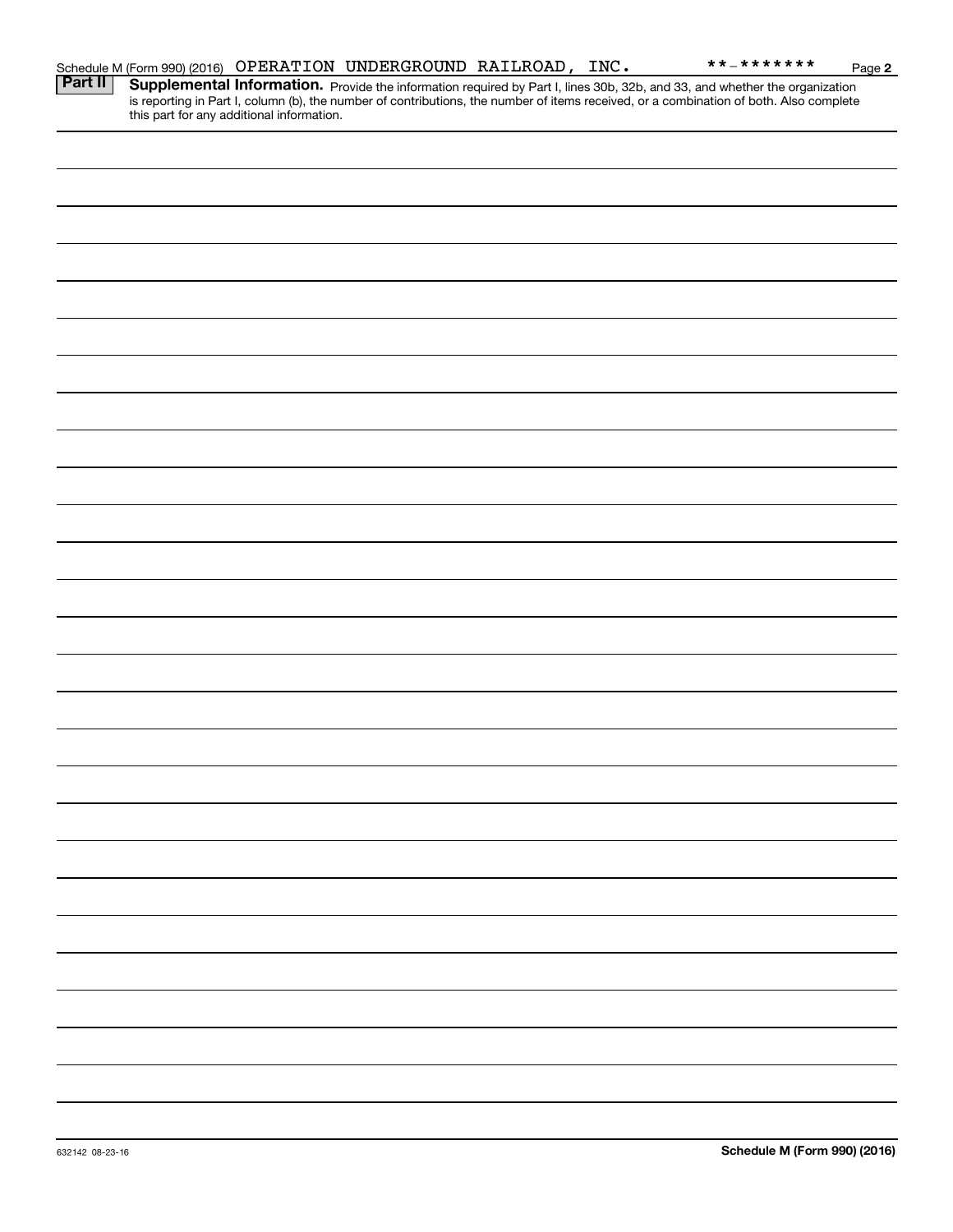|         |                                           | Schedule M (Form 990) (2016) OPERATION UNDERGROUND RAILROAD, INC. |  | **_*******                                                                                                                                                                                                                          | Page 2 |
|---------|-------------------------------------------|-------------------------------------------------------------------|--|-------------------------------------------------------------------------------------------------------------------------------------------------------------------------------------------------------------------------------------|--------|
| Part II | this part for any additional information. |                                                                   |  | <b>Supplemental Information.</b> Provide the information required by Part I, lines 30b, 32b, and 33, and whether the organization is reporting in Part I, column (b), the number of contributions, the number of items received, or |        |
|         |                                           |                                                                   |  |                                                                                                                                                                                                                                     |        |
|         |                                           |                                                                   |  |                                                                                                                                                                                                                                     |        |
|         |                                           |                                                                   |  |                                                                                                                                                                                                                                     |        |
|         |                                           |                                                                   |  |                                                                                                                                                                                                                                     |        |
|         |                                           |                                                                   |  |                                                                                                                                                                                                                                     |        |
|         |                                           |                                                                   |  |                                                                                                                                                                                                                                     |        |
|         |                                           |                                                                   |  |                                                                                                                                                                                                                                     |        |
|         |                                           |                                                                   |  |                                                                                                                                                                                                                                     |        |
|         |                                           |                                                                   |  |                                                                                                                                                                                                                                     |        |
|         |                                           |                                                                   |  |                                                                                                                                                                                                                                     |        |
|         |                                           |                                                                   |  |                                                                                                                                                                                                                                     |        |
|         |                                           |                                                                   |  |                                                                                                                                                                                                                                     |        |
|         |                                           |                                                                   |  |                                                                                                                                                                                                                                     |        |
|         |                                           |                                                                   |  |                                                                                                                                                                                                                                     |        |
|         |                                           |                                                                   |  |                                                                                                                                                                                                                                     |        |
|         |                                           |                                                                   |  |                                                                                                                                                                                                                                     |        |
|         |                                           |                                                                   |  |                                                                                                                                                                                                                                     |        |
|         |                                           |                                                                   |  |                                                                                                                                                                                                                                     |        |
|         |                                           |                                                                   |  |                                                                                                                                                                                                                                     |        |
|         |                                           |                                                                   |  |                                                                                                                                                                                                                                     |        |
|         |                                           |                                                                   |  |                                                                                                                                                                                                                                     |        |
|         |                                           |                                                                   |  |                                                                                                                                                                                                                                     |        |
|         |                                           |                                                                   |  |                                                                                                                                                                                                                                     |        |
|         |                                           |                                                                   |  |                                                                                                                                                                                                                                     |        |
|         |                                           |                                                                   |  |                                                                                                                                                                                                                                     |        |
|         |                                           |                                                                   |  |                                                                                                                                                                                                                                     |        |
|         |                                           |                                                                   |  |                                                                                                                                                                                                                                     |        |
|         |                                           |                                                                   |  |                                                                                                                                                                                                                                     |        |
|         |                                           |                                                                   |  |                                                                                                                                                                                                                                     |        |
|         |                                           |                                                                   |  |                                                                                                                                                                                                                                     |        |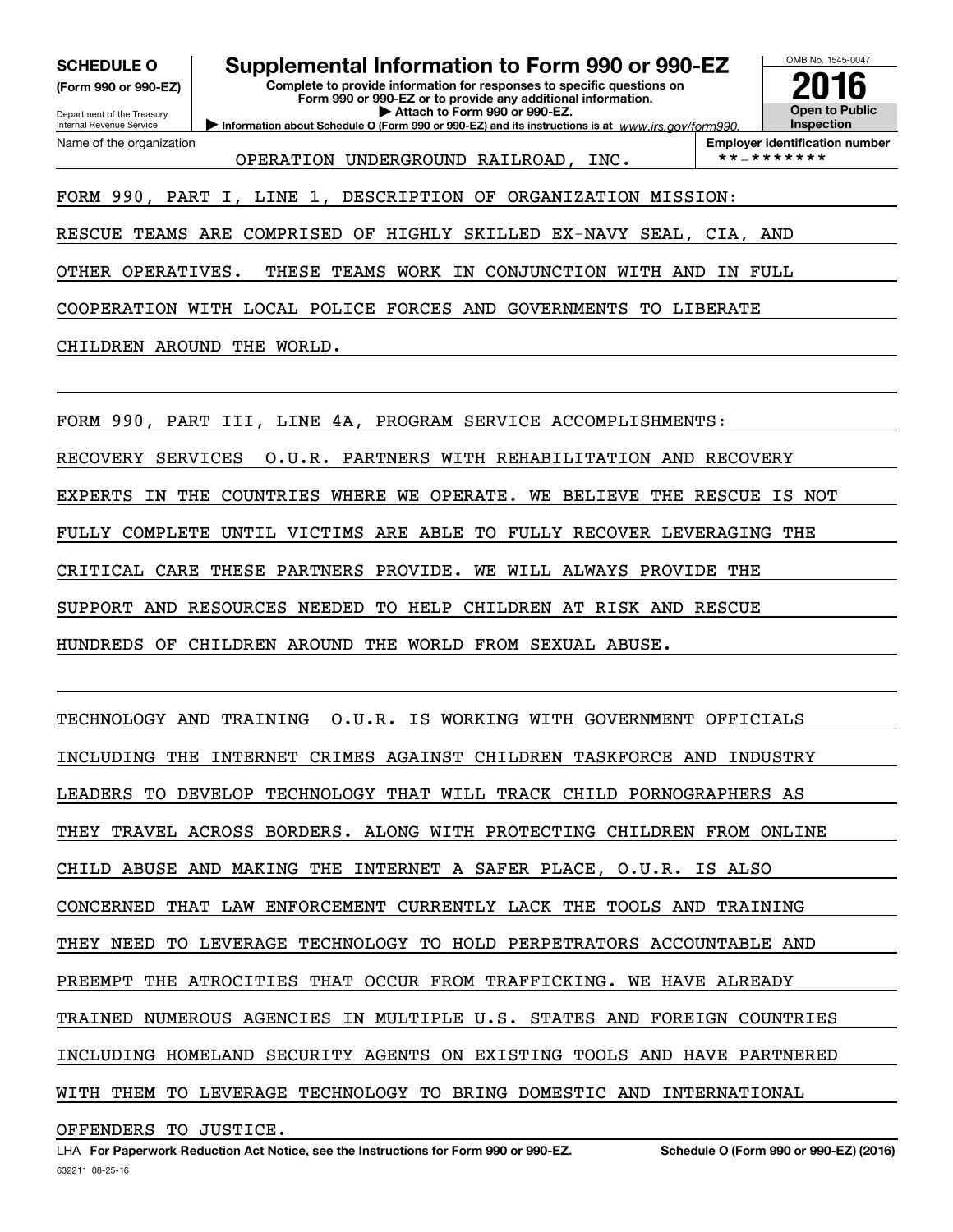**(Form 990 or 990-EZ)**

Department of the Treasury Internal Revenue Service

Name of the organization

**SCHEDULE O Supplemental Information to Form 990 or 990-EZ**

**Complete to provide information for responses to specific questions on Form 990 or 990-EZ or to provide any additional information. | Attach to Form 990 or 990-EZ.**

**Information about Schedule O (Form 990 or 990-EZ) and its instructions is at**  $www.irs.gov/form990.$ 

OMB No. 1545-0047 **Open to Public Inspection2016**

OPERATION UNDERGROUND RAILROAD, INC.  $\vert$  \*\*-\*\*\*\*\*\*\*

**Employer identification number**

FORM 990, PART I, LINE 1, DESCRIPTION OF ORGANIZATION MISSION:

RESCUE TEAMS ARE COMPRISED OF HIGHLY SKILLED EX-NAVY SEAL, CIA, AND

OTHER OPERATIVES. THESE TEAMS WORK IN CONJUNCTION WITH AND IN FULL

COOPERATION WITH LOCAL POLICE FORCES AND GOVERNMENTS TO LIBERATE

CHILDREN AROUND THE WORLD.

FORM 990, PART III, LINE 4A, PROGRAM SERVICE ACCOMPLISHMENTS:

RECOVERY SERVICES O.U.R. PARTNERS WITH REHABILITATION AND RECOVERY

EXPERTS IN THE COUNTRIES WHERE WE OPERATE. WE BELIEVE THE RESCUE IS NOT

FULLY COMPLETE UNTIL VICTIMS ARE ABLE TO FULLY RECOVER LEVERAGING THE

CRITICAL CARE THESE PARTNERS PROVIDE. WE WILL ALWAYS PROVIDE THE

SUPPORT AND RESOURCES NEEDED TO HELP CHILDREN AT RISK AND RESCUE

HUNDREDS OF CHILDREN AROUND THE WORLD FROM SEXUAL ABUSE.

TECHNOLOGY AND TRAINING O.U.R. IS WORKING WITH GOVERNMENT OFFICIALS INCLUDING THE INTERNET CRIMES AGAINST CHILDREN TASKFORCE AND INDUSTRY LEADERS TO DEVELOP TECHNOLOGY THAT WILL TRACK CHILD PORNOGRAPHERS AS THEY TRAVEL ACROSS BORDERS. ALONG WITH PROTECTING CHILDREN FROM ONLINE CHILD ABUSE AND MAKING THE INTERNET A SAFER PLACE, O.U.R. IS ALSO CONCERNED THAT LAW ENFORCEMENT CURRENTLY LACK THE TOOLS AND TRAINING THEY NEED TO LEVERAGE TECHNOLOGY TO HOLD PERPETRATORS ACCOUNTABLE AND PREEMPT THE ATROCITIES THAT OCCUR FROM TRAFFICKING. WE HAVE ALREADY TRAINED NUMEROUS AGENCIES IN MULTIPLE U.S. STATES AND FOREIGN COUNTRIES INCLUDING HOMELAND SECURITY AGENTS ON EXISTING TOOLS AND HAVE PARTNERED WITH THEM TO LEVERAGE TECHNOLOGY TO BRING DOMESTIC AND INTERNATIONAL OFFENDERS TO JUSTICE.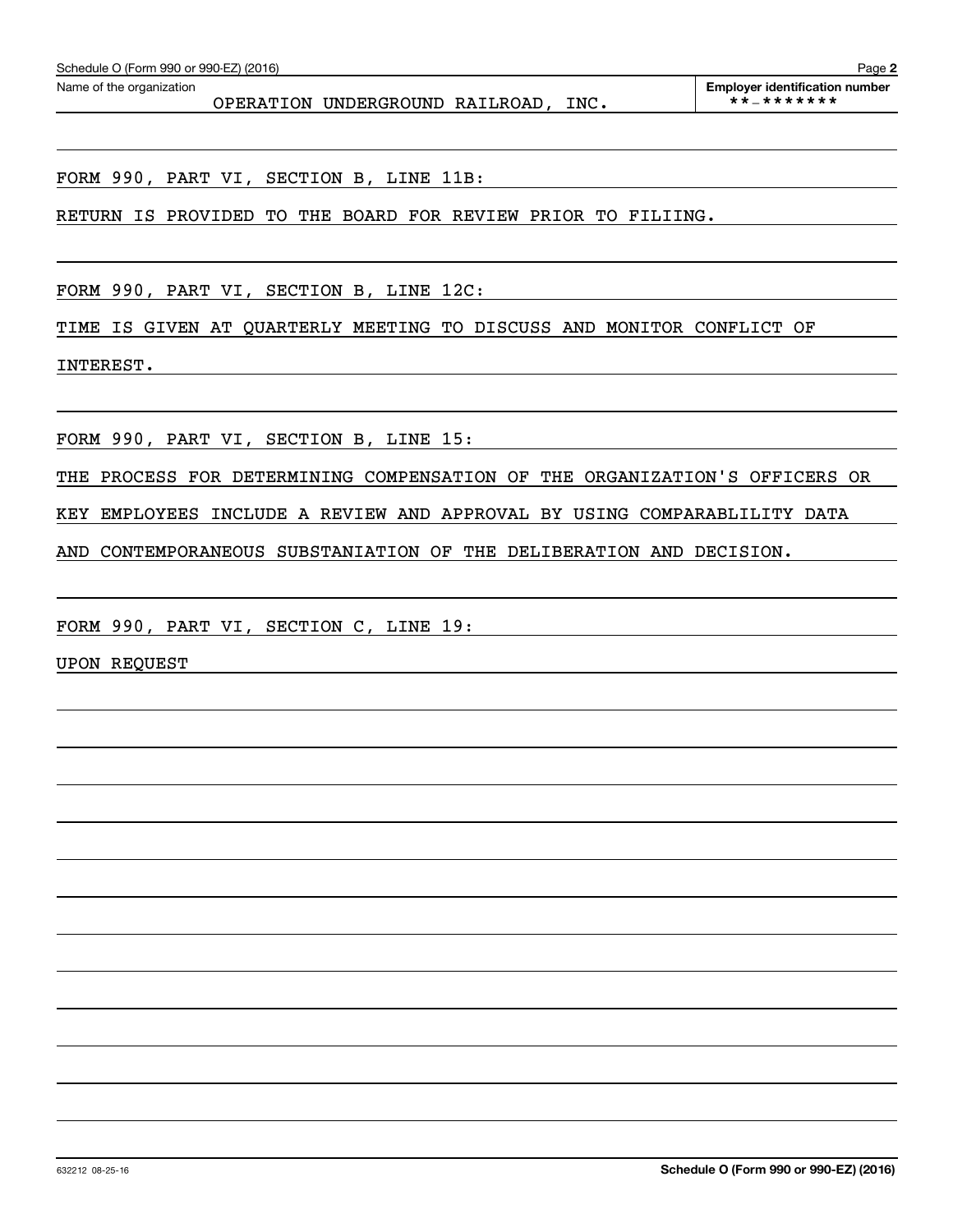FORM 990, PART VI, SECTION B, LINE 11B:

RETURN IS PROVIDED TO THE BOARD FOR REVIEW PRIOR TO FILIING.

FORM 990, PART VI, SECTION B, LINE 12C:

TIME IS GIVEN AT QUARTERLY MEETING TO DISCUSS AND MONITOR CONFLICT OF

INTEREST.

FORM 990, PART VI, SECTION B, LINE 15:

THE PROCESS FOR DETERMINING COMPENSATION OF THE ORGANIZATION'S OFFICERS OR

KEY EMPLOYEES INCLUDE A REVIEW AND APPROVAL BY USING COMPARABLILITY DATA

AND CONTEMPORANEOUS SUBSTANIATION OF THE DELIBERATION AND DECISION.

FORM 990, PART VI, SECTION C, LINE 19:

UPON REQUEST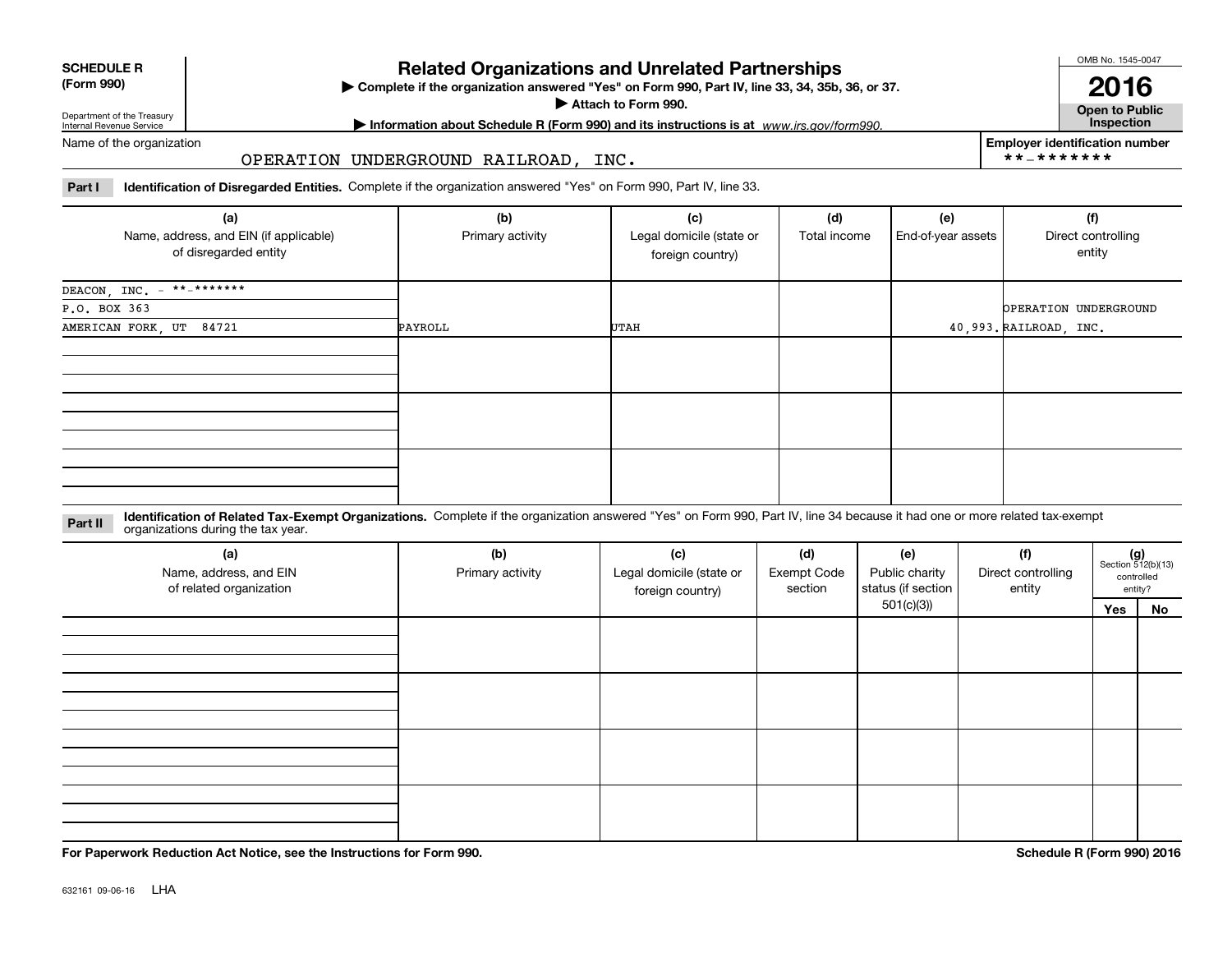### **SCHEDULE R**

### **(Form 990)**

**Complete if the organization answered "Yes" on Form 990, Part IV, line 33, 34, 35b, 36, or 37.** |

**Attach to Form 990.**  |

**Related Organizations and Unrelated Partnerships**

OMB No. 1545-0047

**Open to Public 2016**

**Employer identification number**

\*\*-\*\*\*\*\*\*\*

Department of the Treasury Internal Revenue Service

**| Information about Schedule R (Form 990) and its instructions is at Inspection** *www.irs.gov/form990.*

Name of the organization

#### OPERATION UNDERGROUND RAILROAD, INC.

**Part I Identification of Disregarded Entities.**  Complete if the organization answered "Yes" on Form 990, Part IV, line 33.

| (a)<br>Name, address, and EIN (if applicable)<br>of disregarded entity | (b)<br>Primary activity | (c)<br>Legal domicile (state or<br>foreign country) | (d)<br>Total income | (e)<br>End-of-year assets | (f)<br>Direct controlling<br>entity |
|------------------------------------------------------------------------|-------------------------|-----------------------------------------------------|---------------------|---------------------------|-------------------------------------|
| DEACON, INC. $-$ **-*******                                            |                         |                                                     |                     |                           |                                     |
| P.O. BOX 363                                                           |                         |                                                     |                     |                           | OPERATION UNDERGROUND               |
| AMERICAN FORK, UT 84721                                                | PAYROLL                 | UTAH                                                |                     |                           | 40,993. RAILROAD, INC.              |
|                                                                        |                         |                                                     |                     |                           |                                     |
|                                                                        |                         |                                                     |                     |                           |                                     |
|                                                                        |                         |                                                     |                     |                           |                                     |

**Identification of Related Tax-Exempt Organizations.** Complete if the organization answered "Yes" on Form 990, Part IV, line 34 because it had one or more related tax-exempt **Part II** organizations during the tax year.

| (a)<br>Name, address, and EIN<br>of related organization | (b)<br>Primary activity | (c)<br>Legal domicile (state or<br>foreign country) | (d)<br><b>Exempt Code</b><br>section | (e)<br>Public charity<br>status (if section | (f)<br>Direct controlling<br>entity |     | $(g)$<br>Section 512(b)(13)<br>controlled<br>entity? |
|----------------------------------------------------------|-------------------------|-----------------------------------------------------|--------------------------------------|---------------------------------------------|-------------------------------------|-----|------------------------------------------------------|
|                                                          |                         |                                                     |                                      | 501(c)(3)                                   |                                     | Yes | No                                                   |
|                                                          |                         |                                                     |                                      |                                             |                                     |     |                                                      |
|                                                          |                         |                                                     |                                      |                                             |                                     |     |                                                      |
|                                                          |                         |                                                     |                                      |                                             |                                     |     |                                                      |
|                                                          |                         |                                                     |                                      |                                             |                                     |     |                                                      |
|                                                          |                         |                                                     |                                      |                                             |                                     |     |                                                      |
|                                                          |                         |                                                     |                                      |                                             |                                     |     |                                                      |
|                                                          |                         |                                                     |                                      |                                             |                                     |     |                                                      |
|                                                          |                         |                                                     |                                      |                                             |                                     |     |                                                      |
|                                                          |                         |                                                     |                                      |                                             |                                     |     |                                                      |
|                                                          |                         |                                                     |                                      |                                             |                                     |     |                                                      |
|                                                          |                         |                                                     |                                      |                                             |                                     |     |                                                      |

**For Paperwork Reduction Act Notice, see the Instructions for Form 990. Schedule R (Form 990) 2016**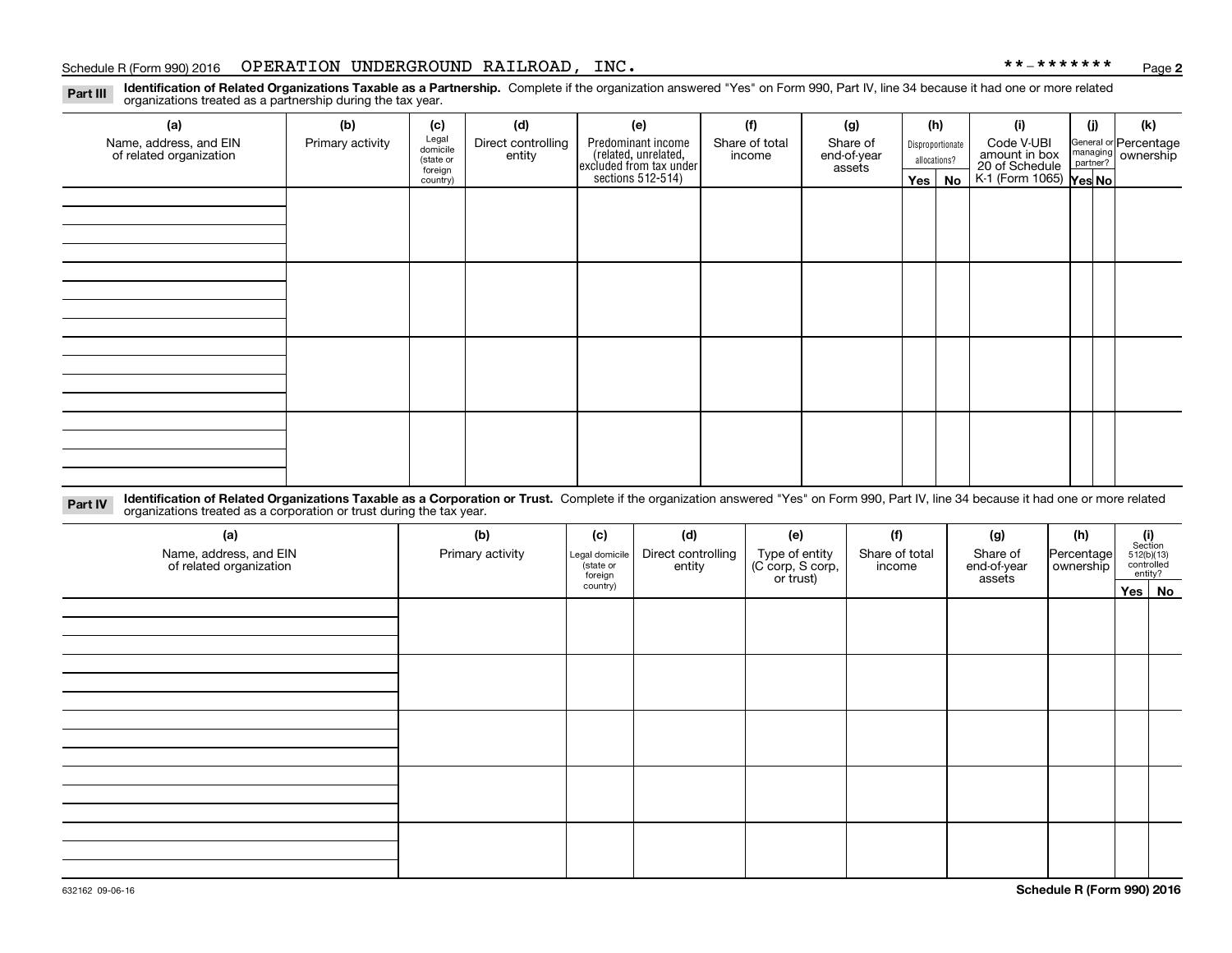#### Schedule R (Form 990) 2016 Page OPERATION UNDERGROUND RAILROAD, INC. \*\*-\*\*\*\*\*\*\*

**2**

**Identification of Related Organizations Taxable as a Partnership.** Complete if the organization answered "Yes" on Form 990, Part IV, line 34 because it had one or more related **Part III** organizations treated as a partnership during the tax year.

| (a)                     | (b)              | (c)               | (d)                | (e)                                                                 | (f)            | (g)         |            | (h)                           | (i)                                      | (i) | (k)                                                       |
|-------------------------|------------------|-------------------|--------------------|---------------------------------------------------------------------|----------------|-------------|------------|-------------------------------|------------------------------------------|-----|-----------------------------------------------------------|
| Name, address, and EIN  | Primary activity | Legal<br>domicile | Direct controlling | Predominant income                                                  | Share of total | Share of    |            | Disproportionate              | Code V-UBI                               |     |                                                           |
| of related organization |                  | (state or         | entity             | related, unrelated,<br>excluded from tax under<br>sections 512-514) | income         | end-of-year |            | amount in box<br>allocations? |                                          |     | General or Percentage<br>managing<br>partner?<br>partner? |
|                         |                  | foreign           |                    |                                                                     |                | assets      |            |                               | 20 of Schedule<br>K-1 (Form 1065) Yes No |     |                                                           |
|                         |                  | country)          |                    |                                                                     |                |             | $Yes \mid$ | No                            |                                          |     |                                                           |
|                         |                  |                   |                    |                                                                     |                |             |            |                               |                                          |     |                                                           |
|                         |                  |                   |                    |                                                                     |                |             |            |                               |                                          |     |                                                           |
|                         |                  |                   |                    |                                                                     |                |             |            |                               |                                          |     |                                                           |
|                         |                  |                   |                    |                                                                     |                |             |            |                               |                                          |     |                                                           |
|                         |                  |                   |                    |                                                                     |                |             |            |                               |                                          |     |                                                           |
|                         |                  |                   |                    |                                                                     |                |             |            |                               |                                          |     |                                                           |
|                         |                  |                   |                    |                                                                     |                |             |            |                               |                                          |     |                                                           |
|                         |                  |                   |                    |                                                                     |                |             |            |                               |                                          |     |                                                           |
|                         |                  |                   |                    |                                                                     |                |             |            |                               |                                          |     |                                                           |
|                         |                  |                   |                    |                                                                     |                |             |            |                               |                                          |     |                                                           |
|                         |                  |                   |                    |                                                                     |                |             |            |                               |                                          |     |                                                           |
|                         |                  |                   |                    |                                                                     |                |             |            |                               |                                          |     |                                                           |
|                         |                  |                   |                    |                                                                     |                |             |            |                               |                                          |     |                                                           |
|                         |                  |                   |                    |                                                                     |                |             |            |                               |                                          |     |                                                           |
|                         |                  |                   |                    |                                                                     |                |             |            |                               |                                          |     |                                                           |
|                         |                  |                   |                    |                                                                     |                |             |            |                               |                                          |     |                                                           |
|                         |                  |                   |                    |                                                                     |                |             |            |                               |                                          |     |                                                           |
|                         |                  |                   |                    |                                                                     |                |             |            |                               |                                          |     |                                                           |
|                         |                  |                   |                    |                                                                     |                |             |            |                               |                                          |     |                                                           |
|                         |                  |                   |                    |                                                                     |                |             |            |                               |                                          |     |                                                           |

**Identification of Related Organizations Taxable as a Corporation or Trust.** Complete if the organization answered "Yes" on Form 990, Part IV, line 34 because it had one or more related **Part IV** organizations treated as a corporation or trust during the tax year.

| (a)<br>Name, address, and EIN<br>of related organization | (b)<br>Primary activity | (c)<br>Legal domicile<br>(state or<br>foreign | (d)<br>Direct controlling<br>entity | (e)<br>Type of entity<br>(C corp, S corp,<br>or trust) | (f)<br>Share of total<br>income | (g)<br>Share of<br>end-of-year<br>assets |  | $\begin{array}{c} \textbf{(i)}\\ \text{Section}\\ 512 \text{(b)} \text{(13)}\\ \text{controlled}\\ \text{entity?} \end{array}$<br>Percentage |  |
|----------------------------------------------------------|-------------------------|-----------------------------------------------|-------------------------------------|--------------------------------------------------------|---------------------------------|------------------------------------------|--|----------------------------------------------------------------------------------------------------------------------------------------------|--|
|                                                          |                         | country)                                      |                                     |                                                        |                                 |                                          |  | Yes No                                                                                                                                       |  |
|                                                          |                         |                                               |                                     |                                                        |                                 |                                          |  |                                                                                                                                              |  |
|                                                          |                         |                                               |                                     |                                                        |                                 |                                          |  |                                                                                                                                              |  |
|                                                          |                         |                                               |                                     |                                                        |                                 |                                          |  |                                                                                                                                              |  |
|                                                          |                         |                                               |                                     |                                                        |                                 |                                          |  |                                                                                                                                              |  |
|                                                          |                         |                                               |                                     |                                                        |                                 |                                          |  |                                                                                                                                              |  |
|                                                          |                         |                                               |                                     |                                                        |                                 |                                          |  |                                                                                                                                              |  |
|                                                          |                         |                                               |                                     |                                                        |                                 |                                          |  |                                                                                                                                              |  |
|                                                          |                         |                                               |                                     |                                                        |                                 |                                          |  |                                                                                                                                              |  |
|                                                          |                         |                                               |                                     |                                                        |                                 |                                          |  |                                                                                                                                              |  |
|                                                          |                         |                                               |                                     |                                                        |                                 |                                          |  |                                                                                                                                              |  |
|                                                          |                         |                                               |                                     |                                                        |                                 |                                          |  |                                                                                                                                              |  |
|                                                          |                         |                                               |                                     |                                                        |                                 |                                          |  |                                                                                                                                              |  |
|                                                          |                         |                                               |                                     |                                                        |                                 |                                          |  |                                                                                                                                              |  |
|                                                          |                         |                                               |                                     |                                                        |                                 |                                          |  |                                                                                                                                              |  |
|                                                          |                         |                                               |                                     |                                                        |                                 |                                          |  |                                                                                                                                              |  |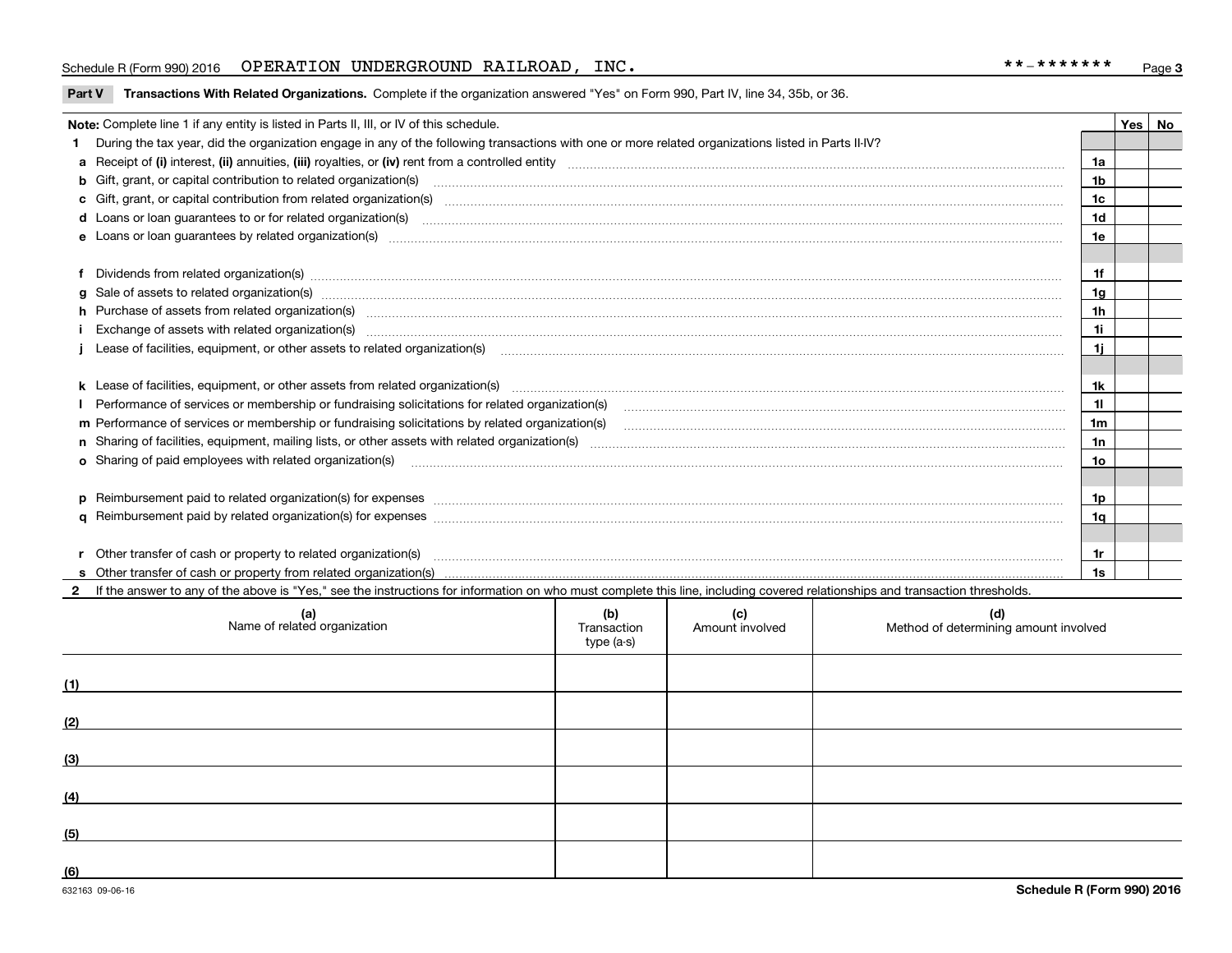#### Schedule R (Form 990) 2016 Page OPERATION UNDERGROUND RAILROAD, INC. \*\*-\*\*\*\*\*\*\*

**Part V** T**ransactions With Related Organizations.** Complete if the organization answered "Yes" on Form 990, Part IV, line 34, 35b, or 36.

|  | Note: Complete line 1 if any entity is listed in Parts II, III, or IV of this schedule.                                                                                                                                        |                |  | Yes   No |  |  |  |
|--|--------------------------------------------------------------------------------------------------------------------------------------------------------------------------------------------------------------------------------|----------------|--|----------|--|--|--|
|  | During the tax year, did the organization engage in any of the following transactions with one or more related organizations listed in Parts II-IV?                                                                            |                |  |          |  |  |  |
|  |                                                                                                                                                                                                                                | 1a             |  |          |  |  |  |
|  | <b>b</b> Gift, grant, or capital contribution to related organization(s)                                                                                                                                                       | 1 <sub>b</sub> |  |          |  |  |  |
|  |                                                                                                                                                                                                                                | 1c             |  |          |  |  |  |
|  |                                                                                                                                                                                                                                | 1 <sub>d</sub> |  |          |  |  |  |
|  | e Loans or loan guarantees by related organization(s) enconversement contracts and contained and contained and contained and contained and contained and contained and contained and contained and contained and contained and | 1e             |  |          |  |  |  |
|  |                                                                                                                                                                                                                                |                |  |          |  |  |  |
|  | f Dividends from related organization(s) manufactured and content to the content of the content of the content of the content of the content of the content of the content of the content of the content of the content of the | 1f             |  |          |  |  |  |
|  |                                                                                                                                                                                                                                | 1g             |  |          |  |  |  |
|  | h Purchase of assets from related organization(s) manufactured and content to content the content of assets from related organization(s)                                                                                       | 1 <sub>h</sub> |  |          |  |  |  |
|  |                                                                                                                                                                                                                                | 1i             |  |          |  |  |  |
|  | Lease of facilities, equipment, or other assets to related organization(s) manufactured content and content and content and content and content and content and content and content and content and content and content and co | 1i.            |  |          |  |  |  |
|  |                                                                                                                                                                                                                                |                |  |          |  |  |  |
|  | k Lease of facilities, equipment, or other assets from related organization(s) manufaction content and content to the assets from related organization(s) manufaction content and content and content and content and content  | 1k             |  |          |  |  |  |
|  |                                                                                                                                                                                                                                | 11             |  |          |  |  |  |
|  | m Performance of services or membership or fundraising solicitations by related organization(s)                                                                                                                                | 1 <sub>m</sub> |  |          |  |  |  |
|  |                                                                                                                                                                                                                                | 1n             |  |          |  |  |  |
|  | <b>o</b> Sharing of paid employees with related organization(s)                                                                                                                                                                | 1o             |  |          |  |  |  |
|  |                                                                                                                                                                                                                                |                |  |          |  |  |  |
|  | p Reimbursement paid to related organization(s) for expenses [1111] and the content of the content of the content of the content of the content of the content of the content of the content of the content of the content of  | 1p             |  |          |  |  |  |
|  |                                                                                                                                                                                                                                | 1q             |  |          |  |  |  |
|  |                                                                                                                                                                                                                                |                |  |          |  |  |  |
|  | r Other transfer of cash or property to related organization(s)                                                                                                                                                                | 1r             |  |          |  |  |  |
|  |                                                                                                                                                                                                                                | 1s             |  |          |  |  |  |
|  | 2 If the answer to any of the above is "Yes," see the instructions for information on who must complete this line, including covered relationships and transaction thresholds.                                                 |                |  |          |  |  |  |

| (a)<br>Name of related organization | (b)<br>Transaction<br>type (a-s) | (c)<br>Amount involved | (d)<br>Method of determining amount involved |
|-------------------------------------|----------------------------------|------------------------|----------------------------------------------|
| (1)                                 |                                  |                        |                                              |
| (2)                                 |                                  |                        |                                              |
| (3)                                 |                                  |                        |                                              |
| (4)                                 |                                  |                        |                                              |
| (5)                                 |                                  |                        |                                              |
| (6)                                 |                                  |                        |                                              |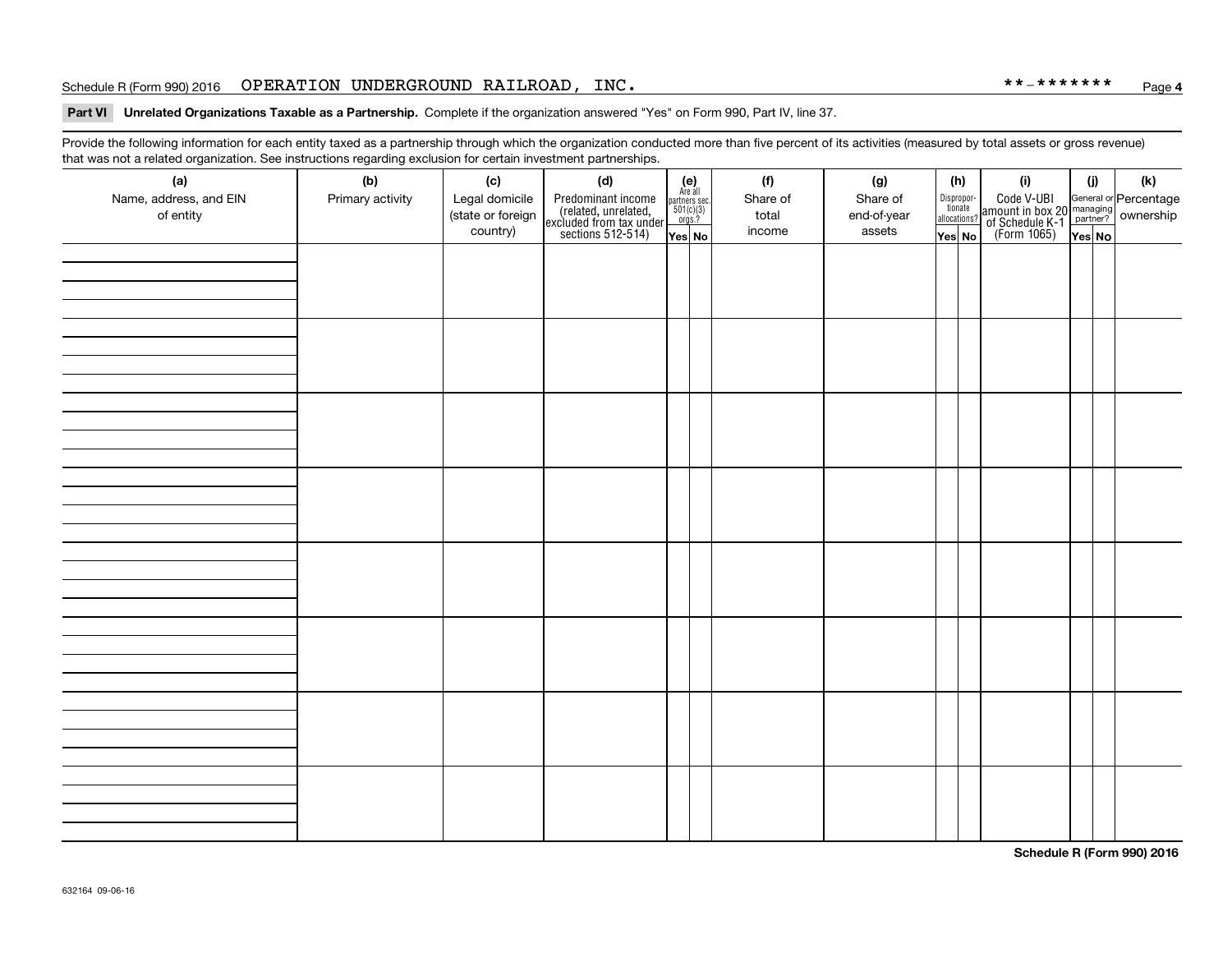#### Schedule R (Form 990) 2016 Page OPERATION UNDERGROUND RAILROAD, INC. \*\*-\*\*\*\*\*\*\*

#### **Part VI Unrelated Organizations Taxable as a Partnership. Complete if the organization answered "Yes" on Form 990, Part IV, line 37.**

Provide the following information for each entity taxed as a partnership through which the organization conducted more than five percent of its activities (measured by total assets or gross revenue) that was not a related organization. See instructions regarding exclusion for certain investment partnerships.

| ັ                                   | ັ<br>ັ           |                                     |                                                                                            |                                                                                                     |  |                   |                         |                                       |                                                                                                                                       |        |     |
|-------------------------------------|------------------|-------------------------------------|--------------------------------------------------------------------------------------------|-----------------------------------------------------------------------------------------------------|--|-------------------|-------------------------|---------------------------------------|---------------------------------------------------------------------------------------------------------------------------------------|--------|-----|
| (a)                                 | (b)              | (c)                                 | (d)                                                                                        | (e)<br>Are all                                                                                      |  | (f)               | (g)                     | (h)                                   | (i)                                                                                                                                   | (i)    | (k) |
| Name, address, and EIN<br>of entity | Primary activity | Legal domicile<br>(state or foreign | Predominant income<br>(related, unrelated,<br>excluded from tax under<br>sections 512-514) | $\begin{array}{c}\n\text{partners} \text{ sec.} \\ 501(c)(3) \\ \hline\n\text{orgs.?}\n\end{array}$ |  | Share of<br>total | Share of<br>end-of-year | Dispropor-<br>tionate<br>allocations? | Code V-UBI<br>  amount in box 20 managing<br>  of Schedule K-1 partner? ownership<br>  of Schedule K-1 partner? ownership<br>  Yes No |        |     |
|                                     |                  | country)                            |                                                                                            |                                                                                                     |  | income            | assets                  |                                       |                                                                                                                                       |        |     |
|                                     |                  |                                     |                                                                                            | Yes No                                                                                              |  |                   |                         | Yes No                                |                                                                                                                                       | Yes No |     |
|                                     |                  |                                     |                                                                                            |                                                                                                     |  |                   |                         |                                       |                                                                                                                                       |        |     |
|                                     |                  |                                     |                                                                                            |                                                                                                     |  |                   |                         |                                       |                                                                                                                                       |        |     |
|                                     |                  |                                     |                                                                                            |                                                                                                     |  |                   |                         |                                       |                                                                                                                                       |        |     |
|                                     |                  |                                     |                                                                                            |                                                                                                     |  |                   |                         |                                       |                                                                                                                                       |        |     |
|                                     |                  |                                     |                                                                                            |                                                                                                     |  |                   |                         |                                       |                                                                                                                                       |        |     |
|                                     |                  |                                     |                                                                                            |                                                                                                     |  |                   |                         |                                       |                                                                                                                                       |        |     |
|                                     |                  |                                     |                                                                                            |                                                                                                     |  |                   |                         |                                       |                                                                                                                                       |        |     |
|                                     |                  |                                     |                                                                                            |                                                                                                     |  |                   |                         |                                       |                                                                                                                                       |        |     |
|                                     |                  |                                     |                                                                                            |                                                                                                     |  |                   |                         |                                       |                                                                                                                                       |        |     |
|                                     |                  |                                     |                                                                                            |                                                                                                     |  |                   |                         |                                       |                                                                                                                                       |        |     |
|                                     |                  |                                     |                                                                                            |                                                                                                     |  |                   |                         |                                       |                                                                                                                                       |        |     |
|                                     |                  |                                     |                                                                                            |                                                                                                     |  |                   |                         |                                       |                                                                                                                                       |        |     |
|                                     |                  |                                     |                                                                                            |                                                                                                     |  |                   |                         |                                       |                                                                                                                                       |        |     |
|                                     |                  |                                     |                                                                                            |                                                                                                     |  |                   |                         |                                       |                                                                                                                                       |        |     |
|                                     |                  |                                     |                                                                                            |                                                                                                     |  |                   |                         |                                       |                                                                                                                                       |        |     |
|                                     |                  |                                     |                                                                                            |                                                                                                     |  |                   |                         |                                       |                                                                                                                                       |        |     |
|                                     |                  |                                     |                                                                                            |                                                                                                     |  |                   |                         |                                       |                                                                                                                                       |        |     |
|                                     |                  |                                     |                                                                                            |                                                                                                     |  |                   |                         |                                       |                                                                                                                                       |        |     |
|                                     |                  |                                     |                                                                                            |                                                                                                     |  |                   |                         |                                       |                                                                                                                                       |        |     |
|                                     |                  |                                     |                                                                                            |                                                                                                     |  |                   |                         |                                       |                                                                                                                                       |        |     |
|                                     |                  |                                     |                                                                                            |                                                                                                     |  |                   |                         |                                       |                                                                                                                                       |        |     |
|                                     |                  |                                     |                                                                                            |                                                                                                     |  |                   |                         |                                       |                                                                                                                                       |        |     |
|                                     |                  |                                     |                                                                                            |                                                                                                     |  |                   |                         |                                       |                                                                                                                                       |        |     |
|                                     |                  |                                     |                                                                                            |                                                                                                     |  |                   |                         |                                       |                                                                                                                                       |        |     |
|                                     |                  |                                     |                                                                                            |                                                                                                     |  |                   |                         |                                       |                                                                                                                                       |        |     |
|                                     |                  |                                     |                                                                                            |                                                                                                     |  |                   |                         |                                       |                                                                                                                                       |        |     |
|                                     |                  |                                     |                                                                                            |                                                                                                     |  |                   |                         |                                       |                                                                                                                                       |        |     |
|                                     |                  |                                     |                                                                                            |                                                                                                     |  |                   |                         |                                       |                                                                                                                                       |        |     |
|                                     |                  |                                     |                                                                                            |                                                                                                     |  |                   |                         |                                       |                                                                                                                                       |        |     |
|                                     |                  |                                     |                                                                                            |                                                                                                     |  |                   |                         |                                       |                                                                                                                                       |        |     |
|                                     |                  |                                     |                                                                                            |                                                                                                     |  |                   |                         |                                       |                                                                                                                                       |        |     |
|                                     |                  |                                     |                                                                                            |                                                                                                     |  |                   |                         |                                       |                                                                                                                                       |        |     |
|                                     |                  |                                     |                                                                                            |                                                                                                     |  |                   |                         |                                       |                                                                                                                                       |        |     |
|                                     |                  |                                     |                                                                                            |                                                                                                     |  |                   |                         |                                       |                                                                                                                                       |        |     |
|                                     |                  |                                     |                                                                                            |                                                                                                     |  |                   |                         |                                       |                                                                                                                                       |        |     |

**Schedule R (Form 990) 2016**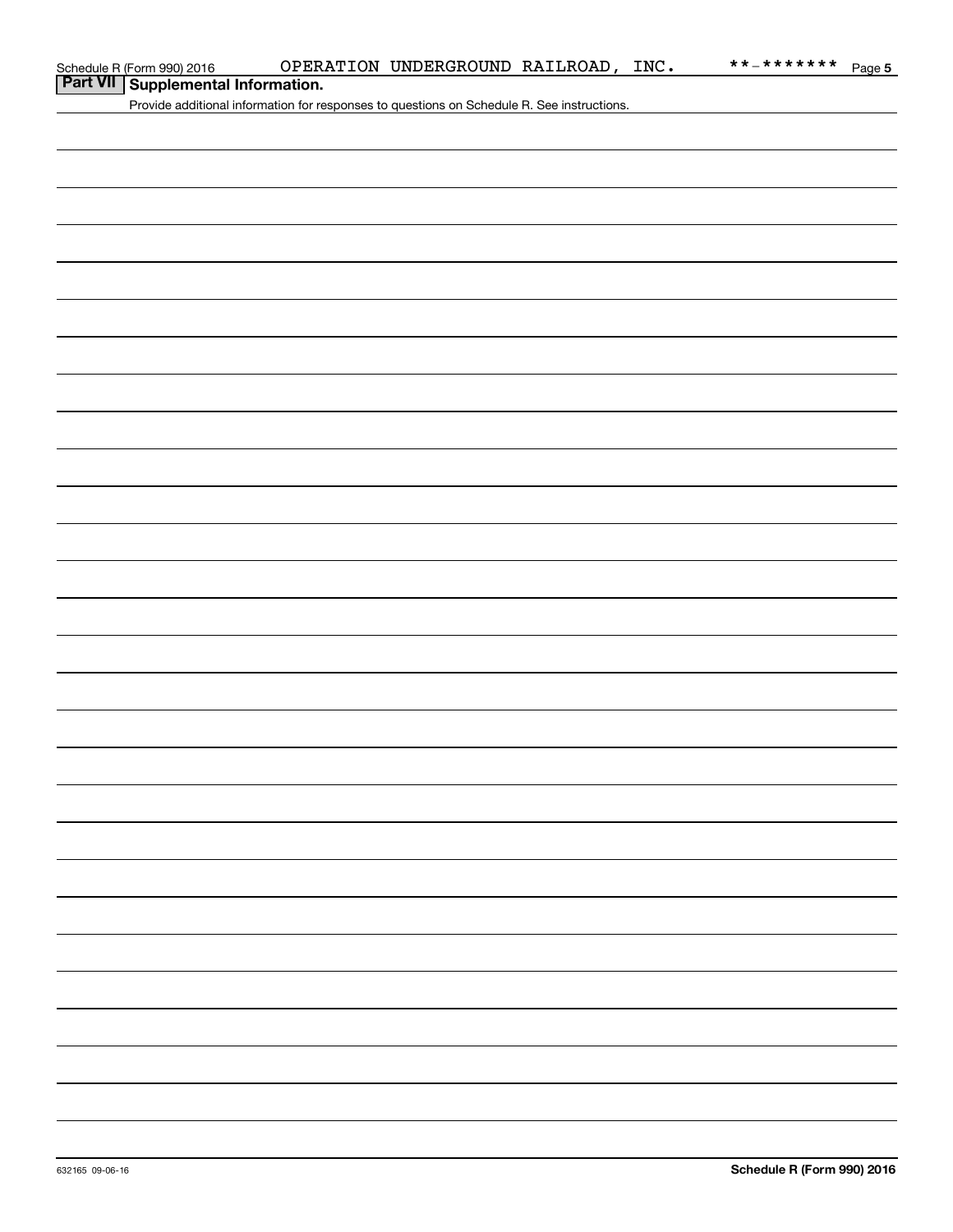### **Part VII Supplemental Information.**

Provide additional information for responses to questions on Schedule R. See instructions.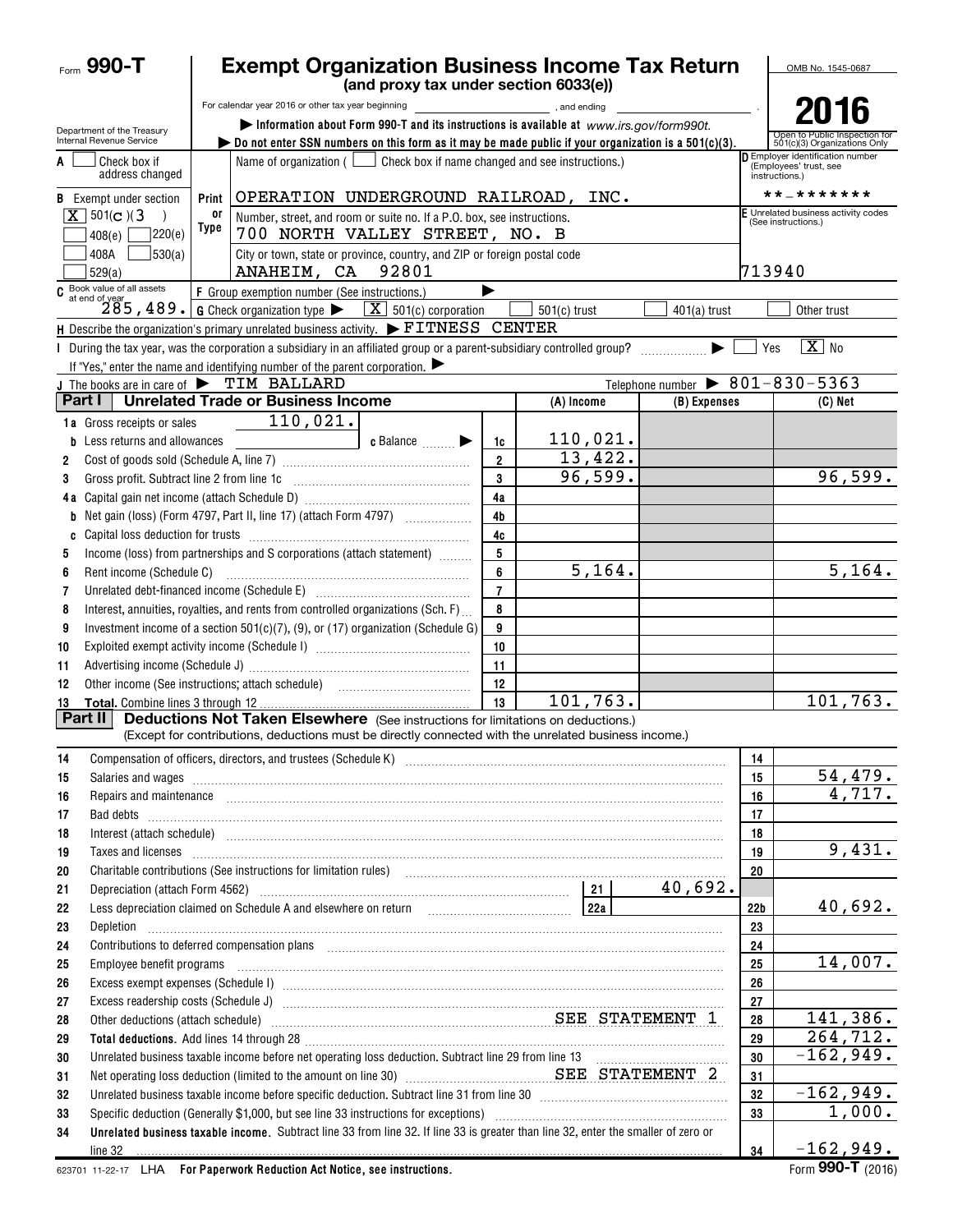| $F_{\text{corr}}$ 990-T                                |                                                                                                                                                                                                                                | <b>Exempt Organization Business Income Tax Return</b>                                                                                                                                                                                                    | OMB No. 1545-0687    |                                            |                                                                |                       |                                                                            |  |  |  |
|--------------------------------------------------------|--------------------------------------------------------------------------------------------------------------------------------------------------------------------------------------------------------------------------------|----------------------------------------------------------------------------------------------------------------------------------------------------------------------------------------------------------------------------------------------------------|----------------------|--------------------------------------------|----------------------------------------------------------------|-----------------------|----------------------------------------------------------------------------|--|--|--|
|                                                        |                                                                                                                                                                                                                                | (and proxy tax under section 6033(e))<br>For calendar year 2016 or other tax year beginning                                                                                                                                                              |                      | $\blacksquare$ , and ending $\blacksquare$ |                                                                |                       |                                                                            |  |  |  |
|                                                        |                                                                                                                                                                                                                                | Information about Form 990-T and its instructions is available at www.irs.gov/form990t.                                                                                                                                                                  |                      |                                            |                                                                |                       | 2016                                                                       |  |  |  |
| Department of the Treasury<br>Internal Revenue Service |                                                                                                                                                                                                                                | bo not enter SSN numbers on this form as it may be made public if your organization is a $501(c)(3)$ .                                                                                                                                                   |                      |                                            |                                                                |                       | Open to Public Inspection for<br>501(c)(3) Organizations Only              |  |  |  |
| Check box if<br>A                                      | address changed                                                                                                                                                                                                                | Name of organization ( $\Box$ Check box if name changed and see instructions.)                                                                                                                                                                           |                      |                                            |                                                                |                       | Employer identification number<br>(Employees' trust, see<br>instructions.) |  |  |  |
| <b>B</b> Exempt under section                          | Print                                                                                                                                                                                                                          | OPERATION UNDERGROUND RAILROAD, INC.                                                                                                                                                                                                                     |                      |                                            |                                                                | * * _ * * * * * * *   |                                                                            |  |  |  |
| $\boxed{\mathbf{X}}$ 501(c)(3                          | 0ľ<br>Type                                                                                                                                                                                                                     | Number, street, and room or suite no. If a P.O. box, see instructions.                                                                                                                                                                                   |                      |                                            |                                                                |                       | F Unrelated business activity codes<br>(See instructions.)                 |  |  |  |
| 408(e)                                                 | 7220(e)                                                                                                                                                                                                                        | 700 NORTH VALLEY STREET, NO. B                                                                                                                                                                                                                           |                      |                                            |                                                                |                       |                                                                            |  |  |  |
| 408A<br>529(a)                                         | 530(a)                                                                                                                                                                                                                         | City or town, state or province, country, and ZIP or foreign postal code<br>ANAHEIM, CA 92801                                                                                                                                                            |                      |                                            |                                                                |                       | 713940                                                                     |  |  |  |
| $C$ Book value of all assets<br>at end of year         |                                                                                                                                                                                                                                | F Group exemption number (See instructions.)                                                                                                                                                                                                             |                      |                                            |                                                                |                       |                                                                            |  |  |  |
|                                                        | 285, 489. G Check organization type $\blacktriangleright$ $\boxed{\textbf{X}}$ 501(c) corporation<br>$501(c)$ trust<br>$401(a)$ trust                                                                                          |                                                                                                                                                                                                                                                          |                      |                                            |                                                                |                       | Other trust                                                                |  |  |  |
|                                                        |                                                                                                                                                                                                                                | H Describe the organization's primary unrelated business activity. FITNESS CENTER                                                                                                                                                                        |                      |                                            |                                                                |                       |                                                                            |  |  |  |
|                                                        |                                                                                                                                                                                                                                |                                                                                                                                                                                                                                                          |                      |                                            |                                                                | Yes                   | $\boxed{\mathbf{X}}$ No                                                    |  |  |  |
|                                                        |                                                                                                                                                                                                                                | If "Yes," enter the name and identifying number of the parent corporation.                                                                                                                                                                               |                      |                                            |                                                                |                       |                                                                            |  |  |  |
| Part I                                                 |                                                                                                                                                                                                                                | J The books are in care of $\blacktriangleright$ TIM BALLARD<br><b>Unrelated Trade or Business Income</b>                                                                                                                                                |                      | (A) Income                                 | Telephone number $\triangleright$ 801-830-5363<br>(B) Expenses |                       | (C) Net                                                                    |  |  |  |
|                                                        |                                                                                                                                                                                                                                | $\frac{110,021.}{ }$                                                                                                                                                                                                                                     |                      |                                            |                                                                |                       |                                                                            |  |  |  |
| 1a Gross receipts or sales                             |                                                                                                                                                                                                                                |                                                                                                                                                                                                                                                          |                      | 110,021.                                   |                                                                |                       |                                                                            |  |  |  |
|                                                        | <b>b</b> Less returns and allowances                                                                                                                                                                                           | c Balance $\Box$<br><u>and the contract of the contract of the contract of the contract of the contract of the contract of the contract of the contract of the contract of the contract of the contract of the contract of the contract of the contr</u> | 1c<br>$\mathfrak{p}$ | 13,422.                                    |                                                                |                       |                                                                            |  |  |  |
| 2<br>3                                                 |                                                                                                                                                                                                                                |                                                                                                                                                                                                                                                          | 3                    | 96,599.                                    |                                                                |                       | 96,599.                                                                    |  |  |  |
|                                                        |                                                                                                                                                                                                                                | Gross profit. Subtract line 2 from line 1c [11] [11] [12] [12] [13] [14] [15] [15] [15] [15] [15] [15] [15] [1                                                                                                                                           | 4a                   |                                            |                                                                |                       |                                                                            |  |  |  |
| b                                                      |                                                                                                                                                                                                                                | Net gain (loss) (Form 4797, Part II, line 17) (attach Form 4797)                                                                                                                                                                                         | 4 <sub>b</sub>       |                                            |                                                                |                       |                                                                            |  |  |  |
| C                                                      |                                                                                                                                                                                                                                |                                                                                                                                                                                                                                                          | 4c                   |                                            |                                                                |                       |                                                                            |  |  |  |
| 5                                                      |                                                                                                                                                                                                                                | Income (loss) from partnerships and S corporations (attach statement)                                                                                                                                                                                    | 5                    |                                            |                                                                |                       |                                                                            |  |  |  |
| 6                                                      | Rent income (Schedule C)                                                                                                                                                                                                       |                                                                                                                                                                                                                                                          | 6                    | 5, 164.                                    |                                                                |                       | 5, 164.                                                                    |  |  |  |
| 7                                                      |                                                                                                                                                                                                                                | Unrelated debt-financed income (Schedule E) [11] [2010] [2010] [2010] [2010] [2010] [2010] [2010] [2010] [2010                                                                                                                                           | $\overline{7}$       |                                            |                                                                |                       |                                                                            |  |  |  |
| 8                                                      |                                                                                                                                                                                                                                | Interest, annuities, royalties, and rents from controlled organizations (Sch. F)                                                                                                                                                                         | 8                    |                                            |                                                                |                       |                                                                            |  |  |  |
| 9                                                      |                                                                                                                                                                                                                                | Investment income of a section 501(c)(7), (9), or (17) organization (Schedule G)                                                                                                                                                                         | 9                    |                                            |                                                                |                       |                                                                            |  |  |  |
| 10                                                     |                                                                                                                                                                                                                                |                                                                                                                                                                                                                                                          | 10                   |                                            |                                                                |                       |                                                                            |  |  |  |
| 11                                                     |                                                                                                                                                                                                                                |                                                                                                                                                                                                                                                          | 11                   |                                            |                                                                |                       |                                                                            |  |  |  |
| 12                                                     |                                                                                                                                                                                                                                |                                                                                                                                                                                                                                                          | 12                   |                                            |                                                                |                       |                                                                            |  |  |  |
| 13                                                     |                                                                                                                                                                                                                                |                                                                                                                                                                                                                                                          | 13                   | 101,763.                                   |                                                                |                       | 101, 763.                                                                  |  |  |  |
| Part II                                                |                                                                                                                                                                                                                                | <b>Deductions Not Taken Elsewhere</b> (See instructions for limitations on deductions.)                                                                                                                                                                  |                      |                                            |                                                                |                       |                                                                            |  |  |  |
|                                                        |                                                                                                                                                                                                                                | (Except for contributions, deductions must be directly connected with the unrelated business income.)                                                                                                                                                    |                      |                                            |                                                                |                       |                                                                            |  |  |  |
| 14                                                     |                                                                                                                                                                                                                                |                                                                                                                                                                                                                                                          |                      |                                            |                                                                | 14                    |                                                                            |  |  |  |
| 15                                                     |                                                                                                                                                                                                                                | Salaries and wages <b>construction and construction</b> was a series of the construction of the construction of the construction of the construction of the construction of the construction of the construction of the constructio                      |                      |                                            |                                                                | 15                    | 54,479.                                                                    |  |  |  |
| 16                                                     |                                                                                                                                                                                                                                | Repairs and maintenance <i>maintenance</i> and contained and anti-                                                                                                                                                                                       |                      |                                            |                                                                | 16                    | 4,717.                                                                     |  |  |  |
| 17                                                     |                                                                                                                                                                                                                                |                                                                                                                                                                                                                                                          |                      |                                            |                                                                | 17                    |                                                                            |  |  |  |
| 18                                                     |                                                                                                                                                                                                                                |                                                                                                                                                                                                                                                          |                      |                                            |                                                                | 18                    |                                                                            |  |  |  |
| 19                                                     |                                                                                                                                                                                                                                | Taxes and licenses <b>construction and construction of the construction</b> and construction of the construction of the                                                                                                                                  |                      |                                            |                                                                | 19                    | 9,431.                                                                     |  |  |  |
| 20                                                     |                                                                                                                                                                                                                                | Charitable contributions (See instructions for limitation rules) [11] manufacture in the contributions (See instructions for limitation rules) [11] manufacture in the contributions (See instructions for limitation rules) [                           |                      |                                            |                                                                | 20                    |                                                                            |  |  |  |
| 21                                                     |                                                                                                                                                                                                                                |                                                                                                                                                                                                                                                          |                      |                                            | 40,692.                                                        |                       |                                                                            |  |  |  |
| 22                                                     |                                                                                                                                                                                                                                | Less depreciation claimed on Schedule A and elsewhere on return [22a]                                                                                                                                                                                    |                      |                                            |                                                                | 22 <sub>b</sub><br>23 | 40,692.                                                                    |  |  |  |
| 23                                                     | Depletion                                                                                                                                                                                                                      |                                                                                                                                                                                                                                                          |                      |                                            |                                                                |                       |                                                                            |  |  |  |
| 24                                                     | Contributions to deferred compensation plans [11] manufactured contributions to deferred compensation plans [11] manufactured compensation plans [11] manufactured compensation plans [11] manufactured compensation plans in  |                                                                                                                                                                                                                                                          |                      |                                            |                                                                | 24                    |                                                                            |  |  |  |
| 25                                                     | Employee benefit programs in the continuum contract of the contract of the contract of the contract of the contract of the contract of the contract of the contract of the contract of the contract of the contract of the con |                                                                                                                                                                                                                                                          |                      |                                            | 25                                                             | 14,007.               |                                                                            |  |  |  |
| 26                                                     |                                                                                                                                                                                                                                |                                                                                                                                                                                                                                                          |                      |                                            |                                                                | 26<br>27              |                                                                            |  |  |  |
| 27                                                     | Excess readership costs (Schedule J) <b>continuous continuous continuous continuous continuous continuous continuous</b>                                                                                                       |                                                                                                                                                                                                                                                          |                      |                                            |                                                                |                       | 141,386.                                                                   |  |  |  |
| 28                                                     | Other deductions (attach schedule) Material Material Material SEE STATEMENT 1                                                                                                                                                  |                                                                                                                                                                                                                                                          |                      |                                            |                                                                |                       | 264, 712.                                                                  |  |  |  |
| 29                                                     |                                                                                                                                                                                                                                | Unrelated business taxable income before net operating loss deduction. Subtract line 29 from line 13 [111] [120] [120] [120] [120] [120] [120] [120] [120] [120] [120] [120] [120] [120] [120] [120] [120] [120] [120] [120] [                           |                      |                                            |                                                                | 29<br>30              | $-162,949$ .                                                               |  |  |  |
| 30<br>31                                               |                                                                                                                                                                                                                                | Net operating loss deduction (limited to the amount on line 30) <b>Manual SEE STATEMENT 2</b>                                                                                                                                                            |                      |                                            |                                                                | 31                    |                                                                            |  |  |  |
| 32                                                     |                                                                                                                                                                                                                                | Unrelated business taxable income before specific deduction. Subtract line 31 from line 30 [11] manuscriptions taxable income before specific deduction. Subtract line 31 from line 30 [11] manuscriptions taxable income befo                           |                      |                                            |                                                                | 32                    | $-162,949.$                                                                |  |  |  |
| 33                                                     |                                                                                                                                                                                                                                |                                                                                                                                                                                                                                                          |                      |                                            |                                                                | 33                    | 1,000.                                                                     |  |  |  |
| 34                                                     |                                                                                                                                                                                                                                | Unrelated business taxable income. Subtract line 33 from line 32. If line 33 is greater than line 32, enter the smaller of zero or                                                                                                                       |                      |                                            |                                                                |                       |                                                                            |  |  |  |
| line 32                                                |                                                                                                                                                                                                                                |                                                                                                                                                                                                                                                          |                      |                                            |                                                                | 34                    | $-162,949$ .                                                               |  |  |  |
|                                                        |                                                                                                                                                                                                                                |                                                                                                                                                                                                                                                          |                      |                                            |                                                                |                       |                                                                            |  |  |  |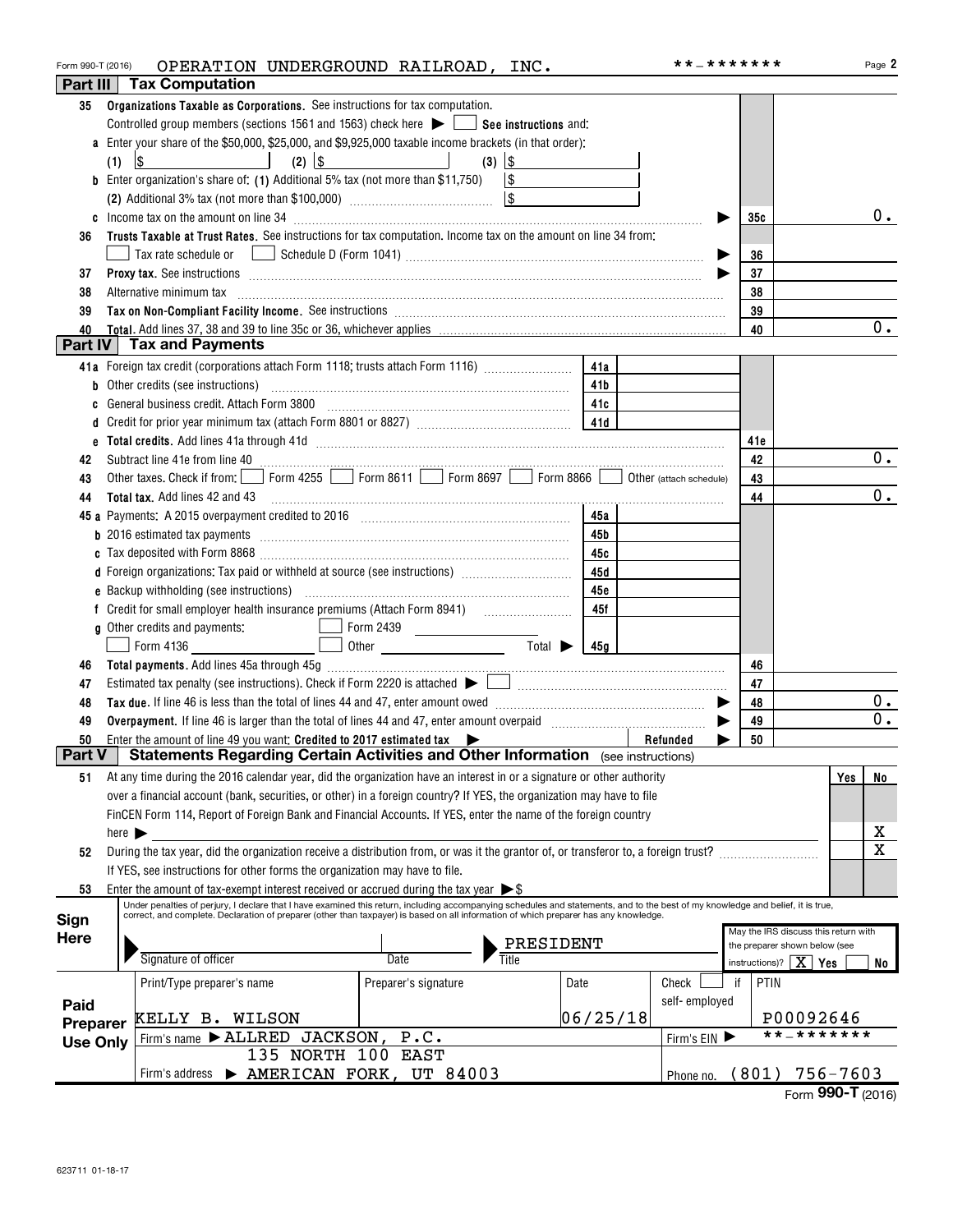| Form 990-T (2016) | OPERATION UNDERGROUND RAILROAD, INC.                                                                                                                                                                                                                                                                                                |          |               | **_*******                                      | Page 2                                |
|-------------------|-------------------------------------------------------------------------------------------------------------------------------------------------------------------------------------------------------------------------------------------------------------------------------------------------------------------------------------|----------|---------------|-------------------------------------------------|---------------------------------------|
|                   | Part III   Tax Computation                                                                                                                                                                                                                                                                                                          |          |               |                                                 |                                       |
| 35                | Organizations Taxable as Corporations. See instructions for tax computation.                                                                                                                                                                                                                                                        |          |               |                                                 |                                       |
|                   | Controlled group members (sections 1561 and 1563) check here $\blacktriangleright$ $\Box$ See instructions and:                                                                                                                                                                                                                     |          |               |                                                 |                                       |
|                   | a Enter your share of the \$50,000, \$25,000, and \$9,925,000 taxable income brackets (in that order):                                                                                                                                                                                                                              |          |               |                                                 |                                       |
|                   | $(2)$ $ $ \$<br>$\upbeta$<br>the contract of the contract of<br>(1)                                                                                                                                                                                                                                                                 |          |               |                                                 |                                       |
|                   | <b>b</b> Enter organization's share of: (1) Additional 5% tax (not more than \$11,750) $\boxed{\$}$                                                                                                                                                                                                                                 |          |               |                                                 |                                       |
|                   |                                                                                                                                                                                                                                                                                                                                     |          |               |                                                 |                                       |
|                   |                                                                                                                                                                                                                                                                                                                                     |          |               | 35c                                             | $0$ .                                 |
| 36                | Trusts Taxable at Trust Rates. See instructions for tax computation. Income tax on the amount on line 34 from:                                                                                                                                                                                                                      |          |               |                                                 |                                       |
|                   |                                                                                                                                                                                                                                                                                                                                     |          |               | 36                                              |                                       |
| 37                |                                                                                                                                                                                                                                                                                                                                     |          |               | 37                                              |                                       |
| 38                | Alternative minimum tax                                                                                                                                                                                                                                                                                                             |          |               | 38                                              |                                       |
| 39                | Tax on Non-Compliant Facility Income. See instructions [111] [12] manufacture in the compliant Facility Income. See instructions [11] manufacture in the compliant Facility Income.                                                                                                                                                 |          |               | 39                                              | 0.                                    |
| 40<br>Part IV     | Tax and Payments                                                                                                                                                                                                                                                                                                                    |          |               | 40                                              |                                       |
|                   |                                                                                                                                                                                                                                                                                                                                     |          |               |                                                 |                                       |
|                   | 41a Foreign tax credit (corporations attach Form 1118; trusts attach Form 1116)                                                                                                                                                                                                                                                     | 41a      |               |                                                 |                                       |
|                   | <b>b</b> Other credits (see instructions) <b>https://www.filterationary.com/inter-</b> 11b                                                                                                                                                                                                                                          |          |               |                                                 |                                       |
| C                 | General business credit. Attach Form 3800 manufactured and continuum and the settlement of the settlement of the                                                                                                                                                                                                                    |          |               |                                                 |                                       |
|                   |                                                                                                                                                                                                                                                                                                                                     |          |               |                                                 |                                       |
|                   |                                                                                                                                                                                                                                                                                                                                     |          |               | 41e                                             | $0$ .                                 |
| 42                | Subtract line 41e from line 40 <b>magazine and the contract of the 40</b> magazine in the set of the set of the set of the set of the set of the set of the set of the set of the set of the set of the set of the set of the set o<br>Other taxes. Check if from: Form 4255 Form 8611 Form 8697 Form 8866 Obther (attach schedule) |          |               | 42                                              |                                       |
| 43                |                                                                                                                                                                                                                                                                                                                                     |          |               | 43                                              | 0.                                    |
| 44                |                                                                                                                                                                                                                                                                                                                                     |          |               | 44                                              |                                       |
|                   | 45 a Payments: A 2015 overpayment credited to 2016 [11] [120] [120] [130] [140] [140] [140] [140] [140] [140] [140] [140] [140] [140] [140] [140] [140] [140] [140] [140] [140] [140] [140] [140] [140] [140] [140] [140] [140                                                                                                      | 45a      |               |                                                 |                                       |
|                   |                                                                                                                                                                                                                                                                                                                                     | 45 b     |               |                                                 |                                       |
|                   |                                                                                                                                                                                                                                                                                                                                     | 45с      |               |                                                 |                                       |
|                   | d Foreign organizations: Tax paid or withheld at source (see instructions) [                                                                                                                                                                                                                                                        | 45 d     |               |                                                 |                                       |
|                   |                                                                                                                                                                                                                                                                                                                                     | 45e      |               |                                                 |                                       |
|                   |                                                                                                                                                                                                                                                                                                                                     | 45f      |               |                                                 |                                       |
|                   | g Other credits and payments:<br><u>and the state of the state of the state of the state of the state of the state of the state of the state of the state of the state of the state of the state of the state of the state of the state of the state of the state</u>                                                               |          |               |                                                 |                                       |
|                   | Form 4136                                                                                                                                                                                                                                                                                                                           |          |               |                                                 |                                       |
| 46                |                                                                                                                                                                                                                                                                                                                                     |          |               | 46                                              |                                       |
| 47                |                                                                                                                                                                                                                                                                                                                                     |          |               | 47                                              |                                       |
| 48                |                                                                                                                                                                                                                                                                                                                                     |          |               | 48                                              | 0.<br>$0$ .                           |
| 49                | Overpayment. If line 46 is larger than the total of lines 44 and 47, enter amount overpaid manufactured and the summan set                                                                                                                                                                                                          |          |               | 49                                              |                                       |
| 50<br>Part V      | Enter the amount of line 49 you want: Credited to 2017 estimated tax $\blacktriangleright$<br>Statements Regarding Certain Activities and Other Information (see instructions)                                                                                                                                                      |          | Refunded      | 50                                              |                                       |
|                   |                                                                                                                                                                                                                                                                                                                                     |          |               |                                                 |                                       |
| 51                | At any time during the 2016 calendar year, did the organization have an interest in or a signature or other authority                                                                                                                                                                                                               |          |               |                                                 | Yes<br>No                             |
|                   | over a financial account (bank, securities, or other) in a foreign country? If YES, the organization may have to file                                                                                                                                                                                                               |          |               |                                                 |                                       |
|                   | FinCEN Form 114, Report of Foreign Bank and Financial Accounts. If YES, enter the name of the foreign country                                                                                                                                                                                                                       |          |               |                                                 |                                       |
|                   | here $\blacktriangleright$                                                                                                                                                                                                                                                                                                          |          |               |                                                 | $\mathbf{x}$<br>$\overline{\text{x}}$ |
| 52                | During the tax year, did the organization receive a distribution from, or was it the grantor of, or transferor to, a foreign trust?                                                                                                                                                                                                 |          |               |                                                 |                                       |
|                   | If YES, see instructions for other forms the organization may have to file.                                                                                                                                                                                                                                                         |          |               |                                                 |                                       |
| 53                | Enter the amount of tax-exempt interest received or accrued during the tax year $\triangleright$ \$<br>Under penalties of perjury, I declare that I have examined this return, including accompanying schedules and statements, and to the best of my knowledge and belief, it is true,                                             |          |               |                                                 |                                       |
| Sign              | correct, and complete. Declaration of preparer (other than taxpayer) is based on all information of which preparer has any knowledge.                                                                                                                                                                                               |          |               |                                                 |                                       |
| <b>Here</b>       | PRESIDENT                                                                                                                                                                                                                                                                                                                           |          |               |                                                 | May the IRS discuss this return with  |
|                   | Signature of officer<br>Title<br>Date                                                                                                                                                                                                                                                                                               |          |               | instructions)? $\mid X \mid \gamma_{\text{es}}$ | the preparer shown below (see         |
|                   |                                                                                                                                                                                                                                                                                                                                     |          |               |                                                 | No                                    |
|                   | Print/Type preparer's name<br>Preparer's signature<br>Date                                                                                                                                                                                                                                                                          |          | Check         | PTIN<br>if                                      |                                       |
| Paid              | KELLY B. WILSON                                                                                                                                                                                                                                                                                                                     | 06/25/18 | self-employed |                                                 | P00092646                             |
| Preparer          |                                                                                                                                                                                                                                                                                                                                     |          |               |                                                 | * * _ * * * * * * *                   |
| <b>Use Only</b>   | Firm's name > ALLRED JACKSON,<br>P.C.<br>135 NORTH 100                                                                                                                                                                                                                                                                              |          | Firm's EIN    |                                                 |                                       |
|                   | EAST                                                                                                                                                                                                                                                                                                                                |          |               |                                                 | $(801)$ 756-7603                      |
|                   | AMERICAN FORK, UT 84003<br>Firm's address                                                                                                                                                                                                                                                                                           |          | Phone no.     |                                                 |                                       |

|  | Form 990-T (2016) |  |
|--|-------------------|--|
|--|-------------------|--|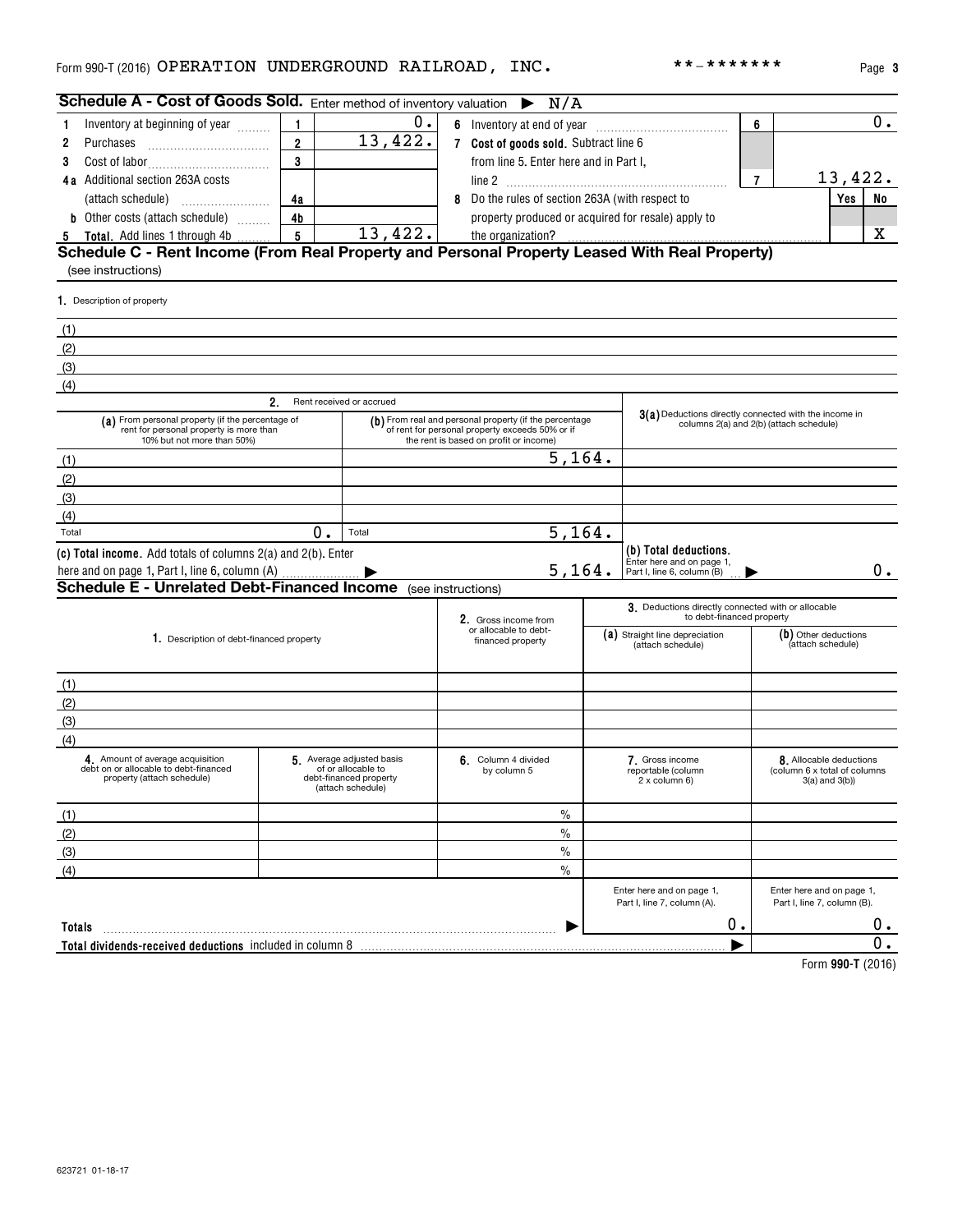**Totals** ~~~~~~~~~~~~~~~~~~~~~~~~~~~~~~~~~~~~~~~~~

**Total dividends-received deductions** included in column 8 |

|                                                                                                                           |                                                                                                                                                              |                          |                                                                                                                                                     |                                                                                                  |                                                          |                                           | i uyu u                                                                        |
|---------------------------------------------------------------------------------------------------------------------------|--------------------------------------------------------------------------------------------------------------------------------------------------------------|--------------------------|-----------------------------------------------------------------------------------------------------------------------------------------------------|--------------------------------------------------------------------------------------------------|----------------------------------------------------------|-------------------------------------------|--------------------------------------------------------------------------------|
| <b>Schedule A - Cost of Goods Sold.</b> Enter method of inventory valuation $\triangleright N/A$                          |                                                                                                                                                              |                          |                                                                                                                                                     |                                                                                                  |                                                          |                                           |                                                                                |
| Inventory at beginning of year<br>1                                                                                       | 1                                                                                                                                                            | Ο.<br>13,422.            | 6 Inventory at end of year                                                                                                                          |                                                                                                  | 6                                                        | 0.                                        |                                                                                |
| 2<br>Purchases                                                                                                            | $\overline{2}$                                                                                                                                               |                          | 7 Cost of goods sold. Subtract line 6                                                                                                               |                                                                                                  |                                                          |                                           |                                                                                |
| 3                                                                                                                         | 3                                                                                                                                                            |                          | from line 5. Enter here and in Part I,                                                                                                              |                                                                                                  |                                                          |                                           |                                                                                |
| 4a Additional section 263A costs                                                                                          |                                                                                                                                                              |                          |                                                                                                                                                     |                                                                                                  |                                                          | $\overline{7}$                            | 13,422.                                                                        |
|                                                                                                                           | 4a                                                                                                                                                           |                          | 8 Do the rules of section 263A (with respect to                                                                                                     |                                                                                                  |                                                          | Yes<br>No                                 |                                                                                |
| <b>b</b> Other costs (attach schedule)                                                                                    | 4b                                                                                                                                                           |                          | property produced or acquired for resale) apply to                                                                                                  |                                                                                                  |                                                          | x                                         |                                                                                |
| 5                                                                                                                         | 13,422.<br>$5\phantom{.0}$<br>Total. Add lines 1 through 4b<br>Schedule C - Rent Income (From Real Property and Personal Property Leased With Real Property) |                          |                                                                                                                                                     |                                                                                                  |                                                          |                                           |                                                                                |
| (see instructions)                                                                                                        |                                                                                                                                                              |                          |                                                                                                                                                     |                                                                                                  |                                                          |                                           |                                                                                |
| 1. Description of property                                                                                                |                                                                                                                                                              |                          |                                                                                                                                                     |                                                                                                  |                                                          |                                           |                                                                                |
| (1)                                                                                                                       |                                                                                                                                                              |                          |                                                                                                                                                     |                                                                                                  |                                                          |                                           |                                                                                |
| (2)                                                                                                                       |                                                                                                                                                              |                          |                                                                                                                                                     |                                                                                                  |                                                          |                                           |                                                                                |
| (3)                                                                                                                       |                                                                                                                                                              |                          |                                                                                                                                                     |                                                                                                  |                                                          |                                           |                                                                                |
| (4)                                                                                                                       |                                                                                                                                                              |                          |                                                                                                                                                     |                                                                                                  |                                                          |                                           |                                                                                |
|                                                                                                                           | 2.                                                                                                                                                           | Rent received or accrued |                                                                                                                                                     |                                                                                                  |                                                          |                                           |                                                                                |
| (a) From personal property (if the percentage of<br>rent for personal property is more than<br>10% but not more than 50%) |                                                                                                                                                              |                          | (b) From real and personal property (if the percentage<br>of rent for personal property exceeds 50% or if<br>the rent is based on profit or income) | 3(a) Deductions directly connected with the income in<br>columns 2(a) and 2(b) (attach schedule) |                                                          |                                           |                                                                                |
| (1)                                                                                                                       |                                                                                                                                                              |                          |                                                                                                                                                     |                                                                                                  |                                                          |                                           |                                                                                |
| (2)                                                                                                                       |                                                                                                                                                              |                          | 5, 164.                                                                                                                                             |                                                                                                  |                                                          |                                           |                                                                                |
| (3)                                                                                                                       |                                                                                                                                                              |                          |                                                                                                                                                     |                                                                                                  |                                                          |                                           |                                                                                |
| (4)                                                                                                                       |                                                                                                                                                              |                          |                                                                                                                                                     |                                                                                                  |                                                          |                                           |                                                                                |
| Total                                                                                                                     | $0$ .                                                                                                                                                        | Total                    | 5, 164.                                                                                                                                             |                                                                                                  |                                                          |                                           |                                                                                |
| (c) Total income. Add totals of columns 2(a) and 2(b). Enter                                                              |                                                                                                                                                              |                          |                                                                                                                                                     |                                                                                                  | (b) Total deductions.<br>Enter here and on page 1,       |                                           |                                                                                |
| here and on page 1, Part I, line 6, column (A)                                                                            |                                                                                                                                                              |                          | 5, 164.                                                                                                                                             |                                                                                                  | Part I, line 6, column (B)                               |                                           | 0.                                                                             |
| <b>Schedule E - Unrelated Debt-Financed Income</b> (see instructions)                                                     |                                                                                                                                                              |                          |                                                                                                                                                     |                                                                                                  |                                                          |                                           |                                                                                |
|                                                                                                                           |                                                                                                                                                              |                          | 2. Gross income from                                                                                                                                | 3. Deductions directly connected with or allocable<br>to debt-financed property                  |                                                          |                                           |                                                                                |
| 1. Description of debt-financed property                                                                                  |                                                                                                                                                              |                          | or allocable to debt-<br>financed property                                                                                                          |                                                                                                  | (a) Straight line depreciation<br>(attach schedule)      | (b) Other deductions<br>(attach schedule) |                                                                                |
| (1)                                                                                                                       |                                                                                                                                                              |                          |                                                                                                                                                     |                                                                                                  |                                                          |                                           |                                                                                |
| (2)                                                                                                                       |                                                                                                                                                              |                          |                                                                                                                                                     |                                                                                                  |                                                          |                                           |                                                                                |
| (3)                                                                                                                       |                                                                                                                                                              |                          |                                                                                                                                                     |                                                                                                  |                                                          |                                           |                                                                                |
| (4)                                                                                                                       |                                                                                                                                                              |                          |                                                                                                                                                     |                                                                                                  |                                                          |                                           |                                                                                |
| 4. Amount of average acquisition<br>debt on or allocable to debt-financed<br>property (attach schedule)                   | 5. Average adjusted basis<br>of or allocable to<br>debt-financed property<br>(attach schedule)                                                               |                          | 6. Column 4 divided<br>by column 5                                                                                                                  |                                                                                                  | 7. Gross income<br>reportable (column<br>2 x column 6)   |                                           | 8. Allocable deductions<br>(column 6 x total of columns<br>$3(a)$ and $3(b)$ ) |
| (1)                                                                                                                       |                                                                                                                                                              |                          | $\%$                                                                                                                                                |                                                                                                  |                                                          |                                           |                                                                                |
| (2)                                                                                                                       |                                                                                                                                                              |                          | $\%$                                                                                                                                                |                                                                                                  |                                                          |                                           |                                                                                |
| (3)                                                                                                                       |                                                                                                                                                              |                          | $\%$                                                                                                                                                |                                                                                                  |                                                          |                                           |                                                                                |
| (4)                                                                                                                       |                                                                                                                                                              |                          | $\frac{0}{0}$                                                                                                                                       |                                                                                                  |                                                          |                                           |                                                                                |
|                                                                                                                           |                                                                                                                                                              |                          |                                                                                                                                                     |                                                                                                  | Enter here and on page 1,<br>Part I, line 7, column (A). |                                           | Enter here and on page 1,<br>Part I, line 7, column (B).                       |

**990-T**  Form (2016)

 $0$  .  $\overline{0}$ .

Part I, line 7, column (A).

0.

 $\blacktriangleright$ 

623721 01-18-17

**3**

|  |  | * _ * * * * * * * |  |  |  |  |  |  |  |
|--|--|-------------------|--|--|--|--|--|--|--|
|--|--|-------------------|--|--|--|--|--|--|--|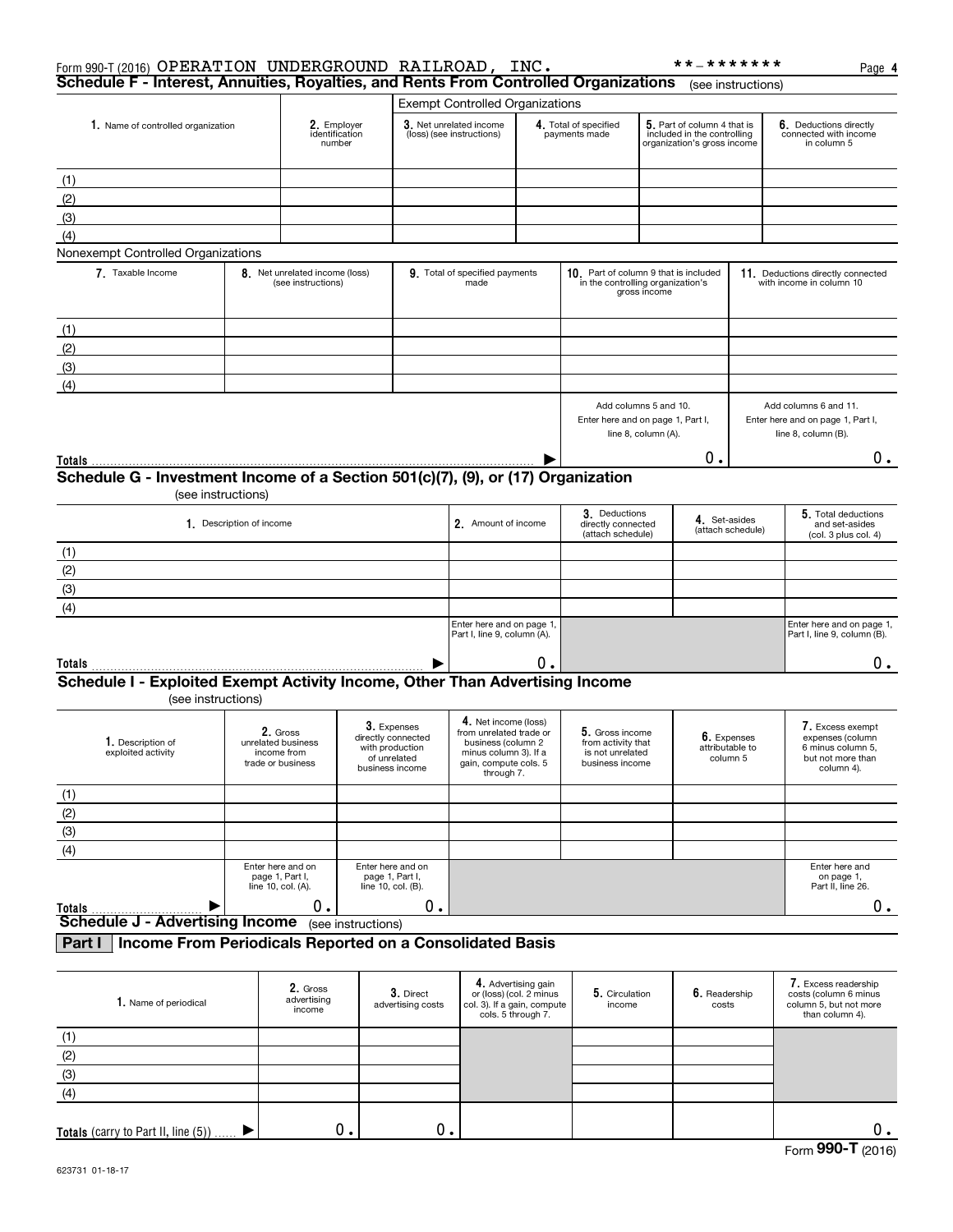| Form 990-T (2016) OPERATION UNDERGROUND RAILROAD, INC.                                                       |                          |                                                                    |                                                                                           |                                                                                                                                       |                                                                                                     |                                                                              |                                                                                   | **_*******                                                                                |                                                                                   | Page 4                                                                                       |
|--------------------------------------------------------------------------------------------------------------|--------------------------|--------------------------------------------------------------------|-------------------------------------------------------------------------------------------|---------------------------------------------------------------------------------------------------------------------------------------|-----------------------------------------------------------------------------------------------------|------------------------------------------------------------------------------|-----------------------------------------------------------------------------------|-------------------------------------------------------------------------------------------|-----------------------------------------------------------------------------------|----------------------------------------------------------------------------------------------|
| Schedule F - Interest, Annuities, Royalties, and Rents From Controlled Organizations                         |                          |                                                                    |                                                                                           |                                                                                                                                       |                                                                                                     |                                                                              |                                                                                   |                                                                                           | (see instructions)                                                                |                                                                                              |
|                                                                                                              |                          |                                                                    |                                                                                           | <b>Exempt Controlled Organizations</b>                                                                                                |                                                                                                     |                                                                              |                                                                                   |                                                                                           |                                                                                   |                                                                                              |
| 1. Name of controlled organization                                                                           |                          | 2. Employer<br>identification<br>number                            |                                                                                           | 3. Net unrelated income<br>(loss) (see instructions)                                                                                  |                                                                                                     | 4. Total of specified<br>payments made                                       |                                                                                   | 5. Part of column 4 that is<br>included in the controlling<br>organization's gross income |                                                                                   | 6. Deductions directly<br>connected with income<br>in column 5                               |
| (1)                                                                                                          |                          |                                                                    |                                                                                           |                                                                                                                                       |                                                                                                     |                                                                              |                                                                                   |                                                                                           |                                                                                   |                                                                                              |
| (2)                                                                                                          |                          |                                                                    |                                                                                           |                                                                                                                                       |                                                                                                     |                                                                              |                                                                                   |                                                                                           |                                                                                   |                                                                                              |
| (3)                                                                                                          |                          |                                                                    |                                                                                           |                                                                                                                                       |                                                                                                     |                                                                              |                                                                                   |                                                                                           |                                                                                   |                                                                                              |
| (4)                                                                                                          |                          |                                                                    |                                                                                           |                                                                                                                                       |                                                                                                     |                                                                              |                                                                                   |                                                                                           |                                                                                   |                                                                                              |
| Nonexempt Controlled Organizations                                                                           |                          |                                                                    |                                                                                           |                                                                                                                                       |                                                                                                     |                                                                              |                                                                                   |                                                                                           |                                                                                   |                                                                                              |
| 7. Taxable Income                                                                                            |                          | 8. Net unrelated income (loss)<br>(see instructions)               |                                                                                           | 9. Total of specified payments<br>made                                                                                                |                                                                                                     | 10. Part of column 9 that is included<br>in the controlling organization's   | gross income                                                                      |                                                                                           |                                                                                   | 11. Deductions directly connected<br>with income in column 10                                |
| (1)                                                                                                          |                          |                                                                    |                                                                                           |                                                                                                                                       |                                                                                                     |                                                                              |                                                                                   |                                                                                           |                                                                                   |                                                                                              |
| (2)                                                                                                          |                          |                                                                    |                                                                                           |                                                                                                                                       |                                                                                                     |                                                                              |                                                                                   |                                                                                           |                                                                                   |                                                                                              |
| (3)                                                                                                          |                          |                                                                    |                                                                                           |                                                                                                                                       |                                                                                                     |                                                                              |                                                                                   |                                                                                           |                                                                                   |                                                                                              |
| (4)                                                                                                          |                          |                                                                    |                                                                                           |                                                                                                                                       |                                                                                                     |                                                                              |                                                                                   |                                                                                           |                                                                                   |                                                                                              |
|                                                                                                              |                          |                                                                    |                                                                                           |                                                                                                                                       |                                                                                                     |                                                                              | Add columns 5 and 10.<br>Enter here and on page 1, Part I,<br>line 8, column (A). |                                                                                           | Add columns 6 and 11.<br>Enter here and on page 1, Part I,<br>line 8, column (B). |                                                                                              |
|                                                                                                              |                          |                                                                    |                                                                                           |                                                                                                                                       |                                                                                                     |                                                                              |                                                                                   | 0.                                                                                        |                                                                                   | $0$ .                                                                                        |
| Schedule G - Investment Income of a Section 501(c)(7), (9), or (17) Organization<br>(see instructions)       |                          |                                                                    |                                                                                           |                                                                                                                                       |                                                                                                     |                                                                              |                                                                                   |                                                                                           |                                                                                   |                                                                                              |
|                                                                                                              | 1. Description of income |                                                                    |                                                                                           |                                                                                                                                       | 3. Deductions<br>2. Amount of income<br>directly connected<br>(attach schedule)                     |                                                                              |                                                                                   | 4. Set-asides                                                                             | (attach schedule)                                                                 | 5. Total deductions<br>and set-asides<br>(col. 3 plus col. 4)                                |
| (1)                                                                                                          |                          |                                                                    |                                                                                           |                                                                                                                                       |                                                                                                     |                                                                              |                                                                                   |                                                                                           |                                                                                   |                                                                                              |
| (2)                                                                                                          |                          |                                                                    |                                                                                           |                                                                                                                                       |                                                                                                     |                                                                              |                                                                                   |                                                                                           |                                                                                   |                                                                                              |
| (3)                                                                                                          |                          |                                                                    |                                                                                           |                                                                                                                                       |                                                                                                     |                                                                              |                                                                                   |                                                                                           |                                                                                   |                                                                                              |
| (4)                                                                                                          |                          |                                                                    |                                                                                           |                                                                                                                                       |                                                                                                     |                                                                              |                                                                                   |                                                                                           |                                                                                   |                                                                                              |
|                                                                                                              |                          |                                                                    |                                                                                           | Enter here and on page 1,<br>Part I, line 9, column (A).                                                                              |                                                                                                     |                                                                              |                                                                                   |                                                                                           |                                                                                   | Enter here and on page 1,<br>Part I, line 9, column (B).                                     |
| Totals                                                                                                       |                          |                                                                    |                                                                                           |                                                                                                                                       | 0.                                                                                                  |                                                                              |                                                                                   |                                                                                           |                                                                                   | $0$ .                                                                                        |
| Schedule I - Exploited Exempt Activity Income, Other Than Advertising Income<br>(see instructions)           |                          |                                                                    |                                                                                           |                                                                                                                                       |                                                                                                     |                                                                              |                                                                                   |                                                                                           |                                                                                   |                                                                                              |
| 1. Description of<br>exploited activity                                                                      |                          | 2. Gross<br>unrelated business<br>income from<br>trade or business | $3.$ Expenses<br>directly connected<br>with production<br>of unrelated<br>business income | 4. Net income (loss)<br>from unrelated trade or<br>business (column 2<br>minus column 3). If a<br>gain, compute cols. 5<br>through 7. |                                                                                                     | 5. Gross income<br>from activity that<br>is not unrelated<br>business income |                                                                                   | 6. Expenses<br>attributable to<br>column 5                                                |                                                                                   | 7. Excess exempt<br>expenses (column<br>6 minus column 5,<br>but not more than<br>column 4). |
| (1)                                                                                                          |                          |                                                                    |                                                                                           |                                                                                                                                       |                                                                                                     |                                                                              |                                                                                   |                                                                                           |                                                                                   |                                                                                              |
| (2)                                                                                                          |                          |                                                                    |                                                                                           |                                                                                                                                       |                                                                                                     |                                                                              |                                                                                   |                                                                                           |                                                                                   |                                                                                              |
| (3)                                                                                                          |                          |                                                                    |                                                                                           |                                                                                                                                       |                                                                                                     |                                                                              |                                                                                   |                                                                                           |                                                                                   |                                                                                              |
| (4)                                                                                                          |                          |                                                                    |                                                                                           |                                                                                                                                       |                                                                                                     |                                                                              |                                                                                   |                                                                                           |                                                                                   |                                                                                              |
|                                                                                                              | line 10, col. (A).       | Enter here and on<br>page 1, Part I,                               | Enter here and on<br>page 1, Part I,<br>line 10, col. (B).                                |                                                                                                                                       |                                                                                                     |                                                                              |                                                                                   |                                                                                           |                                                                                   | Enter here and<br>on page 1,<br>Part II, line 26.                                            |
| Totals                                                                                                       |                          | 0.                                                                 | Ο.                                                                                        |                                                                                                                                       |                                                                                                     |                                                                              |                                                                                   |                                                                                           |                                                                                   | 0.                                                                                           |
| <b>Schedule J - Advertising Income</b><br>Income From Periodicals Reported on a Consolidated Basis<br>Part I |                          |                                                                    | (see instructions)                                                                        |                                                                                                                                       |                                                                                                     |                                                                              |                                                                                   |                                                                                           |                                                                                   |                                                                                              |
|                                                                                                              |                          |                                                                    |                                                                                           |                                                                                                                                       |                                                                                                     |                                                                              |                                                                                   |                                                                                           |                                                                                   |                                                                                              |
| 1. Name of periodical                                                                                        |                          | 2. Gross<br>advertising<br>income                                  | 3. Direct<br>advertising costs                                                            |                                                                                                                                       | 4. Advertising gain<br>or (loss) (col. 2 minus<br>col. 3). If a gain, compute<br>cols. 5 through 7. | 5. Circulation<br>income                                                     |                                                                                   | 6. Readership<br>costs                                                                    |                                                                                   | 7. Excess readership<br>costs (column 6 minus<br>column 5, but not more<br>than column 4).   |
| (1)                                                                                                          |                          |                                                                    |                                                                                           |                                                                                                                                       |                                                                                                     |                                                                              |                                                                                   |                                                                                           |                                                                                   |                                                                                              |
| (2)                                                                                                          |                          |                                                                    |                                                                                           |                                                                                                                                       |                                                                                                     |                                                                              |                                                                                   |                                                                                           |                                                                                   |                                                                                              |

(3) (4)

**Totals** (carry to Part II, line (5))

 $\blacktriangleright$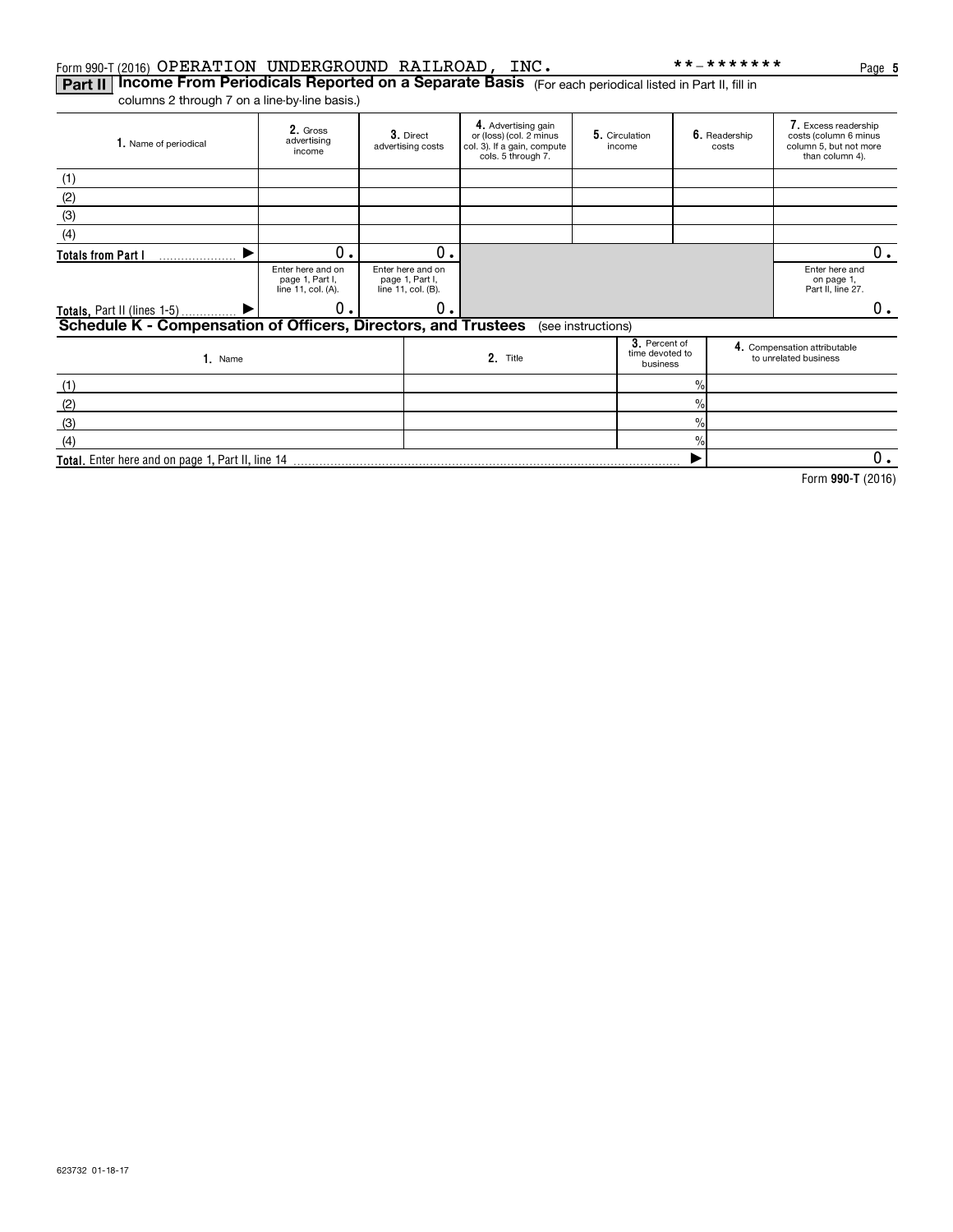**Part II | Income From Periodicals Reported on a Separate Basis** (For each periodical listed in Part II, fill in columns 2 through 7 on a line-by-line basis.)

| 1. Name of periodical                                          | 2. Gross<br>advertising<br>income                          | 3. Direct<br>advertising costs                             | 4. Advertising gain<br>or (loss) (col. 2 minus<br>col. 3). If a gain, compute<br>cols. 5 through 7. |                    | 5. Circulation<br>income                     |               | 6. Readership<br>costs | 7. Excess readership<br>costs (column 6 minus<br>column 5, but not more<br>than column 4). |    |
|----------------------------------------------------------------|------------------------------------------------------------|------------------------------------------------------------|-----------------------------------------------------------------------------------------------------|--------------------|----------------------------------------------|---------------|------------------------|--------------------------------------------------------------------------------------------|----|
| (1)                                                            |                                                            |                                                            |                                                                                                     |                    |                                              |               |                        |                                                                                            |    |
| (2)                                                            |                                                            |                                                            |                                                                                                     |                    |                                              |               |                        |                                                                                            |    |
| (3)                                                            |                                                            |                                                            |                                                                                                     |                    |                                              |               |                        |                                                                                            |    |
| (4)                                                            |                                                            |                                                            |                                                                                                     |                    |                                              |               |                        |                                                                                            |    |
| <b>Totals from Part I</b>                                      | О.                                                         | 0.                                                         |                                                                                                     |                    |                                              |               |                        |                                                                                            | 0. |
|                                                                | Enter here and on<br>page 1, Part I,<br>line 11, col. (A). | Enter here and on<br>page 1, Part I,<br>line 11, col. (B). |                                                                                                     |                    |                                              |               |                        | Enter here and<br>on page 1,<br>Part II, line 27.                                          |    |
| <b>Totals, Part II (lines 1-5)</b>                             | 0.                                                         | 0.                                                         |                                                                                                     |                    |                                              |               |                        |                                                                                            | 0. |
| Schedule K - Compensation of Officers, Directors, and Trustees |                                                            |                                                            |                                                                                                     | (see instructions) |                                              |               |                        |                                                                                            |    |
| 1. Name                                                        |                                                            |                                                            | 2. Title                                                                                            |                    | 3. Percent of<br>time devoted to<br>business |               |                        | 4. Compensation attributable<br>to unrelated business                                      |    |
| (1)                                                            |                                                            |                                                            |                                                                                                     |                    |                                              | $\frac{0}{0}$ |                        |                                                                                            |    |
| (2)                                                            |                                                            |                                                            |                                                                                                     |                    |                                              | $\%$          |                        |                                                                                            |    |
| (3)                                                            |                                                            |                                                            |                                                                                                     |                    |                                              | $\frac{0}{0}$ |                        |                                                                                            |    |
| (4)                                                            |                                                            |                                                            |                                                                                                     |                    |                                              | $\frac{0}{0}$ |                        |                                                                                            |    |
| Total. Enter here and on page 1, Part II, line 14              |                                                            |                                                            |                                                                                                     |                    |                                              |               |                        |                                                                                            | 0. |

**990-T**  Form (2016)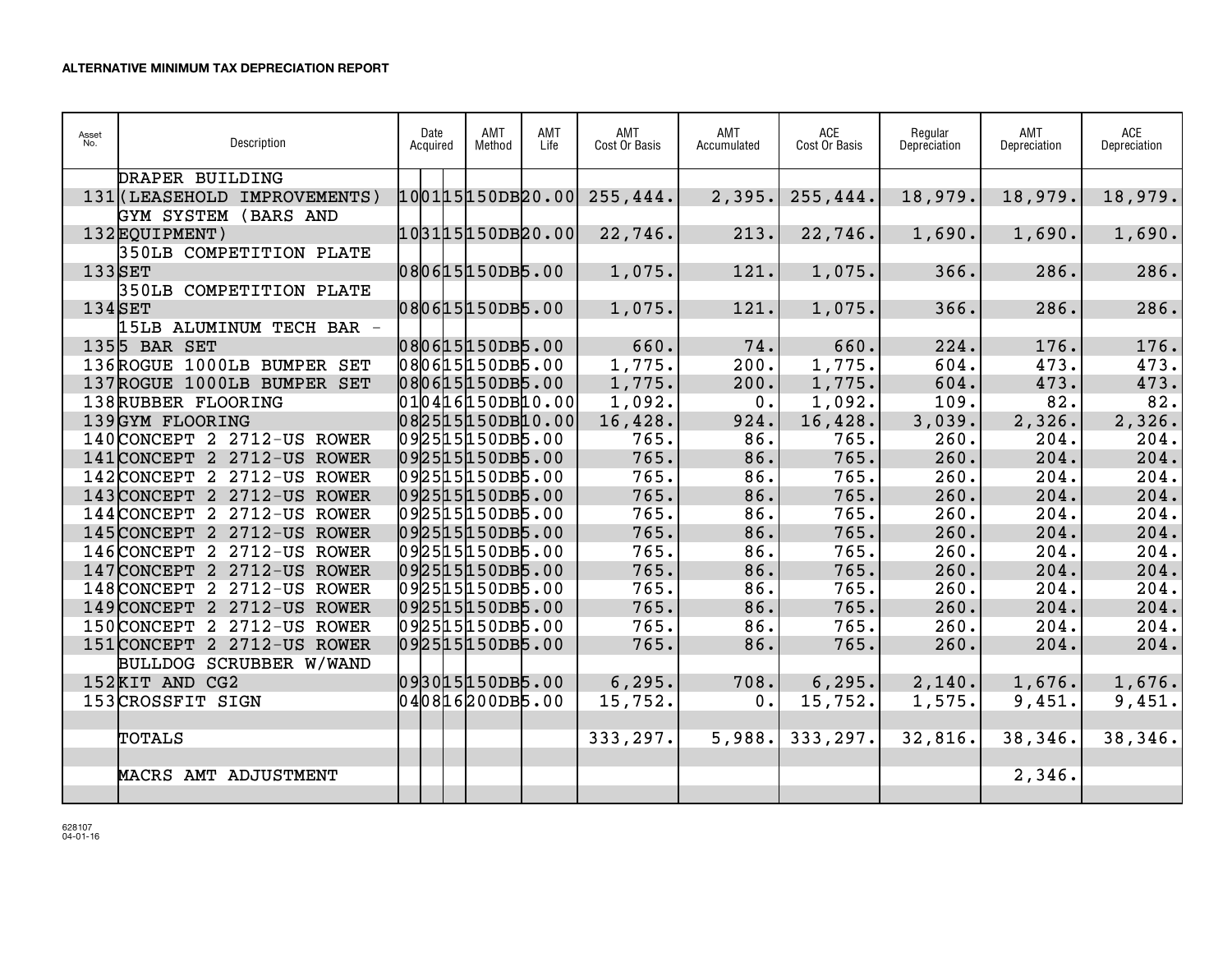| Asset<br>No. | Description                  | Date<br>Acquired | AMT<br>Method | AMT<br>Life | AMT<br>Cost Or Basis | AMT<br>Accumulated | ACE<br>Cost Or Basis | Regular<br>Depreciation | AMT<br>Depreciation | <b>ACE</b><br>Depreciation |
|--------------|------------------------------|------------------|---------------|-------------|----------------------|--------------------|----------------------|-------------------------|---------------------|----------------------------|
|              | DRAPER BUILDING              |                  |               |             |                      |                    |                      |                         |                     |                            |
|              | 131 (LEASEHOLD IMPROVEMENTS) | 100115150DB20.00 |               |             | 255, 444.            | 2,395.             | 255, 444.            | 18,979.                 | 18,979.             | 18,979.                    |
|              | GYM SYSTEM (BARS AND         |                  |               |             |                      |                    |                      |                         |                     |                            |
|              | 132EOUIPMENT)                | 103115150DB20.00 |               |             | 22, 746.             | 213.               | 22, 746.             | 1,690.                  | 1,690.              | 1,690.                     |
|              | 350LB COMPETITION PLATE      |                  |               |             |                      |                    |                      |                         |                     |                            |
| $133$ SET    |                              | 080615150DB5.00  |               |             | 1,075.               | 121.               | 1,075.               | 366.                    | 286.                | 286.                       |
|              | 350LB COMPETITION PLATE      |                  |               |             |                      |                    |                      |                         |                     |                            |
| $134$ SET    |                              | 080615150DB5.00  |               |             | 1,075.               | 121.               | 1,075.               | 366.                    | 286.                | 286.                       |
|              | 15LB ALUMINUM TECH BAR -     |                  |               |             |                      |                    |                      |                         |                     |                            |
|              | 1355 BAR SET                 | 080615150DB5.00  |               |             | 660.                 | 74.                | 660.                 | 224.                    | 176.                | 176.                       |
|              | 136ROGUE 1000LB BUMPER SET   | 080615150DB5.00  |               |             | 1,775.               | 200.               | 1,775.               | 604.                    | 473.                | 473.                       |
|              | 137ROGUE 1000LB BUMPER SET   | 080615150DB5.00  |               |             | 1,775.               | 200.               | 1,775.               | 604.                    | 473.                | 473.                       |
|              | 138RUBBER FLOORING           | 010416150DB10.00 |               |             | 1,092.               | 0.                 | 1,092.               | 109.                    | 82.                 | 82.                        |
|              | 139GYM FLOORING              | 082515150DB10.00 |               |             | 16,428.              | 924.               | 16,428.              | 3,039.                  | 2,326.              | 2,326.                     |
|              | 140 CONCEPT 2 2712-US ROWER  | 092515150DB5.00  |               |             | 765.                 | 86.                | 765.                 | 260.                    | 204.                | 204.                       |
|              | 141 CONCEPT 2 2712-US ROWER  | 092515150DB5.00  |               |             | 765.                 | 86.                | 765.                 | 260.                    | 204.                | 204.                       |
|              | 142 CONCEPT 2 2712-US ROWER  | 092515150DB5.00  |               |             | 765.                 | 86.                | 765.                 | 260.                    | 204.                | 204.                       |
|              | 143 CONCEPT 2 2712-US ROWER  | 092515150DB5.00  |               |             | 765.                 | 86.                | 765.                 | 260.                    | 204.                | 204.                       |
|              | 144 CONCEPT 2 2712-US ROWER  | 092515150DB5.00  |               |             | 765.                 | 86.                | 765.                 | 260.                    | 204.                | 204.                       |
|              | 145 CONCEPT 2 2712-US ROWER  | 092515150DB5.00  |               |             | 765.                 | 86.                | 765.                 | 260.                    | 204.                | 204.                       |
|              | 146 CONCEPT 2 2712-US ROWER  | 092515150DB5.00  |               |             | 765.                 | 86.                | 765.                 | 260.                    | 204.                | 204.                       |
|              | 147 CONCEPT 2 2712-US ROWER  | 092515150DB5.00  |               |             | 765.                 | 86.                | 765.                 | 260.                    | 204.                | 204.                       |
|              | 148 CONCEPT 2 2712-US ROWER  | 092515150DB5.00  |               |             | 765.                 | 86.                | 765.                 | 260.                    | 204.                | 204.                       |
|              | 149 CONCEPT 2 2712-US ROWER  | 092515150DB5.00  |               |             | 765.                 | 86.                | 765.                 | 260.                    | 204.                | 204.                       |
|              | 150 CONCEPT 2 2712-US ROWER  | 092515150DB5.00  |               |             | 765.                 | 86.                | 765.                 | 260.                    | 204.                | 204.                       |
|              | 151 CONCEPT 2 2712-US ROWER  | 092515150DB5.00  |               |             | 765.                 | 86.                | 765.                 | 260.                    | 204.                | 204.                       |
|              | BULLDOG SCRUBBER W/WAND      |                  |               |             |                      |                    |                      |                         |                     |                            |
|              | 152KIT AND CG2               | 093015150DB5.00  |               |             | 6, 295.              | 708.               | 6, 295.              | 2,140.                  | 1,676.              | 1,676.                     |
|              | 153CROSSFIT SIGN             | 040816200DB5.00  |               |             | 15, 752.             | 0.                 | 15,752.              | 1,575.                  | 9,451.              | 9,451.                     |
|              |                              |                  |               |             |                      |                    |                      |                         |                     |                            |
|              | <b>TOTALS</b>                |                  |               |             | 333, 297.            | 5,988.             | 333, 297.            | 32,816.                 | 38, 346.            | 38,346.                    |
|              |                              |                  |               |             |                      |                    |                      |                         |                     |                            |
|              | MACRS AMT ADJUSTMENT         |                  |               |             |                      |                    |                      |                         | 2,346.              |                            |
|              |                              |                  |               |             |                      |                    |                      |                         |                     |                            |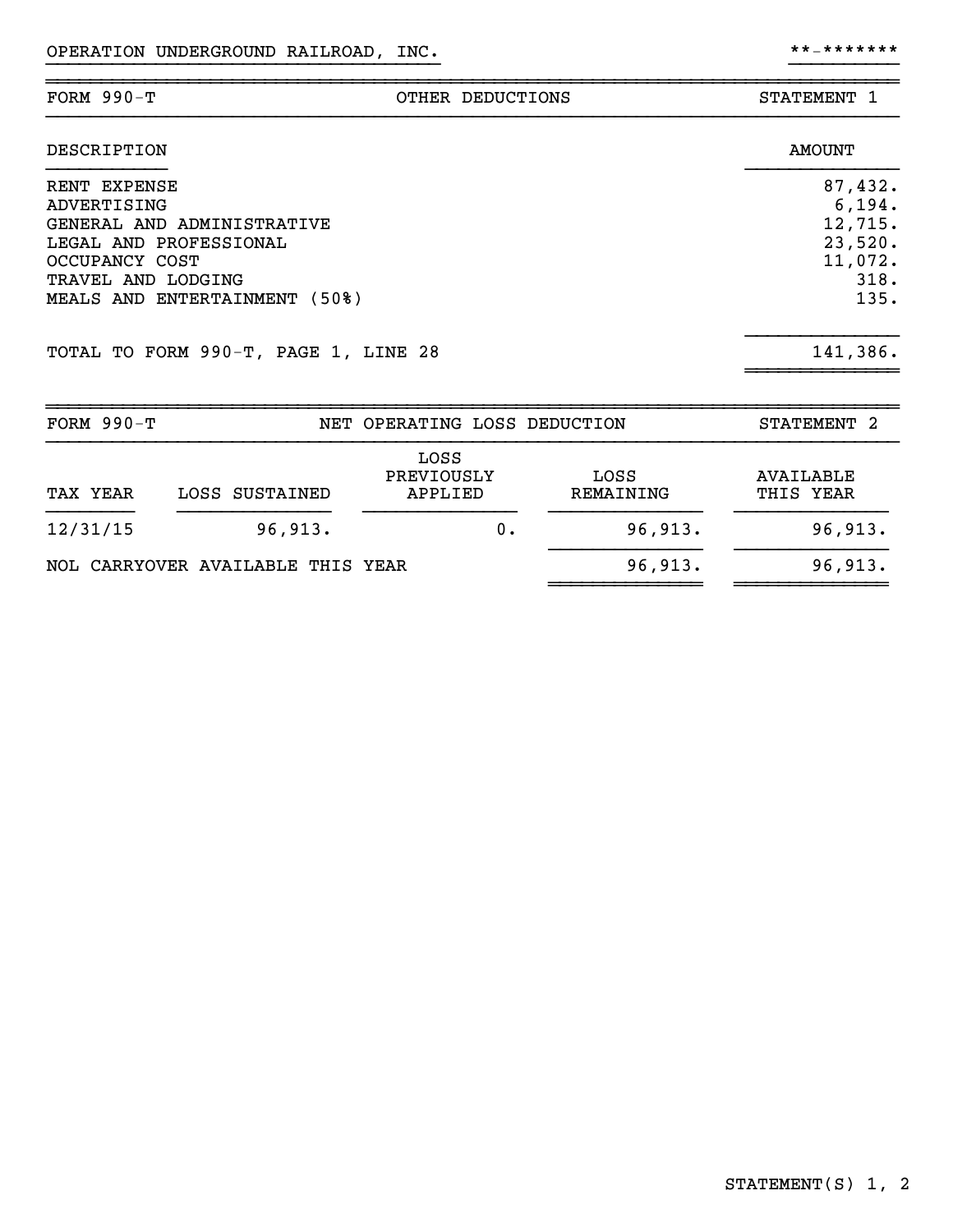| $FORM 990-T$ | OTHER DEDUCTIONS | <b>STATEMENT</b> |
|--------------|------------------|------------------|
| DESCRIPTION  |                  | <b>AMOUNT</b>    |

}}}}}}}}}}}}}}}}}}}}}}}}}}}}}}}}}}}} }}}}}}}}}}

| RENT EXPENSE                         | 87,432.  |
|--------------------------------------|----------|
| ADVERTISING                          | 6, 194.  |
| GENERAL AND ADMINISTRATIVE           | 12,715.  |
| LEGAL AND PROFESSIONAL               | 23,520.  |
| OCCUPANCY COST                       | 11,072.  |
| TRAVEL AND LODGING                   | 318.     |
| MEALS AND ENTERTAINMENT (50%)        | 135.     |
| TOTAL TO FORM 990-T, PAGE 1, LINE 28 | 141,386. |
|                                      |          |

| FORM $990-T$ |                                   | NET OPERATING LOSS DEDUCTION  |                   | STATEMENT <sub>2</sub>        |
|--------------|-----------------------------------|-------------------------------|-------------------|-------------------------------|
| TAX YEAR     | LOSS SUSTAINED                    | LOSS<br>PREVIOUSLY<br>APPLIED | LOSS<br>REMAINING | <b>AVAILABLE</b><br>THIS YEAR |
| 12/31/15     | 96,913.                           | 0.                            | 96,913.           | 96,913.                       |
|              | NOL CARRYOVER AVAILABLE THIS YEAR |                               | 96,913.           | 96,913.                       |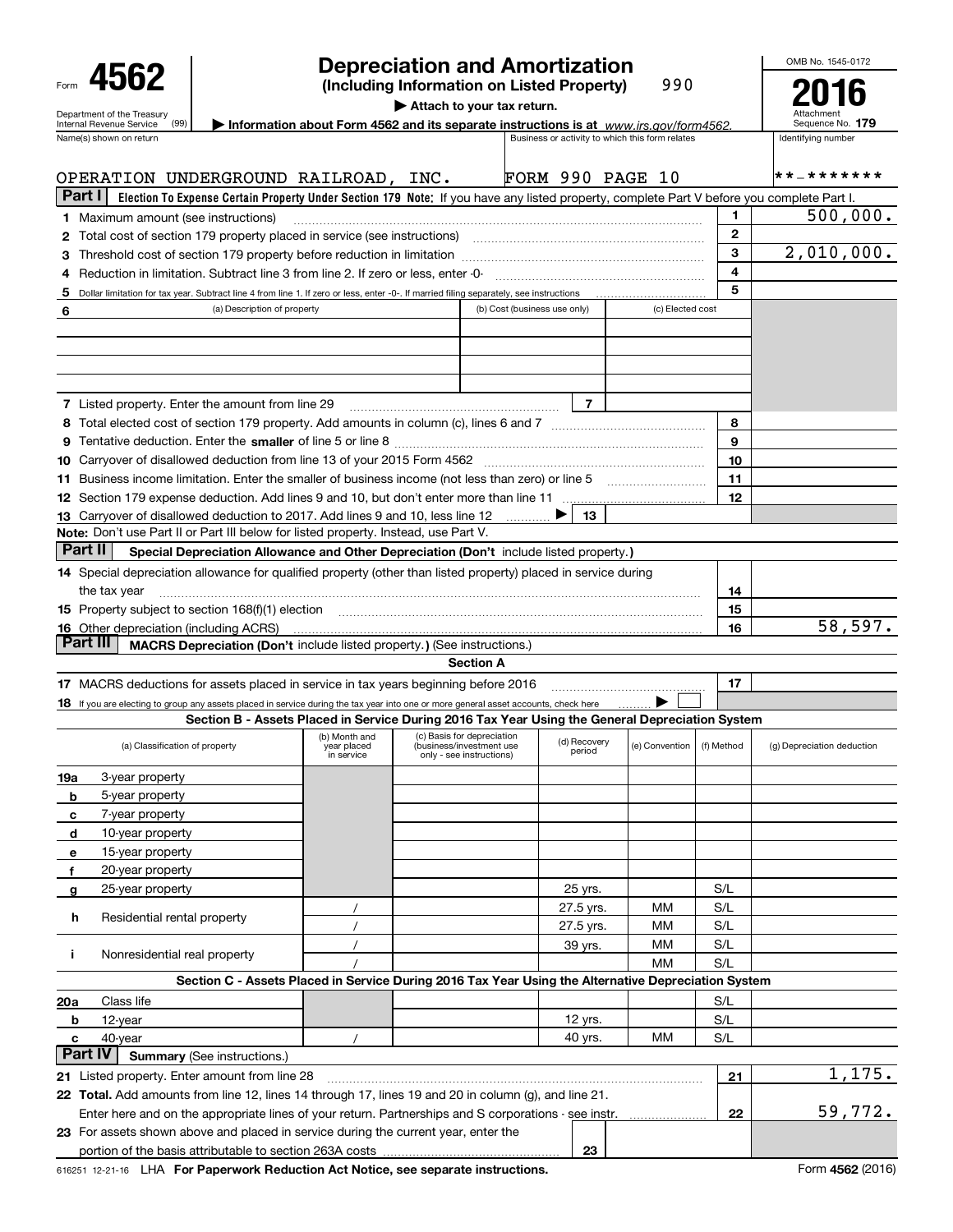| Form                                                          |  |
|---------------------------------------------------------------|--|
| Department of the Treasury<br><b>Internal Revenue Service</b> |  |

## **Depreciation and Amortization**

**(Including Information on Listed Property)** 990 OMB No. 1545-0172 **2016**

**| Attach to your tax return.**

| Name(s) shown on return                                                                                                                                                                                                                                                  |                              | Information about Form 4562 and its separate instructions is at www.irs.gov/form4562.               |                              |                        |                                                 |                         | Attachment<br>Sequence No. 179 |
|--------------------------------------------------------------------------------------------------------------------------------------------------------------------------------------------------------------------------------------------------------------------------|------------------------------|-----------------------------------------------------------------------------------------------------|------------------------------|------------------------|-------------------------------------------------|-------------------------|--------------------------------|
|                                                                                                                                                                                                                                                                          |                              |                                                                                                     |                              |                        | Business or activity to which this form relates |                         | Identifying number             |
| OPERATION UNDERGROUND RAILROAD, INC.                                                                                                                                                                                                                                     |                              |                                                                                                     | <b>FORM 990 PAGE 10</b>      |                        |                                                 |                         | * * _ * * * * * * *            |
| Part I<br>Election To Expense Certain Property Under Section 179 Note: If you have any listed property, complete Part V before you complete Part I.                                                                                                                      |                              |                                                                                                     |                              |                        |                                                 |                         |                                |
| <b>1</b> Maximum amount (see instructions)                                                                                                                                                                                                                               |                              |                                                                                                     |                              |                        |                                                 | 1.                      | 500,000.                       |
| 2 Total cost of section 179 property placed in service (see instructions)                                                                                                                                                                                                |                              |                                                                                                     |                              |                        |                                                 | $\mathbf{2}$            |                                |
|                                                                                                                                                                                                                                                                          |                              |                                                                                                     |                              |                        |                                                 | 3                       | 2,010,000.                     |
| Reduction in limitation. Subtract line 3 from line 2. If zero or less, enter -0-                                                                                                                                                                                         |                              |                                                                                                     |                              |                        |                                                 | $\overline{\mathbf{4}}$ |                                |
| 5 Dollar limitation for tax year. Subtract line 4 from line 1. If zero or less, enter -0-. If married filing separately, see instructions                                                                                                                                |                              |                                                                                                     |                              |                        |                                                 | 5                       |                                |
| (a) Description of property                                                                                                                                                                                                                                              |                              |                                                                                                     | (b) Cost (business use only) |                        | (c) Elected cost                                |                         |                                |
|                                                                                                                                                                                                                                                                          |                              |                                                                                                     |                              |                        |                                                 |                         |                                |
|                                                                                                                                                                                                                                                                          |                              |                                                                                                     |                              |                        |                                                 |                         |                                |
|                                                                                                                                                                                                                                                                          |                              |                                                                                                     |                              |                        |                                                 |                         |                                |
|                                                                                                                                                                                                                                                                          |                              |                                                                                                     |                              |                        |                                                 |                         |                                |
| <b>7</b> Listed property. Enter the amount from line 29                                                                                                                                                                                                                  |                              |                                                                                                     |                              | $\overline{7}$         |                                                 |                         |                                |
|                                                                                                                                                                                                                                                                          |                              |                                                                                                     |                              |                        |                                                 | 8                       |                                |
|                                                                                                                                                                                                                                                                          |                              |                                                                                                     |                              |                        |                                                 | 9                       |                                |
|                                                                                                                                                                                                                                                                          |                              |                                                                                                     |                              |                        |                                                 | 10                      |                                |
| 11 Business income limitation. Enter the smaller of business income (not less than zero) or line 5                                                                                                                                                                       |                              |                                                                                                     |                              |                        |                                                 | 11                      |                                |
|                                                                                                                                                                                                                                                                          |                              |                                                                                                     |                              |                        |                                                 | 12                      |                                |
| 13 Carryover of disallowed deduction to 2017. Add lines 9 and 10, less line 12                                                                                                                                                                                           |                              |                                                                                                     |                              | 13                     |                                                 |                         |                                |
| Note: Don't use Part II or Part III below for listed property. Instead, use Part V.<br>Part II                                                                                                                                                                           |                              |                                                                                                     |                              |                        |                                                 |                         |                                |
| Special Depreciation Allowance and Other Depreciation (Don't include listed property.)                                                                                                                                                                                   |                              |                                                                                                     |                              |                        |                                                 |                         |                                |
| 14 Special depreciation allowance for qualified property (other than listed property) placed in service during                                                                                                                                                           |                              |                                                                                                     |                              |                        |                                                 |                         |                                |
| the tax year                                                                                                                                                                                                                                                             |                              |                                                                                                     |                              |                        |                                                 | 14                      |                                |
| 15 Property subject to section 168(f)(1) election manufactured contains and contained a subject to section 168(f)(1) election                                                                                                                                            |                              |                                                                                                     |                              |                        |                                                 | 15                      | 58,597.                        |
| 16 Other depreciation (including ACRS)<br>Part III<br>MACRS Depreciation (Don't include listed property.) (See instructions.)                                                                                                                                            |                              |                                                                                                     |                              |                        |                                                 | 16                      |                                |
|                                                                                                                                                                                                                                                                          |                              | <b>Section A</b>                                                                                    |                              |                        |                                                 |                         |                                |
| 17 MACRS deductions for assets placed in service in tax years beginning before 2016                                                                                                                                                                                      |                              |                                                                                                     |                              |                        |                                                 | 17                      |                                |
| 18 If you are electing to group any assets placed in service during the tax year into one or more general asset accounts, check here                                                                                                                                     |                              |                                                                                                     |                              |                        |                                                 |                         |                                |
| Section B - Assets Placed in Service During 2016 Tax Year Using the General Depreciation System                                                                                                                                                                          |                              |                                                                                                     |                              |                        |                                                 |                         |                                |
|                                                                                                                                                                                                                                                                          |                              |                                                                                                     |                              |                        |                                                 |                         |                                |
| (a) Classification of property                                                                                                                                                                                                                                           | (b) Month and<br>year placed | (c) Basis for depreciation<br>(business/investment use<br>only - see instructions)                  |                              | (d) Recovery<br>period | (e) Convention                                  | (f) Method              | (g) Depreciation deduction     |
|                                                                                                                                                                                                                                                                          | in service                   |                                                                                                     |                              |                        |                                                 |                         |                                |
| 3-year property                                                                                                                                                                                                                                                          |                              |                                                                                                     |                              |                        |                                                 |                         |                                |
| 5-year property                                                                                                                                                                                                                                                          |                              |                                                                                                     |                              |                        |                                                 |                         |                                |
| 7-year property                                                                                                                                                                                                                                                          |                              |                                                                                                     |                              |                        |                                                 |                         |                                |
| 10-year property                                                                                                                                                                                                                                                         |                              |                                                                                                     |                              |                        |                                                 |                         |                                |
| 15-year property                                                                                                                                                                                                                                                         |                              |                                                                                                     |                              |                        |                                                 |                         |                                |
| 19a<br>b<br>с<br>d<br>е<br>20-year property<br>f                                                                                                                                                                                                                         |                              |                                                                                                     |                              |                        |                                                 |                         |                                |
| 25-year property<br>g                                                                                                                                                                                                                                                    |                              |                                                                                                     |                              | 25 yrs.                |                                                 | S/L                     |                                |
| Residential rental property<br>h                                                                                                                                                                                                                                         |                              |                                                                                                     |                              | 27.5 yrs.              | мм                                              | S/L                     |                                |
|                                                                                                                                                                                                                                                                          |                              |                                                                                                     |                              | 27.5 yrs.              | мм                                              | S/L                     |                                |
| Nonresidential real property                                                                                                                                                                                                                                             |                              |                                                                                                     |                              | 39 yrs.                | мм<br>мм                                        | S/L<br>S/L              |                                |
|                                                                                                                                                                                                                                                                          |                              | Section C - Assets Placed in Service During 2016 Tax Year Using the Alternative Depreciation System |                              |                        |                                                 |                         |                                |
| Class life                                                                                                                                                                                                                                                               |                              |                                                                                                     |                              |                        |                                                 | S/L                     |                                |
| 12-year                                                                                                                                                                                                                                                                  |                              |                                                                                                     |                              | 12 yrs.                |                                                 | S/L                     |                                |
| Ĩ.<br>20a<br>b<br>40-year<br>c                                                                                                                                                                                                                                           |                              |                                                                                                     |                              | 40 yrs.                | ΜМ                                              | S/L                     |                                |
| <b>Summary (See instructions.)</b>                                                                                                                                                                                                                                       |                              |                                                                                                     |                              |                        |                                                 |                         |                                |
|                                                                                                                                                                                                                                                                          |                              |                                                                                                     |                              |                        |                                                 | 21                      | 1,175.                         |
| Part IV<br>21 Listed property. Enter amount from line 28<br>22 Total. Add amounts from line 12, lines 14 through 17, lines 19 and 20 in column (g), and line 21.<br>Enter here and on the appropriate lines of your return. Partnerships and S corporations - see instr. |                              |                                                                                                     |                              |                        |                                                 |                         | 59,772.                        |

**23**

portion of the basis attributable to section 263A costs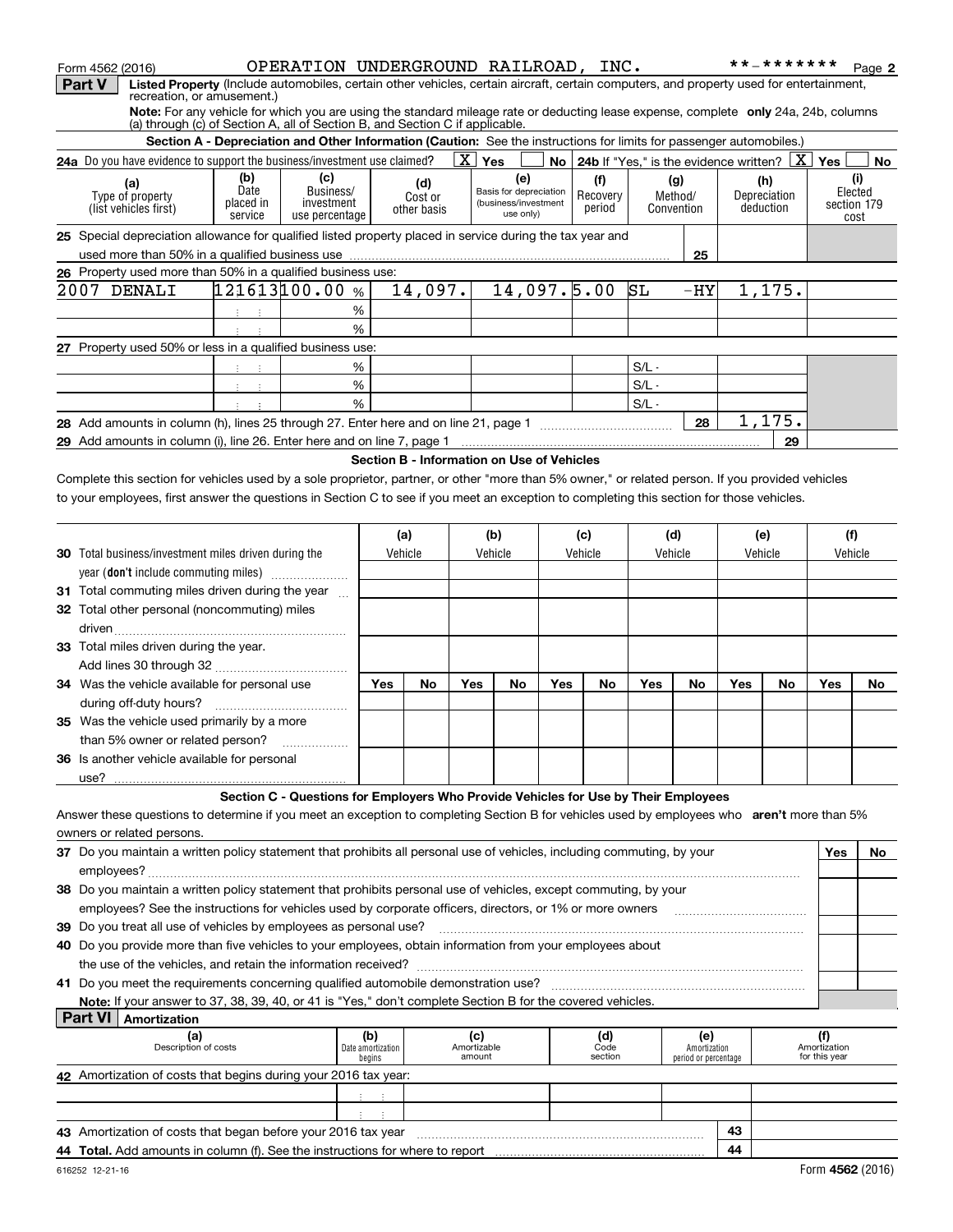| <b>Part V</b><br>Listed Property (Include automobiles, certain other vehicles, certain aircraft, certain computers, and property used for entertainment,<br>recreation, or amusement.)<br>Note: For any vehicle for which you are using the standard mileage rate or deducting lease expense, complete only 24a, 24b, columns<br>(a) through (c) of Section A, all of Section B, and Section C if applicable.<br>Section A - Depreciation and Other Information (Caution: See the instructions for limits for passenger automobiles.)<br>$\boxed{\text{X}}$ Yes<br>24a Do you have evidence to support the business/investment use claimed?<br><b>No</b>   24b If "Yes," is the evidence written? $\boxed{\text{X}}$<br>Yes<br>(b)<br>(c)<br>(i)<br>(e)<br>(f)<br>(g)<br>(h)<br>(a)<br>(d)<br>Date<br>Business/<br>Basis for depreciation<br>Elected<br>Type of property<br>Recovery<br>Method/<br>Depreciation<br>Cost or<br>placed in<br>investment<br>(business/investment<br>section 179<br>(list vehicles first)<br>deduction<br>period<br>Convention<br>other basis<br>use only)<br>use percentage<br>service<br>cost<br>25 Special depreciation allowance for qualified listed property placed in service during the tax year and<br>25<br>26 Property used more than 50% in a qualified business use:<br>121613100.00%<br>2007 DENALI<br>14,097.<br>14,097.5.00<br>SL<br>1,175.<br>$-HY$<br>%<br>主 主<br>%<br>27 Property used 50% or less in a qualified business use:<br>$S/L -$<br>%<br>生产生<br>$\%$<br>$S/L -$<br>中间 中<br>%<br>$S/L -$<br>1,175.<br>$\overline{\phantom{a}}$ 28<br>29<br>29 Add amounts in column (i), line 26. Enter here and on line 7, page 1 [20] Manuseum manuscription contracts<br>Section B - Information on Use of Vehicles<br>Complete this section for vehicles used by a sole proprietor, partner, or other "more than 5% owner," or related person. If you provided vehicles<br>to your employees, first answer the questions in Section C to see if you meet an exception to completing this section for those vehicles.<br>(f)<br>(a)<br>(b)<br>(c)<br>(d)<br>(e)<br><b>30</b> Total business/investment miles driven during the<br>Vehicle<br>Vehicle<br>Vehicle<br>Vehicle<br>Vehicle<br>Vehicle<br>year (don't include commuting miles)<br>31 Total commuting miles driven during the year<br>32 Total other personal (noncommuting) miles<br>33 Total miles driven during the year.<br><b>Yes</b><br>34 Was the vehicle available for personal use<br>Yes<br>Yes<br>Yes<br>No<br>No<br>Yes<br>No<br><b>Yes</b><br>No<br>No<br>No<br>35 Was the vehicle used primarily by a more<br>than 5% owner or related person?<br>36 Is another vehicle available for personal<br>use?<br>Section C - Questions for Employers Who Provide Vehicles for Use by Their Employees<br>Answer these questions to determine if you meet an exception to completing Section B for vehicles used by employees who aren't more than 5%<br>owners or related persons.<br>37 Do you maintain a written policy statement that prohibits all personal use of vehicles, including commuting, by your<br><b>Yes</b><br>38 Do you maintain a written policy statement that prohibits personal use of vehicles, except commuting, by your<br>employees? See the instructions for vehicles used by corporate officers, directors, or 1% or more owners<br>39 Do you treat all use of vehicles by employees as personal use?<br>40 Do you provide more than five vehicles to your employees, obtain information from your employees about<br>Note: If your answer to 37, 38, 39, 40, or 41 is "Yes," don't complete Section B for the covered vehicles.<br><b>Part VI</b><br>Amortization<br>(a)<br>(b)<br>(c)<br>(d)<br>(e)<br>(f)<br>Description of costs<br>Date amortization<br>Amortizable<br>Amortization<br>Amortization<br>Code<br>amount<br>section<br>for this year<br>begins<br>period or percentage<br>42 Amortization of costs that begins during your 2016 tax year:<br>おいす | Form 4562 (2016) | OPERATION UNDERGROUND RAILROAD, INC. |  |  |  |  |  | **_******* | Page 2 |
|---------------------------------------------------------------------------------------------------------------------------------------------------------------------------------------------------------------------------------------------------------------------------------------------------------------------------------------------------------------------------------------------------------------------------------------------------------------------------------------------------------------------------------------------------------------------------------------------------------------------------------------------------------------------------------------------------------------------------------------------------------------------------------------------------------------------------------------------------------------------------------------------------------------------------------------------------------------------------------------------------------------------------------------------------------------------------------------------------------------------------------------------------------------------------------------------------------------------------------------------------------------------------------------------------------------------------------------------------------------------------------------------------------------------------------------------------------------------------------------------------------------------------------------------------------------------------------------------------------------------------------------------------------------------------------------------------------------------------------------------------------------------------------------------------------------------------------------------------------------------------------------------------------------------------------------------------------------------------------------------------------------------------------------------------------------------------------------------------------------------------------------------------------------------------------------------------------------------------------------------------------------------------------------------------------------------------------------------------------------------------------------------------------------------------------------------------------------------------------------------------------------------------------------------------------------------------------------------------------------------------------------------------------------------------------------------------------------------------------------------------------------------------------------------------------------------------------------------------------------------------------------------------------------------------------------------------------------------------------------------------------------------------------------------------------------------------------------------------------------------------------------------------------------------------------------------------------------------------------------------------------------------------------------------------------------------------------------------------------------------------------------------------------------------------------------------------------------------------------------------------------------------------------------------------------------------------------------------------------------------------------------------------------------------------------------------------------------------------------------------------------------------------------------------------------------------------------------------------------------------------------------------------------------------------------------------------------------------------------------------------------|------------------|--------------------------------------|--|--|--|--|--|------------|--------|
|                                                                                                                                                                                                                                                                                                                                                                                                                                                                                                                                                                                                                                                                                                                                                                                                                                                                                                                                                                                                                                                                                                                                                                                                                                                                                                                                                                                                                                                                                                                                                                                                                                                                                                                                                                                                                                                                                                                                                                                                                                                                                                                                                                                                                                                                                                                                                                                                                                                                                                                                                                                                                                                                                                                                                                                                                                                                                                                                                                                                                                                                                                                                                                                                                                                                                                                                                                                                                                                                                                                                                                                                                                                                                                                                                                                                                                                                                                                                                                                                         |                  |                                      |  |  |  |  |  |            |        |
|                                                                                                                                                                                                                                                                                                                                                                                                                                                                                                                                                                                                                                                                                                                                                                                                                                                                                                                                                                                                                                                                                                                                                                                                                                                                                                                                                                                                                                                                                                                                                                                                                                                                                                                                                                                                                                                                                                                                                                                                                                                                                                                                                                                                                                                                                                                                                                                                                                                                                                                                                                                                                                                                                                                                                                                                                                                                                                                                                                                                                                                                                                                                                                                                                                                                                                                                                                                                                                                                                                                                                                                                                                                                                                                                                                                                                                                                                                                                                                                                         |                  |                                      |  |  |  |  |  |            |        |
|                                                                                                                                                                                                                                                                                                                                                                                                                                                                                                                                                                                                                                                                                                                                                                                                                                                                                                                                                                                                                                                                                                                                                                                                                                                                                                                                                                                                                                                                                                                                                                                                                                                                                                                                                                                                                                                                                                                                                                                                                                                                                                                                                                                                                                                                                                                                                                                                                                                                                                                                                                                                                                                                                                                                                                                                                                                                                                                                                                                                                                                                                                                                                                                                                                                                                                                                                                                                                                                                                                                                                                                                                                                                                                                                                                                                                                                                                                                                                                                                         |                  |                                      |  |  |  |  |  |            |        |
|                                                                                                                                                                                                                                                                                                                                                                                                                                                                                                                                                                                                                                                                                                                                                                                                                                                                                                                                                                                                                                                                                                                                                                                                                                                                                                                                                                                                                                                                                                                                                                                                                                                                                                                                                                                                                                                                                                                                                                                                                                                                                                                                                                                                                                                                                                                                                                                                                                                                                                                                                                                                                                                                                                                                                                                                                                                                                                                                                                                                                                                                                                                                                                                                                                                                                                                                                                                                                                                                                                                                                                                                                                                                                                                                                                                                                                                                                                                                                                                                         |                  |                                      |  |  |  |  |  |            | No     |
|                                                                                                                                                                                                                                                                                                                                                                                                                                                                                                                                                                                                                                                                                                                                                                                                                                                                                                                                                                                                                                                                                                                                                                                                                                                                                                                                                                                                                                                                                                                                                                                                                                                                                                                                                                                                                                                                                                                                                                                                                                                                                                                                                                                                                                                                                                                                                                                                                                                                                                                                                                                                                                                                                                                                                                                                                                                                                                                                                                                                                                                                                                                                                                                                                                                                                                                                                                                                                                                                                                                                                                                                                                                                                                                                                                                                                                                                                                                                                                                                         |                  |                                      |  |  |  |  |  |            |        |
|                                                                                                                                                                                                                                                                                                                                                                                                                                                                                                                                                                                                                                                                                                                                                                                                                                                                                                                                                                                                                                                                                                                                                                                                                                                                                                                                                                                                                                                                                                                                                                                                                                                                                                                                                                                                                                                                                                                                                                                                                                                                                                                                                                                                                                                                                                                                                                                                                                                                                                                                                                                                                                                                                                                                                                                                                                                                                                                                                                                                                                                                                                                                                                                                                                                                                                                                                                                                                                                                                                                                                                                                                                                                                                                                                                                                                                                                                                                                                                                                         |                  |                                      |  |  |  |  |  |            |        |
|                                                                                                                                                                                                                                                                                                                                                                                                                                                                                                                                                                                                                                                                                                                                                                                                                                                                                                                                                                                                                                                                                                                                                                                                                                                                                                                                                                                                                                                                                                                                                                                                                                                                                                                                                                                                                                                                                                                                                                                                                                                                                                                                                                                                                                                                                                                                                                                                                                                                                                                                                                                                                                                                                                                                                                                                                                                                                                                                                                                                                                                                                                                                                                                                                                                                                                                                                                                                                                                                                                                                                                                                                                                                                                                                                                                                                                                                                                                                                                                                         |                  |                                      |  |  |  |  |  |            |        |
|                                                                                                                                                                                                                                                                                                                                                                                                                                                                                                                                                                                                                                                                                                                                                                                                                                                                                                                                                                                                                                                                                                                                                                                                                                                                                                                                                                                                                                                                                                                                                                                                                                                                                                                                                                                                                                                                                                                                                                                                                                                                                                                                                                                                                                                                                                                                                                                                                                                                                                                                                                                                                                                                                                                                                                                                                                                                                                                                                                                                                                                                                                                                                                                                                                                                                                                                                                                                                                                                                                                                                                                                                                                                                                                                                                                                                                                                                                                                                                                                         |                  |                                      |  |  |  |  |  |            |        |
|                                                                                                                                                                                                                                                                                                                                                                                                                                                                                                                                                                                                                                                                                                                                                                                                                                                                                                                                                                                                                                                                                                                                                                                                                                                                                                                                                                                                                                                                                                                                                                                                                                                                                                                                                                                                                                                                                                                                                                                                                                                                                                                                                                                                                                                                                                                                                                                                                                                                                                                                                                                                                                                                                                                                                                                                                                                                                                                                                                                                                                                                                                                                                                                                                                                                                                                                                                                                                                                                                                                                                                                                                                                                                                                                                                                                                                                                                                                                                                                                         |                  |                                      |  |  |  |  |  |            |        |
|                                                                                                                                                                                                                                                                                                                                                                                                                                                                                                                                                                                                                                                                                                                                                                                                                                                                                                                                                                                                                                                                                                                                                                                                                                                                                                                                                                                                                                                                                                                                                                                                                                                                                                                                                                                                                                                                                                                                                                                                                                                                                                                                                                                                                                                                                                                                                                                                                                                                                                                                                                                                                                                                                                                                                                                                                                                                                                                                                                                                                                                                                                                                                                                                                                                                                                                                                                                                                                                                                                                                                                                                                                                                                                                                                                                                                                                                                                                                                                                                         |                  |                                      |  |  |  |  |  |            |        |
|                                                                                                                                                                                                                                                                                                                                                                                                                                                                                                                                                                                                                                                                                                                                                                                                                                                                                                                                                                                                                                                                                                                                                                                                                                                                                                                                                                                                                                                                                                                                                                                                                                                                                                                                                                                                                                                                                                                                                                                                                                                                                                                                                                                                                                                                                                                                                                                                                                                                                                                                                                                                                                                                                                                                                                                                                                                                                                                                                                                                                                                                                                                                                                                                                                                                                                                                                                                                                                                                                                                                                                                                                                                                                                                                                                                                                                                                                                                                                                                                         |                  |                                      |  |  |  |  |  |            |        |
|                                                                                                                                                                                                                                                                                                                                                                                                                                                                                                                                                                                                                                                                                                                                                                                                                                                                                                                                                                                                                                                                                                                                                                                                                                                                                                                                                                                                                                                                                                                                                                                                                                                                                                                                                                                                                                                                                                                                                                                                                                                                                                                                                                                                                                                                                                                                                                                                                                                                                                                                                                                                                                                                                                                                                                                                                                                                                                                                                                                                                                                                                                                                                                                                                                                                                                                                                                                                                                                                                                                                                                                                                                                                                                                                                                                                                                                                                                                                                                                                         |                  |                                      |  |  |  |  |  |            |        |
|                                                                                                                                                                                                                                                                                                                                                                                                                                                                                                                                                                                                                                                                                                                                                                                                                                                                                                                                                                                                                                                                                                                                                                                                                                                                                                                                                                                                                                                                                                                                                                                                                                                                                                                                                                                                                                                                                                                                                                                                                                                                                                                                                                                                                                                                                                                                                                                                                                                                                                                                                                                                                                                                                                                                                                                                                                                                                                                                                                                                                                                                                                                                                                                                                                                                                                                                                                                                                                                                                                                                                                                                                                                                                                                                                                                                                                                                                                                                                                                                         |                  |                                      |  |  |  |  |  |            |        |
|                                                                                                                                                                                                                                                                                                                                                                                                                                                                                                                                                                                                                                                                                                                                                                                                                                                                                                                                                                                                                                                                                                                                                                                                                                                                                                                                                                                                                                                                                                                                                                                                                                                                                                                                                                                                                                                                                                                                                                                                                                                                                                                                                                                                                                                                                                                                                                                                                                                                                                                                                                                                                                                                                                                                                                                                                                                                                                                                                                                                                                                                                                                                                                                                                                                                                                                                                                                                                                                                                                                                                                                                                                                                                                                                                                                                                                                                                                                                                                                                         |                  |                                      |  |  |  |  |  |            |        |
|                                                                                                                                                                                                                                                                                                                                                                                                                                                                                                                                                                                                                                                                                                                                                                                                                                                                                                                                                                                                                                                                                                                                                                                                                                                                                                                                                                                                                                                                                                                                                                                                                                                                                                                                                                                                                                                                                                                                                                                                                                                                                                                                                                                                                                                                                                                                                                                                                                                                                                                                                                                                                                                                                                                                                                                                                                                                                                                                                                                                                                                                                                                                                                                                                                                                                                                                                                                                                                                                                                                                                                                                                                                                                                                                                                                                                                                                                                                                                                                                         |                  |                                      |  |  |  |  |  |            |        |
|                                                                                                                                                                                                                                                                                                                                                                                                                                                                                                                                                                                                                                                                                                                                                                                                                                                                                                                                                                                                                                                                                                                                                                                                                                                                                                                                                                                                                                                                                                                                                                                                                                                                                                                                                                                                                                                                                                                                                                                                                                                                                                                                                                                                                                                                                                                                                                                                                                                                                                                                                                                                                                                                                                                                                                                                                                                                                                                                                                                                                                                                                                                                                                                                                                                                                                                                                                                                                                                                                                                                                                                                                                                                                                                                                                                                                                                                                                                                                                                                         |                  |                                      |  |  |  |  |  |            |        |
|                                                                                                                                                                                                                                                                                                                                                                                                                                                                                                                                                                                                                                                                                                                                                                                                                                                                                                                                                                                                                                                                                                                                                                                                                                                                                                                                                                                                                                                                                                                                                                                                                                                                                                                                                                                                                                                                                                                                                                                                                                                                                                                                                                                                                                                                                                                                                                                                                                                                                                                                                                                                                                                                                                                                                                                                                                                                                                                                                                                                                                                                                                                                                                                                                                                                                                                                                                                                                                                                                                                                                                                                                                                                                                                                                                                                                                                                                                                                                                                                         |                  |                                      |  |  |  |  |  |            |        |
|                                                                                                                                                                                                                                                                                                                                                                                                                                                                                                                                                                                                                                                                                                                                                                                                                                                                                                                                                                                                                                                                                                                                                                                                                                                                                                                                                                                                                                                                                                                                                                                                                                                                                                                                                                                                                                                                                                                                                                                                                                                                                                                                                                                                                                                                                                                                                                                                                                                                                                                                                                                                                                                                                                                                                                                                                                                                                                                                                                                                                                                                                                                                                                                                                                                                                                                                                                                                                                                                                                                                                                                                                                                                                                                                                                                                                                                                                                                                                                                                         |                  |                                      |  |  |  |  |  |            |        |
|                                                                                                                                                                                                                                                                                                                                                                                                                                                                                                                                                                                                                                                                                                                                                                                                                                                                                                                                                                                                                                                                                                                                                                                                                                                                                                                                                                                                                                                                                                                                                                                                                                                                                                                                                                                                                                                                                                                                                                                                                                                                                                                                                                                                                                                                                                                                                                                                                                                                                                                                                                                                                                                                                                                                                                                                                                                                                                                                                                                                                                                                                                                                                                                                                                                                                                                                                                                                                                                                                                                                                                                                                                                                                                                                                                                                                                                                                                                                                                                                         |                  |                                      |  |  |  |  |  |            |        |
|                                                                                                                                                                                                                                                                                                                                                                                                                                                                                                                                                                                                                                                                                                                                                                                                                                                                                                                                                                                                                                                                                                                                                                                                                                                                                                                                                                                                                                                                                                                                                                                                                                                                                                                                                                                                                                                                                                                                                                                                                                                                                                                                                                                                                                                                                                                                                                                                                                                                                                                                                                                                                                                                                                                                                                                                                                                                                                                                                                                                                                                                                                                                                                                                                                                                                                                                                                                                                                                                                                                                                                                                                                                                                                                                                                                                                                                                                                                                                                                                         |                  |                                      |  |  |  |  |  |            |        |
|                                                                                                                                                                                                                                                                                                                                                                                                                                                                                                                                                                                                                                                                                                                                                                                                                                                                                                                                                                                                                                                                                                                                                                                                                                                                                                                                                                                                                                                                                                                                                                                                                                                                                                                                                                                                                                                                                                                                                                                                                                                                                                                                                                                                                                                                                                                                                                                                                                                                                                                                                                                                                                                                                                                                                                                                                                                                                                                                                                                                                                                                                                                                                                                                                                                                                                                                                                                                                                                                                                                                                                                                                                                                                                                                                                                                                                                                                                                                                                                                         |                  |                                      |  |  |  |  |  |            |        |
|                                                                                                                                                                                                                                                                                                                                                                                                                                                                                                                                                                                                                                                                                                                                                                                                                                                                                                                                                                                                                                                                                                                                                                                                                                                                                                                                                                                                                                                                                                                                                                                                                                                                                                                                                                                                                                                                                                                                                                                                                                                                                                                                                                                                                                                                                                                                                                                                                                                                                                                                                                                                                                                                                                                                                                                                                                                                                                                                                                                                                                                                                                                                                                                                                                                                                                                                                                                                                                                                                                                                                                                                                                                                                                                                                                                                                                                                                                                                                                                                         |                  |                                      |  |  |  |  |  |            |        |
|                                                                                                                                                                                                                                                                                                                                                                                                                                                                                                                                                                                                                                                                                                                                                                                                                                                                                                                                                                                                                                                                                                                                                                                                                                                                                                                                                                                                                                                                                                                                                                                                                                                                                                                                                                                                                                                                                                                                                                                                                                                                                                                                                                                                                                                                                                                                                                                                                                                                                                                                                                                                                                                                                                                                                                                                                                                                                                                                                                                                                                                                                                                                                                                                                                                                                                                                                                                                                                                                                                                                                                                                                                                                                                                                                                                                                                                                                                                                                                                                         |                  |                                      |  |  |  |  |  |            |        |
|                                                                                                                                                                                                                                                                                                                                                                                                                                                                                                                                                                                                                                                                                                                                                                                                                                                                                                                                                                                                                                                                                                                                                                                                                                                                                                                                                                                                                                                                                                                                                                                                                                                                                                                                                                                                                                                                                                                                                                                                                                                                                                                                                                                                                                                                                                                                                                                                                                                                                                                                                                                                                                                                                                                                                                                                                                                                                                                                                                                                                                                                                                                                                                                                                                                                                                                                                                                                                                                                                                                                                                                                                                                                                                                                                                                                                                                                                                                                                                                                         |                  |                                      |  |  |  |  |  |            |        |
|                                                                                                                                                                                                                                                                                                                                                                                                                                                                                                                                                                                                                                                                                                                                                                                                                                                                                                                                                                                                                                                                                                                                                                                                                                                                                                                                                                                                                                                                                                                                                                                                                                                                                                                                                                                                                                                                                                                                                                                                                                                                                                                                                                                                                                                                                                                                                                                                                                                                                                                                                                                                                                                                                                                                                                                                                                                                                                                                                                                                                                                                                                                                                                                                                                                                                                                                                                                                                                                                                                                                                                                                                                                                                                                                                                                                                                                                                                                                                                                                         |                  |                                      |  |  |  |  |  |            |        |
|                                                                                                                                                                                                                                                                                                                                                                                                                                                                                                                                                                                                                                                                                                                                                                                                                                                                                                                                                                                                                                                                                                                                                                                                                                                                                                                                                                                                                                                                                                                                                                                                                                                                                                                                                                                                                                                                                                                                                                                                                                                                                                                                                                                                                                                                                                                                                                                                                                                                                                                                                                                                                                                                                                                                                                                                                                                                                                                                                                                                                                                                                                                                                                                                                                                                                                                                                                                                                                                                                                                                                                                                                                                                                                                                                                                                                                                                                                                                                                                                         |                  |                                      |  |  |  |  |  |            |        |
|                                                                                                                                                                                                                                                                                                                                                                                                                                                                                                                                                                                                                                                                                                                                                                                                                                                                                                                                                                                                                                                                                                                                                                                                                                                                                                                                                                                                                                                                                                                                                                                                                                                                                                                                                                                                                                                                                                                                                                                                                                                                                                                                                                                                                                                                                                                                                                                                                                                                                                                                                                                                                                                                                                                                                                                                                                                                                                                                                                                                                                                                                                                                                                                                                                                                                                                                                                                                                                                                                                                                                                                                                                                                                                                                                                                                                                                                                                                                                                                                         |                  |                                      |  |  |  |  |  |            |        |
|                                                                                                                                                                                                                                                                                                                                                                                                                                                                                                                                                                                                                                                                                                                                                                                                                                                                                                                                                                                                                                                                                                                                                                                                                                                                                                                                                                                                                                                                                                                                                                                                                                                                                                                                                                                                                                                                                                                                                                                                                                                                                                                                                                                                                                                                                                                                                                                                                                                                                                                                                                                                                                                                                                                                                                                                                                                                                                                                                                                                                                                                                                                                                                                                                                                                                                                                                                                                                                                                                                                                                                                                                                                                                                                                                                                                                                                                                                                                                                                                         |                  |                                      |  |  |  |  |  |            |        |
|                                                                                                                                                                                                                                                                                                                                                                                                                                                                                                                                                                                                                                                                                                                                                                                                                                                                                                                                                                                                                                                                                                                                                                                                                                                                                                                                                                                                                                                                                                                                                                                                                                                                                                                                                                                                                                                                                                                                                                                                                                                                                                                                                                                                                                                                                                                                                                                                                                                                                                                                                                                                                                                                                                                                                                                                                                                                                                                                                                                                                                                                                                                                                                                                                                                                                                                                                                                                                                                                                                                                                                                                                                                                                                                                                                                                                                                                                                                                                                                                         |                  |                                      |  |  |  |  |  |            |        |
|                                                                                                                                                                                                                                                                                                                                                                                                                                                                                                                                                                                                                                                                                                                                                                                                                                                                                                                                                                                                                                                                                                                                                                                                                                                                                                                                                                                                                                                                                                                                                                                                                                                                                                                                                                                                                                                                                                                                                                                                                                                                                                                                                                                                                                                                                                                                                                                                                                                                                                                                                                                                                                                                                                                                                                                                                                                                                                                                                                                                                                                                                                                                                                                                                                                                                                                                                                                                                                                                                                                                                                                                                                                                                                                                                                                                                                                                                                                                                                                                         |                  |                                      |  |  |  |  |  |            |        |
|                                                                                                                                                                                                                                                                                                                                                                                                                                                                                                                                                                                                                                                                                                                                                                                                                                                                                                                                                                                                                                                                                                                                                                                                                                                                                                                                                                                                                                                                                                                                                                                                                                                                                                                                                                                                                                                                                                                                                                                                                                                                                                                                                                                                                                                                                                                                                                                                                                                                                                                                                                                                                                                                                                                                                                                                                                                                                                                                                                                                                                                                                                                                                                                                                                                                                                                                                                                                                                                                                                                                                                                                                                                                                                                                                                                                                                                                                                                                                                                                         |                  |                                      |  |  |  |  |  |            |        |
|                                                                                                                                                                                                                                                                                                                                                                                                                                                                                                                                                                                                                                                                                                                                                                                                                                                                                                                                                                                                                                                                                                                                                                                                                                                                                                                                                                                                                                                                                                                                                                                                                                                                                                                                                                                                                                                                                                                                                                                                                                                                                                                                                                                                                                                                                                                                                                                                                                                                                                                                                                                                                                                                                                                                                                                                                                                                                                                                                                                                                                                                                                                                                                                                                                                                                                                                                                                                                                                                                                                                                                                                                                                                                                                                                                                                                                                                                                                                                                                                         |                  |                                      |  |  |  |  |  |            |        |
|                                                                                                                                                                                                                                                                                                                                                                                                                                                                                                                                                                                                                                                                                                                                                                                                                                                                                                                                                                                                                                                                                                                                                                                                                                                                                                                                                                                                                                                                                                                                                                                                                                                                                                                                                                                                                                                                                                                                                                                                                                                                                                                                                                                                                                                                                                                                                                                                                                                                                                                                                                                                                                                                                                                                                                                                                                                                                                                                                                                                                                                                                                                                                                                                                                                                                                                                                                                                                                                                                                                                                                                                                                                                                                                                                                                                                                                                                                                                                                                                         |                  |                                      |  |  |  |  |  |            |        |
|                                                                                                                                                                                                                                                                                                                                                                                                                                                                                                                                                                                                                                                                                                                                                                                                                                                                                                                                                                                                                                                                                                                                                                                                                                                                                                                                                                                                                                                                                                                                                                                                                                                                                                                                                                                                                                                                                                                                                                                                                                                                                                                                                                                                                                                                                                                                                                                                                                                                                                                                                                                                                                                                                                                                                                                                                                                                                                                                                                                                                                                                                                                                                                                                                                                                                                                                                                                                                                                                                                                                                                                                                                                                                                                                                                                                                                                                                                                                                                                                         |                  |                                      |  |  |  |  |  |            |        |
|                                                                                                                                                                                                                                                                                                                                                                                                                                                                                                                                                                                                                                                                                                                                                                                                                                                                                                                                                                                                                                                                                                                                                                                                                                                                                                                                                                                                                                                                                                                                                                                                                                                                                                                                                                                                                                                                                                                                                                                                                                                                                                                                                                                                                                                                                                                                                                                                                                                                                                                                                                                                                                                                                                                                                                                                                                                                                                                                                                                                                                                                                                                                                                                                                                                                                                                                                                                                                                                                                                                                                                                                                                                                                                                                                                                                                                                                                                                                                                                                         |                  |                                      |  |  |  |  |  |            |        |
|                                                                                                                                                                                                                                                                                                                                                                                                                                                                                                                                                                                                                                                                                                                                                                                                                                                                                                                                                                                                                                                                                                                                                                                                                                                                                                                                                                                                                                                                                                                                                                                                                                                                                                                                                                                                                                                                                                                                                                                                                                                                                                                                                                                                                                                                                                                                                                                                                                                                                                                                                                                                                                                                                                                                                                                                                                                                                                                                                                                                                                                                                                                                                                                                                                                                                                                                                                                                                                                                                                                                                                                                                                                                                                                                                                                                                                                                                                                                                                                                         |                  |                                      |  |  |  |  |  |            |        |
|                                                                                                                                                                                                                                                                                                                                                                                                                                                                                                                                                                                                                                                                                                                                                                                                                                                                                                                                                                                                                                                                                                                                                                                                                                                                                                                                                                                                                                                                                                                                                                                                                                                                                                                                                                                                                                                                                                                                                                                                                                                                                                                                                                                                                                                                                                                                                                                                                                                                                                                                                                                                                                                                                                                                                                                                                                                                                                                                                                                                                                                                                                                                                                                                                                                                                                                                                                                                                                                                                                                                                                                                                                                                                                                                                                                                                                                                                                                                                                                                         |                  |                                      |  |  |  |  |  |            |        |
|                                                                                                                                                                                                                                                                                                                                                                                                                                                                                                                                                                                                                                                                                                                                                                                                                                                                                                                                                                                                                                                                                                                                                                                                                                                                                                                                                                                                                                                                                                                                                                                                                                                                                                                                                                                                                                                                                                                                                                                                                                                                                                                                                                                                                                                                                                                                                                                                                                                                                                                                                                                                                                                                                                                                                                                                                                                                                                                                                                                                                                                                                                                                                                                                                                                                                                                                                                                                                                                                                                                                                                                                                                                                                                                                                                                                                                                                                                                                                                                                         |                  |                                      |  |  |  |  |  |            |        |
|                                                                                                                                                                                                                                                                                                                                                                                                                                                                                                                                                                                                                                                                                                                                                                                                                                                                                                                                                                                                                                                                                                                                                                                                                                                                                                                                                                                                                                                                                                                                                                                                                                                                                                                                                                                                                                                                                                                                                                                                                                                                                                                                                                                                                                                                                                                                                                                                                                                                                                                                                                                                                                                                                                                                                                                                                                                                                                                                                                                                                                                                                                                                                                                                                                                                                                                                                                                                                                                                                                                                                                                                                                                                                                                                                                                                                                                                                                                                                                                                         |                  |                                      |  |  |  |  |  |            | No l   |
|                                                                                                                                                                                                                                                                                                                                                                                                                                                                                                                                                                                                                                                                                                                                                                                                                                                                                                                                                                                                                                                                                                                                                                                                                                                                                                                                                                                                                                                                                                                                                                                                                                                                                                                                                                                                                                                                                                                                                                                                                                                                                                                                                                                                                                                                                                                                                                                                                                                                                                                                                                                                                                                                                                                                                                                                                                                                                                                                                                                                                                                                                                                                                                                                                                                                                                                                                                                                                                                                                                                                                                                                                                                                                                                                                                                                                                                                                                                                                                                                         |                  |                                      |  |  |  |  |  |            |        |
|                                                                                                                                                                                                                                                                                                                                                                                                                                                                                                                                                                                                                                                                                                                                                                                                                                                                                                                                                                                                                                                                                                                                                                                                                                                                                                                                                                                                                                                                                                                                                                                                                                                                                                                                                                                                                                                                                                                                                                                                                                                                                                                                                                                                                                                                                                                                                                                                                                                                                                                                                                                                                                                                                                                                                                                                                                                                                                                                                                                                                                                                                                                                                                                                                                                                                                                                                                                                                                                                                                                                                                                                                                                                                                                                                                                                                                                                                                                                                                                                         |                  |                                      |  |  |  |  |  |            |        |
|                                                                                                                                                                                                                                                                                                                                                                                                                                                                                                                                                                                                                                                                                                                                                                                                                                                                                                                                                                                                                                                                                                                                                                                                                                                                                                                                                                                                                                                                                                                                                                                                                                                                                                                                                                                                                                                                                                                                                                                                                                                                                                                                                                                                                                                                                                                                                                                                                                                                                                                                                                                                                                                                                                                                                                                                                                                                                                                                                                                                                                                                                                                                                                                                                                                                                                                                                                                                                                                                                                                                                                                                                                                                                                                                                                                                                                                                                                                                                                                                         |                  |                                      |  |  |  |  |  |            |        |
|                                                                                                                                                                                                                                                                                                                                                                                                                                                                                                                                                                                                                                                                                                                                                                                                                                                                                                                                                                                                                                                                                                                                                                                                                                                                                                                                                                                                                                                                                                                                                                                                                                                                                                                                                                                                                                                                                                                                                                                                                                                                                                                                                                                                                                                                                                                                                                                                                                                                                                                                                                                                                                                                                                                                                                                                                                                                                                                                                                                                                                                                                                                                                                                                                                                                                                                                                                                                                                                                                                                                                                                                                                                                                                                                                                                                                                                                                                                                                                                                         |                  |                                      |  |  |  |  |  |            |        |
|                                                                                                                                                                                                                                                                                                                                                                                                                                                                                                                                                                                                                                                                                                                                                                                                                                                                                                                                                                                                                                                                                                                                                                                                                                                                                                                                                                                                                                                                                                                                                                                                                                                                                                                                                                                                                                                                                                                                                                                                                                                                                                                                                                                                                                                                                                                                                                                                                                                                                                                                                                                                                                                                                                                                                                                                                                                                                                                                                                                                                                                                                                                                                                                                                                                                                                                                                                                                                                                                                                                                                                                                                                                                                                                                                                                                                                                                                                                                                                                                         |                  |                                      |  |  |  |  |  |            |        |
|                                                                                                                                                                                                                                                                                                                                                                                                                                                                                                                                                                                                                                                                                                                                                                                                                                                                                                                                                                                                                                                                                                                                                                                                                                                                                                                                                                                                                                                                                                                                                                                                                                                                                                                                                                                                                                                                                                                                                                                                                                                                                                                                                                                                                                                                                                                                                                                                                                                                                                                                                                                                                                                                                                                                                                                                                                                                                                                                                                                                                                                                                                                                                                                                                                                                                                                                                                                                                                                                                                                                                                                                                                                                                                                                                                                                                                                                                                                                                                                                         |                  |                                      |  |  |  |  |  |            |        |
|                                                                                                                                                                                                                                                                                                                                                                                                                                                                                                                                                                                                                                                                                                                                                                                                                                                                                                                                                                                                                                                                                                                                                                                                                                                                                                                                                                                                                                                                                                                                                                                                                                                                                                                                                                                                                                                                                                                                                                                                                                                                                                                                                                                                                                                                                                                                                                                                                                                                                                                                                                                                                                                                                                                                                                                                                                                                                                                                                                                                                                                                                                                                                                                                                                                                                                                                                                                                                                                                                                                                                                                                                                                                                                                                                                                                                                                                                                                                                                                                         |                  |                                      |  |  |  |  |  |            |        |
|                                                                                                                                                                                                                                                                                                                                                                                                                                                                                                                                                                                                                                                                                                                                                                                                                                                                                                                                                                                                                                                                                                                                                                                                                                                                                                                                                                                                                                                                                                                                                                                                                                                                                                                                                                                                                                                                                                                                                                                                                                                                                                                                                                                                                                                                                                                                                                                                                                                                                                                                                                                                                                                                                                                                                                                                                                                                                                                                                                                                                                                                                                                                                                                                                                                                                                                                                                                                                                                                                                                                                                                                                                                                                                                                                                                                                                                                                                                                                                                                         |                  |                                      |  |  |  |  |  |            |        |
|                                                                                                                                                                                                                                                                                                                                                                                                                                                                                                                                                                                                                                                                                                                                                                                                                                                                                                                                                                                                                                                                                                                                                                                                                                                                                                                                                                                                                                                                                                                                                                                                                                                                                                                                                                                                                                                                                                                                                                                                                                                                                                                                                                                                                                                                                                                                                                                                                                                                                                                                                                                                                                                                                                                                                                                                                                                                                                                                                                                                                                                                                                                                                                                                                                                                                                                                                                                                                                                                                                                                                                                                                                                                                                                                                                                                                                                                                                                                                                                                         |                  |                                      |  |  |  |  |  |            |        |
|                                                                                                                                                                                                                                                                                                                                                                                                                                                                                                                                                                                                                                                                                                                                                                                                                                                                                                                                                                                                                                                                                                                                                                                                                                                                                                                                                                                                                                                                                                                                                                                                                                                                                                                                                                                                                                                                                                                                                                                                                                                                                                                                                                                                                                                                                                                                                                                                                                                                                                                                                                                                                                                                                                                                                                                                                                                                                                                                                                                                                                                                                                                                                                                                                                                                                                                                                                                                                                                                                                                                                                                                                                                                                                                                                                                                                                                                                                                                                                                                         |                  |                                      |  |  |  |  |  |            |        |
|                                                                                                                                                                                                                                                                                                                                                                                                                                                                                                                                                                                                                                                                                                                                                                                                                                                                                                                                                                                                                                                                                                                                                                                                                                                                                                                                                                                                                                                                                                                                                                                                                                                                                                                                                                                                                                                                                                                                                                                                                                                                                                                                                                                                                                                                                                                                                                                                                                                                                                                                                                                                                                                                                                                                                                                                                                                                                                                                                                                                                                                                                                                                                                                                                                                                                                                                                                                                                                                                                                                                                                                                                                                                                                                                                                                                                                                                                                                                                                                                         |                  |                                      |  |  |  |  |  |            |        |
|                                                                                                                                                                                                                                                                                                                                                                                                                                                                                                                                                                                                                                                                                                                                                                                                                                                                                                                                                                                                                                                                                                                                                                                                                                                                                                                                                                                                                                                                                                                                                                                                                                                                                                                                                                                                                                                                                                                                                                                                                                                                                                                                                                                                                                                                                                                                                                                                                                                                                                                                                                                                                                                                                                                                                                                                                                                                                                                                                                                                                                                                                                                                                                                                                                                                                                                                                                                                                                                                                                                                                                                                                                                                                                                                                                                                                                                                                                                                                                                                         |                  |                                      |  |  |  |  |  |            |        |
|                                                                                                                                                                                                                                                                                                                                                                                                                                                                                                                                                                                                                                                                                                                                                                                                                                                                                                                                                                                                                                                                                                                                                                                                                                                                                                                                                                                                                                                                                                                                                                                                                                                                                                                                                                                                                                                                                                                                                                                                                                                                                                                                                                                                                                                                                                                                                                                                                                                                                                                                                                                                                                                                                                                                                                                                                                                                                                                                                                                                                                                                                                                                                                                                                                                                                                                                                                                                                                                                                                                                                                                                                                                                                                                                                                                                                                                                                                                                                                                                         |                  |                                      |  |  |  |  |  |            |        |
|                                                                                                                                                                                                                                                                                                                                                                                                                                                                                                                                                                                                                                                                                                                                                                                                                                                                                                                                                                                                                                                                                                                                                                                                                                                                                                                                                                                                                                                                                                                                                                                                                                                                                                                                                                                                                                                                                                                                                                                                                                                                                                                                                                                                                                                                                                                                                                                                                                                                                                                                                                                                                                                                                                                                                                                                                                                                                                                                                                                                                                                                                                                                                                                                                                                                                                                                                                                                                                                                                                                                                                                                                                                                                                                                                                                                                                                                                                                                                                                                         |                  |                                      |  |  |  |  |  |            |        |
| 43<br>43 Amortization of costs that began before your 2016 tax year manufactured controller controller and a superior<br>44                                                                                                                                                                                                                                                                                                                                                                                                                                                                                                                                                                                                                                                                                                                                                                                                                                                                                                                                                                                                                                                                                                                                                                                                                                                                                                                                                                                                                                                                                                                                                                                                                                                                                                                                                                                                                                                                                                                                                                                                                                                                                                                                                                                                                                                                                                                                                                                                                                                                                                                                                                                                                                                                                                                                                                                                                                                                                                                                                                                                                                                                                                                                                                                                                                                                                                                                                                                                                                                                                                                                                                                                                                                                                                                                                                                                                                                                             |                  |                                      |  |  |  |  |  |            |        |

|                 | 44 Total. Add amounts in column (f). See the instructions for where to report |  |
|-----------------|-------------------------------------------------------------------------------|--|
| 616252 12-21-16 |                                                                               |  |

616252 12-21-16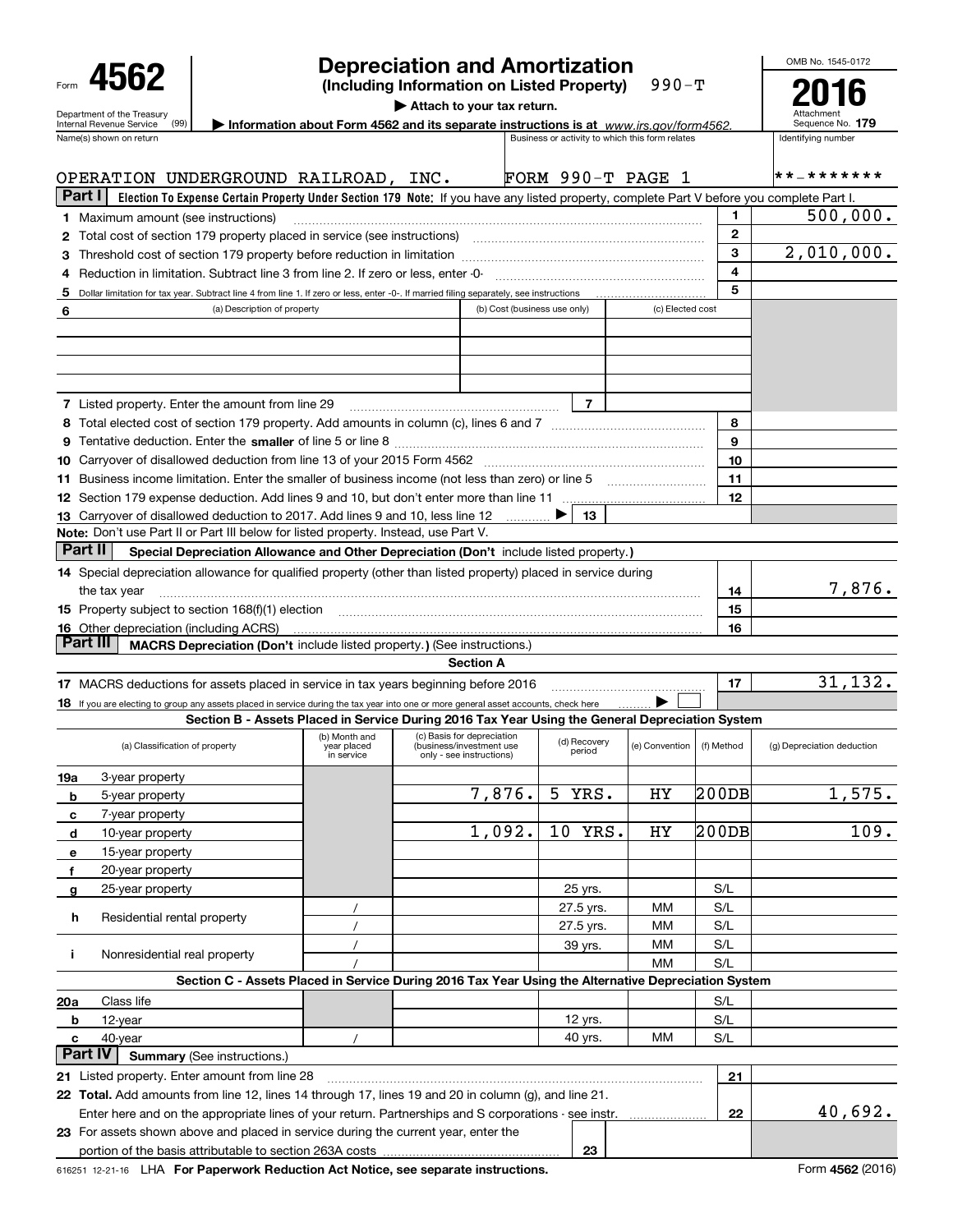| 4562<br>Department of the Treasury                                                                                                        |                                                                                                                                           |                           | <b>Depreciation and Amortization</b><br>(Including Information on Listed Property)<br>Attach to your tax return. |                              |                                                 | $990-T$          |            |              | OMB No. 1545-0172<br>Attachment<br>Sequence No. 179 |
|-------------------------------------------------------------------------------------------------------------------------------------------|-------------------------------------------------------------------------------------------------------------------------------------------|---------------------------|------------------------------------------------------------------------------------------------------------------|------------------------------|-------------------------------------------------|------------------|------------|--------------|-----------------------------------------------------|
| (99)<br>Internal Revenue Service<br>Name(s) shown on return                                                                               |                                                                                                                                           |                           | Information about Form 4562 and its separate instructions is at www.irs.gov/form4562.                            |                              | Business or activity to which this form relates |                  |            |              | Identifying number                                  |
| OPERATION UNDERGROUND RAILROAD, INC.                                                                                                      |                                                                                                                                           |                           |                                                                                                                  |                              | FORM $990-T$ PAGE 1                             |                  |            |              | * * _ * * * * * * *                                 |
| Part I                                                                                                                                    | Election To Expense Certain Property Under Section 179 Note: If you have any listed property, complete Part V before you complete Part I. |                           |                                                                                                                  |                              |                                                 |                  |            |              |                                                     |
| <b>1</b> Maximum amount (see instructions)                                                                                                |                                                                                                                                           |                           |                                                                                                                  |                              |                                                 |                  |            | 1            | 500,000.                                            |
|                                                                                                                                           |                                                                                                                                           |                           |                                                                                                                  |                              |                                                 |                  |            | $\mathbf{2}$ |                                                     |
|                                                                                                                                           |                                                                                                                                           |                           |                                                                                                                  |                              |                                                 |                  |            | 3            | 2,010,000.                                          |
| 4 Reduction in limitation. Subtract line 3 from line 2. If zero or less, enter -0-                                                        |                                                                                                                                           |                           |                                                                                                                  |                              |                                                 |                  |            | 4            |                                                     |
| 5 Dollar limitation for tax year. Subtract line 4 from line 1. If zero or less, enter -0-. If married filing separately, see instructions |                                                                                                                                           |                           |                                                                                                                  |                              |                                                 |                  |            | 5            |                                                     |
| 6                                                                                                                                         | (a) Description of property                                                                                                               |                           |                                                                                                                  | (b) Cost (business use only) |                                                 | (c) Elected cost |            |              |                                                     |
|                                                                                                                                           |                                                                                                                                           |                           |                                                                                                                  |                              |                                                 |                  |            |              |                                                     |
|                                                                                                                                           |                                                                                                                                           |                           |                                                                                                                  |                              |                                                 |                  |            |              |                                                     |
| 7 Listed property. Enter the amount from line 29                                                                                          |                                                                                                                                           |                           |                                                                                                                  |                              | $\overline{7}$                                  |                  |            |              |                                                     |
|                                                                                                                                           |                                                                                                                                           |                           |                                                                                                                  |                              |                                                 |                  |            | 8            |                                                     |
|                                                                                                                                           |                                                                                                                                           |                           |                                                                                                                  |                              |                                                 |                  |            | 9            |                                                     |
|                                                                                                                                           |                                                                                                                                           |                           |                                                                                                                  |                              |                                                 |                  |            | 10           |                                                     |
|                                                                                                                                           |                                                                                                                                           |                           |                                                                                                                  |                              |                                                 |                  |            | 11<br>12     |                                                     |
| 13 Carryover of disallowed deduction to 2017. Add lines 9 and 10, less line 12                                                            |                                                                                                                                           |                           |                                                                                                                  |                              | 13                                              |                  |            |              |                                                     |
| Note: Don't use Part II or Part III below for listed property. Instead, use Part V.                                                       |                                                                                                                                           |                           |                                                                                                                  |                              |                                                 |                  |            |              |                                                     |
| Part II                                                                                                                                   | Special Depreciation Allowance and Other Depreciation (Don't include listed property.)                                                    |                           |                                                                                                                  |                              |                                                 |                  |            |              |                                                     |
| 14 Special depreciation allowance for qualified property (other than listed property) placed in service during                            |                                                                                                                                           |                           |                                                                                                                  |                              |                                                 |                  |            |              |                                                     |
| the tax year                                                                                                                              |                                                                                                                                           |                           |                                                                                                                  |                              |                                                 |                  |            | 14           | 7,876.                                              |
| 15 Property subject to section 168(f)(1) election material content and content to the section 168(f)(1) election                          |                                                                                                                                           |                           |                                                                                                                  |                              |                                                 |                  |            | 15           |                                                     |
| <b>16</b> Other depreciation (including ACRS)                                                                                             |                                                                                                                                           |                           |                                                                                                                  |                              |                                                 |                  |            | 16           |                                                     |
| Part III                                                                                                                                  | MACRS Depreciation (Don't include listed property.) (See instructions.)                                                                   |                           |                                                                                                                  |                              |                                                 |                  |            |              |                                                     |
|                                                                                                                                           |                                                                                                                                           |                           | <b>Section A</b>                                                                                                 |                              |                                                 |                  |            |              |                                                     |
| 17 MACRS deductions for assets placed in service in tax years beginning before 2016                                                       |                                                                                                                                           |                           |                                                                                                                  |                              |                                                 |                  |            | 17           | 31, 132.                                            |
| 18 If you are electing to group any assets placed in service during the tax year into one or more general asset accounts, check here      | Section B - Assets Placed in Service During 2016 Tax Year Using the General Depreciation System                                           |                           |                                                                                                                  |                              |                                                 |                  |            |              |                                                     |
|                                                                                                                                           |                                                                                                                                           |                           | (b) Month and (c) Basis for depreciation (d) Recovery (e) Convention                                             |                              |                                                 |                  |            |              |                                                     |
| (a) Classification of property                                                                                                            |                                                                                                                                           | year placed<br>in service | (business/investment use<br>only - see instructions)                                                             |                              | period                                          | (e) Convention   | (f) Method |              | (g) Depreciation deduction                          |
| 3-year property<br>19a                                                                                                                    |                                                                                                                                           |                           |                                                                                                                  | 7,876.                       | 5<br>YRS.                                       | HY               | 200DB      |              | 1,575.                                              |
| 5-year property<br>b                                                                                                                      |                                                                                                                                           |                           |                                                                                                                  |                              |                                                 |                  |            |              |                                                     |
| 7-year property<br>с<br>10-year property<br>d                                                                                             |                                                                                                                                           |                           |                                                                                                                  | 1,092.                       | 10 YRS.                                         | HY               | 200DB      |              | 109.                                                |
| 15-year property<br>е                                                                                                                     |                                                                                                                                           |                           |                                                                                                                  |                              |                                                 |                  |            |              |                                                     |
| 20-year property<br>f                                                                                                                     |                                                                                                                                           |                           |                                                                                                                  |                              |                                                 |                  |            |              |                                                     |
| 25-year property<br>g                                                                                                                     |                                                                                                                                           |                           |                                                                                                                  |                              | 25 yrs.                                         |                  | S/L        |              |                                                     |
|                                                                                                                                           |                                                                                                                                           |                           |                                                                                                                  |                              | 27.5 yrs.                                       | мм               | S/L        |              |                                                     |
| h<br>Residential rental property                                                                                                          |                                                                                                                                           |                           |                                                                                                                  |                              | 27.5 yrs.                                       | мм               | S/L        |              |                                                     |
| Nonresidential real property<br>j.                                                                                                        |                                                                                                                                           |                           |                                                                                                                  |                              | 39 yrs.                                         | мм               | S/L        |              |                                                     |
|                                                                                                                                           |                                                                                                                                           |                           |                                                                                                                  |                              |                                                 | MМ               | S/L        |              |                                                     |
|                                                                                                                                           | Section C - Assets Placed in Service During 2016 Tax Year Using the Alternative Depreciation System                                       |                           |                                                                                                                  |                              |                                                 |                  |            |              |                                                     |
| Class life<br>20a                                                                                                                         |                                                                                                                                           |                           |                                                                                                                  |                              |                                                 |                  | S/L        |              |                                                     |
| 12-year<br>b                                                                                                                              |                                                                                                                                           |                           |                                                                                                                  |                              | 12 yrs.                                         |                  | S/L        |              |                                                     |
| 40-year<br>c<br><b>Part IV</b>                                                                                                            | <b>Summary (See instructions.)</b>                                                                                                        |                           |                                                                                                                  |                              | 40 yrs.                                         | ΜМ               | S/L        |              |                                                     |
| 21 Listed property. Enter amount from line 28                                                                                             |                                                                                                                                           |                           |                                                                                                                  |                              |                                                 |                  |            | 21           |                                                     |
| 22 Total. Add amounts from line 12, lines 14 through 17, lines 19 and 20 in column (g), and line 21.                                      |                                                                                                                                           |                           |                                                                                                                  |                              |                                                 |                  |            |              |                                                     |
| Enter here and on the appropriate lines of your return. Partnerships and S corporations - see instr.                                      |                                                                                                                                           |                           |                                                                                                                  |                              |                                                 |                  |            | 22           | 40,692.                                             |
| 23 For assets shown above and placed in service during the current year, enter the                                                        |                                                                                                                                           |                           |                                                                                                                  |                              |                                                 |                  |            |              |                                                     |
|                                                                                                                                           |                                                                                                                                           |                           |                                                                                                                  |                              | 23                                              |                  |            |              |                                                     |